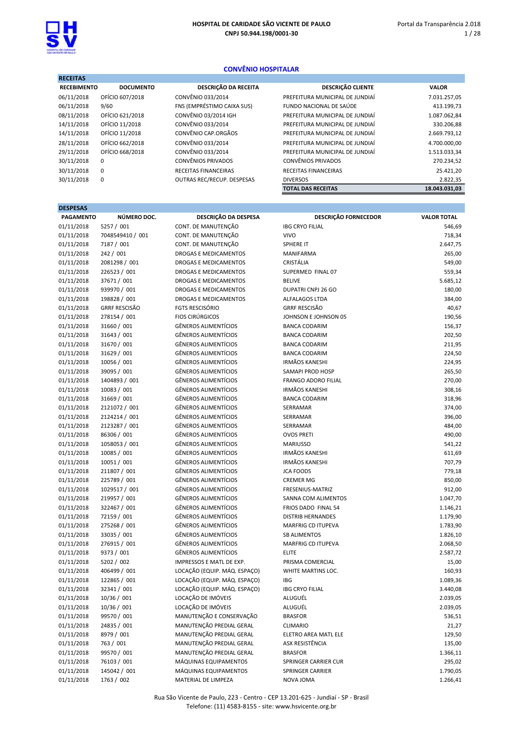RECEITAS

## CONVÊNIO HOSPITALAR

| RECEITAS           |                  |                            |                                 |               |
|--------------------|------------------|----------------------------|---------------------------------|---------------|
| <b>RECEBIMENTO</b> | <b>DOCUMENTO</b> | DESCRIÇÃO DA RECEITA       | <b>DESCRIÇÃO CLIENTE</b>        | <b>VALOR</b>  |
| 06/11/2018         | OFÍCIO 607/2018  | CONVÊNIO 033/2014          | PREFEITURA MUNICIPAL DE JUNDIAÍ | 7.031.257,05  |
| 06/11/2018         | 9/60             | FNS (EMPRÉSTIMO CAIXA SUS) | FUNDO NACIONAL DE SAÚDE         | 413.199,73    |
| 08/11/2018         | OFÍCIO 621/2018  | CONVÊNIO 03/2014 IGH       | PREFEITURA MUNICIPAL DE JUNDIAÍ | 1.087.062,84  |
| 14/11/2018         | OFÍCIO 11/2018   | CONVÊNIO 033/2014          | PREFEITURA MUNICIPAL DE JUNDIAÍ | 330.206,88    |
| 14/11/2018         | OFÍCIO 11/2018   | CONVÊNIO CAP ORGÃOS        | PREFEITURA MUNICIPAL DE JUNDIAÍ | 2.669.793,12  |
| 28/11/2018         | OFÍCIO 662/2018  | CONVÊNIO 033/2014          | PREFEITURA MUNICIPAL DE JUNDIAÍ | 4.700.000,00  |
| 29/11/2018         | OFÍCIO 668/2018  | CONVÊNIO 033/2014          | PREFEITURA MUNICIPAL DE JUNDIAÍ | 1.513.033,34  |
| 30/11/2018         | 0                | <b>CONVÊNIOS PRIVADOS</b>  | <b>CONVÊNIOS PRIVADOS</b>       | 270.234,52    |
| 30/11/2018         | $\mathbf 0$      | RECEITAS FINANCEIRAS       | <b>RECEITAS FINANCEIRAS</b>     | 25.421,20     |
| 30/11/2018         | $\mathbf 0$      | OUTRAS REC/RECUP. DESPESAS | <b>DIVERSOS</b>                 | 2.822,35      |
|                    |                  |                            | <b>TOTAL DAS RECEITAS</b>       | 18.043.031.03 |

| <b>DESPESAS</b>                                                                          |                    |
|------------------------------------------------------------------------------------------|--------------------|
| DESCRIÇÃO DA DESPESA<br><b>DESCRIÇÃO FORNECEDOR</b><br>NÚMERO DOC.<br><b>PAGAMENTO</b>   | <b>VALOR TOTAL</b> |
| 5257 / 001<br>CONT. DE MANUTENÇÃO<br><b>IBG CRYO FILIAL</b><br>01/11/2018                | 546,69             |
| CONT. DE MANUTENÇÃO<br>01/11/2018<br>7048549410 / 001<br><b>VIVO</b>                     | 718,34             |
| 7187 / 001<br>CONT. DE MANUTENÇÃO<br>01/11/2018<br>SPHERE IT                             | 2.647,75           |
| 01/11/2018<br>242 / 001<br><b>DROGAS E MEDICAMENTOS</b><br><b>MANIFARMA</b>              | 265,00             |
| <b>CRISTÁLIA</b><br>01/11/2018<br>2081298 / 001<br>DROGAS E MEDICAMENTOS                 | 549,00             |
| 226523 / 001<br>SUPERMED FINAL 07<br>01/11/2018<br>DROGAS E MEDICAMENTOS                 | 559,34             |
| 01/11/2018<br>37671 / 001<br><b>DROGAS E MEDICAMENTOS</b><br><b>BELIVE</b>               | 5.685,12           |
| 939970 / 001<br><b>DROGAS E MEDICAMENTOS</b><br><b>DUPATRI CNPJ 26 GO</b><br>01/11/2018  | 180,00             |
| 01/11/2018<br>198828 / 001<br><b>DROGAS E MEDICAMENTOS</b><br>ALFALAGOS LTDA             | 384,00             |
| <b>GRRF RESCISÃO</b><br><b>FGTS RESCISÓRIO</b><br><b>GRRF RESCISÃO</b><br>01/11/2018     | 40,67              |
| <b>FIOS CIRÚRGICOS</b><br>278154 / 001<br>01/11/2018<br>JOHNSON E JOHNSON 05             | 190,56             |
| 31660 / 001<br><b>GÊNEROS ALIMENTÍCIOS</b><br>01/11/2018<br><b>BANCA CODARIM</b>         | 156,37             |
| <b>GÊNEROS ALIMENTÍCIOS</b><br>31643 / 001<br>01/11/2018<br><b>BANCA CODARIM</b>         | 202,50             |
| <b>GÊNEROS ALIMENTÍCIOS</b><br>01/11/2018<br>31670 / 001<br><b>BANCA CODARIM</b>         | 211,95             |
| <b>GÊNEROS ALIMENTÍCIOS</b><br>31629 / 001<br><b>BANCA CODARIM</b><br>01/11/2018         | 224,50             |
| 01/11/2018<br>10056 / 001<br><b>GÊNEROS ALIMENTÍCIOS</b><br><b>IRMÃOS KANESHI</b>        | 224,95             |
| <b>GÊNEROS ALIMENTÍCIOS</b><br>39095 / 001<br>SAMAPI PROD HOSP<br>01/11/2018             | 265,50             |
| <b>GÊNEROS ALIMENTÍCIOS</b><br>01/11/2018<br>1404893 / 001<br><b>FRANGO ADORO FILIAL</b> | 270,00             |
| 10083 / 001<br><b>GÊNEROS ALIMENTÍCIOS</b><br><b>IRMÃOS KANESHI</b><br>01/11/2018        | 308,16             |
| 01/11/2018<br>31669 / 001<br><b>GÊNEROS ALIMENTÍCIOS</b><br><b>BANCA CODARIM</b>         | 318,96             |
| <b>GÊNEROS ALIMENTÍCIOS</b><br>2121072 / 001<br>01/11/2018<br>SERRAMAR                   | 374,00             |
| <b>GÊNEROS ALIMENTÍCIOS</b><br>01/11/2018<br>2124214 / 001<br>SERRAMAR                   | 396,00             |
| <b>GÊNEROS ALIMENTÍCIOS</b><br>01/11/2018<br>2123287 / 001<br>SERRAMAR                   | 484,00             |
| <b>GÊNEROS ALIMENTÍCIOS</b><br>86306 / 001<br><b>OVOS PRETI</b><br>01/11/2018            | 490,00             |
| <b>GÊNEROS ALIMENTÍCIOS</b><br>1058053 / 001<br><b>MARIUSSO</b><br>01/11/2018            | 541,22             |
| 10085 / 001<br><b>GÊNEROS ALIMENTÍCIOS</b><br><b>IRMÃOS KANESHI</b><br>01/11/2018        | 611,69             |
| <b>GÊNEROS ALIMENTÍCIOS</b><br><b>IRMÃOS KANESHI</b><br>01/11/2018<br>10051 / 001        | 707,79             |
| <b>GÊNEROS ALIMENTÍCIOS</b><br>211807 / 001<br><b>JCA FOODS</b><br>01/11/2018            | 779,18             |
| <b>GÊNEROS ALIMENTÍCIOS</b><br>01/11/2018<br>225789 / 001<br><b>CREMER MG</b>            | 850,00             |
| <b>GÊNEROS ALIMENTÍCIOS</b><br>01/11/2018<br>1029517 / 001<br>FRESENIUS-MATRIZ           | 912,00             |
| 219957 / 001<br><b>GÊNEROS ALIMENTÍCIOS</b><br>01/11/2018<br>SANNA COM ALIMENTOS         | 1.047,70           |
| <b>GÊNEROS ALIMENTÍCIOS</b><br>322467 / 001<br>01/11/2018<br>FRIOS DADO FINAL 54         | 1.146,21           |
| 72159 / 001<br><b>GÊNEROS ALIMENTÍCIOS</b><br>01/11/2018<br><b>DISTRIB HERNANDES</b>     | 1.179,90           |
| 01/11/2018<br>275268 / 001<br><b>GÊNEROS ALIMENTÍCIOS</b><br><b>MARFRIG CD ITUPEVA</b>   | 1.783,90           |
| 33035 / 001<br><b>GÊNEROS ALIMENTÍCIOS</b><br>01/11/2018<br><b>SB ALIMENTOS</b>          | 1.826,10           |
| <b>GÊNEROS ALIMENTÍCIOS</b><br>276915 / 001<br>01/11/2018<br>MARFRIG CD ITUPEVA          | 2.068,50           |
| <b>GÊNEROS ALIMENTÍCIOS</b><br><b>ELITE</b><br>01/11/2018<br>9373 / 001                  | 2.587,72           |
| 01/11/2018<br>5202 / 002<br>IMPRESSOS E MATL DE EXP.<br>PRISMA COMERCIAL                 | 15,00              |
| LOCAÇÃO (EQUIP. MÁQ. ESPAÇO)<br>01/11/2018<br>406499 / 001<br>WHITE MARTINS LOC.         | 160,93             |
| LOCAÇÃO (EQUIP. MÁQ. ESPAÇO)<br>01/11/2018<br>122865 / 001<br>IBG                        | 1.089,36           |
| LOCAÇÃO (EQUIP. MÁQ. ESPAÇO)<br>01/11/2018<br>32341 / 001<br><b>IBG CRYO FILIAL</b>      | 3.440,08           |
| 01/11/2018<br>10/36 / 001<br>LOCAÇÃO DE IMÓVEIS<br>ALUGUÉL                               | 2.039,05           |
| LOCAÇÃO DE IMÓVEIS<br>01/11/2018<br>10/36 / 001<br>ALUGUÉL                               | 2.039,05           |
| MANUTENÇÃO E CONSERVAÇÃO<br>01/11/2018<br>99570 / 001<br><b>BRASFOR</b>                  | 536,51             |
| MANUTENÇÃO PREDIAL GERAL<br>01/11/2018<br>24835 / 001<br><b>CLIMARIO</b>                 | 21,27              |
| MANUTENÇÃO PREDIAL GERAL<br>01/11/2018<br>8979 / 001<br>ELETRO AREA MATL ELE             | 129,50             |
| MANUTENÇÃO PREDIAL GERAL<br>ASX RESISTÊNCIA<br>01/11/2018<br>763 / 001                   | 135,00             |
| MANUTENÇÃO PREDIAL GERAL<br>01/11/2018<br>99570 / 001<br><b>BRASFOR</b>                  | 1.366,11           |
| MÁQUINAS EQUIPAMENTOS<br>01/11/2018<br>76103 / 001<br>SPRINGER CARRIER CUR               | 295,02             |
| 01/11/2018<br>145042 / 001<br>MÁQUINAS EQUIPAMENTOS<br>SPRINGER CARRIER                  | 1.790,05           |
| 01/11/2018<br>1763 / 002<br>MATERIAL DE LIMPEZA<br>NOVA JOMA                             | 1.266,41           |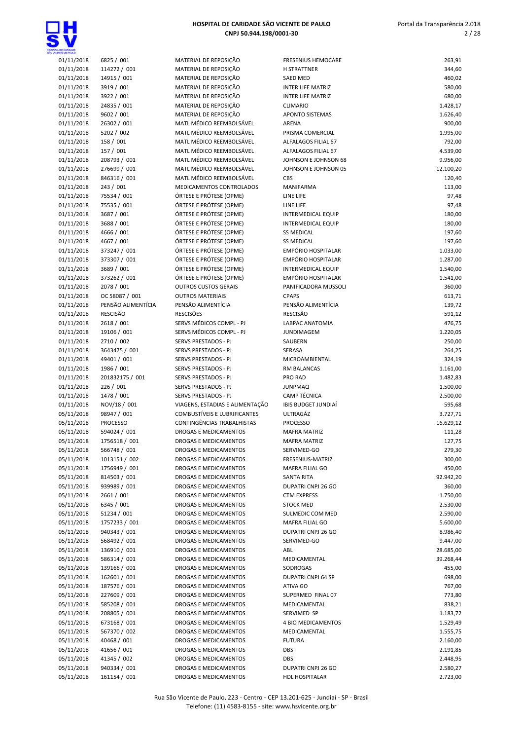

| 01/11/2018 | 6825 / 001         | MATERIAL DE REPOSIÇÃO           | <b>FRESENIUS HEMOCARE</b>  | 263,91    |
|------------|--------------------|---------------------------------|----------------------------|-----------|
|            |                    |                                 |                            |           |
| 01/11/2018 | 114272 / 001       | MATERIAL DE REPOSIÇÃO           | <b>H STRATTNER</b>         | 344,60    |
| 01/11/2018 | 14915 / 001        | MATERIAL DE REPOSIÇÃO           | <b>SAED MED</b>            | 460,02    |
| 01/11/2018 | 3919 / 001         | MATERIAL DE REPOSIÇÃO           | <b>INTER LIFE MATRIZ</b>   | 580,00    |
| 01/11/2018 | 3922 / 001         | MATERIAL DE REPOSIÇÃO           | <b>INTER LIFE MATRIZ</b>   | 680,00    |
| 01/11/2018 | 24835 / 001        | MATERIAL DE REPOSIÇÃO           | <b>CLIMARIO</b>            | 1.428,17  |
| 01/11/2018 | 9602 / 001         | MATERIAL DE REPOSIÇÃO           | <b>APONTO SISTEMAS</b>     | 1.626,40  |
| 01/11/2018 | 26302 / 001        | MATL MÉDICO REEMBOLSÁVEL        | ARENA                      | 900,00    |
| 01/11/2018 | 5202 / 002         | MATL MÉDICO REEMBOLSÁVEL        | PRISMA COMERCIAL           | 1.995,00  |
|            |                    | MATL MÉDICO REEMBOLSÁVEL        | ALFALAGOS FILIAL 67        |           |
| 01/11/2018 | 158 / 001          |                                 |                            | 792,00    |
| 01/11/2018 | 157 / 001          | MATL MÉDICO REEMBOLSÁVEL        | ALFALAGOS FILIAL 67        | 4.539,00  |
| 01/11/2018 | 208793 / 001       | MATL MÉDICO REEMBOLSÁVEL        | JOHNSON E JOHNSON 68       | 9.956,00  |
| 01/11/2018 | 276699 / 001       | MATL MÉDICO REEMBOLSÁVEL        | JOHNSON E JOHNSON 05       | 12.100,20 |
| 01/11/2018 | 846316 / 001       | MATL MÉDICO REEMBOLSÁVEL        | CBS                        | 120,40    |
| 01/11/2018 | 243 / 001          | MEDICAMENTOS CONTROLADOS        | MANIFARMA                  | 113,00    |
| 01/11/2018 | 75534 / 001        | ÓRTESE E PRÓTESE (OPME)         | LINE LIFE                  | 97,48     |
| 01/11/2018 | 75535 / 001        | ÓRTESE E PRÓTESE (OPME)         | LINE LIFE                  | 97,48     |
|            | 3687 / 001         | ÓRTESE E PRÓTESE (OPME)         |                            | 180,00    |
| 01/11/2018 |                    |                                 | <b>INTERMEDICAL EQUIP</b>  |           |
| 01/11/2018 | 3688 / 001         | ÓRTESE E PRÓTESE (OPME)         | INTERMEDICAL EQUIP         | 180,00    |
| 01/11/2018 | 4666 / 001         | ÓRTESE E PRÓTESE (OPME)         | <b>SS MEDICAL</b>          | 197,60    |
| 01/11/2018 | 4667 / 001         | ÓRTESE E PRÓTESE (OPME)         | <b>SS MEDICAL</b>          | 197,60    |
| 01/11/2018 | 373247 / 001       | ÓRTESE E PRÓTESE (OPME)         | EMPÓRIO HOSPITALAR         | 1.033,00  |
| 01/11/2018 | 373307 / 001       | ÓRTESE E PRÓTESE (OPME)         | EMPÓRIO HOSPITALAR         | 1.287,00  |
| 01/11/2018 | 3689 / 001         | ÓRTESE E PRÓTESE (OPME)         | <b>INTERMEDICAL EQUIP</b>  | 1.540,00  |
| 01/11/2018 | 373262 / 001       | ÓRTESE E PRÓTESE (OPME)         | EMPÓRIO HOSPITALAR         | 1.541,00  |
| 01/11/2018 | 2078 / 001         | <b>OUTROS CUSTOS GERAIS</b>     | PANIFICADORA MUSSOLI       | 360,00    |
|            |                    |                                 |                            |           |
| 01/11/2018 | OC 58087 / 001     | <b>OUTROS MATERIAIS</b>         | <b>CPAPS</b>               | 613,71    |
| 01/11/2018 | PENSÃO ALIMENTÍCIA | PENSÃO ALIMENTÍCIA              | PENSÃO ALIMENTÍCIA         | 139,72    |
| 01/11/2018 | RESCISÃO           | <b>RESCISÕES</b>                | RESCISÃO                   | 591,12    |
| 01/11/2018 | 2618 / 001         | SERVS MÉDICOS COMPL - PJ        | LABPAC ANATOMIA            | 476,75    |
| 01/11/2018 | 19106 / 001        | SERVS MÉDICOS COMPL - PJ        | <b>JUNDIMAGEM</b>          | 1.220,05  |
| 01/11/2018 | 2710 / 002         | SERVS PRESTADOS - PJ            | SAUBERN                    | 250,00    |
| 01/11/2018 | 3643475 / 001      | <b>SERVS PRESTADOS - PJ</b>     | SERASA                     | 264,25    |
| 01/11/2018 | 49401 / 001        | SERVS PRESTADOS - PJ            | MICROAMBIENTAL             | 324,19    |
| 01/11/2018 | 1986 / 001         | SERVS PRESTADOS - PJ            | RM BALANCAS                | 1.161,00  |
|            |                    |                                 |                            |           |
| 01/11/2018 | 201832175 / 001    | SERVS PRESTADOS - PJ            | PRO RAD                    | 1.482,83  |
| 01/11/2018 | 226 / 001          | SERVS PRESTADOS - PJ            | <b>JUNPMAQ</b>             | 1.500,00  |
| 01/11/2018 | 1478 / 001         | SERVS PRESTADOS - PJ            | <b>CAMP TÉCNICA</b>        | 2.500,00  |
| 01/11/2018 | NOV/18 / 001       | VIAGENS, ESTADIAS E ALIMENTAÇÃO | <b>IBIS BUDGET JUNDIAÍ</b> | 595,68    |
| 05/11/2018 | 98947 / 001        | COMBUSTÍVEIS E LUBRIFICANTES    | ULTRAGÁZ                   | 3.727,71  |
| 05/11/2018 | <b>PROCESSO</b>    | CONTINGÊNCIAS TRABALHISTAS      | <b>PROCESSO</b>            | 16.629,12 |
| 05/11/2018 | 594024 / 001       | DROGAS E MEDICAMENTOS           | <b>MAFRA MATRIZ</b>        | 111,28    |
| 05/11/2018 | 1756518 / 001      | <b>DROGAS E MEDICAMENTOS</b>    | <b>MAFRA MATRIZ</b>        | 127,75    |
| 05/11/2018 | 566748 / 001       | DROGAS E MEDICAMENTOS           |                            | 279,30    |
|            |                    |                                 | SERVIMED-GO                |           |
| 05/11/2018 | 1013151 / 002      | DROGAS E MEDICAMENTOS           | FRESENIUS-MATRIZ           | 300,00    |
| 05/11/2018 | 1756949 / 001      | DROGAS E MEDICAMENTOS           | MAFRA FILIAL GO            | 450,00    |
| 05/11/2018 | 814503 / 001       | DROGAS E MEDICAMENTOS           | SANTA RITA                 | 92.942,20 |
| 05/11/2018 | 939989 / 001       | DROGAS E MEDICAMENTOS           | DUPATRI CNPJ 26 GO         | 360,00    |
| 05/11/2018 | 2661 / 001         | DROGAS E MEDICAMENTOS           | <b>CTM EXPRESS</b>         | 1.750,00  |
| 05/11/2018 | 6345 / 001         | DROGAS E MEDICAMENTOS           | <b>STOCK MED</b>           | 2.530,00  |
| 05/11/2018 | 51234 / 001        | DROGAS E MEDICAMENTOS           | SULMEDIC COM MED           | 2.590,00  |
| 05/11/2018 | 1757233 / 001      | DROGAS E MEDICAMENTOS           | MAFRA FILIAL GO            | 5.600,00  |
| 05/11/2018 | 940343 / 001       | DROGAS E MEDICAMENTOS           | DUPATRI CNPJ 26 GO         | 8.986,40  |
|            |                    |                                 |                            |           |
| 05/11/2018 | 568492 / 001       | DROGAS E MEDICAMENTOS           | SERVIMED-GO                | 9.447,00  |
| 05/11/2018 | 136910 / 001       | DROGAS E MEDICAMENTOS           | ABL                        | 28.685,00 |
| 05/11/2018 | 586314 / 001       | DROGAS E MEDICAMENTOS           | MEDICAMENTAL               | 39.268,44 |
| 05/11/2018 | 139166 / 001       | DROGAS E MEDICAMENTOS           | SODROGAS                   | 455,00    |
| 05/11/2018 | 162601 / 001       | DROGAS E MEDICAMENTOS           | DUPATRI CNPJ 64 SP         | 698,00    |
| 05/11/2018 | 187576 / 001       | DROGAS E MEDICAMENTOS           | ATIVA GO                   | 767,00    |
| 05/11/2018 | 227609 / 001       | DROGAS E MEDICAMENTOS           | SUPERMED FINAL 07          | 773,80    |
| 05/11/2018 | 585208 / 001       | DROGAS E MEDICAMENTOS           | MEDICAMENTAL               | 838,21    |
| 05/11/2018 | 208805 / 001       | DROGAS E MEDICAMENTOS           | SERVIMED SP                | 1.183,72  |
|            |                    |                                 |                            |           |
| 05/11/2018 | 673168 / 001       | DROGAS E MEDICAMENTOS           | 4 BIO MEDICAMENTOS         | 1.529,49  |
| 05/11/2018 | 567370 / 002       | DROGAS E MEDICAMENTOS           | MEDICAMENTAL               | 1.555,75  |
| 05/11/2018 | 40468 / 001        | DROGAS E MEDICAMENTOS           | <b>FUTURA</b>              | 2.160,00  |
| 05/11/2018 | 41656 / 001        | DROGAS E MEDICAMENTOS           | DBS                        | 2.191,85  |
| 05/11/2018 | 41345 / 002        | DROGAS E MEDICAMENTOS           | DBS                        | 2.448,95  |
| 05/11/2018 | 940334 / 001       | DROGAS E MEDICAMENTOS           | DUPATRI CNPJ 26 GO         | 2.580,27  |
| 05/11/2018 | 161154 / 001       | DROGAS E MEDICAMENTOS           | <b>HDL HOSPITALAR</b>      | 2.723,00  |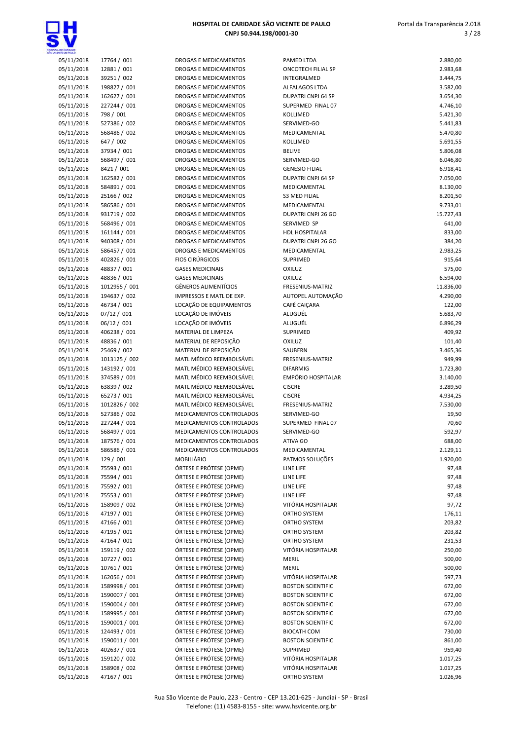

| HOSPITAL DE CARIDADE SÃO VICENTE DE PAULO |
|-------------------------------------------|
| CNPJ 50.944.198/0001-30                   |
|                                           |

| <b>SMIE CE SAILE</b> |               |                              |                           |           |
|----------------------|---------------|------------------------------|---------------------------|-----------|
| 05/11/2018           | 17764 / 001   | <b>DROGAS E MEDICAMENTOS</b> | PAMED LTDA                | 2.880,00  |
| 05/11/2018           | 12881 / 001   | DROGAS E MEDICAMENTOS        | ONCOTECH FILIAL SP        | 2.983,68  |
| 05/11/2018           | 39251 / 002   | DROGAS E MEDICAMENTOS        | INTEGRALMED               | 3.444,75  |
| 05/11/2018           | 198827 / 001  | DROGAS E MEDICAMENTOS        | ALFALAGOS LTDA            | 3.582,00  |
| 05/11/2018           | 162627 / 001  | <b>DROGAS E MEDICAMENTOS</b> | <b>DUPATRI CNPJ 64 SP</b> | 3.654,30  |
|                      | 227244 / 001  |                              | SUPERMED FINAL 07         |           |
| 05/11/2018           |               | DROGAS E MEDICAMENTOS        |                           | 4.746,10  |
| 05/11/2018           | 798 / 001     | DROGAS E MEDICAMENTOS        | <b>KOLLIMED</b>           | 5.421,30  |
| 05/11/2018           | 527386 / 002  | DROGAS E MEDICAMENTOS        | SERVIMED-GO               | 5.441,83  |
| 05/11/2018           | 568486 / 002  | DROGAS E MEDICAMENTOS        | MEDICAMENTAL              | 5.470,80  |
| 05/11/2018           | 647 / 002     | DROGAS E MEDICAMENTOS        | KOLLIMED                  | 5.691,55  |
| 05/11/2018           | 37934 / 001   | DROGAS E MEDICAMENTOS        | <b>BELIVE</b>             | 5.806,08  |
|                      |               |                              |                           |           |
| 05/11/2018           | 568497 / 001  | DROGAS E MEDICAMENTOS        | SERVIMED-GO               | 6.046,80  |
| 05/11/2018           | 8421 / 001    | DROGAS E MEDICAMENTOS        | <b>GENESIO FILIAL</b>     | 6.918,41  |
| 05/11/2018           | 162582 / 001  | DROGAS E MEDICAMENTOS        | DUPATRI CNPJ 64 SP        | 7.050,00  |
| 05/11/2018           | 584891 / 001  | DROGAS E MEDICAMENTOS        | MEDICAMENTAL              | 8.130,00  |
| 05/11/2018           | 25166 / 002   | DROGAS E MEDICAMENTOS        | <b>S3 MED FILIAL</b>      | 8.201,50  |
| 05/11/2018           | 586586 / 001  | DROGAS E MEDICAMENTOS        | MEDICAMENTAL              | 9.733,01  |
|                      |               |                              |                           |           |
| 05/11/2018           | 931719 / 002  | DROGAS E MEDICAMENTOS        | DUPATRI CNPJ 26 GO        | 15.727,43 |
| 05/11/2018           | 568496 / 001  | DROGAS E MEDICAMENTOS        | SERVIMED SP               | 641,00    |
| 05/11/2018           | 161144 / 001  | DROGAS E MEDICAMENTOS        | HDL HOSPITALAR            | 833,00    |
| 05/11/2018           | 940308 / 001  | <b>DROGAS E MEDICAMENTOS</b> | <b>DUPATRI CNPJ 26 GO</b> | 384,20    |
| 05/11/2018           | 586457 / 001  | DROGAS E MEDICAMENTOS        | MEDICAMENTAL              | 2.983,25  |
|                      |               |                              |                           |           |
| 05/11/2018           | 402826 / 001  | <b>FIOS CIRÚRGICOS</b>       | SUPRIMED                  | 915,64    |
| 05/11/2018           | 48837 / 001   | <b>GASES MEDICINAIS</b>      | <b>OXILUZ</b>             | 575,00    |
| 05/11/2018           | 48836 / 001   | <b>GASES MEDICINAIS</b>      | <b>OXILUZ</b>             | 6.594,00  |
| 05/11/2018           | 1012955 / 001 | GÊNEROS ALIMENTÍCIOS         | FRESENIUS-MATRIZ          | 11.836,00 |
| 05/11/2018           | 194637 / 002  | IMPRESSOS E MATL DE EXP.     | AUTOPEL AUTOMAÇÃO         | 4.290,00  |
| 05/11/2018           | 46734 / 001   | LOCAÇÃO DE EQUIPAMENTOS      | CAFÉ CAIÇARA              | 122,00    |
|                      |               |                              |                           |           |
| 05/11/2018           | 07/12 / 001   | LOCAÇÃO DE IMÓVEIS           | ALUGUÉL                   | 5.683,70  |
| 05/11/2018           | 06/12 / 001   | LOCAÇÃO DE IMÓVEIS           | ALUGUÉL                   | 6.896,29  |
| 05/11/2018           | 406238 / 001  | MATERIAL DE LIMPEZA          | SUPRIMED                  | 409,92    |
| 05/11/2018           | 48836 / 001   | MATERIAL DE REPOSIÇÃO        | OXILUZ                    | 101,40    |
| 05/11/2018           | 25469 / 002   | MATERIAL DE REPOSIÇÃO        | SAUBERN                   | 3.465,36  |
|                      |               |                              |                           |           |
| 05/11/2018           | 1013125 / 002 | MATL MÉDICO REEMBOLSÁVEL     | FRESENIUS-MATRIZ          | 949,99    |
| 05/11/2018           | 143192 / 001  | MATL MÉDICO REEMBOLSÁVEL     | <b>DIFARMIG</b>           | 1.723,80  |
| 05/11/2018           | 374589 / 001  | MATL MÉDICO REEMBOLSÁVEL     | <b>EMPÓRIO HOSPITALAR</b> | 3.140,00  |
| 05/11/2018           | 63839 / 002   | MATL MÉDICO REEMBOLSÁVEL     | <b>CISCRE</b>             | 3.289,50  |
| 05/11/2018           | 65273 / 001   | MATL MÉDICO REEMBOLSÁVEL     | <b>CISCRE</b>             | 4.934,25  |
| 05/11/2018           | 1012826 / 002 | MATL MÉDICO REEMBOLSÁVEL     | FRESENIUS-MATRIZ          | 7.530,00  |
|                      |               |                              |                           |           |
| 05/11/2018           | 527386 / 002  | MEDICAMENTOS CONTROLADOS     | SERVIMED-GO               | 19,50     |
| 05/11/2018           | 227244 / 001  | MEDICAMENTOS CONTROLADOS     | SUPERMED FINAL 07         | 70,60     |
| 05/11/2018           | 568497 / 001  | MEDICAMENTOS CONTROLADOS     | SERVIMED-GO               | 592,97    |
| 05/11/2018           | 187576 / 001  | MEDICAMENTOS CONTROLADOS     | ATIVA GO                  | 688,00    |
| 05/11/2018           | 586586 / 001  | MEDICAMENTOS CONTROLADOS     | MEDICAMENTAL              | 2.129,11  |
| 05/11/2018           | 129 / 001     | MOBILIÁRIO                   | PATMOS SOLUÇÕES           | 1.920,00  |
|                      |               |                              |                           |           |
| 05/11/2018           | 75593 / 001   | ÓRTESE E PRÓTESE (OPME)      | LINE LIFE                 | 97,48     |
| 05/11/2018           | 75594 / 001   | ÓRTESE E PRÓTESE (OPME)      | LINE LIFE                 | 97,48     |
| 05/11/2018           | 75592 / 001   | ÓRTESE E PRÓTESE (OPME)      | LINE LIFE                 | 97,48     |
| 05/11/2018           | 75553 / 001   | ÓRTESE E PRÓTESE (OPME)      | LINE LIFE                 | 97,48     |
| 05/11/2018           | 158909 / 002  | ÓRTESE E PRÓTESE (OPME)      | VITÓRIA HOSPITALAR        | 97,72     |
| 05/11/2018           | 47197 / 001   | ÓRTESE E PRÓTESE (OPME)      | ORTHO SYSTEM              | 176,11    |
|                      |               |                              |                           |           |
| 05/11/2018           | 47166 / 001   | ÓRTESE E PRÓTESE (OPME)      | ORTHO SYSTEM              | 203,82    |
| 05/11/2018           | 47195 / 001   | ÓRTESE E PRÓTESE (OPME)      | ORTHO SYSTEM              | 203,82    |
| 05/11/2018           | 47164 / 001   | ÓRTESE E PRÓTESE (OPME)      | ORTHO SYSTEM              | 231,53    |
| 05/11/2018           | 159119 / 002  | ÓRTESE E PRÓTESE (OPME)      | VITÓRIA HOSPITALAR        | 250,00    |
| 05/11/2018           | 10727 / 001   | ÓRTESE E PRÓTESE (OPME)      | <b>MERIL</b>              | 500,00    |
|                      |               |                              |                           |           |
| 05/11/2018           | 10761 / 001   | ÓRTESE E PRÓTESE (OPME)      | <b>MERIL</b>              | 500,00    |
| 05/11/2018           | 162056 / 001  | ÓRTESE E PRÓTESE (OPME)      | VITÓRIA HOSPITALAR        | 597,73    |
| 05/11/2018           | 1589998 / 001 | ÓRTESE E PRÓTESE (OPME)      | <b>BOSTON SCIENTIFIC</b>  | 672,00    |
| 05/11/2018           | 1590007 / 001 | ÓRTESE E PRÓTESE (OPME)      | <b>BOSTON SCIENTIFIC</b>  | 672,00    |
| 05/11/2018           | 1590004 / 001 | ÓRTESE E PRÓTESE (OPME)      | <b>BOSTON SCIENTIFIC</b>  | 672,00    |
| 05/11/2018           | 1589995 / 001 | ÓRTESE E PRÓTESE (OPME)      | <b>BOSTON SCIENTIFIC</b>  | 672,00    |
|                      |               |                              |                           |           |
| 05/11/2018           | 1590001 / 001 | ÓRTESE E PRÓTESE (OPME)      | <b>BOSTON SCIENTIFIC</b>  | 672,00    |
| 05/11/2018           | 124493 / 001  | ÓRTESE E PRÓTESE (OPME)      | <b>BIOCATH COM</b>        | 730,00    |
| 05/11/2018           | 1590011 / 001 | ÓRTESE E PRÓTESE (OPME)      | <b>BOSTON SCIENTIFIC</b>  | 861,00    |
| 05/11/2018           | 402637 / 001  | ÓRTESE E PRÓTESE (OPME)      | SUPRIMED                  | 959,40    |
| 05/11/2018           | 159120 / 002  | ÓRTESE E PRÓTESE (OPME)      | VITÓRIA HOSPITALAR        | 1.017,25  |
| 05/11/2018           | 158908 / 002  | ÓRTESE E PRÓTESE (OPME)      | VITÓRIA HOSPITALAR        | 1.017,25  |
|                      |               |                              |                           |           |
| 05/11/2018           | 47167 / 001   | ÓRTESE E PRÓTESE (OPME)      | ORTHO SYSTEM              | 1.026,96  |

| PAMED LTDA                           |                       |
|--------------------------------------|-----------------------|
| <b>ONCOTECH FILIAL SP</b>            | 2.880,00<br>2.983,68  |
| INTEGRALMED                          | 3.444,75              |
| <b>ALFALAGOS LTDA</b>                | 3.582,00              |
| <b>DUPATRI CNPJ 64 SP</b>            | 3.654,30              |
| SUPERMED FINAL 07                    | 4.746,10              |
| KOLLIMED                             | 5.421,30              |
| SERVIMED-GO                          | 5.441,83              |
| MEDICAMENTAL                         | 5.470,80              |
| <b>KOLLIMED</b>                      | 5.691,55              |
| <b>BELIVE</b>                        | 5.806,08              |
| SERVIMED-GO<br><b>GENESIO FILIAL</b> | 6.046,80<br>6.918,41  |
| <b>DUPATRI CNPJ 64 SP</b>            | 7.050,00              |
| MEDICAMENTAL                         | 8.130,00              |
| <b>S3 MED FILIAL</b>                 | 8.201,50              |
| MEDICAMENTAL                         | 9.733,01              |
| DUPATRI CNPJ 26 GO                   | 15.727,43             |
| SERVIMED SP                          | 641,00                |
| <b>HDL HOSPITALAR</b>                | 833,00                |
| <b>DUPATRI CNPJ 26 GO</b>            | 384,20                |
| MEDICAMENTAL                         | 2.983,25              |
| SUPRIMED                             | 915,64                |
| OXILUZ                               | 575,00                |
| OXILUZ<br><b>FRESENIUS-MATRIZ</b>    | 6.594,00              |
| AUTOPEL AUTOMAÇÃO                    | 11.836,00<br>4.290,00 |
| <b>CAFÉ CAICARA</b>                  | 122,00                |
| ALUGUÉL                              | 5.683,70              |
| ALUGUÉL                              | 6.896,29              |
| SUPRIMED                             | 409,92                |
| OXILUZ                               | 101,40                |
| SAUBERN                              | 3.465,36              |
| FRESENIUS-MATRIZ                     | 949,99                |
| <b>DIFARMIG</b>                      | 1.723,80              |
| <b>EMPÓRIO HOSPITALAR</b>            | 3.140,00              |
| <b>CISCRE</b>                        | 3.289,50              |
| <b>CISCRE</b><br>FRESENIUS-MATRIZ    | 4.934,25<br>7.530,00  |
| SERVIMED-GO                          | 19,50                 |
| SUPERMED FINAL 07                    | 70,60                 |
| SERVIMED-GO                          | 592,97                |
| ATIVA GO                             | 688,00                |
| MEDICAMENTAL                         | 2.129,11              |
| PATMOS SOLUÇÕES                      | 1.920,00              |
| LINE LIFE                            | 97,48                 |
| LINE LIFE                            | 97,48                 |
| LINE LIFE                            | 97,48                 |
| LINE LIFE                            | 97,48                 |
| VITÓRIA HOSPITALAR                   | 97,72                 |
| ORTHO SYSTEM                         | 176,11                |
| ORTHO SYSTEM<br><b>ORTHO SYSTEM</b>  | 203,82<br>203,82      |
| ORTHO SYSTEM                         | 231,53                |
| VITÓRIA HOSPITALAR                   | 250,00                |
| <b>MERIL</b>                         | 500,00                |
| MERIL                                | 500,00                |
| VITÓRIA HOSPITALAR                   | 597,73                |
| <b>BOSTON SCIENTIFIC</b>             | 672,00                |
| <b>BOSTON SCIENTIFIC</b>             | 672,00                |
| <b>BOSTON SCIENTIFIC</b>             | 672,00                |
| <b>BOSTON SCIENTIFIC</b>             | 672,00                |
| <b>BOSTON SCIENTIFIC</b>             | 672,00                |
| <b>BIOCATH COM</b>                   | 730,00                |
| <b>BOSTON SCIENTIFIC</b>             | 861,00                |
| SUPRIMED<br>VITÓRIA HOSPITALAR       | 959,40                |
| VITÓRIA HOSPITALAR                   | 1.017,25<br>1.017,25  |
|                                      |                       |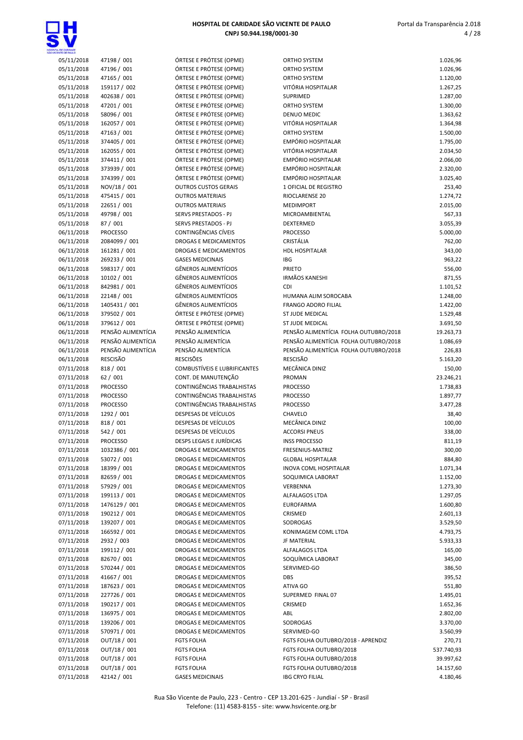

| a, ce candade<br>Iente ce pail c |                              |
|----------------------------------|------------------------------|
| 05/11/2018                       | 47198 / 001                  |
| 05/11/2018                       | 47196 / 001                  |
| 05/11/2018                       | 47165 / 001                  |
| 05/11/2018                       | 159117 / 002                 |
| 05/11/2018                       | 402638 / 001                 |
| 05/11/2018                       | 47201 / 001                  |
| 05/11/2018                       | 58096 / 001                  |
| 05/11/2018                       | 162057 / 001                 |
| 05/11/2018                       | 47163 / 001                  |
| 05/11/2018                       | 374405 / 001                 |
| 05/11/2018                       | 162055 / 001                 |
| 05/11/2018                       | 374411 / 001                 |
| 05/11/2018                       | 373939 / 001                 |
| 05/11/2018                       | 374399 / 001                 |
| 05/11/2018                       | NOV/18 / 001                 |
| 05/11/2018                       | 475415 / 001                 |
| 05/11/2018                       | 22651 / 001                  |
| 05/11/2018                       | 49798 / 001                  |
| 05/11/2018                       | 87 / 001                     |
| 06/11/2018                       | <b>PROCESSO</b>              |
| 06/11/2018                       | 2084099 / 001                |
| 06/11/2018                       | 161281 / 001                 |
| 06/11/2018                       | 269233 / 001                 |
| 06/11/2018                       | 598317 / 001                 |
| 06/11/2018                       | 10102 / 001                  |
| 06/11/2018                       | 842981/001                   |
| 06/11/2018                       | 22148 / 001                  |
| 06/11/2018                       | 1405431 / 001                |
| 06/11/2018                       | 379502 / 001                 |
| 06/11/2018                       | 379612 / 001                 |
| 06/11/2018                       | PENSÃO ALIMENTÍCIA           |
| 06/11/2018                       | PENSÃO ALIMENTÍCIA           |
| 06/11/2018                       | PENSÃO ALIMENTÍCIA           |
|                                  |                              |
| 06/11/2018                       | RESCISÃO                     |
| 07/11/2018                       | 818 / 001                    |
| 07/11/2018                       | 62 / 001                     |
| 07/11/2018                       | <b>PROCESSO</b>              |
| 07/11/2018                       | <b>PROCESSO</b>              |
| 07/11/2018                       | <b>PROCESSO</b>              |
| 07/11/2018                       | 1292 / 001                   |
| 07/11/2018                       | 818 / 001                    |
| 07/11/2018                       | 542 / 001                    |
| 07/11/2018                       | PROCESSO                     |
| 07/11/2018                       | 1032386 / 001                |
| 07/11/2018                       | 53072 / 001                  |
| 07/11/2018                       | 18399 / 001                  |
| 07/11/2018                       | 82659 / 001                  |
| 07/11/2018                       | 57929 / 001                  |
| 07/11/2018                       | 199113 / 001                 |
| 07/11/2018<br>07/11/2018         | 1476129 / 001                |
| 07/11/2018                       | 190212 / 001                 |
| 07/11/2018                       | 139207 / 001<br>166592 / 001 |
| 07/11/2018                       | 2932 / 003                   |
| 07/11/2018                       | 199112 / 001                 |
| 07/11/2018                       | 82670 / 001                  |
| 07/11/2018                       | 570244 / 001                 |
| 07/11/2018                       | 41667 / 001                  |
| 07/11/2018                       | 187623 / 001                 |
| 07/11/2018                       | 227726 / 001                 |
| 07/11/2018                       | 190217 / 001                 |
| 07/11/2018                       | 136975 / 001                 |
| 07/11/2018                       | 139206 / 001                 |
| 07/11/2018                       | 570971 / 001                 |
| 07/11/2018                       | OUT/18 / 001                 |

| OE GANDADE               |                                    |                                                            |                                               |                      |
|--------------------------|------------------------------------|------------------------------------------------------------|-----------------------------------------------|----------------------|
| 05/11/2018               | 47198 / 001                        | ÓRTESE E PRÓTESE (OPME)                                    | <b>ORTHO SYSTEM</b>                           | 1.026,96             |
| 05/11/2018               | 47196 / 001                        | ÓRTESE E PRÓTESE (OPME)                                    | <b>ORTHO SYSTEM</b>                           | 1.026,96             |
| 05/11/2018               | 47165 / 001                        | ÓRTESE E PRÓTESE (OPME)                                    | <b>ORTHO SYSTEM</b>                           | 1.120,00             |
| 05/11/2018               | 159117 / 002                       | ÓRTESE E PRÓTESE (OPME)                                    | VITÓRIA HOSPITALAR                            | 1.267,25             |
| 05/11/2018               | 402638 / 001                       | ÓRTESE E PRÓTESE (OPME)                                    | SUPRIMED                                      | 1.287,00             |
| 05/11/2018<br>05/11/2018 | 47201 / 001<br>58096 / 001         | ÓRTESE E PRÓTESE (OPME)<br>ÓRTESE E PRÓTESE (OPME)         | ORTHO SYSTEM<br>DENUO MEDIC                   | 1.300,00<br>1.363,62 |
| 05/11/2018               | 162057 / 001                       | ÓRTESE E PRÓTESE (OPME)                                    | VITÓRIA HOSPITALAR                            | 1.364,98             |
| 05/11/2018               | 47163 / 001                        | ÓRTESE E PRÓTESE (OPME)                                    | ORTHO SYSTEM                                  | 1.500,00             |
| 05/11/2018               | 374405 / 001                       | ÓRTESE E PRÓTESE (OPME)                                    | <b>EMPÓRIO HOSPITALAR</b>                     | 1.795,00             |
| 05/11/2018               | 162055 / 001                       | ÓRTESE E PRÓTESE (OPME)                                    | VITÓRIA HOSPITALAR                            | 2.034,50             |
| 05/11/2018               | 374411 / 001                       | ÓRTESE E PRÓTESE (OPME)                                    | <b>EMPÓRIO HOSPITALAR</b>                     | 2.066,00             |
| 05/11/2018               | 373939 / 001                       | ÓRTESE E PRÓTESE (OPME)                                    | EMPÓRIO HOSPITALAR                            | 2.320,00             |
| 05/11/2018               | 374399 / 001                       | ÓRTESE E PRÓTESE (OPME)                                    | EMPÓRIO HOSPITALAR                            | 3.025,40             |
| 05/11/2018               | NOV/18 / 001                       | <b>OUTROS CUSTOS GERAIS</b>                                | 1 OFICIAL DE REGISTRO                         | 253,40               |
| 05/11/2018<br>05/11/2018 | 475415 / 001<br>22651 / 001        | <b>OUTROS MATERIAIS</b><br><b>OUTROS MATERIAIS</b>         | RIOCLARENSE 20<br><b>MEDIMPORT</b>            | 1.274,72<br>2.015,00 |
| 05/11/2018               | 49798 / 001                        | SERVS PRESTADOS - PJ                                       | <b>MICROAMBIENTAL</b>                         | 567,33               |
| 05/11/2018               | 87 / 001                           | <b>SERVS PRESTADOS - PJ</b>                                | DEXTERMED                                     | 3.055,39             |
| 06/11/2018               | <b>PROCESSO</b>                    | CONTINGÊNCIAS CÍVEIS                                       | <b>PROCESSO</b>                               | 5.000,00             |
| 06/11/2018               | 2084099 / 001                      | <b>DROGAS E MEDICAMENTOS</b>                               | CRISTÁLIA                                     | 762,00               |
| 06/11/2018               | 161281 / 001                       | DROGAS E MEDICAMENTOS                                      | <b>HDL HOSPITALAR</b>                         | 343,00               |
| 06/11/2018               | 269233 / 001                       | <b>GASES MEDICINAIS</b>                                    | <b>IBG</b>                                    | 963,22               |
| 06/11/2018               | 598317 / 001                       | <b>GÊNEROS ALIMENTÍCIOS</b>                                | PRIETO                                        | 556,00               |
| 06/11/2018               | 10102 / 001                        | <b>GÊNEROS ALIMENTÍCIOS</b>                                | <b>IRMÃOS KANESHI</b>                         | 871,55               |
| 06/11/2018               | 842981 / 001                       | <b>GÊNEROS ALIMENTÍCIOS</b>                                | CDI                                           | 1.101,52             |
| 06/11/2018               | 22148 / 001                        | <b>GÊNEROS ALIMENTÍCIOS</b><br><b>GÊNEROS ALIMENTÍCIOS</b> | HUMANA ALIM SOROCABA                          | 1.248,00             |
| 06/11/2018<br>06/11/2018 | 1405431 / 001<br>379502 / 001      | ÓRTESE E PRÓTESE (OPME)                                    | <b>FRANGO ADORO FILIAL</b><br>ST JUDE MEDICAL | 1.422,00<br>1.529,48 |
| 06/11/2018               | 379612 / 001                       | ÓRTESE E PRÓTESE (OPME)                                    | ST JUDE MEDICAL                               | 3.691,50             |
| 06/11/2018               | PENSÃO ALIMENTÍCIA                 | PENSÃO ALIMENTÍCIA                                         | PENSÃO ALIMENTÍCIA FOLHA OUTUBRO/2018         | 19.263,73            |
| 06/11/2018               | PENSÃO ALIMENTÍCIA                 | PENSÃO ALIMENTÍCIA                                         | PENSÃO ALIMENTÍCIA FOLHA OUTUBRO/2018         | 1.086,69             |
| 06/11/2018               | PENSÃO ALIMENTÍCIA                 | PENSÃO ALIMENTÍCIA                                         | PENSÃO ALIMENTÍCIA FOLHA OUTUBRO/2018         | 226,83               |
| 06/11/2018               | <b>RESCISÃO</b>                    | <b>RESCISÕES</b>                                           | <b>RESCISÃO</b>                               | 5.163,20             |
| 07/11/2018               | 818 / 001                          | <b>COMBUSTÍVEIS E LUBRIFICANTES</b>                        | MECÂNICA DINIZ                                | 150,00               |
| 07/11/2018               | 62/001                             | CONT. DE MANUTENÇÃO                                        | PROMAN                                        | 23.246,21            |
| 07/11/2018               | <b>PROCESSO</b>                    | CONTINGÊNCIAS TRABALHISTAS                                 | <b>PROCESSO</b>                               | 1.738,83             |
| 07/11/2018<br>07/11/2018 | <b>PROCESSO</b><br><b>PROCESSO</b> | CONTINGÊNCIAS TRABALHISTAS<br>CONTINGÊNCIAS TRABALHISTAS   | <b>PROCESSO</b><br><b>PROCESSO</b>            | 1.897,77<br>3.477,28 |
| 07/11/2018               | 1292 / 001                         | DESPESAS DE VEÍCULOS                                       | CHAVELO                                       | 38,40                |
| 07/11/2018               | 818 / 001                          | DESPESAS DE VEÍCULOS                                       | MECÂNICA DINIZ                                | 100,00               |
| 07/11/2018               | 542 / 001                          | DESPESAS DE VEÍCULOS                                       | <b>ACCORSI PNEUS</b>                          | 338,00               |
| 07/11/2018               | <b>PROCESSO</b>                    | DESPS LEGAIS E JURÍDICAS                                   | <b>INSS PROCESSO</b>                          | 811,19               |
| 07/11/2018               | 1032386 / 001                      | DROGAS E MEDICAMENTOS                                      | FRESENIUS-MATRIZ                              | 300,00               |
| 07/11/2018               | 53072 / 001                        | DROGAS E MEDICAMENTOS                                      | <b>GLOBAL HOSPITALAR</b>                      | 884,80               |
| 07/11/2018               | 18399 / 001                        | DROGAS E MEDICAMENTOS                                      | INOVA COML HOSPITALAR                         | 1.071,34             |
| 07/11/2018               | 82659 / 001                        | DROGAS E MEDICAMENTOS                                      | SOQUIMICA LABORAT                             | 1.152,00             |
| 07/11/2018<br>07/11/2018 | 57929 / 001<br>199113 / 001        | DROGAS E MEDICAMENTOS<br>DROGAS E MEDICAMENTOS             | VERBENNA<br>ALFALAGOS LTDA                    | 1.273,30<br>1.297,05 |
| 07/11/2018               | 1476129 / 001                      | DROGAS E MEDICAMENTOS                                      | <b>EUROFARMA</b>                              | 1.600,80             |
| 07/11/2018               | 190212 / 001                       | DROGAS E MEDICAMENTOS                                      | <b>CRISMED</b>                                | 2.601,13             |
| 07/11/2018               | 139207 / 001                       | DROGAS E MEDICAMENTOS                                      | <b>SODROGAS</b>                               | 3.529,50             |
| 07/11/2018               | 166592 / 001                       | DROGAS E MEDICAMENTOS                                      | KONIMAGEM COML LTDA                           | 4.793,75             |
| 07/11/2018               | 2932 / 003                         | DROGAS E MEDICAMENTOS                                      | JF MATERIAL                                   | 5.933,33             |
| 07/11/2018               | 199112 / 001                       | DROGAS E MEDICAMENTOS                                      | ALFALAGOS LTDA                                | 165,00               |
| 07/11/2018               | 82670 / 001                        | DROGAS E MEDICAMENTOS                                      | SOQUÍMICA LABORAT                             | 345,00               |
| 07/11/2018               | 570244 / 001                       | DROGAS E MEDICAMENTOS                                      | SERVIMED-GO                                   | 386,50               |
| 07/11/2018               | 41667 / 001                        | DROGAS E MEDICAMENTOS                                      | DBS                                           | 395,52               |
| 07/11/2018<br>07/11/2018 | 187623 / 001<br>227726 / 001       | DROGAS E MEDICAMENTOS<br>DROGAS E MEDICAMENTOS             | ATIVA GO<br>SUPERMED FINAL 07                 | 551,80<br>1.495,01   |
| 07/11/2018               | 190217 / 001                       | DROGAS E MEDICAMENTOS                                      | CRISMED                                       | 1.652,36             |
| 07/11/2018               | 136975 / 001                       | DROGAS E MEDICAMENTOS                                      | ABL                                           | 2.802,00             |
| 07/11/2018               | 139206 / 001                       | DROGAS E MEDICAMENTOS                                      | SODROGAS                                      | 3.370,00             |
| 07/11/2018               | 570971 / 001                       | DROGAS E MEDICAMENTOS                                      | SERVIMED-GO                                   | 3.560,99             |
| 07/11/2018               | OUT/18 / 001                       | <b>FGTS FOLHA</b>                                          | FGTS FOLHA OUTUBRO/2018 - APRENDIZ            | 270,71               |
| 07/11/2018               | OUT/18 / 001                       | <b>FGTS FOLHA</b>                                          | FGTS FOLHA OUTUBRO/2018                       | 537.740,93           |
| 07/11/2018               | OUT/18 / 001                       | <b>FGTS FOLHA</b>                                          | FGTS FOLHA OUTUBRO/2018                       | 39.997,62            |
| 07/11/2018               | OUT/18 / 001                       | <b>FGTS FOLHA</b>                                          | FGTS FOLHA OUTUBRO/2018                       | 14.157,60            |
| 07/11/2018               | 42142 / 001                        | <b>GASES MEDICINAIS</b>                                    | <b>IBG CRYO FILIAL</b>                        | 4.180,46             |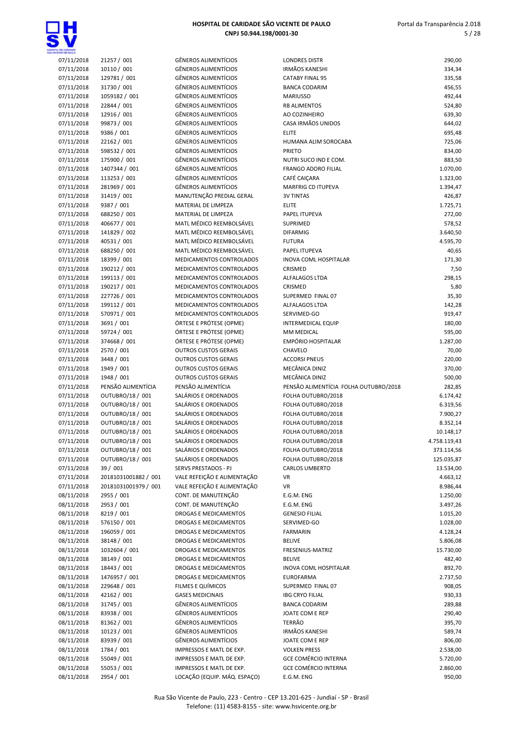

| <b><i>STATE CE SHALLO</i></b> |                      |                              |                                       |              |
|-------------------------------|----------------------|------------------------------|---------------------------------------|--------------|
| 07/11/2018                    | 21257 / 001          | <b>GÊNEROS ALIMENTÍCIOS</b>  | <b>LONDRES DISTR</b>                  | 290,00       |
| 07/11/2018                    | 10110 / 001          | GÊNEROS ALIMENTÍCIOS         | <b>IRMÃOS KANESHI</b>                 | 334,34       |
| 07/11/2018                    | 129781 / 001         | <b>GÊNEROS ALIMENTÍCIOS</b>  | <b>CATABY FINAL 95</b>                | 335,58       |
| 07/11/2018                    | 31730 / 001          | GÊNEROS ALIMENTÍCIOS         | <b>BANCA CODARIM</b>                  | 456,55       |
| 07/11/2018                    | 1059182 / 001        | <b>GÊNEROS ALIMENTÍCIOS</b>  | <b>MARIUSSO</b>                       | 492,44       |
| 07/11/2018                    | 22844 / 001          | <b>GÊNEROS ALIMENTÍCIOS</b>  | <b>RB ALIMENTOS</b>                   | 524,80       |
| 07/11/2018                    | 12916 / 001          | <b>GÊNEROS ALIMENTÍCIOS</b>  | AO COZINHEIRO                         | 639,30       |
| 07/11/2018                    | 99873 / 001          | <b>GÊNEROS ALIMENTÍCIOS</b>  | CASA IRMÃOS UNIDOS                    | 644,02       |
|                               |                      | <b>GÊNEROS ALIMENTÍCIOS</b>  | <b>ELITE</b>                          |              |
| 07/11/2018                    | 9386 / 001           |                              |                                       | 695,48       |
| 07/11/2018                    | 22162 / 001          | <b>GÊNEROS ALIMENTÍCIOS</b>  | HUMANA ALIM SOROCABA                  | 725,06       |
| 07/11/2018                    | 598532 / 001         | <b>GÊNEROS ALIMENTÍCIOS</b>  | <b>PRIETO</b>                         | 834,00       |
| 07/11/2018                    | 175900 / 001         | <b>GÊNEROS ALIMENTÍCIOS</b>  | NUTRI SUCO IND E COM.                 | 883,50       |
| 07/11/2018                    | 1407344 / 001        | GÊNEROS ALIMENTÍCIOS         | <b>FRANGO ADORO FILIAL</b>            | 1.070,00     |
| 07/11/2018                    | 113253 / 001         | <b>GÊNEROS ALIMENTÍCIOS</b>  | CAFÉ CAIÇARA                          | 1.323,00     |
| 07/11/2018                    | 281969 / 001         | <b>GÊNEROS ALIMENTÍCIOS</b>  | <b>MARFRIG CD ITUPEVA</b>             | 1.394,47     |
| 07/11/2018                    | 31419 / 001          | MANUTENÇÃO PREDIAL GERAL     | <b>3V TINTAS</b>                      | 426,87       |
| 07/11/2018                    | 9387 / 001           | MATERIAL DE LIMPEZA          | <b>ELITE</b>                          | 1.725,71     |
|                               |                      |                              |                                       |              |
| 07/11/2018                    | 688250 / 001         | MATERIAL DE LIMPEZA          | PAPEL ITUPEVA                         | 272,00       |
| 07/11/2018                    | 406677 / 001         | MATL MÉDICO REEMBOLSÁVEL     | SUPRIMED                              | 578,52       |
| 07/11/2018                    | 141829 / 002         | MATL MÉDICO REEMBOLSÁVEL     | <b>DIFARMIG</b>                       | 3.640,50     |
| 07/11/2018                    | 40531 / 001          | MATL MÉDICO REEMBOLSÁVEL     | <b>FUTURA</b>                         | 4.595,70     |
| 07/11/2018                    | 688250 / 001         | MATL MÉDICO REEMBOLSÁVEL     | PAPEL ITUPEVA                         | 40,65        |
| 07/11/2018                    | 18399 / 001          | MEDICAMENTOS CONTROLADOS     | <b>INOVA COML HOSPITALAR</b>          | 171,30       |
| 07/11/2018                    | 190212 / 001         | MEDICAMENTOS CONTROLADOS     | <b>CRISMED</b>                        | 7,50         |
|                               | 199113 / 001         |                              |                                       |              |
| 07/11/2018                    |                      | MEDICAMENTOS CONTROLADOS     | ALFALAGOS LTDA                        | 298,15       |
| 07/11/2018                    | 190217 / 001         | MEDICAMENTOS CONTROLADOS     | CRISMED                               | 5,80         |
| 07/11/2018                    | 227726 / 001         | MEDICAMENTOS CONTROLADOS     | SUPERMED FINAL 07                     | 35,30        |
| 07/11/2018                    | 199112 / 001         | MEDICAMENTOS CONTROLADOS     | ALFALAGOS LTDA                        | 142,28       |
| 07/11/2018                    | 570971 / 001         | MEDICAMENTOS CONTROLADOS     | SERVIMED-GO                           | 919,47       |
| 07/11/2018                    | 3691 / 001           | ÓRTESE E PRÓTESE (OPME)      | <b>INTERMEDICAL EQUIP</b>             | 180,00       |
| 07/11/2018                    | 59724 / 001          | ÓRTESE E PRÓTESE (OPME)      | MM MEDICAL                            | 595,00       |
| 07/11/2018                    | 374668 / 001         | ÓRTESE E PRÓTESE (OPME)      | EMPÓRIO HOSPITALAR                    | 1.287,00     |
| 07/11/2018                    | 2570 / 001           | <b>OUTROS CUSTOS GERAIS</b>  | CHAVELO                               | 70,00        |
|                               | 3448 / 001           | <b>OUTROS CUSTOS GERAIS</b>  | <b>ACCORSI PNEUS</b>                  | 220,00       |
| 07/11/2018                    |                      |                              |                                       |              |
| 07/11/2018                    | 1949 / 001           | <b>OUTROS CUSTOS GERAIS</b>  | MECÂNICA DINIZ                        | 370,00       |
| 07/11/2018                    | 1948 / 001           | <b>OUTROS CUSTOS GERAIS</b>  | MECÂNICA DINIZ                        | 500,00       |
| 07/11/2018                    | PENSÃO ALIMENTÍCIA   | PENSÃO ALIMENTÍCIA           | PENSÃO ALIMENTÍCIA FOLHA OUTUBRO/2018 | 282,85       |
| 07/11/2018                    | OUTUBRO/18 / 001     | SALÁRIOS E ORDENADOS         | FOLHA OUTUBRO/2018                    | 6.174,42     |
| 07/11/2018                    | OUTUBRO/18 / 001     | SALÁRIOS E ORDENADOS         | FOLHA OUTUBRO/2018                    | 6.319,56     |
| 07/11/2018                    | OUTUBRO/18 / 001     | SALÁRIOS E ORDENADOS         | FOLHA OUTUBRO/2018                    | 7.900,27     |
| 07/11/2018                    | OUTUBRO/18 / 001     | SALÁRIOS E ORDENADOS         | FOLHA OUTUBRO/2018                    | 8.352,14     |
| 07/11/2018                    | OUTUBRO/18 / 001     | SALÁRIOS E ORDENADOS         | FOLHA OUTUBRO/2018                    | 10.148,17    |
|                               |                      | SALÁRIOS E ORDENADOS         | FOLHA OUTUBRO/2018                    | 4.758.119,43 |
| 07/11/2018                    | OUTUBRO/18 / 001     |                              |                                       |              |
| 07/11/2018                    | OUTUBRO/18 / 001     | SALARIOS E ORDENADOS         | FOLHA OUTUBRO/2018                    | 373.114,56   |
| 07/11/2018                    | OUTUBRO/18 / 001     | SALÁRIOS E ORDENADOS         | FOLHA OUTUBRO/2018                    | 125.035,87   |
| 07/11/2018                    | 39 / 001             | SERVS PRESTADOS - PJ         | CARLOS UMBERTO                        | 13.534,00    |
| 07/11/2018                    | 20181031001882 / 001 | VALE REFEIÇÃO E ALIMENTAÇÃO  | VR                                    | 4.663,12     |
| 07/11/2018                    | 20181031001979 / 001 | VALE REFEIÇÃO E ALIMENTAÇÃO  | <b>VR</b>                             | 8.986,44     |
| 08/11/2018                    | 2955 / 001           | CONT. DE MANUTENÇÃO          | E.G.M. ENG                            | 1.250,00     |
| 08/11/2018                    | 2953 / 001           | CONT. DE MANUTENÇÃO          | E.G.M. ENG                            | 3.497,26     |
|                               |                      | DROGAS E MEDICAMENTOS        | <b>GENESIO FILIAL</b>                 |              |
| 08/11/2018                    | 8219 / 001           |                              |                                       | 1.015,20     |
| 08/11/2018                    | 576150 / 001         | <b>DROGAS E MEDICAMENTOS</b> | SERVIMED-GO                           | 1.028,00     |
| 08/11/2018                    | 196059 / 001         | <b>DROGAS E MEDICAMENTOS</b> | <b>FARMARIN</b>                       | 4.128,24     |
| 08/11/2018                    | 38148 / 001          | DROGAS E MEDICAMENTOS        | <b>BELIVE</b>                         | 5.806,08     |
| 08/11/2018                    | 1032604 / 001        | <b>DROGAS E MEDICAMENTOS</b> | FRESENIUS-MATRIZ                      | 15.730,00    |
| 08/11/2018                    | 38149 / 001          | DROGAS E MEDICAMENTOS        | <b>BELIVE</b>                         | 482,40       |
| 08/11/2018                    | 18443 / 001          | DROGAS E MEDICAMENTOS        | INOVA COML HOSPITALAR                 | 892,70       |
| 08/11/2018                    | 1476957 / 001        | DROGAS E MEDICAMENTOS        | <b>EUROFARMA</b>                      | 2.737,50     |
|                               |                      |                              |                                       |              |
| 08/11/2018                    | 229648 / 001         | FILMES E QUÍMICOS            | SUPERMED FINAL 07                     | 908,05       |
| 08/11/2018                    | 42162 / 001          | <b>GASES MEDICINAIS</b>      | <b>IBG CRYO FILIAL</b>                | 930,33       |
| 08/11/2018                    | 31745 / 001          | GÊNEROS ALIMENTÍCIOS         | <b>BANCA CODARIM</b>                  | 289,88       |
| 08/11/2018                    | 83938 / 001          | GÊNEROS ALIMENTÍCIOS         | JOATE COM E REP                       | 290,40       |
| 08/11/2018                    | 81362 / 001          | GÊNEROS ALIMENTÍCIOS         | TERRÃO                                | 395,70       |
| 08/11/2018                    | 10123 / 001          | GÊNEROS ALIMENTÍCIOS         | <b>IRMÃOS KANESHI</b>                 | 589,74       |
| 08/11/2018                    | 83939 / 001          | GÊNEROS ALIMENTÍCIOS         | JOATE COM E REP                       | 806,00       |
| 08/11/2018                    | 1784 / 001           | IMPRESSOS E MATL DE EXP.     | <b>VOLKEN PRESS</b>                   | 2.538,00     |
|                               |                      |                              | <b>GCE COMÉRCIO INTERNA</b>           |              |
| 08/11/2018                    | 55049 / 001          | IMPRESSOS E MATL DE EXP.     |                                       | 5.720,00     |
| 08/11/2018                    | 55053 / 001          | IMPRESSOS E MATL DE EXP.     | <b>GCE COMÉRCIO INTERNA</b>           | 2.860,00     |
| 08/11/2018                    | 2954 / 001           | LOCAÇÃO (EQUIP. MÁQ. ESPAÇO) | E.G.M. ENG                            | 950,00       |

| <b>LONDRES DISTR</b>                                       | 290,00               |
|------------------------------------------------------------|----------------------|
| <b>IRMÃOS KANESHI</b><br><b>CATABY FINAL 95</b>            | 334,34               |
|                                                            | 335,58               |
| <b>BANCA CODARIM</b><br><b>MARIUSSO</b>                    | 456,55               |
| <b>RB ALIMENTOS</b>                                        | 492,44               |
| AO COZINHEIRO                                              | 524,80<br>639,30     |
| CASA IRMÃOS UNIDOS                                         | 644,02               |
| <b>ELITE</b>                                               | 695,48               |
| HUMANA ALIM SOROCABA                                       | 725,06               |
| <b>PRIETO</b>                                              | 834,00               |
| NUTRI SUCO IND E COM.                                      | 883,50               |
| <b>FRANGO ADORO FILIAL</b>                                 | 1.070,00             |
| CAFÉ CAICARA                                               | 1.323,00             |
| MARFRIG CD ITUPEVA                                         | 1.394,47             |
| <b>3V TINTAS</b>                                           | 426,87               |
| <b>ELITE</b>                                               | 1.725,71             |
| PAPEL ITUPEVA                                              | 272,00               |
| <b>SUPRIMED</b>                                            | 578,52               |
| <b>DIFARMIG</b>                                            | 3.640,50             |
| <b>FUTURA</b>                                              | 4.595,70             |
| PAPEL ITUPEVA                                              | 40,65                |
| <b>INOVA COML HOSPITALAR</b>                               | 171,30               |
| CRISMED                                                    | 7,50                 |
| <b>ALFALAGOS LTDA</b>                                      | 298,15               |
| CRISMED                                                    | 5,80                 |
| SUPERMED FINAL 07                                          | 35,30                |
| <b>ALFALAGOS LTDA</b>                                      | 142,28               |
| SERVIMED-GO                                                | 919,47               |
| <b>INTERMEDICAL EQUIP</b>                                  | 180,00               |
| MM MEDICAL                                                 | 595,00               |
| <b>EMPÓRIO HOSPITALAR</b>                                  | 1.287,00             |
| CHAVELO                                                    | 70,00                |
| <b>ACCORSI PNEUS</b>                                       | 220,00               |
| MECÂNICA DINIZ                                             | 370,00               |
| MECÂNICA DINIZ                                             | 500,00               |
| PENSÃO ALIMENTÍCIA FOLHA OUTUBRO/2018                      | 282,85               |
| FOLHA OUTUBRO/2018                                         | 6.174,42             |
| FOLHA OUTUBRO/2018                                         |                      |
|                                                            | 6.319,56             |
| FOLHA OUTUBRO/2018                                         | 7.900,27             |
| FOLHA OUTUBRO/2018                                         | 8.352,14             |
| FOLHA OUTUBRO/2018                                         | 10.148,17            |
| FOLHA OUTUBRO/2018                                         | 4.758.119,43         |
| FOLHA OUTUBRO/2018                                         | 373.114,56           |
| FOLHA OUTUBRO/2018                                         | 125.035,87           |
| <b>CARLOS UMBERTO</b>                                      | 13.534,00            |
| VR                                                         | 4.663,12             |
| VR                                                         | 8.986,44             |
| E.G.M. ENG                                                 | 1.250,00             |
| E.G.M. ENG                                                 | 3.497,26             |
| <b>GENESIO FILIAL</b>                                      | 1.015,20             |
| SERVIMED-GO                                                | 1.028,00             |
| <b>FARMARIN</b>                                            | 4.128,24             |
| <b>BELIVE</b>                                              | 5.806,08             |
| FRESENIUS-MATRIZ                                           | 15.730,00            |
| <b>BELIVE</b>                                              | 482,40               |
| INOVA COML HOSPITALAR                                      | 892,70               |
| <b>EUROFARMA</b>                                           | 2.737,50             |
| SUPERMED FINAL 07                                          | 908,05               |
| <b>IBG CRYO FILIAL</b>                                     | 930,33               |
| <b>BANCA CODARIM</b>                                       | 289,88               |
| JOATE COM E REP                                            | 290,40               |
| TERRÃO                                                     | 395,70               |
| <b>IRMÃOS KANESHI</b>                                      | 589,74               |
| JOATE COM E REP                                            | 806,00               |
| <b>VOLKEN PRESS</b>                                        | 2.538,00             |
| <b>GCE COMÉRCIO INTERNA</b><br><b>GCE COMÉRCIO INTERNA</b> | 5.720,00<br>2.860,00 |

Rua São Vicente de Paulo, 223 - Centro - CEP 13.201-625 - Jundiaí - SP - Brasil Telefone: (11) 4583-8155 - site: www.hsvicente.org.br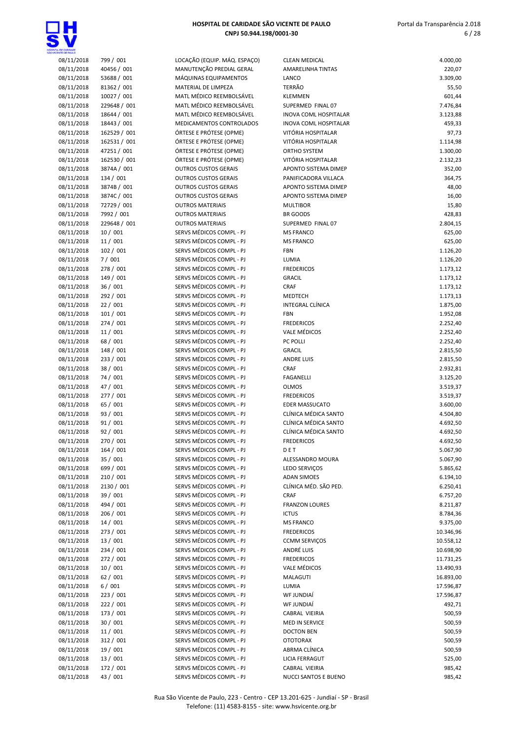

| 08/11/2018 | 799 / 001    | LOCAÇÃO (EQUIP. MÁQ. ESPAÇO)                         | <b>CLEAN MEDICAL</b>         | 4.000,00  |
|------------|--------------|------------------------------------------------------|------------------------------|-----------|
| 08/11/2018 | 40456 / 001  | MANUTENÇÃO PREDIAL GERAL                             | AMARELINHA TINTAS            | 220,07    |
| 08/11/2018 | 53688 / 001  | MÁQUINAS EQUIPAMENTOS                                | LANCO                        | 3.309,00  |
| 08/11/2018 | 81362 / 001  | MATERIAL DE LIMPEZA                                  | <b>TERRÃO</b>                | 55,50     |
| 08/11/2018 | 10027 / 001  | MATL MÉDICO REEMBOLSÁVEL                             | <b>KLEMMEN</b>               | 601,44    |
| 08/11/2018 | 229648 / 001 | MATL MÉDICO REEMBOLSÁVEL                             | SUPERMED FINAL 07            | 7.476,84  |
| 08/11/2018 | 18644 / 001  | MATL MÉDICO REEMBOLSÁVEL                             | <b>INOVA COML HOSPITALAR</b> | 3.123,88  |
| 08/11/2018 | 18443 / 001  | MEDICAMENTOS CONTROLADOS                             | INOVA COML HOSPITALAR        | 459,33    |
| 08/11/2018 | 162529 / 001 | ÓRTESE E PRÓTESE (OPME)                              | VITÓRIA HOSPITALAR           | 97,73     |
| 08/11/2018 | 162531 / 001 | ÓRTESE E PRÓTESE (OPME)                              | VITÓRIA HOSPITALAR           | 1.114,98  |
| 08/11/2018 | 47251 / 001  | ÓRTESE E PRÓTESE (OPME)                              | ORTHO SYSTEM                 | 1.300,00  |
| 08/11/2018 | 162530 / 001 | ÓRTESE E PRÓTESE (OPME)                              | VITÓRIA HOSPITALAR           | 2.132,23  |
| 08/11/2018 | 3874A / 001  | <b>OUTROS CUSTOS GERAIS</b>                          | APONTO SISTEMA DIMEP         | 352,00    |
| 08/11/2018 | 134 / 001    | <b>OUTROS CUSTOS GERAIS</b>                          | PANIFICADORA VILLACA         | 364,75    |
| 08/11/2018 | 3874B / 001  | <b>OUTROS CUSTOS GERAIS</b>                          | APONTO SISTEMA DIMEP         | 48,00     |
| 08/11/2018 | 3874C / 001  | <b>OUTROS CUSTOS GERAIS</b>                          | APONTO SISTEMA DIMEP         | 16,00     |
| 08/11/2018 | 72729 / 001  | <b>OUTROS MATERIAIS</b>                              | <b>MULTIBOR</b>              | 15,80     |
| 08/11/2018 | 7992 / 001   | <b>OUTROS MATERIAIS</b>                              | BR GOODS                     | 428,83    |
| 08/11/2018 | 229648 / 001 | <b>OUTROS MATERIAIS</b>                              | SUPERMED FINAL 07            | 2.804,15  |
| 08/11/2018 | 10 / 001     | SERVS MÉDICOS COMPL - PJ                             | <b>MS FRANCO</b>             |           |
|            |              |                                                      |                              | 625,00    |
| 08/11/2018 | 11 / 001     | SERVS MÉDICOS COMPL - PJ                             | <b>MS FRANCO</b>             | 625,00    |
| 08/11/2018 | 102 / 001    | SERVS MÉDICOS COMPL - PJ                             | <b>FBN</b>                   | 1.126,20  |
| 08/11/2018 | 7/001        | SERVS MÉDICOS COMPL - PJ                             | LUMIA                        | 1.126,20  |
| 08/11/2018 | 278 / 001    | SERVS MÉDICOS COMPL - PJ                             | <b>FREDERICOS</b>            | 1.173,12  |
| 08/11/2018 | 149 / 001    | SERVS MÉDICOS COMPL - PJ                             | <b>GRACIL</b>                | 1.173,12  |
| 08/11/2018 | 36 / 001     | SERVS MÉDICOS COMPL - PJ                             | CRAF                         | 1.173,12  |
| 08/11/2018 | 292 / 001    | SERVS MÉDICOS COMPL - PJ                             | MEDTECH                      | 1.173,13  |
| 08/11/2018 | 22 / 001     | SERVS MÉDICOS COMPL - PJ                             | INTEGRAL CLÍNICA             | 1.875,00  |
| 08/11/2018 | 101 / 001    | SERVS MÉDICOS COMPL - PJ                             | <b>FBN</b>                   | 1.952,08  |
| 08/11/2018 | 274/001      | SERVS MÉDICOS COMPL - PJ                             | <b>FREDERICOS</b>            | 2.252,40  |
| 08/11/2018 | 11 / 001     | SERVS MÉDICOS COMPL - PJ                             | <b>VALE MÉDICOS</b>          | 2.252,40  |
| 08/11/2018 | 68 / 001     | SERVS MÉDICOS COMPL - PJ                             | PC POLLI                     | 2.252,40  |
| 08/11/2018 | 148 / 001    | SERVS MÉDICOS COMPL - PJ                             | <b>GRACIL</b>                | 2.815,50  |
| 08/11/2018 | 233 / 001    | SERVS MÉDICOS COMPL - PJ                             | <b>ANDRE LUIS</b>            | 2.815,50  |
| 08/11/2018 | 38 / 001     | SERVS MÉDICOS COMPL - PJ                             | CRAF                         | 2.932,81  |
| 08/11/2018 | 74 / 001     | SERVS MÉDICOS COMPL - PJ                             | <b>FAGANELLI</b>             | 3.125,20  |
| 08/11/2018 | 47 / 001     | SERVS MÉDICOS COMPL - PJ                             | <b>OLMOS</b>                 | 3.519,37  |
| 08/11/2018 | 277 / 001    | SERVS MÉDICOS COMPL - PJ                             | <b>FREDERICOS</b>            | 3.519,37  |
| 08/11/2018 | 65 / 001     | SERVS MÉDICOS COMPL - PJ                             | <b>EDER MASSUCATO</b>        | 3.600,00  |
| 08/11/2018 | 93 / 001     | SERVS MÉDICOS COMPL - PJ                             | CLÍNICA MÉDICA SANTO         | 4.504,80  |
| 08/11/2018 | 91 / 001     | SERVS MÉDICOS COMPL - PJ                             | CLÍNICA MÉDICA SANTO         | 4.692,50  |
| 08/11/2018 |              |                                                      |                              |           |
|            | 92 / 001     | SERVS MÉDICOS COMPL - PJ<br>SERVS MÉDICOS COMPL - PJ | CLÍNICA MÉDICA SANTO         | 4.692,50  |
| 08/11/2018 | 270 / 001    |                                                      | <b>FREDERICOS</b>            | 4.692,50  |
| 08/11/2018 | 164 / 001    | SERVS MÉDICOS COMPL - PJ                             | D E T                        | 5.067,90  |
| 08/11/2018 | 35 / 001     | SERVS MÉDICOS COMPL - PJ                             | ALESSANDRO MOURA             | 5.067,90  |
| 08/11/2018 | 699 / 001    | SERVS MÉDICOS COMPL - PJ                             | <b>LEDO SERVIÇOS</b>         | 5.865,62  |
| 08/11/2018 | 210 / 001    | SERVS MÉDICOS COMPL - PJ                             | <b>ADAN SIMOES</b>           | 6.194,10  |
| 08/11/2018 | 2130 / 001   | SERVS MÉDICOS COMPL - PJ                             | CLÍNICA MÉD. SÃO PED.        | 6.250,41  |
| 08/11/2018 | 39 / 001     | SERVS MÉDICOS COMPL - PJ                             | CRAF                         | 6.757,20  |
| 08/11/2018 | 494 / 001    | SERVS MÉDICOS COMPL - PJ                             | <b>FRANZON LOURES</b>        | 8.211,87  |
| 08/11/2018 | 206 / 001    | SERVS MÉDICOS COMPL - PJ                             | <b>ICTUS</b>                 | 8.784,36  |
| 08/11/2018 | 14/001       | SERVS MÉDICOS COMPL - PJ                             | <b>MS FRANCO</b>             | 9.375,00  |
| 08/11/2018 | 273 / 001    | SERVS MÉDICOS COMPL - PJ                             | <b>FREDERICOS</b>            | 10.346,96 |
| 08/11/2018 | 13 / 001     | SERVS MÉDICOS COMPL - PJ                             | <b>CCMM SERVIÇOS</b>         | 10.558,12 |
| 08/11/2018 | 234 / 001    | SERVS MÉDICOS COMPL - PJ                             | ANDRÉ LUIS                   | 10.698,90 |
| 08/11/2018 | 272 / 001    | SERVS MÉDICOS COMPL - PJ                             | <b>FREDERICOS</b>            | 11.731,25 |
| 08/11/2018 | 10 / 001     | SERVS MÉDICOS COMPL - PJ                             | <b>VALE MÉDICOS</b>          | 13.490,93 |
| 08/11/2018 | 62 / 001     | SERVS MÉDICOS COMPL - PJ                             | MALAGUTI                     | 16.893,00 |
| 08/11/2018 | 6/001        | SERVS MÉDICOS COMPL - PJ                             | LUMIA                        | 17.596,87 |
| 08/11/2018 | 223 / 001    | SERVS MÉDICOS COMPL - PJ                             | WF JUNDIAÍ                   | 17.596,87 |
| 08/11/2018 | 222 / 001    | SERVS MÉDICOS COMPL - PJ                             | WF JUNDIAÍ                   | 492,71    |
| 08/11/2018 | 173 / 001    | SERVS MÉDICOS COMPL - PJ                             | CABRAL VIEIRIA               | 500,59    |
| 08/11/2018 | 30 / 001     | SERVS MÉDICOS COMPL - PJ                             | <b>MED IN SERVICE</b>        | 500,59    |
| 08/11/2018 | 11 / 001     | SERVS MÉDICOS COMPL - PJ                             | <b>DOCTON BEN</b>            | 500,59    |
| 08/11/2018 |              |                                                      |                              |           |
|            | 312 / 001    | SERVS MÉDICOS COMPL - PJ                             | <b>OTOTORAX</b>              | 500,59    |
| 08/11/2018 | 19 / 001     | SERVS MÉDICOS COMPL - PJ                             | ABRMA CLÍNICA                | 500,59    |
| 08/11/2018 | 13 / 001     | SERVS MÉDICOS COMPL - PJ                             | <b>LICIA FERRAGUT</b>        | 525,00    |
| 08/11/2018 | 172 / 001    | SERVS MÉDICOS COMPL - PJ                             | CABRAL VIEIRIA               | 985,42    |
| 08/11/2018 | 43 / 001     | SERVS MÉDICOS COMPL - PJ                             | NUCCI SANTOS E BUENO         | 985,42    |

| 220,07    |
|-----------|
| 3.309,00  |
| 55,50     |
|           |
| 601,44    |
| 7.476,84  |
| 3.123,88  |
| 459,33    |
| 97,73     |
| 1.114,98  |
|           |
| 1.300,00  |
| 2.132,23  |
| 352,00    |
| 364,75    |
|           |
| 48,00     |
| 16,00     |
| 15,80     |
| 428,83    |
| 2.804,15  |
|           |
| 625,00    |
| 625,00    |
| 1.126,20  |
| 1.126,20  |
|           |
| 1.173,12  |
| 1.173,12  |
| 1.173,12  |
| 1.173,13  |
| 1.875,00  |
|           |
| 1.952,08  |
| 2.252,40  |
| 2.252,40  |
| 2.252,40  |
|           |
| 2.815,50  |
| 2.815,50  |
| 2.932,81  |
| 3.125,20  |
| 3.519,37  |
|           |
| 3.519,37  |
| 3.600,00  |
| 4.504,80  |
| 4.692,50  |
|           |
| 4.692,50  |
| 4.692,50  |
| 5.067,90  |
| 5.067,90  |
| 5.865,62  |
| 6.194,10  |
|           |
| 6.250,41  |
| 6.757,20  |
| 8.211,87  |
| 8.784,36  |
| 9.375,00  |
|           |
| 10.346,96 |
| 10.558,12 |
| 10.698,90 |
| 11.731,25 |
|           |
| 13.490,93 |
| 16.893,00 |
| 17.596,87 |
| 17.596,87 |
| 492,71    |
|           |
| 500,59    |
| 500,59    |
| 500,59    |
| 500,59    |
|           |
|           |
| 500,59    |
| 525,00    |
| 985,42    |
| 985,42    |
|           |
|           |

Rua São Vicente de Paulo, 223 - Centro - CEP 13.201-625 - Jundiaí - SP - Brasil Telefone: (11) 4583-8155 - site: www.hsvicente.org.br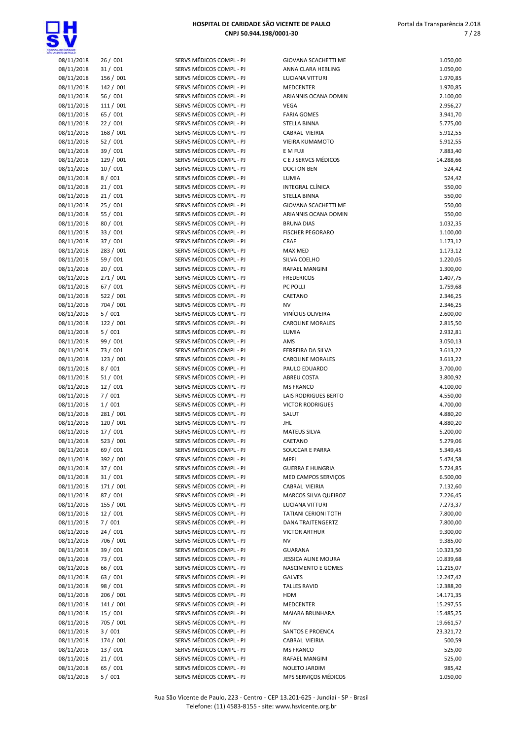

| 08/11/2018 | 26/001    | SERVS MÉDICOS COMPL - PJ | <b>GIOVANA SCACHETTI ME</b> | 1.050,00  |
|------------|-----------|--------------------------|-----------------------------|-----------|
| 08/11/2018 | 31/001    | SERVS MÉDICOS COMPL - PJ | ANNA CLARA HEBLING          | 1.050,00  |
| 08/11/2018 | 156 / 001 | SERVS MÉDICOS COMPL - PJ | <b>LUCIANA VITTURI</b>      | 1.970,85  |
|            |           | SERVS MÉDICOS COMPL - PJ |                             |           |
| 08/11/2018 | 142 / 001 |                          | MEDCENTER                   | 1.970,85  |
| 08/11/2018 | 56 / 001  | SERVS MÉDICOS COMPL - PJ | ARIANNIS OCANA DOMIN        | 2.100,00  |
| 08/11/2018 | 111 / 001 | SERVS MÉDICOS COMPL - PJ | <b>VEGA</b>                 | 2.956,27  |
| 08/11/2018 | 65 / 001  | SERVS MÉDICOS COMPL - PJ | <b>FARIA GOMES</b>          | 3.941,70  |
| 08/11/2018 | 22/001    | SERVS MÉDICOS COMPL - PJ | <b>STELLA BINNA</b>         | 5.775,00  |
| 08/11/2018 | 168 / 001 | SERVS MÉDICOS COMPL - PJ | CABRAL VIEIRIA              | 5.912,55  |
| 08/11/2018 | 52/001    | SERVS MÉDICOS COMPL - PJ | <b>VIEIRA KUMAMOTO</b>      | 5.912,55  |
| 08/11/2018 | 39 / 001  | SERVS MÉDICOS COMPL - PJ | E M FUJI                    | 7.883,40  |
| 08/11/2018 | 129 / 001 | SERVS MÉDICOS COMPL - PJ | C E J SERVCS MÉDICOS        | 14.288,66 |
| 08/11/2018 | 10/001    | SERVS MÉDICOS COMPL - PJ | <b>DOCTON BEN</b>           | 524,42    |
| 08/11/2018 | 8/001     | SERVS MÉDICOS COMPL - PJ | LUMIA                       | 524,42    |
| 08/11/2018 | 21/001    | SERVS MÉDICOS COMPL - PJ | INTEGRAL CLÍNICA            | 550,00    |
| 08/11/2018 | 21/001    | SERVS MÉDICOS COMPL - PJ | STELLA BINNA                | 550,00    |
| 08/11/2018 | 25/001    | SERVS MÉDICOS COMPL - PJ | <b>GIOVANA SCACHETTI ME</b> | 550,00    |
|            |           |                          |                             |           |
| 08/11/2018 | 55 / 001  | SERVS MÉDICOS COMPL - PJ | ARIANNIS OCANA DOMIN        | 550,00    |
| 08/11/2018 | 80 / 001  | SERVS MÉDICOS COMPL - PJ | <b>BRUNA DIAS</b>           | 1.032,35  |
| 08/11/2018 | 33 / 001  | SERVS MÉDICOS COMPL - PJ | <b>FISCHER PEGORARO</b>     | 1.100,00  |
| 08/11/2018 | 37 / 001  | SERVS MÉDICOS COMPL - PJ | CRAF                        | 1.173,12  |
| 08/11/2018 | 283 / 001 | SERVS MÉDICOS COMPL - PJ | <b>MAX MED</b>              | 1.173,12  |
| 08/11/2018 | 59 / 001  | SERVS MÉDICOS COMPL - PJ | SILVA COELHO                | 1.220,05  |
| 08/11/2018 | 20 / 001  | SERVS MÉDICOS COMPL - PJ | RAFAEL MANGINI              | 1.300,00  |
| 08/11/2018 | 271 / 001 | SERVS MÉDICOS COMPL - PJ | <b>FREDERICOS</b>           | 1.407,75  |
| 08/11/2018 | 67 / 001  | SERVS MÉDICOS COMPL - PJ | PC POLLI                    | 1.759,68  |
| 08/11/2018 | 522 / 001 | SERVS MÉDICOS COMPL - PJ | CAETANO                     | 2.346,25  |
| 08/11/2018 | 704 / 001 | SERVS MÉDICOS COMPL - PJ | NV                          | 2.346,25  |
| 08/11/2018 | 5/001     | SERVS MÉDICOS COMPL - PJ | VINÍCIUS OLIVEIRA           | 2.600,00  |
| 08/11/2018 | 122 / 001 | SERVS MÉDICOS COMPL - PJ | <b>CAROLINE MORALES</b>     | 2.815,50  |
|            | 5/001     | SERVS MÉDICOS COMPL - PJ |                             |           |
| 08/11/2018 |           |                          | LUMIA                       | 2.932,81  |
| 08/11/2018 | 99 / 001  | SERVS MÉDICOS COMPL - PJ | AMS                         | 3.050,13  |
| 08/11/2018 | 73 / 001  | SERVS MÉDICOS COMPL - PJ | FERREIRA DA SILVA           | 3.613,22  |
| 08/11/2018 | 123 / 001 | SERVS MÉDICOS COMPL - PJ | <b>CAROLINE MORALES</b>     | 3.613,22  |
| 08/11/2018 | 8/001     | SERVS MÉDICOS COMPL - PJ | PAULO EDUARDO               | 3.700,00  |
| 08/11/2018 | 51/001    | SERVS MÉDICOS COMPL - PJ | <b>ABREU COSTA</b>          | 3.800,92  |
| 08/11/2018 | 12/001    | SERVS MÉDICOS COMPL - PJ | <b>MS FRANCO</b>            | 4.100,00  |
| 08/11/2018 | 7/001     | SERVS MÉDICOS COMPL - PJ | LAIS RODRIGUES BERTO        | 4.550,00  |
| 08/11/2018 | 1/001     | SERVS MÉDICOS COMPL - PJ | <b>VICTOR RODRIGUES</b>     | 4.700,00  |
| 08/11/2018 | 281 / 001 | SERVS MÉDICOS COMPL - PJ | SALUT                       | 4.880,20  |
| 08/11/2018 | 120 / 001 | SERVS MÉDICOS COMPL - PJ | JHL                         | 4.880,20  |
| 08/11/2018 | 17 / 001  | SERVS MÉDICOS COMPL - PJ | <b>MATEUS SILVA</b>         | 5.200,00  |
| 08/11/2018 | 523 / 001 | SERVS MÉDICOS COMPL - PJ | CAETANO                     | 5.279,06  |
| 08/11/2018 | 69 / 001  | SERVS MÉDICOS COMPL - PJ | SOUCCAR E PARRA             | 5.349,45  |
| 08/11/2018 | 392 / 001 | SERVS MÉDICOS COMPL - PJ | <b>MPFL</b>                 | 5.474,58  |
| 08/11/2018 | 37 / 001  | SERVS MÉDICOS COMPL - PJ | <b>GUERRA E HUNGRIA</b>     | 5.724,85  |
| 08/11/2018 | 31/001    | SERVS MÉDICOS COMPL - PJ | MED CAMPOS SERVIÇOS         | 6.500,00  |
|            | 171 / 001 | SERVS MÉDICOS COMPL - PJ |                             |           |
| 08/11/2018 | 87 / 001  | SERVS MÉDICOS COMPL - PJ | CABRAL VIEIRIA              | 7.132,60  |
| 08/11/2018 |           |                          | MARCOS SILVA QUEIROZ        | 7.226,45  |
| 08/11/2018 | 155 / 001 | SERVS MÉDICOS COMPL - PJ | LUCIANA VITTURI             | 7.273,37  |
| 08/11/2018 | 12/001    | SERVS MÉDICOS COMPL - PJ | <b>TATIANI CERIONI TOTH</b> | 7.800,00  |
| 08/11/2018 | 7/001     | SERVS MÉDICOS COMPL - PJ | DANA TRAJTENGERTZ           | 7.800,00  |
| 08/11/2018 | 24/001    | SERVS MÉDICOS COMPL - PJ | <b>VICTOR ARTHUR</b>        | 9.300,00  |
| 08/11/2018 | 706 / 001 | SERVS MÉDICOS COMPL - PJ | NV                          | 9.385,00  |
| 08/11/2018 | 39 / 001  | SERVS MÉDICOS COMPL - PJ | <b>GUARANA</b>              | 10.323,50 |
| 08/11/2018 | 73 / 001  | SERVS MÉDICOS COMPL - PJ | JESSICA ALINE MOURA         | 10.839,68 |
| 08/11/2018 | 66 / 001  | SERVS MÉDICOS COMPL - PJ | NASCIMENTO E GOMES          | 11.215,07 |
| 08/11/2018 | 63 / 001  | SERVS MÉDICOS COMPL - PJ | GALVES                      | 12.247,42 |
| 08/11/2018 | 98 / 001  | SERVS MÉDICOS COMPL - PJ | <b>TALLES RAVID</b>         | 12.388,20 |
| 08/11/2018 | 206 / 001 | SERVS MÉDICOS COMPL - PJ | HDM                         | 14.171,35 |
| 08/11/2018 | 141 / 001 | SERVS MÉDICOS COMPL - PJ | MEDCENTER                   | 15.297,55 |
| 08/11/2018 | 15 / 001  | SERVS MÉDICOS COMPL - PJ | MAIARA BRUNHARA             | 15.485,25 |
| 08/11/2018 | 705 / 001 | SERVS MÉDICOS COMPL - PJ | NV                          | 19.661,57 |
| 08/11/2018 | 3/001     | SERVS MÉDICOS COMPL - PJ | SANTOS E PROENCA            | 23.321,72 |
|            |           |                          |                             |           |
| 08/11/2018 | 174 / 001 | SERVS MÉDICOS COMPL - PJ | CABRAL VIEIRIA              | 500,59    |
| 08/11/2018 | 13 / 001  | SERVS MÉDICOS COMPL - PJ | <b>MS FRANCO</b>            | 525,00    |
| 08/11/2018 | 21/001    | SERVS MÉDICOS COMPL - PJ | <b>RAFAEL MANGINI</b>       | 525,00    |
| 08/11/2018 | 65 / 001  | SERVS MÉDICOS COMPL - PJ | NOLETO JARDIM               | 985,42    |
| 08/11/2018 | 5/001     | SERVS MÉDICOS COMPL - PJ | MPS SERVIÇOS MÉDICOS        | 1.050,00  |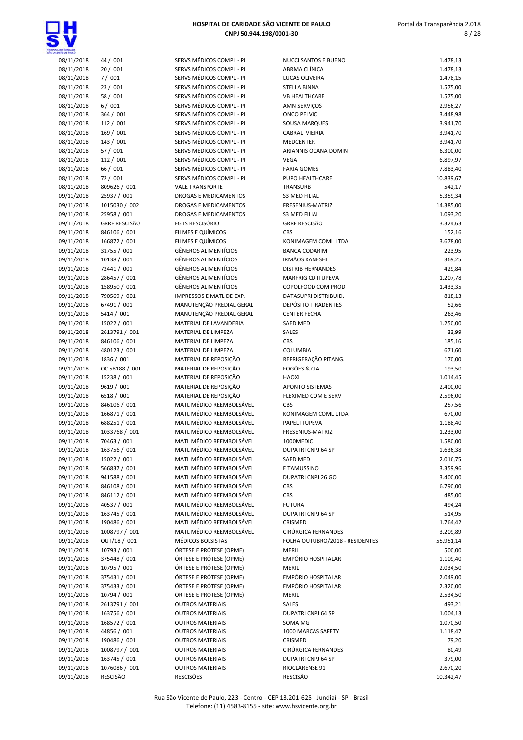

| HOSPITAL DE CARIDADE SÃO VICENTE DE PAULO |
|-------------------------------------------|
| CNPJ 50.944.198/0001-30                   |

| 08/11/2018 | 44 / 001             |
|------------|----------------------|
| 08/11/2018 | 20 / 001             |
| 08/11/2018 | 7/001                |
| 08/11/2018 | 23 / 001             |
| 08/11/2018 | 58 / 001             |
|            |                      |
| 08/11/2018 | 6/001                |
| 08/11/2018 | 364 / 001            |
| 08/11/2018 | 112 / 001            |
| 08/11/2018 | 169 / 001            |
| 08/11/2018 | 143 / 001            |
| 08/11/2018 | 57 / 001             |
| 08/11/2018 | 112 / 001            |
| 08/11/2018 | 66 / 001             |
|            |                      |
| 08/11/2018 | 72 / 001             |
| 08/11/2018 | 809626 / 001         |
| 09/11/2018 | 25937 / 001          |
| 09/11/2018 | 1015030 / 002        |
| 09/11/2018 | 25958 / 001          |
| 09/11/2018 | <b>GRRF RESCISÃO</b> |
| 09/11/2018 | 846106 / 001         |
| 09/11/2018 | 166872 / 001         |
|            | 31755 / 001          |
| 09/11/2018 |                      |
| 09/11/2018 | 10138 / 001          |
| 09/11/2018 | 72441 / 001          |
| 09/11/2018 | 286457 / 001         |
| 09/11/2018 | 158950 / 001         |
| 09/11/2018 | 790569 / 001         |
| 09/11/2018 | 67491 / 001          |
| 09/11/2018 | 5414 / 001           |
| 09/11/2018 | 15022 / 001          |
|            | 2613791 / 001        |
| 09/11/2018 |                      |
| 09/11/2018 | 846106 / 001         |
| 09/11/2018 | 480123 / 001         |
| 09/11/2018 | 1836 / 001           |
| 09/11/2018 | OC 58188 / 001       |
| 09/11/2018 | 15238 / 001          |
| 09/11/2018 | 9619 / 001           |
| 09/11/2018 | 6518 / 001           |
| 09/11/2018 | 846106 / 001         |
| 09/11/2018 | 166871 / 001         |
|            |                      |
| 09/11/2018 | 688251 / 001         |
| 09/11/2018 | 1033768 / 001        |
| 09/11/2018 | 70463 / 001          |
| 09/11/2018 | 163756 / 001         |
| 09/11/2018 | 15022 / 001          |
| 09/11/2018 | 566837 / 001         |
| 09/11/2018 | 941588 / 001         |
| 09/11/2018 | 846108 / 001         |
| 09/11/2018 | 846112 / 001         |
|            | 40537 / 001          |
| 09/11/2018 |                      |
| 09/11/2018 | 163745 / 001         |
| 09/11/2018 | 190486 / 001         |
| 09/11/2018 | 1008797 / 001        |
| 09/11/2018 | OUT/18 / 001         |
| 09/11/2018 | 10793 / 001          |
| 09/11/2018 | 375448 / 001         |
| 09/11/2018 | 10795 / 001          |
| 09/11/2018 | 375431 / 001         |
|            |                      |
| 09/11/2018 | 375433 / 001         |
| 09/11/2018 | 10794 / 001          |
| 09/11/2018 | 2613791 / 001        |
| 09/11/2018 | 163756 / 001         |
| 09/11/2018 | 168572 / 001         |
| 09/11/2018 | 44856 / 001          |
| 09/11/2018 | 190486 / 001         |
| 09/11/2018 | 1008797 / 001        |
| 09/11/2018 | 163745 / 001         |
| 09/11/2018 | 1076086 / 001        |
|            |                      |

| OE CANDADE               |                             |                                                      |                                           |                      |
|--------------------------|-----------------------------|------------------------------------------------------|-------------------------------------------|----------------------|
| 08/11/2018               | 44 / 001                    | SERVS MÉDICOS COMPL - PJ                             | NUCCI SANTOS E BUENO                      | 1.478,13             |
| 08/11/2018               | 20/001                      | SERVS MÉDICOS COMPL - PJ                             | ABRMA CLÍNICA                             | 1.478,13             |
| 08/11/2018               | 7/001                       | SERVS MÉDICOS COMPL - PJ                             | LUCAS OLIVEIRA                            | 1.478,15             |
| 08/11/2018               | 23/001                      | SERVS MÉDICOS COMPL - PJ                             | STELLA BINNA                              | 1.575,00             |
| 08/11/2018               | 58 / 001                    | SERVS MÉDICOS COMPL - PJ                             | <b>VB HEALTHCARE</b>                      | 1.575,00             |
| 08/11/2018<br>08/11/2018 | 6/001<br>364 / 001          | SERVS MÉDICOS COMPL - PJ<br>SERVS MÉDICOS COMPL - PJ | <b>AMN SERVIÇOS</b><br><b>ONCO PELVIC</b> | 2.956,27<br>3.448,98 |
| 08/11/2018               | 112 / 001                   | SERVS MÉDICOS COMPL - PJ                             | <b>SOUSA MARQUES</b>                      | 3.941,70             |
| 08/11/2018               | 169 / 001                   | SERVS MÉDICOS COMPL - PJ                             | CABRAL VIEIRIA                            | 3.941,70             |
| 08/11/2018               | 143 / 001                   | SERVS MÉDICOS COMPL - PJ                             | <b>MEDCENTER</b>                          | 3.941,70             |
| 08/11/2018               | 57 / 001                    | SERVS MÉDICOS COMPL - PJ                             | ARIANNIS OCANA DOMIN                      | 6.300,00             |
| 08/11/2018               | 112 / 001                   | SERVS MÉDICOS COMPL - PJ                             | <b>VEGA</b>                               | 6.897,97             |
| 08/11/2018               | 66 / 001                    | SERVS MÉDICOS COMPL - PJ                             | <b>FARIA GOMES</b>                        | 7.883,40             |
| 08/11/2018               | 72 / 001                    | SERVS MÉDICOS COMPL - PJ                             | PUPO HEALTHCARE                           | 10.839,67            |
| 08/11/2018               | 809626 / 001                | <b>VALE TRANSPORTE</b>                               | <b>TRANSURB</b>                           | 542,17               |
| 09/11/2018               | 25937 / 001                 | <b>DROGAS E MEDICAMENTOS</b>                         | <b>S3 MED FILIAL</b>                      | 5.359,34             |
| 09/11/2018               | 1015030 / 002               | DROGAS E MEDICAMENTOS                                | FRESENIUS-MATRIZ                          | 14.385,00            |
| 09/11/2018               | 25958 / 001                 | <b>DROGAS E MEDICAMENTOS</b>                         | <b>S3 MED FILIAL</b>                      | 1.093,20             |
| 09/11/2018               | <b>GRRF RESCISÃO</b>        | <b>FGTS RESCISÓRIO</b>                               | <b>GRRF RESCISÃO</b>                      | 3.324,63             |
| 09/11/2018               | 846106 / 001                | FILMES E QUÍMICOS                                    | CBS                                       | 152,16               |
| 09/11/2018               | 166872 / 001                | FILMES E QUÍMICOS                                    | KONIMAGEM COML LTDA                       | 3.678,00             |
| 09/11/2018               | 31755 / 001                 | <b>GÊNEROS ALIMENTÍCIOS</b>                          | <b>BANCA CODARIM</b>                      | 223,95               |
| 09/11/2018               | 10138 / 001                 | <b>GÊNEROS ALIMENTÍCIOS</b>                          | <b>IRMÃOS KANESHI</b>                     | 369,25               |
| 09/11/2018               | 72441 / 001                 | <b>GÊNEROS ALIMENTÍCIOS</b>                          | <b>DISTRIB HERNANDES</b>                  | 429,84               |
| 09/11/2018               | 286457 / 001                | <b>GÊNEROS ALIMENTÍCIOS</b>                          | <b>MARFRIG CD ITUPEVA</b>                 | 1.207,78             |
| 09/11/2018               | 158950 / 001                | <b>GÊNEROS ALIMENTÍCIOS</b>                          | COPOLFOOD COM PROD                        | 1.433,35             |
| 09/11/2018               | 790569 / 001                | IMPRESSOS E MATL DE EXP.                             | DATASUPRI DISTRIBUID.                     | 818,13               |
| 09/11/2018               | 67491 / 001                 | MANUTENÇÃO PREDIAL GERAL                             | <b>DEPÓSITO TIRADENTES</b>                | 52,66                |
| 09/11/2018<br>09/11/2018 | 5414 / 001<br>15022 / 001   | MANUTENÇÃO PREDIAL GERAL                             | <b>CENTER FECHA</b><br><b>SAED MED</b>    | 263,46               |
| 09/11/2018               | 2613791 / 001               | MATERIAL DE LAVANDERIA<br>MATERIAL DE LIMPEZA        | SALES                                     | 1.250,00<br>33,99    |
| 09/11/2018               | 846106 / 001                | MATERIAL DE LIMPEZA                                  | CBS                                       | 185,16               |
| 09/11/2018               | 480123 / 001                | MATERIAL DE LIMPEZA                                  | COLUMBIA                                  | 671,60               |
| 09/11/2018               | 1836 / 001                  | MATERIAL DE REPOSIÇÃO                                | REFRIGERAÇÃO PITANG.                      | 170,00               |
| 09/11/2018               | OC 58188 / 001              | MATERIAL DE REPOSIÇÃO                                | FOGÕES & CIA                              | 193,50               |
| 09/11/2018               | 15238 / 001                 | MATERIAL DE REPOSIÇÃO                                | <b>HAOXI</b>                              | 1.014,45             |
| 09/11/2018               | 9619 / 001                  | MATERIAL DE REPOSIÇÃO                                | APONTO SISTEMAS                           | 2.400,00             |
| 09/11/2018               | 6518 / 001                  | MATERIAL DE REPOSIÇÃO                                | FLEXIMED COM E SERV                       | 2.596,00             |
| 09/11/2018               | 846106 / 001                | MATL MÉDICO REEMBOLSÁVEL                             | CBS                                       | 257,56               |
| 09/11/2018               | 166871 / 001                | MATL MÉDICO REEMBOLSÁVEL                             | KONIMAGEM COML LTDA                       | 670,00               |
| 09/11/2018               | 688251 / 001                | MATL MÉDICO REEMBOLSÁVEL                             | PAPEL ITUPEVA                             | 1.188,40             |
| 09/11/2018               | 1033768 / 001               | MATL MÉDICO REEMBOLSÁVEL                             | FRESENIUS-MATRIZ                          | 1.233,00             |
| 09/11/2018               | 70463 / 001                 | MATL MÉDICO REEMBOLSÁVEL                             | 1000MEDIC                                 | 1.580,00             |
| 09/11/2018               | 163756 / 001                | MATL MÉDICO REEMBOLSÁVEL                             | DUPATRI CNPJ 64 SP                        | 1.636,38             |
| 09/11/2018               | 15022 / 001                 | MATL MÉDICO REEMBOLSÁVEL                             | SAED MED                                  | 2.016,75             |
| 09/11/2018               | 566837 / 001                | MATL MÉDICO REEMBOLSÁVEL                             | E TAMUSSINO                               | 3.359,96             |
| 09/11/2018               | 941588 / 001                | MATL MÉDICO REEMBOLSÁVEL                             | DUPATRI CNPJ 26 GO                        | 3.400,00             |
| 09/11/2018               | 846108 / 001                | MATL MÉDICO REEMBOLSÁVEL                             | CBS                                       | 6.790,00             |
| 09/11/2018               | 846112 / 001                | MATL MÉDICO REEMBOLSÁVEL                             | CBS                                       | 485,00               |
| 09/11/2018<br>09/11/2018 | 40537 / 001<br>163745 / 001 | MATL MÉDICO REEMBOLSÁVEL<br>MATL MÉDICO REEMBOLSÁVEL | <b>FUTURA</b>                             | 494,24               |
| 09/11/2018               | 190486 / 001                | MATL MÉDICO REEMBOLSÁVEL                             | DUPATRI CNPJ 64 SP<br>CRISMED             | 514,95<br>1.764,42   |
| 09/11/2018               | 1008797 / 001               | MATL MÉDICO REEMBOLSÁVEL                             | CIRÚRGICA FERNANDES                       | 3.209,89             |
| 09/11/2018               | OUT/18 / 001                | MÉDICOS BOLSISTAS                                    | FOLHA OUTUBRO/2018 - RESIDENTES           | 55.951,14            |
| 09/11/2018               | 10793 / 001                 | ÓRTESE E PRÓTESE (OPME)                              | <b>MERIL</b>                              | 500,00               |
| 09/11/2018               | 375448 / 001                | ÓRTESE E PRÓTESE (OPME)                              | EMPÓRIO HOSPITALAR                        | 1.109,40             |
| 09/11/2018               | 10795 / 001                 | ÓRTESE E PRÓTESE (OPME)                              | <b>MERIL</b>                              | 2.034,50             |
| 09/11/2018               | 375431 / 001                | ÓRTESE E PRÓTESE (OPME)                              | EMPÓRIO HOSPITALAR                        | 2.049,00             |
| 09/11/2018               | 375433 / 001                | ÓRTESE E PRÓTESE (OPME)                              | EMPÓRIO HOSPITALAR                        | 2.320,00             |
| 09/11/2018               | 10794 / 001                 | ÓRTESE E PRÓTESE (OPME)                              | <b>MERIL</b>                              | 2.534,50             |
| 09/11/2018               | 2613791 / 001               | <b>OUTROS MATERIAIS</b>                              | SALES                                     | 493,21               |
| 09/11/2018               | 163756 / 001                | <b>OUTROS MATERIAIS</b>                              | DUPATRI CNPJ 64 SP                        | 1.004,13             |
| 09/11/2018               | 168572 / 001                | <b>OUTROS MATERIAIS</b>                              | SOMA MG                                   | 1.070,50             |
| 09/11/2018               | 44856 / 001                 | <b>OUTROS MATERIAIS</b>                              | 1000 MARCAS SAFETY                        | 1.118,47             |
| 09/11/2018               | 190486 / 001                | <b>OUTROS MATERIAIS</b>                              | CRISMED                                   | 79,20                |
| 09/11/2018               | 1008797 / 001               | <b>OUTROS MATERIAIS</b>                              | CIRÚRGICA FERNANDES                       | 80,49                |
| 09/11/2018               | 163745 / 001                | <b>OUTROS MATERIAIS</b>                              | DUPATRI CNPJ 64 SP                        | 379,00               |
| 09/11/2018               | 1076086 / 001               | <b>OUTROS MATERIAIS</b>                              | RIOCLARENSE 91                            | 2.670,20             |
| 09/11/2018               | RESCISÃO                    | <b>RESCISÕES</b>                                     | RESCISÃO                                  | 10.342,47            |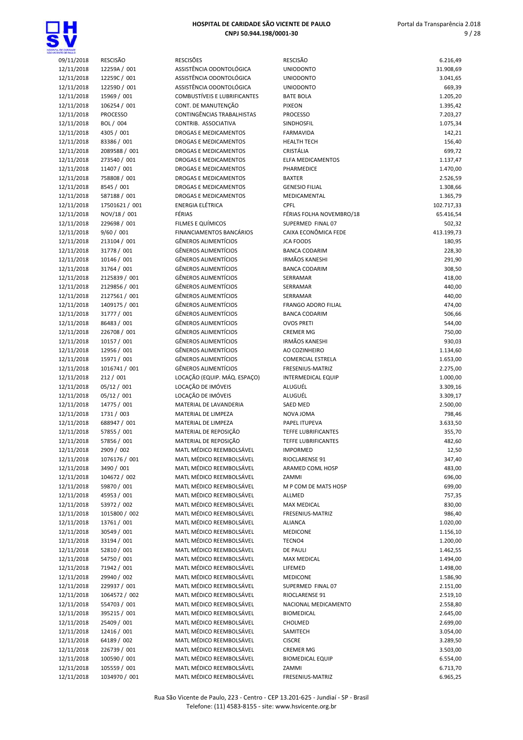



| , DE GANDADE<br>NTE CE PAULO |                                 |                                                      |                                               |                      |
|------------------------------|---------------------------------|------------------------------------------------------|-----------------------------------------------|----------------------|
| 09/11/2018                   | <b>RESCISÃO</b>                 | <b>RESCISÕES</b>                                     | <b>RESCISÃO</b>                               | 6.216,49             |
| 12/11/2018                   | 12259A / 001                    | ASSISTÊNCIA ODONTOLÓGICA                             | <b>UNIODONTO</b>                              | 31.908,69            |
| 12/11/2018                   | 12259C / 001                    | ASSISTÊNCIA ODONTOLÓGICA                             | <b>UNIODONTO</b>                              | 3.041,65             |
| 12/11/2018                   | 12259D / 001                    | ASSISTÊNCIA ODONTOLÓGICA                             | <b>UNIODONTO</b>                              | 669,39               |
| 12/11/2018                   | 15969 / 001                     | COMBUSTÍVEIS E LUBRIFICANTES<br>CONT. DE MANUTENÇÃO  | <b>BATE BOLA</b>                              | 1.205,20             |
| 12/11/2018<br>12/11/2018     | 106254 / 001<br><b>PROCESSO</b> | CONTINGÊNCIAS TRABALHISTAS                           | <b>PIXEON</b>                                 | 1.395,42<br>7.203,27 |
| 12/11/2018                   | BOL / 004                       | CONTRIB. ASSOCIATIVA                                 | <b>PROCESSO</b><br>SINDHOSFIL                 | 1.075,34             |
| 12/11/2018                   | 4305 / 001                      | DROGAS E MEDICAMENTOS                                | <b>FARMAVIDA</b>                              | 142,21               |
| 12/11/2018                   | 83386 / 001                     | <b>DROGAS E MEDICAMENTOS</b>                         | <b>HEALTH TECH</b>                            | 156,40               |
| 12/11/2018                   | 2089588 / 001                   | <b>DROGAS E MEDICAMENTOS</b>                         | CRISTÁLIA                                     | 699,72               |
| 12/11/2018                   | 273540 / 001                    | DROGAS E MEDICAMENTOS                                | <b>ELFA MEDICAMENTOS</b>                      | 1.137,47             |
| 12/11/2018                   | 11407 / 001                     | DROGAS E MEDICAMENTOS                                | PHARMEDICE                                    | 1.470,00             |
| 12/11/2018                   | 758808 / 001                    | DROGAS E MEDICAMENTOS                                | <b>BAXTER</b>                                 | 2.526,59             |
| 12/11/2018                   | 8545 / 001                      | DROGAS E MEDICAMENTOS                                | <b>GENESIO FILIAL</b>                         | 1.308,66             |
| 12/11/2018                   | 587188 / 001                    | <b>DROGAS E MEDICAMENTOS</b>                         | MEDICAMENTAL                                  | 1.365,79             |
| 12/11/2018                   | 17501621 / 001                  | ENERGIA ELÉTRICA                                     | <b>CPFL</b>                                   | 102.717,33           |
| 12/11/2018                   | NOV/18 / 001                    | FÉRIAS                                               | FÉRIAS FOLHA NOVEMBRO/18                      | 65.416,54            |
| 12/11/2018                   | 229698 / 001                    | FILMES E QUÍMICOS                                    | SUPERMED FINAL 07                             | 502,32               |
| 12/11/2018                   | 9/60 / 001                      | <b>FINANCIAMENTOS BANCÁRIOS</b>                      | CAIXA ECONÔMICA FEDE                          | 413.199,73           |
| 12/11/2018                   | 213104 / 001                    | <b>GÊNEROS ALIMENTÍCIOS</b>                          | <b>JCA FOODS</b>                              | 180,95               |
| 12/11/2018                   | 31778 / 001                     | <b>GÊNEROS ALIMENTÍCIOS</b>                          | <b>BANCA CODARIM</b>                          | 228,30               |
| 12/11/2018                   | 10146 / 001                     | <b>GÊNEROS ALIMENTÍCIOS</b>                          | <b>IRMÃOS KANESHI</b>                         | 291,90               |
| 12/11/2018                   | 31764 / 001                     | <b>GÊNEROS ALIMENTÍCIOS</b>                          | <b>BANCA CODARIM</b>                          | 308,50               |
| 12/11/2018                   | 2125839 / 001                   | <b>GÊNEROS ALIMENTÍCIOS</b>                          | SERRAMAR                                      | 418,00               |
| 12/11/2018                   | 2129856 / 001                   | <b>GÊNEROS ALIMENTÍCIOS</b>                          | SERRAMAR                                      | 440,00               |
| 12/11/2018                   | 2127561 / 001                   | <b>GÊNEROS ALIMENTÍCIOS</b>                          | <b>SERRAMAR</b>                               | 440,00               |
| 12/11/2018                   | 1409175 / 001                   | <b>GÊNEROS ALIMENTÍCIOS</b>                          | <b>FRANGO ADORO FILIAL</b>                    | 474,00               |
| 12/11/2018                   | 31777 / 001                     | <b>GÊNEROS ALIMENTÍCIOS</b>                          | <b>BANCA CODARIM</b>                          | 506,66               |
| 12/11/2018                   | 86483 / 001                     | <b>GÊNEROS ALIMENTÍCIOS</b>                          | <b>OVOS PRETI</b>                             | 544,00               |
| 12/11/2018                   | 226708 / 001                    | <b>GÊNEROS ALIMENTÍCIOS</b>                          | <b>CREMER MG</b>                              | 750,00               |
| 12/11/2018                   | 10157 / 001                     | <b>GÊNEROS ALIMENTÍCIOS</b>                          | <b>IRMÃOS KANESHI</b>                         | 930,03               |
| 12/11/2018                   | 12956 / 001                     | <b>GÊNEROS ALIMENTÍCIOS</b>                          | AO COZINHEIRO                                 | 1.134,60             |
| 12/11/2018                   | 15971 / 001                     | <b>GÊNEROS ALIMENTÍCIOS</b>                          | <b>COMERCIAL ESTRELA</b>                      | 1.653,00             |
| 12/11/2018                   | 1016741 / 001<br>212 / 001      | <b>GÊNEROS ALIMENTÍCIOS</b>                          | FRESENIUS-MATRIZ<br><b>INTERMEDICAL EQUIP</b> | 2.275,00             |
| 12/11/2018<br>12/11/2018     | 05/12 / 001                     | LOCAÇÃO (EQUIP. MÁQ. ESPAÇO)<br>LOCAÇÃO DE IMÓVEIS   | ALUGUÉL                                       | 1.000,00<br>3.309,16 |
| 12/11/2018                   | 05/12 / 001                     | LOCAÇÃO DE IMÓVEIS                                   | ALUGUÉL                                       | 3.309,17             |
| 12/11/2018                   | 14775 / 001                     | MATERIAL DE LAVANDERIA                               | <b>SAED MED</b>                               | 2.500,00             |
| 12/11/2018                   | 1731 / 003                      | MATERIAL DE LIMPEZA                                  | NOVA JOMA                                     | 798,46               |
| 12/11/2018                   | 688947 / 001                    | MATERIAL DE LIMPEZA                                  | PAPEL ITUPEVA                                 | 3.633,50             |
| 12/11/2018                   | 57855 / 001                     | MATERIAL DE REPOSIÇÃO                                | <b>TEFFE LUBRIFICANTES</b>                    | 355,70               |
| 12/11/2018                   | 57856 / 001                     | MATERIAL DE REPOSIÇÃO                                | TEFFE LUBRIFICANTES                           | 482,60               |
| 12/11/2018                   | 2909 / 002                      | MATL MÉDICO REEMBOLSÁVEL                             | <b>IMPORMED</b>                               | 12,50                |
| 12/11/2018                   | 1076176 / 001                   | MATL MÉDICO REEMBOLSÁVEL                             | RIOCLARENSE 91                                | 347,40               |
| 12/11/2018                   | 3490 / 001                      | MATL MÉDICO REEMBOLSÁVEL                             | ARAMED COML HOSP                              | 483,00               |
| 12/11/2018                   | 104672 / 002                    | MATL MÉDICO REEMBOLSÁVEL                             | ZAMMI                                         | 696,00               |
| 12/11/2018                   | 59870 / 001                     | MATL MÉDICO REEMBOLSÁVEL                             | M P COM DE MATS HOSP                          | 699,00               |
| 12/11/2018                   | 45953 / 001                     | MATL MÉDICO REEMBOLSÁVEL                             | ALLMED                                        | 757,35               |
| 12/11/2018                   | 53972 / 002                     | MATL MÉDICO REEMBOLSÁVEL                             | MAX MEDICAL                                   | 830,00               |
| 12/11/2018                   | 1015800 / 002                   | MATL MÉDICO REEMBOLSÁVEL                             | FRESENIUS-MATRIZ                              | 986,40               |
| 12/11/2018                   | 13761 / 001                     | MATL MÉDICO REEMBOLSÁVEL                             | <b>ALIANCA</b>                                | 1.020,00             |
| 12/11/2018                   | 30549 / 001                     | MATL MÉDICO REEMBOLSÁVEL                             | <b>MEDICONE</b>                               | 1.156,10             |
| 12/11/2018                   | 33194 / 001                     | MATL MÉDICO REEMBOLSÁVEL                             | TECNO4                                        | 1.200,00             |
| 12/11/2018                   | 52810 / 001                     | MATL MÉDICO REEMBOLSÁVEL                             | <b>DE PAULI</b>                               | 1.462,55             |
| 12/11/2018                   | 54750 / 001                     | MATL MÉDICO REEMBOLSÁVEL                             | MAX MEDICAL                                   | 1.494,00             |
| 12/11/2018                   | 71942 / 001                     | MATL MÉDICO REEMBOLSÁVEL                             | LIFEMED                                       | 1.498,00             |
| 12/11/2018                   | 29940 / 002                     | MATL MÉDICO REEMBOLSÁVEL                             | <b>MEDICONE</b>                               | 1.586,90             |
| 12/11/2018                   | 229937 / 001                    | MATL MÉDICO REEMBOLSÁVEL                             | SUPERMED FINAL 07                             | 2.151,00             |
| 12/11/2018                   | 1064572 / 002                   | MATL MÉDICO REEMBOLSÁVEL                             | RIOCLARENSE 91                                | 2.519,10             |
| 12/11/2018                   | 554703 / 001                    | MATL MÉDICO REEMBOLSÁVEL                             | NACIONAL MEDICAMENTO                          | 2.558,80             |
| 12/11/2018                   | 395215 / 001                    | MATL MÉDICO REEMBOLSÁVEL                             | <b>BIOMEDICAL</b>                             | 2.645,00             |
| 12/11/2018                   | 25409 / 001                     | MATL MÉDICO REEMBOLSÁVEL                             | CHOLMED                                       | 2.699,00             |
| 12/11/2018                   | 12416 / 001                     | MATL MÉDICO REEMBOLSÁVEL                             | SAMITECH                                      | 3.054,00             |
| 12/11/2018                   | 64189 / 002                     | MATL MÉDICO REEMBOLSÁVEL                             | <b>CISCRE</b>                                 | 3.289,50             |
| 12/11/2018                   | 226739 / 001                    | MATL MÉDICO REEMBOLSÁVEL                             | <b>CREMER MG</b>                              | 3.503,00             |
| 12/11/2018                   | 100590 / 001                    | MATL MÉDICO REEMBOLSÁVEL                             | <b>BIOMEDICAL EQUIP</b>                       | 6.554,00             |
| 12/11/2018<br>12/11/2018     | 105559 / 001<br>1034970 / 001   | MATL MÉDICO REEMBOLSÁVEL<br>MATL MÉDICO REEMBOLSÁVEL | ZAMMI<br>FRESENIUS-MATRIZ                     | 6.713,70<br>6.965,25 |
|                              |                                 |                                                      |                                               |                      |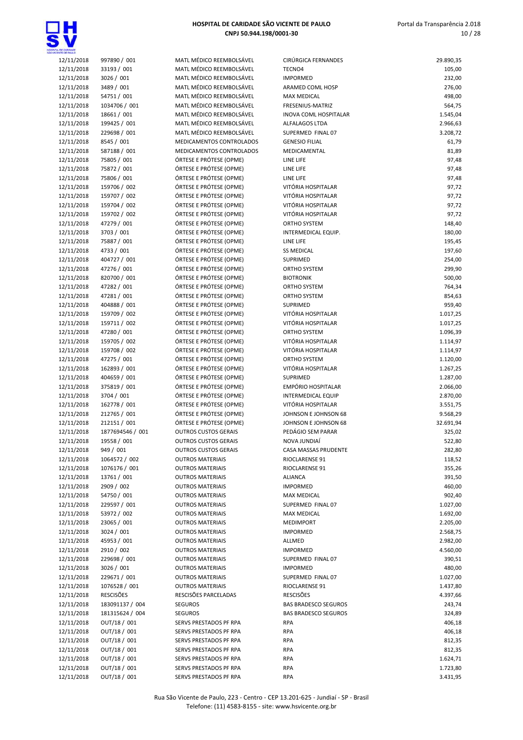

| 12/11/2018 | 997890 / 001     | MATL MÉDICO REEMBOLSÁVEL    | CIRÚRGICA FERNANDES         | 29.890,35 |
|------------|------------------|-----------------------------|-----------------------------|-----------|
| 12/11/2018 | 33193 / 001      | MATL MÉDICO REEMBOLSÁVEL    | TECNO4                      | 105,00    |
| 12/11/2018 | 3026 / 001       | MATL MÉDICO REEMBOLSÁVEL    | <b>IMPORMED</b>             | 232,00    |
| 12/11/2018 | 3489 / 001       | MATL MÉDICO REEMBOLSÁVEL    | ARAMED COML HOSP            | 276,00    |
| 12/11/2018 | 54751 / 001      | MATL MÉDICO REEMBOLSÁVEL    | <b>MAX MEDICAL</b>          | 498,00    |
| 12/11/2018 | 1034706 / 001    | MATL MÉDICO REEMBOLSÁVEL    | FRESENIUS-MATRIZ            | 564,75    |
| 12/11/2018 | 18661 / 001      | MATL MÉDICO REEMBOLSÁVEL    | INOVA COML HOSPITALAR       | 1.545,04  |
| 12/11/2018 | 199425 / 001     | MATL MÉDICO REEMBOLSÁVEL    | ALFALAGOS LTDA              | 2.966,63  |
| 12/11/2018 | 229698 / 001     | MATL MÉDICO REEMBOLSÁVEL    | SUPERMED FINAL 07           | 3.208,72  |
| 12/11/2018 | 8545 / 001       | MEDICAMENTOS CONTROLADOS    | <b>GENESIO FILIAL</b>       | 61,79     |
| 12/11/2018 | 587188 / 001     | MEDICAMENTOS CONTROLADOS    | MEDICAMENTAL                | 81,89     |
| 12/11/2018 | 75805 / 001      | ÓRTESE E PRÓTESE (OPME)     | LINE LIFE                   | 97,48     |
|            | 75872 / 001      |                             |                             |           |
| 12/11/2018 |                  | ÓRTESE E PRÓTESE (OPME)     | LINE LIFE                   | 97,48     |
| 12/11/2018 | 75806 / 001      | ÓRTESE E PRÓTESE (OPME)     | LINE LIFE                   | 97,48     |
| 12/11/2018 | 159706 / 002     | ÓRTESE E PRÓTESE (OPME)     | VITÓRIA HOSPITALAR          | 97,72     |
| 12/11/2018 | 159707 / 002     | ÓRTESE E PRÓTESE (OPME)     | VITÓRIA HOSPITALAR          | 97,72     |
| 12/11/2018 | 159704 / 002     | ÓRTESE E PRÓTESE (OPME)     | VITÓRIA HOSPITALAR          | 97,72     |
| 12/11/2018 | 159702 / 002     | ÓRTESE E PRÓTESE (OPME)     | VITÓRIA HOSPITALAR          | 97,72     |
| 12/11/2018 | 47279 / 001      | ÓRTESE E PRÓTESE (OPME)     | ORTHO SYSTEM                | 148,40    |
| 12/11/2018 | 3703 / 001       | ÓRTESE E PRÓTESE (OPME)     | INTERMEDICAL EQUIP.         | 180,00    |
| 12/11/2018 | 75887 / 001      | ÓRTESE E PRÓTESE (OPME)     | LINE LIFE                   | 195,45    |
| 12/11/2018 | 4733 / 001       | ÓRTESE E PRÓTESE (OPME)     | <b>SS MEDICAL</b>           | 197,60    |
|            |                  |                             |                             |           |
| 12/11/2018 | 404727 / 001     | ÓRTESE E PRÓTESE (OPME)     | SUPRIMED                    | 254,00    |
| 12/11/2018 | 47276 / 001      | ÓRTESE E PRÓTESE (OPME)     | ORTHO SYSTEM                | 299,90    |
| 12/11/2018 | 820700 / 001     | ÓRTESE E PRÓTESE (OPME)     | <b>BIOTRONIK</b>            | 500,00    |
| 12/11/2018 | 47282 / 001      | ÓRTESE E PRÓTESE (OPME)     | ORTHO SYSTEM                | 764,34    |
| 12/11/2018 | 47281 / 001      | ÓRTESE E PRÓTESE (OPME)     | ORTHO SYSTEM                | 854,63    |
| 12/11/2018 | 404888 / 001     | ÓRTESE E PRÓTESE (OPME)     | SUPRIMED                    | 959,40    |
| 12/11/2018 | 159709 / 002     | ÓRTESE E PRÓTESE (OPME)     | VITÓRIA HOSPITALAR          | 1.017,25  |
| 12/11/2018 | 159711 / 002     | ÓRTESE E PRÓTESE (OPME)     | VITÓRIA HOSPITALAR          | 1.017,25  |
| 12/11/2018 | 47280 / 001      | ÓRTESE E PRÓTESE (OPME)     | ORTHO SYSTEM                | 1.096,39  |
| 12/11/2018 | 159705 / 002     | ÓRTESE E PRÓTESE (OPME)     | VITÓRIA HOSPITALAR          | 1.114,97  |
|            |                  |                             |                             |           |
| 12/11/2018 | 159708 / 002     | ÓRTESE E PRÓTESE (OPME)     | VITÓRIA HOSPITALAR          | 1.114,97  |
| 12/11/2018 | 47275 / 001      | ÓRTESE E PRÓTESE (OPME)     | ORTHO SYSTEM                | 1.120,00  |
| 12/11/2018 | 162893 / 001     | ÓRTESE E PRÓTESE (OPME)     | VITÓRIA HOSPITALAR          | 1.267,25  |
| 12/11/2018 | 404659 / 001     | ÓRTESE E PRÓTESE (OPME)     | SUPRIMED                    | 1.287,00  |
| 12/11/2018 | 375819 / 001     | ÓRTESE E PRÓTESE (OPME)     | EMPÓRIO HOSPITALAR          | 2.066,00  |
| 12/11/2018 | 3704 / 001       | ÓRTESE E PRÓTESE (OPME)     | <b>INTERMEDICAL EQUIP</b>   | 2.870,00  |
| 12/11/2018 | 162778 / 001     | ÓRTESE E PRÓTESE (OPME)     | VITÓRIA HOSPITALAR          | 3.551,75  |
| 12/11/2018 | 212765 / 001     | ÓRTESE E PRÓTESE (OPME)     | JOHNSON E JOHNSON 68        | 9.568,29  |
| 12/11/2018 | 212151 / 001     | ÓRTESE E PRÓTESE (OPME)     | JOHNSON E JOHNSON 68        | 32.691,94 |
| 12/11/2018 | 1877694546 / 001 | <b>OUTROS CUSTOS GERAIS</b> | PEDÁGIO SEM PARAR           | 325,02    |
|            |                  |                             |                             |           |
| 12/11/2018 | 19558 / 001      | <b>OUTROS CUSTOS GERAIS</b> | NOVA JUNDIAÍ                | 522,80    |
| 12/11/2018 | 949 / 001        | <b>OUTROS CUSTOS GERAIS</b> | CASA MASSAS PRUDENTE        | 282,80    |
| 12/11/2018 | 1064572 / 002    | <b>OUTROS MATERIAIS</b>     | RIOCLARENSE 91              | 118,52    |
| 12/11/2018 | 1076176 / 001    | <b>OUTROS MATERIAIS</b>     | RIOCLARENSE 91              | 355,26    |
| 12/11/2018 | 13761 / 001      | <b>OUTROS MATERIAIS</b>     | ALIANCA                     | 391,50    |
| 12/11/2018 | 2909 / 002       | <b>OUTROS MATERIAIS</b>     | <b>IMPORMED</b>             | 460,00    |
| 12/11/2018 | 54750 / 001      | <b>OUTROS MATERIAIS</b>     | <b>MAX MEDICAL</b>          | 902,40    |
| 12/11/2018 | 229597 / 001     | <b>OUTROS MATERIAIS</b>     | SUPERMED FINAL 07           | 1.027,00  |
| 12/11/2018 | 53972 / 002      | <b>OUTROS MATERIAIS</b>     | <b>MAX MEDICAL</b>          | 1.692,00  |
| 12/11/2018 | 23065 / 001      | <b>OUTROS MATERIAIS</b>     | <b>MEDIMPORT</b>            | 2.205,00  |
|            |                  | <b>OUTROS MATERIAIS</b>     | <b>IMPORMED</b>             |           |
| 12/11/2018 | 3024 / 001       |                             |                             | 2.568,75  |
| 12/11/2018 | 45953 / 001      | <b>OUTROS MATERIAIS</b>     | ALLMED                      | 2.982,00  |
| 12/11/2018 | 2910 / 002       | <b>OUTROS MATERIAIS</b>     | <b>IMPORMED</b>             | 4.560,00  |
| 12/11/2018 | 229698 / 001     | <b>OUTROS MATERIAIS</b>     | SUPERMED FINAL 07           | 390,51    |
| 12/11/2018 | 3026 / 001       | <b>OUTROS MATERIAIS</b>     | <b>IMPORMED</b>             | 480,00    |
| 12/11/2018 | 229671 / 001     | <b>OUTROS MATERIAIS</b>     | SUPERMED FINAL 07           | 1.027,00  |
| 12/11/2018 | 1076528 / 001    | <b>OUTROS MATERIAIS</b>     | RIOCLARENSE 91              | 1.437,80  |
| 12/11/2018 | <b>RESCISÕES</b> | RESCISÕES PARCELADAS        | <b>RESCISÕES</b>            | 4.397,66  |
| 12/11/2018 | 183091137 / 004  | <b>SEGUROS</b>              | <b>BAS BRADESCO SEGUROS</b> | 243,74    |
| 12/11/2018 | 181315624 / 004  | <b>SEGUROS</b>              | <b>BAS BRADESCO SEGUROS</b> | 324,89    |
|            |                  |                             |                             |           |
| 12/11/2018 | OUT/18 / 001     | SERVS PRESTADOS PF RPA      | <b>RPA</b>                  | 406,18    |
| 12/11/2018 | OUT/18 / 001     | SERVS PRESTADOS PF RPA      | <b>RPA</b>                  | 406,18    |
| 12/11/2018 | OUT/18 / 001     | SERVS PRESTADOS PF RPA      | <b>RPA</b>                  | 812,35    |
| 12/11/2018 | OUT/18 / 001     | SERVS PRESTADOS PF RPA      | <b>RPA</b>                  | 812,35    |
| 12/11/2018 | OUT/18 / 001     | SERVS PRESTADOS PF RPA      | <b>RPA</b>                  | 1.624,71  |
| 12/11/2018 | OUT/18 / 001     | SERVS PRESTADOS PF RPA      | <b>RPA</b>                  | 1.723,80  |
| 12/11/2018 | OUT/18 / 001     | SERVS PRESTADOS PF RPA      | <b>RPA</b>                  | 3.431,95  |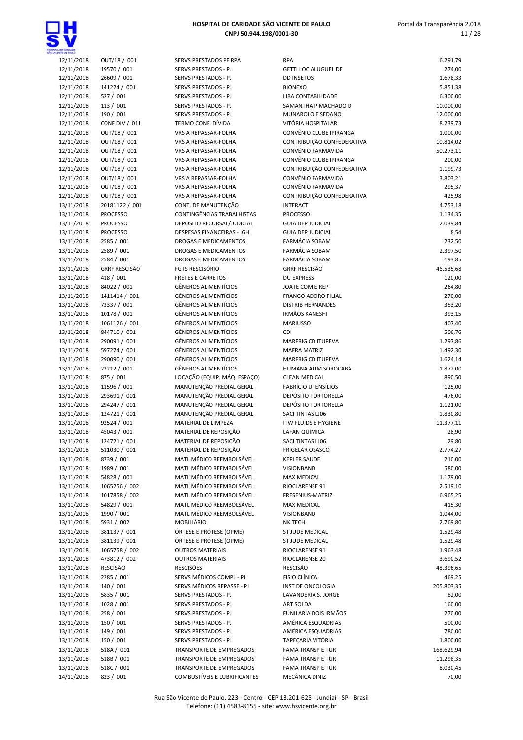

| ENTE CE PAULO |                       |                                     |
|---------------|-----------------------|-------------------------------------|
| 12/11/2018    | OUT/18 / 001          | SERVS PRESTADOS PF RPA              |
| 12/11/2018    | 19570 / 001           | SERVS PRESTADOS - PJ                |
| 12/11/2018    | 26609 / 001           | SERVS PRESTADOS - PJ                |
| 12/11/2018    | 141224 / 001          | SERVS PRESTADOS - PJ                |
| 12/11/2018    | 527 / 001             | <b>SERVS PRESTADOS - PJ</b>         |
| 12/11/2018    | 113 / 001             | SERVS PRESTADOS - PJ                |
| 12/11/2018    | 190 / 001             | SERVS PRESTADOS - PJ                |
| 12/11/2018    | <b>CONF DIV / 011</b> | TERMO CONF. DÍVIDA                  |
| 12/11/2018    | OUT/18 / 001          | VRS A REPASSAR-FOLHA                |
| 12/11/2018    | OUT/18 / 001          | VRS A REPASSAR-FOLHA                |
| 12/11/2018    | OUT/18 / 001          | <b>VRS A REPASSAR-FOLHA</b>         |
| 12/11/2018    | OUT/18 / 001          | VRS A REPASSAR-FOLHA                |
| 12/11/2018    | OUT/18 / 001          | <b>VRS A REPASSAR-FOLHA</b>         |
| 12/11/2018    | OUT/18 / 001          | VRS A REPASSAR-FOLHA                |
| 12/11/2018    | OUT/18 / 001          | <b>VRS A REPASSAR-FOLHA</b>         |
|               |                       |                                     |
| 12/11/2018    | OUT/18 / 001          | VRS A REPASSAR-FOLHA                |
| 13/11/2018    | 20181122 / 001        | CONT. DE MANUTENÇÃO                 |
| 13/11/2018    | <b>PROCESSO</b>       | CONTINGÊNCIAS TRABALHISTAS          |
| 13/11/2018    | <b>PROCESSO</b>       | DEPOSITO RECURSAL/JUDICIAL          |
| 13/11/2018    | <b>PROCESSO</b>       | DESPESAS FINANCEIRAS - IGH          |
| 13/11/2018    | 2585 / 001            | <b>DROGAS E MEDICAMENTOS</b>        |
| 13/11/2018    | 2589 / 001            | <b>DROGAS E MEDICAMENTOS</b>        |
| 13/11/2018    | 2584 / 001            | DROGAS E MEDICAMENTOS               |
| 13/11/2018    | <b>GRRF RESCISÃO</b>  | <b>FGTS RESCISÓRIO</b>              |
| 13/11/2018    | 418 / 001             | <b>FRETES E CARRETOS</b>            |
| 13/11/2018    | 84022 / 001           | <b>GÊNEROS ALIMENTÍCIOS</b>         |
| 13/11/2018    | 1411414 / 001         | <b>GÊNEROS ALIMENTÍCIOS</b>         |
| 13/11/2018    | 73337 / 001           | <b>GÊNEROS ALIMENTÍCIOS</b>         |
| 13/11/2018    | 10178 / 001           | <b>GÊNEROS ALIMENTÍCIOS</b>         |
| 13/11/2018    | 1061126 / 001         | <b>GÊNEROS ALIMENTÍCIOS</b>         |
| 13/11/2018    | 844710 / 001          | <b>GÊNEROS ALIMENTÍCIOS</b>         |
| 13/11/2018    | 290091 / 001          | <b>GÊNEROS ALIMENTÍCIOS</b>         |
| 13/11/2018    | 597274 / 001          | <b>GÊNEROS ALIMENTÍCIOS</b>         |
| 13/11/2018    | 290090 / 001          | <b>GÊNEROS ALIMENTÍCIOS</b>         |
|               |                       |                                     |
| 13/11/2018    | 22212 / 001           | <b>GÊNEROS ALIMENTÍCIOS</b>         |
| 13/11/2018    | 875 / 001             | LOCAÇÃO (EQUIP. MÁQ. ESPAÇC         |
| 13/11/2018    | 11596 / 001           | MANUTENÇÃO PREDIAL GERAL            |
| 13/11/2018    | 293691 / 001          | MANUTENÇÃO PREDIAL GERAL            |
| 13/11/2018    | 294247 / 001          | MANUTENÇÃO PREDIAL GERAL            |
| 13/11/2018    | 124721 / 001          | MANUTENÇÃO PREDIAL GERAL            |
| 13/11/2018    | 92524 / 001           | MATERIAL DE LIMPEZA                 |
| 13/11/2018    | 45043 / 001           | MATERIAL DE REPOSICÃO               |
| 13/11/2018    | 124721 / 001          | MATERIAL DE REPOSIÇÃO               |
| 13/11/2018    | 511030 / 001          | MATERIAL DE REPOSIÇÃO               |
| 13/11/2018    | 8739 / 001            | MATL MÉDICO REEMBOLSÁVEL            |
| 13/11/2018    | 1989 / 001            | MATL MÉDICO REEMBOLSÁVEL            |
| 13/11/2018    | 54828 / 001           | MATL MÉDICO REEMBOLSÁVEL            |
| 13/11/2018    | 1065256 / 002         | MATL MÉDICO REEMBOLSÁVEL            |
| 13/11/2018    | 1017858 / 002         | MATL MÉDICO REEMBOLSÁVEL            |
| 13/11/2018    | 54829 / 001           | MATL MÉDICO REEMBOLSÁVEL            |
| 13/11/2018    | 1990 / 001            | MATL MÉDICO REEMBOLSÁVEL            |
| 13/11/2018    | 5931 / 002            | <b>MOBILIÁRIO</b>                   |
| 13/11/2018    | 381137 / 001          | ÓRTESE E PRÓTESE (OPME)             |
|               |                       |                                     |
| 13/11/2018    | 381139 / 001          | ÓRTESE E PRÓTESE (OPME)             |
| 13/11/2018    | 1065758 / 002         | <b>OUTROS MATERIAIS</b>             |
| 13/11/2018    | 473812 / 002          | <b>OUTROS MATERIAIS</b>             |
| 13/11/2018    | RESCISÃO              | <b>RESCISÕES</b>                    |
| 13/11/2018    | 2285 / 001            | SERVS MÉDICOS COMPL - PJ            |
| 13/11/2018    | 140 / 001             | SERVS MÉDICOS REPASSE - PJ          |
| 13/11/2018    | 5835 / 001            | SERVS PRESTADOS - PJ                |
| 13/11/2018    | 1028 / 001            | SERVS PRESTADOS - PJ                |
| 13/11/2018    | 258 / 001             | SERVS PRESTADOS - PJ                |
| 13/11/2018    | 150 / 001             | SERVS PRESTADOS - PJ                |
| 13/11/2018    | 149 / 001             | SERVS PRESTADOS - PJ                |
| 13/11/2018    | 150 / 001             | SERVS PRESTADOS - PJ                |
| 13/11/2018    | 518A / 001            | <b>TRANSPORTE DE EMPREGADOS</b>     |
| 13/11/2018    | 518B / 001            | TRANSPORTE DE EMPREGADOS            |
| 13/11/2018    | 518C / 001            | TRANSPORTE DE EMPREGADOS            |
| 14/11/2018    | 823 / 001             | <b>COMBUSTÍVEIS E LUBRIFICANTE:</b> |
|               |                       |                                     |

| OE DANDADE<br>NTE DE PAULO |                               |                                                            |                                                      |                    |
|----------------------------|-------------------------------|------------------------------------------------------------|------------------------------------------------------|--------------------|
| 12/11/2018                 | OUT/18 / 001                  | SERVS PRESTADOS PF RPA                                     | <b>RPA</b>                                           | 6.291,79           |
| 12/11/2018<br>12/11/2018   | 19570 / 001<br>26609 / 001    | SERVS PRESTADOS - PJ<br>SERVS PRESTADOS - PJ               | <b>GETTI LOC ALUGUEL DE</b><br><b>DD INSETOS</b>     | 274,00<br>1.678,33 |
| 12/11/2018                 | 141224 / 001                  | SERVS PRESTADOS - PJ                                       | <b>BIONEXO</b>                                       | 5.851,38           |
| 12/11/2018                 | 527 / 001                     | SERVS PRESTADOS - PJ                                       | LIBA CONTABILIDADE                                   | 6.300,00           |
| 12/11/2018                 | 113/001                       | SERVS PRESTADOS - PJ                                       | SAMANTHA P MACHADO D                                 | 10.000,00          |
| 12/11/2018                 | 190 / 001                     | SERVS PRESTADOS - PJ                                       | MUNAROLO E SEDANO                                    | 12.000,00          |
| 12/11/2018                 | <b>CONF DIV / 011</b>         | TERMO CONF. DÍVIDA                                         | VITÓRIA HOSPITALAR                                   | 8.239,73           |
| 12/11/2018                 | OUT/18 / 001                  | VRS A REPASSAR-FOLHA                                       | CONVÊNIO CLUBE IPIRANGA                              | 1.000,00           |
| 12/11/2018                 | OUT/18 / 001                  | VRS A REPASSAR-FOLHA                                       | CONTRIBUIÇÃO CONFEDERATIVA                           | 10.814,02          |
| 12/11/2018                 | OUT/18 / 001                  | VRS A REPASSAR-FOLHA                                       | CONVÊNIO FARMAVIDA                                   | 50.273,11          |
| 12/11/2018                 | OUT/18 / 001                  | <b>VRS A REPASSAR-FOLHA</b>                                | CONVÊNIO CLUBE IPIRANGA                              | 200,00             |
| 12/11/2018                 | OUT/18 / 001                  | VRS A REPASSAR-FOLHA                                       | CONTRIBUIÇÃO CONFEDERATIVA                           | 1.199,73           |
| 12/11/2018                 | OUT/18 / 001                  | VRS A REPASSAR-FOLHA                                       | CONVÊNIO FARMAVIDA                                   | 3.803,21           |
| 12/11/2018                 | OUT/18 / 001                  | VRS A REPASSAR-FOLHA                                       | CONVÊNIO FARMAVIDA                                   | 295,37             |
| 12/11/2018                 | OUT/18 / 001                  | VRS A REPASSAR-FOLHA                                       | CONTRIBUIÇÃO CONFEDERATIVA                           | 425,98             |
| 13/11/2018                 | 20181122 / 001                | CONT. DE MANUTENÇÃO                                        | <b>INTERACT</b>                                      | 4.753,18           |
| 13/11/2018                 | <b>PROCESSO</b>               | CONTINGÊNCIAS TRABALHISTAS                                 | <b>PROCESSO</b>                                      | 1.134,35           |
| 13/11/2018                 | <b>PROCESSO</b>               | DEPOSITO RECURSAL/JUDICIAL                                 | <b>GUIA DEP JUDICIAL</b><br><b>GUIA DEP JUDICIAL</b> | 2.039,84           |
| 13/11/2018<br>13/11/2018   | <b>PROCESSO</b><br>2585 / 001 | DESPESAS FINANCEIRAS - IGH<br><b>DROGAS E MEDICAMENTOS</b> | FARMÁCIA SOBAM                                       | 8,54<br>232,50     |
| 13/11/2018                 | 2589 / 001                    | DROGAS E MEDICAMENTOS                                      | FARMÁCIA SOBAM                                       | 2.397,50           |
| 13/11/2018                 | 2584 / 001                    | <b>DROGAS E MEDICAMENTOS</b>                               | <b>FARMÁCIA SOBAM</b>                                | 193,85             |
| 13/11/2018                 | <b>GRRF RESCISÃO</b>          | <b>FGTS RESCISÓRIO</b>                                     | <b>GRRF RESCISÃO</b>                                 | 46.535,68          |
| 13/11/2018                 | 418 / 001                     | <b>FRETES E CARRETOS</b>                                   | <b>DU EXPRESS</b>                                    | 120,00             |
| 13/11/2018                 | 84022 / 001                   | <b>GÊNEROS ALIMENTÍCIOS</b>                                | JOATE COM E REP                                      | 264,80             |
| 13/11/2018                 | 1411414 / 001                 | <b>GÊNEROS ALIMENTÍCIOS</b>                                | <b>FRANGO ADORO FILIAL</b>                           | 270,00             |
| 13/11/2018                 | 73337 / 001                   | <b>GÊNEROS ALIMENTÍCIOS</b>                                | <b>DISTRIB HERNANDES</b>                             | 353,20             |
| 13/11/2018                 | 10178 / 001                   | <b>GÊNEROS ALIMENTÍCIOS</b>                                | <b>IRMÃOS KANESHI</b>                                | 393,15             |
| 13/11/2018                 | 1061126 / 001                 | <b>GÊNEROS ALIMENTÍCIOS</b>                                | <b>MARIUSSO</b>                                      | 407,40             |
| 13/11/2018                 | 844710 / 001                  | <b>GÊNEROS ALIMENTÍCIOS</b>                                | CDI                                                  | 506,76             |
| 13/11/2018                 | 290091 / 001                  | <b>GÊNEROS ALIMENTÍCIOS</b>                                | <b>MARFRIG CD ITUPEVA</b>                            | 1.297,86           |
| 13/11/2018                 | 597274 / 001                  | <b>GÊNEROS ALIMENTÍCIOS</b>                                | <b>MAFRA MATRIZ</b>                                  | 1.492,30           |
| 13/11/2018                 | 290090 / 001                  | <b>GÊNEROS ALIMENTÍCIOS</b>                                | <b>MARFRIG CD ITUPEVA</b>                            | 1.624,14           |
| 13/11/2018                 | 22212 / 001                   | <b>GÊNEROS ALIMENTÍCIOS</b>                                | HUMANA ALIM SOROCABA                                 | 1.872,00           |
| 13/11/2018                 | 875 / 001                     | LOCAÇÃO (EQUIP. MÁQ. ESPAÇO)                               | <b>CLEAN MEDICAL</b>                                 | 890,50             |
| 13/11/2018                 | 11596 / 001                   | MANUTENÇÃO PREDIAL GERAL                                   | <b>FABRÍCIO UTENSÍLIOS</b>                           | 125,00             |
| 13/11/2018                 | 293691 / 001                  | MANUTENÇÃO PREDIAL GERAL                                   | <b>DEPÓSITO TORTORELLA</b>                           | 476,00             |
| 13/11/2018                 | 294247 / 001                  | MANUTENÇÃO PREDIAL GERAL                                   | <b>DEPÓSITO TORTORELLA</b>                           | 1.121,00           |
| 13/11/2018                 | 124721 / 001                  | MANUTENÇÃO PREDIAL GERAL                                   | SACI TINTAS LJ06                                     | 1.830,80           |
| 13/11/2018                 | 92524 / 001                   | MATERIAL DE LIMPEZA                                        | <b>ITW FLUIDS E HYGIENE</b>                          | 11.377,11          |
| 13/11/2018                 | 45043 / 001                   | MATERIAL DE REPOSIÇÃO                                      | LAFAN QUÍMICA                                        | 28,90              |
| 13/11/2018<br>13/11/2018   | 124721 / 001<br>511030 / 001  | MATERIAL DE REPOSIÇÃO<br>MATERIAL DE REPOSIÇÃO             | SACI TINTAS LJ06                                     | 29,80              |
| 13/11/2018                 | 8739 / 001                    | MATL MÉDICO REEMBOLSÁVEL                                   | <b>FRIGELAR OSASCO</b><br><b>KEPLER SAUDE</b>        | 2.774,27<br>210,00 |
| 13/11/2018                 | 1989 / 001                    | MATL MÉDICO REEMBOLSÁVEL                                   | VISIONBAND                                           | 580,00             |
| 13/11/2018                 | 54828 / 001                   | MATL MÉDICO REEMBOLSÁVEL                                   | MAX MEDICAL                                          | 1.179,00           |
| 13/11/2018                 | 1065256 / 002                 | MATL MÉDICO REEMBOLSÁVEL                                   | RIOCLARENSE 91                                       | 2.519,10           |
| 13/11/2018                 | 1017858 / 002                 | MATL MÉDICO REEMBOLSÁVEL                                   | FRESENIUS-MATRIZ                                     | 6.965,25           |
| 13/11/2018                 | 54829 / 001                   | MATL MÉDICO REEMBOLSÁVEL                                   | <b>MAX MEDICAL</b>                                   | 415,30             |
| 13/11/2018                 | 1990 / 001                    | MATL MÉDICO REEMBOLSÁVEL                                   | VISIONBAND                                           | 1.044,00           |
| 13/11/2018                 | 5931 / 002                    | <b>MOBILIÁRIO</b>                                          | <b>NK TECH</b>                                       | 2.769,80           |
| 13/11/2018                 | 381137 / 001                  | ÓRTESE E PRÓTESE (OPME)                                    | ST JUDE MEDICAL                                      | 1.529,48           |
| 13/11/2018                 | 381139 / 001                  | ÓRTESE E PRÓTESE (OPME)                                    | ST JUDE MEDICAL                                      | 1.529,48           |
| 13/11/2018                 | 1065758 / 002                 | <b>OUTROS MATERIAIS</b>                                    | RIOCLARENSE 91                                       | 1.963,48           |
| 13/11/2018                 | 473812 / 002                  | <b>OUTROS MATERIAIS</b>                                    | RIOCLARENSE 20                                       | 3.690,52           |
| 13/11/2018                 | RESCISÃO                      | <b>RESCISÕES</b>                                           | <b>RESCISÃO</b>                                      | 48.396,65          |
| 13/11/2018                 | 2285 / 001                    | SERVS MÉDICOS COMPL - PJ                                   | FISIO CLÍNICA                                        | 469,25             |
| 13/11/2018                 | 140 / 001                     | SERVS MÉDICOS REPASSE - PJ                                 | INST DE ONCOLOGIA                                    | 205.803,35         |
| 13/11/2018                 | 5835 / 001                    | SERVS PRESTADOS - PJ                                       | LAVANDERIA S. JORGE                                  | 82,00              |
| 13/11/2018                 | 1028 / 001                    | SERVS PRESTADOS - PJ                                       | ART SOLDA                                            | 160,00             |
| 13/11/2018                 | 258 / 001                     | SERVS PRESTADOS - PJ                                       | FUNILARIA DOIS IRMÃOS                                | 270,00             |
| 13/11/2018                 | 150 / 001                     | SERVS PRESTADOS - PJ                                       | AMÉRICA ESQUADRIAS                                   | 500,00             |
| 13/11/2018                 | 149 / 001                     | SERVS PRESTADOS - PJ                                       | AMÉRICA ESQUADRIAS                                   | 780,00             |
| 13/11/2018                 | 150 / 001                     | SERVS PRESTADOS - PJ                                       | TAPEÇARIA VITÓRIA                                    | 1.800,00           |
| 13/11/2018                 | 518A / 001                    | TRANSPORTE DE EMPREGADOS                                   | <b>FAMA TRANSP E TUR</b>                             | 168.629,94         |
| 13/11/2018                 | 518B / 001                    | <b>TRANSPORTE DE EMPREGADOS</b>                            | <b>FAMA TRANSP E TUR</b>                             | 11.298,35          |
| 13/11/2018<br>14/11/2018   | 518C / 001<br>823 / 001       | TRANSPORTE DE EMPREGADOS<br>COMBUSTÍVEIS E LUBRIFICANTES   | <b>FAMA TRANSP E TUR</b><br>MECÂNICA DINIZ           | 8.030,45<br>70,00  |
|                            |                               |                                                            |                                                      |                    |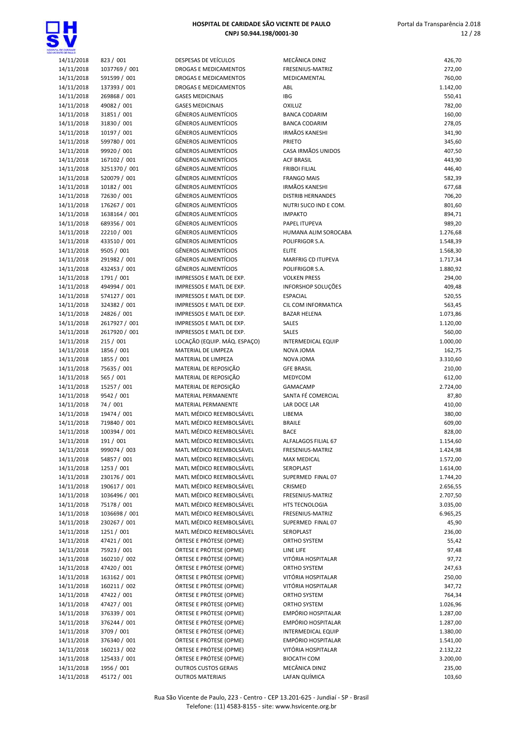



| ENTE CE PAULO |               |
|---------------|---------------|
| 14/11/2018    | 823 / 001     |
| 14/11/2018    | 1037769 / 001 |
| 14/11/2018    | 591599 / 001  |
| 14/11/2018    | 137393 / 001  |
| 14/11/2018    | 269868 / 001  |
|               |               |
| 14/11/2018    | 49082 / 001   |
| 14/11/2018    | 31851 / 001   |
| 14/11/2018    | 31830 / 001   |
| 14/11/2018    | 10197 / 001   |
| 14/11/2018    | 599780 / 001  |
| 14/11/2018    | 99920 / 001   |
| 14/11/2018    | 167102 / 001  |
| 14/11/2018    | 3251370 / 001 |
| 14/11/2018    |               |
|               | 520079 / 001  |
| 14/11/2018    | 10182 / 001   |
| 14/11/2018    | 72630 / 001   |
| 14/11/2018    | 176267 / 001  |
| 14/11/2018    | 1638164 / 001 |
| 14/11/2018    | 689356 / 001  |
| 14/11/2018    | 22210 / 001   |
| 14/11/2018    | 433510 / 001  |
| 14/11/2018    | 9505 / 001    |
| 14/11/2018    | 291982 / 001  |
| 14/11/2018    | 432453 / 001  |
|               |               |
| 14/11/2018    | 1791 / 001    |
| 14/11/2018    | 494994 / 001  |
| 14/11/2018    | 574127 / 001  |
| 14/11/2018    | 324382 / 001  |
| 14/11/2018    | 24826 / 001   |
| 14/11/2018    | 2617927 / 001 |
| 14/11/2018    | 2617920 / 001 |
| 14/11/2018    | 215 / 001     |
| 14/11/2018    | 1856 / 001    |
| 14/11/2018    | 1855 / 001    |
|               |               |
| 14/11/2018    | 75635 / 001   |
| 14/11/2018    | 565 / 001     |
| 14/11/2018    | 15257 / 001   |
| 14/11/2018    | 9542 / 001    |
| 14/11/2018    | 74 / 001      |
| 14/11/2018    | 19474 / 001   |
| 14/11/2018    | 719840 / 001  |
| 14/11/2018    | 100394 / 001  |
| 14/11/2018    | 191 / 001     |
| 14/11/2018    | 999074 / 003  |
| 14/11/2018    | 54857 / 001   |
|               |               |
| 14/11/2018    | 1253 / 001    |
| 14/11/2018    | 230176 / 001  |
| 14/11/2018    | 190617 / 001  |
| 14/11/2018    | 1036496 / 001 |
| 14/11/2018    | 75178 / 001   |
| 14/11/2018    | 1036698 / 001 |
| 14/11/2018    | 230267 / 001  |
| 14/11/2018    | 1251 / 001    |
| 14/11/2018    | 47421 / 001   |
| 14/11/2018    | 75923 / 001   |
| 14/11/2018    | 160210 / 002  |
| 14/11/2018    | 47420 / 001   |
|               |               |
| 14/11/2018    | 163162 / 001  |
| 14/11/2018    | 160211 / 002  |
| 14/11/2018    | 47422 / 001   |
| 14/11/2018    | 47427 / 001   |
| 14/11/2018    | 376339 / 001  |
| 14/11/2018    | 376244 / 001  |
| 14/11/2018    | 3709 / 001    |
| 14/11/2018    | 376340 / 001  |
| 14/11/2018    | 160213 / 002  |
| 14/11/2018    | 125433 / 001  |
| 14/11/2018    | 1956 / 001    |
|               |               |
| 14/11/2018    | 45172 / 001   |

| OE CANDADE               |                              |                                                            |                                                   |                      |
|--------------------------|------------------------------|------------------------------------------------------------|---------------------------------------------------|----------------------|
| 14/11/2018               | 823 / 001                    | DESPESAS DE VEÍCULOS                                       | MECÂNICA DINIZ                                    | 426,70               |
| 14/11/2018               | 1037769 / 001                | DROGAS E MEDICAMENTOS                                      | FRESENIUS-MATRIZ                                  | 272,00               |
| 14/11/2018               | 591599 / 001                 | DROGAS E MEDICAMENTOS                                      | MEDICAMENTAL                                      | 760,00               |
| 14/11/2018<br>14/11/2018 | 137393 / 001<br>269868 / 001 | DROGAS E MEDICAMENTOS<br><b>GASES MEDICINAIS</b>           | ABL<br><b>IBG</b>                                 | 1.142,00<br>550,41   |
| 14/11/2018               | 49082 / 001                  | <b>GASES MEDICINAIS</b>                                    | <b>OXILUZ</b>                                     | 782,00               |
| 14/11/2018               | 31851 / 001                  | <b>GÊNEROS ALIMENTÍCIOS</b>                                | <b>BANCA CODARIM</b>                              | 160,00               |
| 14/11/2018               | 31830 / 001                  | <b>GÊNEROS ALIMENTÍCIOS</b>                                | <b>BANCA CODARIM</b>                              | 278,05               |
| 14/11/2018               | 10197 / 001                  | <b>GÊNEROS ALIMENTÍCIOS</b>                                | <b>IRMÃOS KANESHI</b>                             | 341,90               |
| 14/11/2018               | 599780 / 001                 | <b>GÊNEROS ALIMENTÍCIOS</b>                                | <b>PRIETO</b>                                     | 345,60               |
| 14/11/2018               | 99920 / 001                  | <b>GÊNEROS ALIMENTÍCIOS</b>                                | CASA IRMÃOS UNIDOS                                | 407,50               |
| 14/11/2018               | 167102 / 001                 | <b>GÊNEROS ALIMENTÍCIOS</b>                                | <b>ACF BRASIL</b>                                 | 443,90               |
| 14/11/2018               | 3251370 / 001                | <b>GÊNEROS ALIMENTÍCIOS</b>                                | <b>FRIBOI FILIAL</b>                              | 446,40               |
| 14/11/2018               | 520079 / 001                 | <b>GÊNEROS ALIMENTÍCIOS</b>                                | <b>FRANGO MAIS</b>                                | 582,39               |
| 14/11/2018               | 10182 / 001                  | <b>GÊNEROS ALIMENTÍCIOS</b><br><b>GÊNEROS ALIMENTÍCIOS</b> | <b>IRMÃOS KANESHI</b>                             | 677,68               |
| 14/11/2018<br>14/11/2018 | 72630 / 001<br>176267 / 001  | <b>GÊNEROS ALIMENTÍCIOS</b>                                | <b>DISTRIB HERNANDES</b><br>NUTRI SUCO IND E COM. | 706,20<br>801,60     |
| 14/11/2018               | 1638164 / 001                | <b>GÊNEROS ALIMENTÍCIOS</b>                                | <b>IMPAKTO</b>                                    | 894,71               |
| 14/11/2018               | 689356 / 001                 | GÊNEROS ALIMENTÍCIOS                                       | PAPEL ITUPEVA                                     | 989,20               |
| 14/11/2018               | 22210 / 001                  | <b>GÊNEROS ALIMENTÍCIOS</b>                                | HUMANA ALIM SOROCABA                              | 1.276,68             |
| 14/11/2018               | 433510 / 001                 | <b>GÊNEROS ALIMENTÍCIOS</b>                                | POLIFRIGOR S.A.                                   | 1.548,39             |
| 14/11/2018               | 9505 / 001                   | <b>GÊNEROS ALIMENTÍCIOS</b>                                | <b>ELITE</b>                                      | 1.568,30             |
| 14/11/2018               | 291982 / 001                 | <b>GÊNEROS ALIMENTÍCIOS</b>                                | MARFRIG CD ITUPEVA                                | 1.717,34             |
| 14/11/2018               | 432453 / 001                 | <b>GÊNEROS ALIMENTÍCIOS</b>                                | POLIFRIGOR S.A.                                   | 1.880,92             |
| 14/11/2018               | 1791 / 001                   | IMPRESSOS E MATL DE EXP.                                   | <b>VOLKEN PRESS</b>                               | 294,00               |
| 14/11/2018               | 494994 / 001                 | IMPRESSOS E MATL DE EXP.                                   | <b>INFORSHOP SOLUÇÕES</b>                         | 409,48               |
| 14/11/2018               | 574127 / 001                 | IMPRESSOS E MATL DE EXP.                                   | <b>ESPACIAL</b>                                   | 520,55               |
| 14/11/2018               | 324382 / 001                 | IMPRESSOS E MATL DE EXP.                                   | CIL COM INFORMATICA                               | 563,45               |
| 14/11/2018<br>14/11/2018 | 24826 / 001<br>2617927 / 001 | IMPRESSOS E MATL DE EXP.<br>IMPRESSOS E MATL DE EXP.       | <b>BAZAR HELENA</b><br><b>SALES</b>               | 1.073,86<br>1.120,00 |
| 14/11/2018               | 2617920 / 001                | IMPRESSOS E MATL DE EXP.                                   | SALES                                             | 560,00               |
| 14/11/2018               | 215/001                      | LOCAÇÃO (EQUIP. MÁQ. ESPAÇO)                               | <b>INTERMEDICAL EQUIP</b>                         | 1.000,00             |
| 14/11/2018               | 1856 / 001                   | MATERIAL DE LIMPEZA                                        | NOVA JOMA                                         | 162,75               |
| 14/11/2018               | 1855 / 001                   | MATERIAL DE LIMPEZA                                        | NOVA JOMA                                         | 3.310,60             |
| 14/11/2018               | 75635 / 001                  | MATERIAL DE REPOSIÇÃO                                      | <b>GFE BRASIL</b>                                 | 210,00               |
| 14/11/2018               | 565 / 001                    | MATERIAL DE REPOSIÇÃO                                      | MEDYCOM                                           | 612,00               |
| 14/11/2018               | 15257 / 001                  | MATERIAL DE REPOSIÇÃO                                      | <b>GAMACAMP</b>                                   | 2.724,00             |
| 14/11/2018               | 9542 / 001                   | MATERIAL PERMANENTE                                        | SANTA FÉ COMERCIAL                                | 87,80                |
| 14/11/2018               | 74 / 001                     | MATERIAL PERMANENTE                                        | LAR DOCE LAR                                      | 410,00               |
| 14/11/2018               | 19474 / 001                  | MATL MÉDICO REEMBOLSÁVEL                                   | LIBEMA                                            | 380,00               |
| 14/11/2018<br>14/11/2018 | 719840 / 001<br>100394 / 001 | MATL MÉDICO REEMBOLSÁVEL<br>MATL MÉDICO REEMBOLSÁVEL       | <b>BRAILE</b><br><b>BACE</b>                      | 609,00<br>828,00     |
| 14/11/2018               | 191 / 001                    | MATL MÉDICO REEMBOLSÁVEL                                   | ALFALAGOS FILIAL 67                               | 1.154,60             |
| 14/11/2018               | 999074 / 003                 | MATL MÉDICO REEMBOLSÁVEL                                   | FRESENIUS-MATRIZ                                  | 1.424,98             |
| 14/11/2018               | 54857 / 001                  | MATL MÉDICO REEMBOLSÁVEL                                   | <b>MAX MEDICAL</b>                                | 1.572,00             |
| 14/11/2018               | 1253 / 001                   | MATL MÉDICO REEMBOLSÁVEL                                   | SEROPLAST                                         | 1.614,00             |
| 14/11/2018               | 230176 / 001                 | MATL MÉDICO REEMBOLSÁVEL                                   | SUPERMED FINAL 07                                 | 1.744,20             |
| 14/11/2018               | 190617 / 001                 | MATL MÉDICO REEMBOLSÁVEL                                   | CRISMED                                           | 2.656,55             |
| 14/11/2018               | 1036496 / 001                | MATL MÉDICO REEMBOLSÁVEL                                   | FRESENIUS-MATRIZ                                  | 2.707,50             |
| 14/11/2018               | 75178 / 001                  | MATL MÉDICO REEMBOLSÁVEL                                   | HTS TECNOLOGIA                                    | 3.035,00             |
| 14/11/2018               | 1036698 / 001                | MATL MÉDICO REEMBOLSÁVEL                                   | FRESENIUS-MATRIZ                                  | 6.965,25             |
| 14/11/2018               | 230267 / 001                 | MATL MÉDICO REEMBOLSÁVEL                                   | SUPERMED FINAL 07                                 | 45,90                |
| 14/11/2018               | 1251 / 001                   | MATL MÉDICO REEMBOLSÁVEL                                   | SEROPLAST                                         | 236,00               |
| 14/11/2018               | 47421 / 001                  | ÓRTESE E PRÓTESE (OPME)<br>ÓRTESE E PRÓTESE (OPME)         | ORTHO SYSTEM                                      | 55,42                |
| 14/11/2018<br>14/11/2018 | 75923 / 001<br>160210 / 002  | ÓRTESE E PRÓTESE (OPME)                                    | LINE LIFE<br>VITÓRIA HOSPITALAR                   | 97,48<br>97,72       |
| 14/11/2018               | 47420 / 001                  | ÓRTESE E PRÓTESE (OPME)                                    | ORTHO SYSTEM                                      | 247,63               |
| 14/11/2018               | 163162 / 001                 | ÓRTESE E PRÓTESE (OPME)                                    | VITÓRIA HOSPITALAR                                | 250,00               |
| 14/11/2018               | 160211 / 002                 | ÓRTESE E PRÓTESE (OPME)                                    | VITÓRIA HOSPITALAR                                | 347,72               |
| 14/11/2018               | 47422 / 001                  | ÓRTESE E PRÓTESE (OPME)                                    | ORTHO SYSTEM                                      | 764,34               |
| 14/11/2018               | 47427 / 001                  | ÓRTESE E PRÓTESE (OPME)                                    | ORTHO SYSTEM                                      | 1.026,96             |
| 14/11/2018               | 376339 / 001                 | ÓRTESE E PRÓTESE (OPME)                                    | EMPÓRIO HOSPITALAR                                | 1.287,00             |
| 14/11/2018               | 376244 / 001                 | ÓRTESE E PRÓTESE (OPME)                                    | EMPÓRIO HOSPITALAR                                | 1.287,00             |
| 14/11/2018               | 3709 / 001                   | ÓRTESE E PRÓTESE (OPME)                                    | INTERMEDICAL EQUIP                                | 1.380,00             |
| 14/11/2018               | 376340 / 001                 | ÓRTESE E PRÓTESE (OPME)                                    | EMPÓRIO HOSPITALAR                                | 1.541,00             |
| 14/11/2018               | 160213 / 002<br>125433 / 001 | ÓRTESE E PRÓTESE (OPME)<br>ÓRTESE E PRÓTESE (OPME)         | VITÓRIA HOSPITALAR<br><b>BIOCATH COM</b>          | 2.132,22             |
| 14/11/2018<br>14/11/2018 | 1956 / 001                   | <b>OUTROS CUSTOS GERAIS</b>                                | MECÂNICA DINIZ                                    | 3.200,00<br>235,00   |
| 14/11/2018               | 45172 / 001                  | <b>OUTROS MATERIAIS</b>                                    | LAFAN QUÍMICA                                     | 103,60               |
|                          |                              |                                                            |                                                   |                      |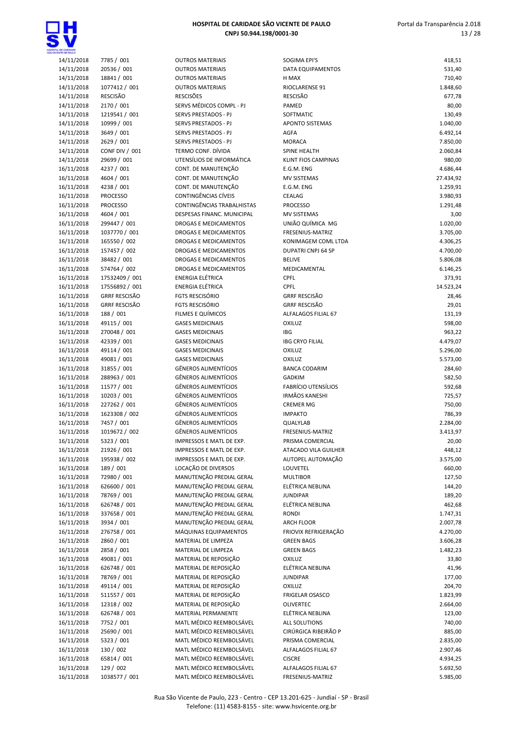

| 14/11/2018               | 7785 / 001               |
|--------------------------|--------------------------|
|                          |                          |
| 14/11/2018               | 20536 / 001              |
| 14/11/2018               | 18841 / 001              |
|                          | 1077412 / 001            |
| 14/11/2018               |                          |
| 14/11/2018               | <b>RESCISÃO</b>          |
| 14/11/2018               | 2170 / 001               |
|                          |                          |
| 14/11/2018               | 1219541 / 001            |
| 14/11/2018               | 10999 / 001              |
|                          |                          |
| 14/11/2018               | 3649 / 001               |
| 14/11/2018               | 2629 / 001               |
|                          |                          |
| 14/11/2018               | <b>CONF DIV / 001</b>    |
| 14/11/2018               | 29699 / 001              |
| 16/11/2018               | 4237 / 001               |
|                          |                          |
| 16/11/2018               | 4604 / 001               |
| 16/11/2018               | 4238 / 001               |
|                          |                          |
| 16/11/2018               | <b>PROCESSO</b>          |
| 16/11/2018               | <b>PROCESSO</b>          |
|                          |                          |
| 16/11/2018               | 4604 / 001               |
| 16/11/2018               | 299447 / 001             |
| 16/11/2018               | 1037770 / 001            |
|                          |                          |
| 16/11/2018               | 165550 / 002             |
| 16/11/2018               | 157457 / 002             |
|                          |                          |
| 16/11/2018               | 38482 / 001              |
| 16/11/2018               | 574764 / 002             |
| 16/11/2018               | 17532409 / 001           |
|                          |                          |
| 16/11/2018               | 17556892/001             |
| 16/11/2018               | <b>GRRF RESCISÃO</b>     |
|                          | <b>GRRF RESCISÃO</b>     |
| 16/11/2018               |                          |
| 16/11/2018               | 188 / 001                |
| 16/11/2018               | 49115 / 001              |
|                          |                          |
| 16/11/2018               | 270048 / 001             |
| 16/11/2018               | 42339 / 001              |
|                          |                          |
| 16/11/2018               | 49114 / 001              |
| 16/11/2018               | 49081 / 001              |
| 16/11/2018               | 31855 / 001              |
|                          |                          |
| 16/11/2018               | 288963 / 001             |
| 16/11/2018               | 11577 / 001              |
|                          |                          |
| 16/11/2018               | 10203 / 001              |
| 16/11/2018               | 227262 / 001             |
| 16/11/2018               | 1623308 / 002            |
|                          |                          |
| 16/11/2018               | 7457 / 001               |
| 16/11/2018               | 1019672 / 002            |
|                          |                          |
| 16/11/2018               | 5323 / 001               |
|                          |                          |
|                          |                          |
| 16/11/2018               | 21926 / 001              |
| 16/11/2018               | 195938 / 002             |
| 16/11/2018               | 189 / 001                |
|                          |                          |
| 16/11/2018               | 72980 / 001              |
| 16/11/2018               | 626600 / 001             |
| 16/11/2018               | 78769 / 001              |
|                          |                          |
| 16/11/2018               | 626748 / 001             |
| 16/11/2018               | 337658 / 001             |
|                          |                          |
| 16/11/2018               | 3934 / 001               |
| 16/11/2018               | 276758 / 001             |
| 16/11/2018               | 2860 / 001               |
|                          |                          |
| 16/11/2018               | 2858 / 001               |
| 16/11/2018               | 49081 / 001              |
|                          |                          |
| 16/11/2018               | 626748 / 001             |
| 16/11/2018               | 78769 / 001              |
| 16/11/2018               | 49114 / 001              |
|                          |                          |
| 16/11/2018               | 511557 / 001             |
| 16/11/2018               | 12318 / 002              |
| 16/11/2018               | 626748 / 001             |
|                          |                          |
| 16/11/2018               | 7752/001                 |
| 16/11/2018               | 25690 / 001              |
|                          |                          |
| 16/11/2018               | 5323 / 001               |
| 16/11/2018               | 130 / 002                |
|                          |                          |
| 16/11/2018<br>16/11/2018 | 65814 / 001<br>129 / 002 |

| , DE GARIDADE<br>VITE DE PAULO |                            |                                              |                                           |                   |
|--------------------------------|----------------------------|----------------------------------------------|-------------------------------------------|-------------------|
| 14/11/2018                     | 7785 / 001                 | <b>OUTROS MATERIAIS</b>                      | SOGIMA EPI'S                              | 418,51            |
| 14/11/2018                     | 20536 / 001                | <b>OUTROS MATERIAIS</b>                      | DATA EQUIPAMENTOS                         | 531,40            |
| 14/11/2018                     | 18841 / 001                | <b>OUTROS MATERIAIS</b>                      | H MAX                                     | 710,40            |
| 14/11/2018<br>14/11/2018       | 1077412 / 001<br>RESCISÃO  | <b>OUTROS MATERIAIS</b><br><b>RESCISÕES</b>  | RIOCLARENSE 91<br><b>RESCISÃO</b>         | 1.848,60          |
| 14/11/2018                     | 2170 / 001                 | SERVS MÉDICOS COMPL - PJ                     | PAMED                                     | 677,78<br>80,00   |
| 14/11/2018                     | 1219541 / 001              | SERVS PRESTADOS - PJ                         | SOFTMATIC                                 | 130,49            |
| 14/11/2018                     | 10999 / 001                | SERVS PRESTADOS - PJ                         | APONTO SISTEMAS                           | 1.040,00          |
| 14/11/2018                     | 3649 / 001                 | SERVS PRESTADOS - PJ                         | AGFA                                      | 6.492,14          |
| 14/11/2018                     | 2629 / 001                 | <b>SERVS PRESTADOS - PJ</b>                  | <b>MORACA</b>                             | 7.850,00          |
| 14/11/2018                     | CONF DIV / 001             | TERMO CONF. DÍVIDA                           | SPINE HEALTH                              | 2.060,84          |
| 14/11/2018                     | 29699 / 001                | UTENSÍLIOS DE INFORMÁTICA                    | <b>KLINT FIOS CAMPINAS</b>                | 980,00            |
| 16/11/2018                     | 4237 / 001                 | CONT. DE MANUTENÇÃO                          | E.G.M. ENG                                | 4.686,44          |
| 16/11/2018                     | 4604 / 001                 | CONT. DE MANUTENÇÃO                          | <b>MV SISTEMAS</b>                        | 27.434,92         |
| 16/11/2018                     | 4238 / 001                 | CONT. DE MANUTENÇÃO                          | E.G.M. ENG                                | 1.259,91          |
| 16/11/2018                     | <b>PROCESSO</b>            | CONTINGÊNCIAS CÍVEIS                         | CEALAG                                    | 3.980,93          |
| 16/11/2018                     | <b>PROCESSO</b>            | CONTINGÊNCIAS TRABALHISTAS                   | <b>PROCESSO</b>                           | 1.291,48          |
| 16/11/2018                     | 4604 / 001                 | DESPESAS FINANC. MUNICIPAL                   | <b>MV SISTEMAS</b>                        | 3,00              |
| 16/11/2018                     | 299447 / 001               | DROGAS E MEDICAMENTOS                        | UNIÃO QUÍMICA MG                          | 1.020,00          |
| 16/11/2018                     | 1037770 / 001              | <b>DROGAS E MEDICAMENTOS</b>                 | <b>FRESENIUS-MATRIZ</b>                   | 3.705,00          |
| 16/11/2018                     | 165550 / 002               | <b>DROGAS E MEDICAMENTOS</b>                 | KONIMAGEM COML LTDA                       | 4.306,25          |
| 16/11/2018                     | 157457 / 002               | DROGAS E MEDICAMENTOS                        | <b>DUPATRI CNPJ 64 SP</b>                 | 4.700,00          |
| 16/11/2018                     | 38482 / 001                | <b>DROGAS E MEDICAMENTOS</b>                 | <b>BELIVE</b>                             | 5.806,08          |
| 16/11/2018                     | 574764 / 002               | DROGAS E MEDICAMENTOS                        | MEDICAMENTAL                              | 6.146,25          |
| 16/11/2018                     | 17532409 / 001             | <b>ENERGIA ELÉTRICA</b>                      | CPFL                                      | 373,91            |
| 16/11/2018                     | 17556892 / 001             | <b>ENERGIA ELÉTRICA</b>                      | <b>CPFL</b>                               | 14.523,24         |
| 16/11/2018                     | <b>GRRF RESCISÃO</b>       | <b>FGTS RESCISÓRIO</b>                       | <b>GRRF RESCISÃO</b>                      | 28,46             |
| 16/11/2018                     | <b>GRRF RESCISÃO</b>       | <b>FGTS RESCISÓRIO</b>                       | <b>GRRF RESCISÃO</b>                      | 29,01             |
| 16/11/2018<br>16/11/2018       | 188 / 001<br>49115 / 001   | FILMES E QUÍMICOS<br><b>GASES MEDICINAIS</b> | ALFALAGOS FILIAL 67                       | 131,19            |
| 16/11/2018                     | 270048 / 001               | <b>GASES MEDICINAIS</b>                      | <b>OXILUZ</b><br>IBG                      | 598,00<br>963,22  |
| 16/11/2018                     | 42339 / 001                | <b>GASES MEDICINAIS</b>                      | <b>IBG CRYO FILIAL</b>                    | 4.479,07          |
| 16/11/2018                     | 49114 / 001                | <b>GASES MEDICINAIS</b>                      | <b>OXILUZ</b>                             | 5.296,00          |
| 16/11/2018                     | 49081 / 001                | <b>GASES MEDICINAIS</b>                      | <b>OXILUZ</b>                             | 5.573,00          |
| 16/11/2018                     | 31855 / 001                | <b>GÊNEROS ALIMENTÍCIOS</b>                  | <b>BANCA CODARIM</b>                      | 284,60            |
| 16/11/2018                     | 288963 / 001               | <b>GÊNEROS ALIMENTÍCIOS</b>                  | <b>GADKIM</b>                             | 582,50            |
| 16/11/2018                     | 11577 / 001                | <b>GÊNEROS ALIMENTÍCIOS</b>                  | <b>FABRÍCIO UTENSÍLIOS</b>                | 592,68            |
| 16/11/2018                     | 10203 / 001                | <b>GÊNEROS ALIMENTÍCIOS</b>                  | <b>IRMÃOS KANESHI</b>                     | 725,57            |
| 16/11/2018                     | 227262 / 001               | <b>GÊNEROS ALIMENTÍCIOS</b>                  | <b>CREMER MG</b>                          | 750,00            |
| 16/11/2018                     | 1623308 / 002              | <b>GÊNEROS ALIMENTÍCIOS</b>                  | <b>IMPAKTO</b>                            | 786,39            |
| 16/11/2018                     | 7457 / 001                 | <b>GÊNEROS ALIMENTÍCIOS</b>                  | QUALYLAB                                  | 2.284,00          |
| 16/11/2018                     | 1019672 / 002              | <b>GÊNEROS ALIMENTÍCIOS</b>                  | FRESENIUS-MATRIZ                          | 3.413,97          |
| 16/11/2018                     | 5323 / 001                 | IMPRESSOS E MATL DE EXP.                     | PRISMA COMERCIAL                          | 20,00             |
| 16/11/2018                     | 21926 / 001                | IMPRESSOS E MATL DE EXP.                     | ATACADO VILA GUILHER                      | 448,12            |
| 16/11/2018                     | 195938 / 002               | IMPRESSOS E MATL DE EXP.                     | AUTOPEL AUTOMAÇÃO                         | 3.575,00          |
| 16/11/2018                     | 189 / 001                  | LOCAÇÃO DE DIVERSOS                          | LOUVETEL                                  | 660,00            |
| 16/11/2018                     | 72980 / 001                | MANUTENÇÃO PREDIAL GERAL                     | <b>MULTIBOR</b>                           | 127,50            |
| 16/11/2018                     | 626600 / 001               | MANUTENÇÃO PREDIAL GERAL                     | ELÉTRICA NEBLINA                          | 144,20            |
| 16/11/2018                     | 78769 / 001                | MANUTENÇÃO PREDIAL GERAL                     | <b>JUNDIPAR</b>                           | 189,20            |
| 16/11/2018                     | 626748 / 001               | MANUTENÇÃO PREDIAL GERAL                     | ELÉTRICA NEBLINA                          | 462,68            |
| 16/11/2018                     | 337658 / 001               | MANUTENÇÃO PREDIAL GERAL                     | <b>RONDI</b>                              | 1.747,31          |
| 16/11/2018                     | 3934 / 001<br>276758 / 001 | MANUTENÇÃO PREDIAL GERAL                     | <b>ARCH FLOOR</b><br>FRIOVIX REFRIGERAÇÃO | 2.007,78          |
| 16/11/2018<br>16/11/2018       |                            | MÁQUINAS EQUIPAMENTOS                        | <b>GREEN BAGS</b>                         | 4.270,00          |
| 16/11/2018                     | 2860 / 001<br>2858 / 001   | MATERIAL DE LIMPEZA                          |                                           | 3.606,28          |
| 16/11/2018                     | 49081 / 001                | MATERIAL DE LIMPEZA<br>MATERIAL DE REPOSIÇÃO | <b>GREEN BAGS</b><br><b>OXILUZ</b>        | 1.482,23<br>33,80 |
| 16/11/2018                     | 626748 / 001               | MATERIAL DE REPOSIÇÃO                        | ELÉTRICA NEBLINA                          | 41,96             |
| 16/11/2018                     | 78769 / 001                | MATERIAL DE REPOSIÇÃO                        | <b>JUNDIPAR</b>                           | 177,00            |
| 16/11/2018                     | 49114 / 001                | MATERIAL DE REPOSIÇÃO                        | <b>OXILUZ</b>                             | 204,70            |
| 16/11/2018                     | 511557 / 001               | MATERIAL DE REPOSIÇÃO                        | <b>FRIGELAR OSASCO</b>                    | 1.823,99          |
| 16/11/2018                     | 12318 / 002                | MATERIAL DE REPOSIÇÃO                        | <b>OLIVERTEC</b>                          | 2.664,00          |
| 16/11/2018                     | 626748 / 001               | MATERIAL PERMANENTE                          | ELÉTRICA NEBLINA                          | 123,00            |
| 16/11/2018                     | 7752 / 001                 | MATL MÉDICO REEMBOLSÁVEL                     | ALL SOLUTIONS                             | 740,00            |
| 16/11/2018                     | 25690 / 001                | MATL MÉDICO REEMBOLSÁVEL                     | CIRÚRGICA RIBEIRÃO P                      | 885,00            |
| 16/11/2018                     | 5323 / 001                 | MATL MÉDICO REEMBOLSÁVEL                     | PRISMA COMERCIAL                          | 2.835,00          |
| 16/11/2018                     | 130 / 002                  | MATL MÉDICO REEMBOLSÁVEL                     | ALFALAGOS FILIAL 67                       | 2.907,46          |
| 16/11/2018                     | 65814 / 001                | MATL MÉDICO REEMBOLSÁVEL                     | <b>CISCRE</b>                             | 4.934,25          |
| 16/11/2018                     | 129 / 002                  | MATL MÉDICO REEMBOLSÁVEL                     | ALFALAGOS FILIAL 67                       | 5.692,50          |
| 16/11/2018                     | 1038577 / 001              | MATL MÉDICO REEMBOLSÁVEL                     | FRESENIUS-MATRIZ                          | 5.985.00          |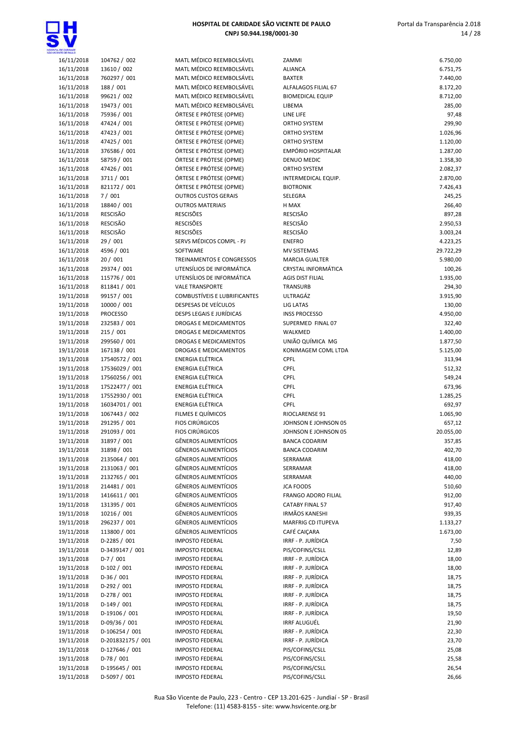

| ENTE CE PAULO            |                                |
|--------------------------|--------------------------------|
| 16/11/2018               | 104762 / 002                   |
| 16/11/2018               | 13610 / 002                    |
| 16/11/2018               | 760297 / 001                   |
| 16/11/2018               | 188 / 001                      |
| 16/11/2018               | 99621 / 002                    |
| 16/11/2018               | 19473 / 001                    |
| 16/11/2018               | 75936 / 001                    |
| 16/11/2018               | 47424 / 001                    |
| 16/11/2018               | 47423 / 001                    |
| 16/11/2018               | 47425 / 001                    |
| 16/11/2018               | 376586 / 001                   |
| 16/11/2018               | 58759 / 001                    |
| 16/11/2018               | 47426 / 001                    |
| 16/11/2018               | 3711/001                       |
| 16/11/2018<br>16/11/2018 | 821172 / 001<br>7/001          |
| 16/11/2018               | 18840 / 001                    |
| 16/11/2018               | <b>RESCISÃO</b>                |
| 16/11/2018               | <b>RESCISÃO</b>                |
| 16/11/2018               | <b>RESCISÃO</b>                |
| 16/11/2018               | 29 / 001                       |
| 16/11/2018               | 4596 / 001                     |
| 16/11/2018               | 20 / 001                       |
| 16/11/2018               | 29374 / 001                    |
| 16/11/2018               | 115776 / 001                   |
| 16/11/2018               | 811841 / 001                   |
| 19/11/2018               | 99157 / 001                    |
| 19/11/2018               | 10000 / 001                    |
| 19/11/2018               | <b>PROCESSO</b>                |
| 19/11/2018               | 232583 / 001                   |
| 19/11/2018               | 215 / 001                      |
| 19/11/2018               | 299560 / 001                   |
| 19/11/2018<br>19/11/2018 | 167138 / 001<br>17540572 / 001 |
| 19/11/2018               | 17536029 / 001                 |
| 19/11/2018               | 17560256 / 001                 |
| 19/11/2018               | 17522477 / 001                 |
| 19/11/2018               | 17552930 / 001                 |
| 19/11/2018               | 16034701 / 001                 |
| 19/11/2018               | 1067443 / 002                  |
| 19/11/2018               | 291295 / 001                   |
| 19/11/2018               | 291093 / 001                   |
| 19/11/2018               | 31897 / 001                    |
| 19/11/2018               | 31898 / 001                    |
| 19/11/2018               | 2135064 / 001                  |
| 19/11/2018               | 2131063 / 001                  |
| 19/11/2018               | 2132765 / 001                  |
| 19/11/2018               | 214481 / 001                   |
| 19/11/2018               | 1416611 / 001                  |
| 19/11/2018<br>19/11/2018 | 131395 / 001<br>10216 / 001    |
| 19/11/2018               | 296237 / 001                   |
| 19/11/2018               | 113800 / 001                   |
| 19/11/2018               | D-2285 / 001                   |
| 19/11/2018               | D-3439147 / 001                |
| 19/11/2018               | $D-7/001$                      |
| 19/11/2018               | D-102 / 001                    |
| 19/11/2018               | D-36 / 001                     |
| 19/11/2018               | D-292 / 001                    |
| 19/11/2018               | D-278 / 001                    |
| 19/11/2018               | $D-149/001$                    |
| 19/11/2018               | D-19106 / 001                  |
| 19/11/2018               | D-09/36 / 001                  |
| 19/11/2018               | D-106254 / 001                 |
| 19/11/2018               | D-201832175 / 001              |
| 19/11/2018               | D-127646 / 001                 |
| 19/11/2018               | D-78 / 001                     |
| 19/11/2018<br>19/11/2018 | D-195645 / 001<br>D-5097 / 001 |
|                          |                                |

| AATL MÉDICO REEMBOLSÁVEL                                                                                                                                                               |
|----------------------------------------------------------------------------------------------------------------------------------------------------------------------------------------|
|                                                                                                                                                                                        |
|                                                                                                                                                                                        |
| AATL MÉDICO REEMBOLSÁVEL                                                                                                                                                               |
| AATL MÉDICO REEMBOLSÁVEL                                                                                                                                                               |
|                                                                                                                                                                                        |
| AATL MÉDICO REEMBOLSÁVEL                                                                                                                                                               |
| <i><b>AATL MÉDICO REEMBOLSÁVEL</b></i>                                                                                                                                                 |
|                                                                                                                                                                                        |
| AATL MÉDICO REEMBOLSÁVEL                                                                                                                                                               |
| <b>RTESE E PRÓTESE (OPME)</b>                                                                                                                                                          |
|                                                                                                                                                                                        |
| )RTESE E PRÓTESE (OPME)                                                                                                                                                                |
| <b>DRTESE E PRÓTESE (OPME)</b>                                                                                                                                                         |
|                                                                                                                                                                                        |
| )RTESE E PRÓTESE (OPME)                                                                                                                                                                |
| )RTESE E PRÓTESE (OPME)                                                                                                                                                                |
|                                                                                                                                                                                        |
| )RTESE E PRÓTESE (OPME)                                                                                                                                                                |
| )RTESE E PRÓTESE (OPME)                                                                                                                                                                |
|                                                                                                                                                                                        |
| )RTESE E PRÓTESE (OPME)                                                                                                                                                                |
| )RTESE E PRÓTESE (OPME)                                                                                                                                                                |
|                                                                                                                                                                                        |
| <b>UTROS CUSTOS GERAIS</b>                                                                                                                                                             |
| <b>UTROS MATERIAIS</b>                                                                                                                                                                 |
|                                                                                                                                                                                        |
| ESCISÕES                                                                                                                                                                               |
| ESCISÕES                                                                                                                                                                               |
|                                                                                                                                                                                        |
| ESCISÕES                                                                                                                                                                               |
| ERVS MÉDICOS COMPL - PJ                                                                                                                                                                |
|                                                                                                                                                                                        |
| <b>OFTWARE</b>                                                                                                                                                                         |
| REINAMENTOS E CONGRESSOS                                                                                                                                                               |
|                                                                                                                                                                                        |
| ITENSÍLIOS DE INFORMÁTICA                                                                                                                                                              |
| JTENSÍLIOS DE INFORMÁTICA                                                                                                                                                              |
|                                                                                                                                                                                        |
| ALE TRANSPORTE                                                                                                                                                                         |
| OMBUSTÍVEIS E LUBRIFICANTES                                                                                                                                                            |
|                                                                                                                                                                                        |
| ESPESAS DE VEÍCULOS                                                                                                                                                                    |
| PESPS LEGAIS E JURÍDICAS                                                                                                                                                               |
|                                                                                                                                                                                        |
| ROGAS E MEDICAMENTOS                                                                                                                                                                   |
| ROGAS E MEDICAMENTOS                                                                                                                                                                   |
| ROGAS E MEDICAMENTOS                                                                                                                                                                   |
|                                                                                                                                                                                        |
| ROGAS E MEDICAMENTOS                                                                                                                                                                   |
| NERGIA ELÉTRICA                                                                                                                                                                        |
|                                                                                                                                                                                        |
| NERGIA ELÉTRICA                                                                                                                                                                        |
| NERGIA ELÉTRICA                                                                                                                                                                        |
|                                                                                                                                                                                        |
|                                                                                                                                                                                        |
| NERGIA ELÉTRICA                                                                                                                                                                        |
|                                                                                                                                                                                        |
|                                                                                                                                                                                        |
|                                                                                                                                                                                        |
|                                                                                                                                                                                        |
| NERGIA ELÉTRICA<br>NERGIA ELÉTRICA<br>ILMES E QUÍMICOS                                                                                                                                 |
| IOS CIRÚRGICOS                                                                                                                                                                         |
|                                                                                                                                                                                        |
|                                                                                                                                                                                        |
|                                                                                                                                                                                        |
|                                                                                                                                                                                        |
|                                                                                                                                                                                        |
| IOS CIRÚRGICOS<br>iÊNEROS ALIMENTÍCIOS<br>iÊNEROS ALIMENTÍCIOS<br>iÊNEROS ALIMENTÍCIOS                                                                                                 |
|                                                                                                                                                                                        |
| iÊNEROS ALIMENTÍCIOS                                                                                                                                                                   |
| iÊNEROS ALIMENTÍCIOS                                                                                                                                                                   |
|                                                                                                                                                                                        |
| iÊNEROS ALIMENTÍCIOS                                                                                                                                                                   |
| iÊNEROS ALIMENTÍCIOS                                                                                                                                                                   |
|                                                                                                                                                                                        |
| <b>iÊNEROS ALIMENTÍCIOS</b>                                                                                                                                                            |
| iÊNEROS ALIMENTÍCIOS                                                                                                                                                                   |
|                                                                                                                                                                                        |
| iÊNEROS ALIMENTÍCIOS                                                                                                                                                                   |
|                                                                                                                                                                                        |
|                                                                                                                                                                                        |
| iÊNEROS ALIMENTÍCIOS<br><b>MPOSTO FEDERAL</b>                                                                                                                                          |
|                                                                                                                                                                                        |
|                                                                                                                                                                                        |
|                                                                                                                                                                                        |
|                                                                                                                                                                                        |
|                                                                                                                                                                                        |
|                                                                                                                                                                                        |
|                                                                                                                                                                                        |
|                                                                                                                                                                                        |
|                                                                                                                                                                                        |
|                                                                                                                                                                                        |
|                                                                                                                                                                                        |
| <b>MPOSTO FEDERAL</b><br>MPOSTO FEDERAL<br><b>MPOSTO FEDERAL</b><br><b>MPOSTO FEDERAL</b><br><b>MPOSTO FEDERAL</b><br>MPOSTO FEDERAL<br><b>MPOSTO FEDERAL</b><br><b>MPOSTO FEDERAL</b> |
| <b>MPOSTO FEDERAL</b>                                                                                                                                                                  |
| MPOSTO FEDERAL                                                                                                                                                                         |
|                                                                                                                                                                                        |
| <b>MPOSTO FEDERAL</b>                                                                                                                                                                  |
| <b>MPOSTO FEDERAL</b>                                                                                                                                                                  |
|                                                                                                                                                                                        |
| <b>MPOSTO FEDERAL</b><br><b>MDOSTO EEDERAL</b>                                                                                                                                         |

| OE CANDADE               |                                  |                                                        |                                                |                      |
|--------------------------|----------------------------------|--------------------------------------------------------|------------------------------------------------|----------------------|
| 16/11/2018               | 104762 / 002                     | MATL MÉDICO REEMBOLSÁVEL                               | ZAMMI                                          | 6.750,00             |
| 16/11/2018               | 13610 / 002                      | MATL MÉDICO REEMBOLSÁVEL                               | <b>ALIANCA</b>                                 | 6.751,75             |
| 16/11/2018<br>16/11/2018 | 760297 / 001<br>188 / 001        | MATL MÉDICO REEMBOLSÁVEL<br>MATL MÉDICO REEMBOLSÁVEL   | <b>BAXTER</b><br>ALFALAGOS FILIAL 67           | 7.440,00<br>8.172,20 |
| 16/11/2018               | 99621 / 002                      | MATL MÉDICO REEMBOLSÁVEL                               | <b>BIOMEDICAL EQUIP</b>                        | 8.712,00             |
| 16/11/2018               | 19473 / 001                      | MATL MÉDICO REEMBOLSÁVEL                               | LIBEMA                                         | 285,00               |
| 16/11/2018               | 75936 / 001                      | ÓRTESE E PRÓTESE (OPME)                                | LINE LIFE                                      | 97,48                |
| 16/11/2018               | 47424 / 001                      | ÓRTESE E PRÓTESE (OPME)                                | ORTHO SYSTEM                                   | 299,90               |
| 16/11/2018               | 47423 / 001                      | ÓRTESE E PRÓTESE (OPME)                                | ORTHO SYSTEM                                   | 1.026,96             |
| 16/11/2018               | 47425 / 001                      | ÓRTESE E PRÓTESE (OPME)                                | ORTHO SYSTEM                                   | 1.120,00             |
| 16/11/2018               | 376586 / 001                     | ÓRTESE E PRÓTESE (OPME)                                | <b>EMPÓRIO HOSPITALAR</b>                      | 1.287,00             |
| 16/11/2018               | 58759 / 001                      | ÓRTESE E PRÓTESE (OPME)<br>ÓRTESE E PRÓTESE (OPME)     | DENUO MEDIC<br><b>ORTHO SYSTEM</b>             | 1.358,30             |
| 16/11/2018<br>16/11/2018 | 47426 / 001<br>3711 / 001        | ÓRTESE E PRÓTESE (OPME)                                | INTERMEDICAL EQUIP.                            | 2.082,37<br>2.870,00 |
| 16/11/2018               | 821172 / 001                     | ÓRTESE E PRÓTESE (OPME)                                | <b>BIOTRONIK</b>                               | 7.426,43             |
| 16/11/2018               | 7/001                            | <b>OUTROS CUSTOS GERAIS</b>                            | SELEGRA                                        | 245,25               |
| 16/11/2018               | 18840 / 001                      | <b>OUTROS MATERIAIS</b>                                | H MAX                                          | 266,40               |
| 16/11/2018               | <b>RESCISÃO</b>                  | <b>RESCISÕES</b>                                       | <b>RESCISÃO</b>                                | 897,28               |
| 16/11/2018               | <b>RESCISÃO</b>                  | <b>RESCISÕES</b>                                       | <b>RESCISÃO</b>                                | 2.950,53             |
| 16/11/2018               | <b>RESCISÃO</b>                  | <b>RESCISÕES</b>                                       | <b>RESCISÃO</b>                                | 3.003,24             |
| 16/11/2018               | 29 / 001                         | SERVS MÉDICOS COMPL - PJ                               | <b>ENEFRO</b>                                  | 4.223,25             |
| 16/11/2018               | 4596 / 001                       | SOFTWARE                                               | <b>MV SISTEMAS</b>                             | 29.722,29            |
| 16/11/2018               | 20/001                           | TREINAMENTOS E CONGRESSOS                              | <b>MARCIA GUALTER</b>                          | 5.980,00             |
| 16/11/2018<br>16/11/2018 | 29374 / 001<br>115776 / 001      | UTENSÍLIOS DE INFORMÁTICA<br>UTENSÍLIOS DE INFORMÁTICA | CRYSTAL INFORMÁTICA<br><b>AGIS DIST FILIAL</b> | 100,26<br>1.935,00   |
| 16/11/2018               | 811841 / 001                     | <b>VALE TRANSPORTE</b>                                 | <b>TRANSURB</b>                                | 294,30               |
| 19/11/2018               | 99157 / 001                      | <b>COMBUSTÍVEIS E LUBRIFICANTES</b>                    | ULTRAGÁZ                                       | 3.915,90             |
| 19/11/2018               | 10000 / 001                      | DESPESAS DE VEÍCULOS                                   | LIG LATAS                                      | 130,00               |
| 19/11/2018               | <b>PROCESSO</b>                  | <b>DESPS LEGAIS E JURÍDICAS</b>                        | <b>INSS PROCESSO</b>                           | 4.950,00             |
| 19/11/2018               | 232583 / 001                     | DROGAS E MEDICAMENTOS                                  | SUPERMED FINAL 07                              | 322,40               |
| 19/11/2018               | 215 / 001                        | <b>DROGAS E MEDICAMENTOS</b>                           | WALKMED                                        | 1.400,00             |
| 19/11/2018               | 299560 / 001                     | DROGAS E MEDICAMENTOS                                  | UNIÃO QUÍMICA MG                               | 1.877,50             |
| 19/11/2018               | 167138 / 001                     | DROGAS E MEDICAMENTOS                                  | KONIMAGEM COML LTDA                            | 5.125,00             |
| 19/11/2018               | 17540572 / 001                   | <b>ENERGIA ELÉTRICA</b>                                | CPFL                                           | 313,94               |
| 19/11/2018<br>19/11/2018 | 17536029 / 001<br>17560256 / 001 | ENERGIA ELÉTRICA<br>ENERGIA ELÉTRICA                   | <b>CPFL</b><br><b>CPFL</b>                     | 512,32<br>549,24     |
| 19/11/2018               | 17522477 / 001                   | ENERGIA ELÉTRICA                                       | CPFL                                           | 673,96               |
| 19/11/2018               | 17552930 / 001                   | <b>ENERGIA ELÉTRICA</b>                                | CPFL                                           | 1.285,25             |
| 19/11/2018               | 16034701 / 001                   | <b>ENERGIA ELÉTRICA</b>                                | CPFL                                           | 692,97               |
| 19/11/2018               | 1067443 / 002                    | FILMES E QUÍMICOS                                      | RIOCLARENSE 91                                 | 1.065,90             |
| 19/11/2018               | 291295 / 001                     | <b>FIOS CIRÚRGICOS</b>                                 | JOHNSON E JOHNSON 05                           | 657,12               |
| 19/11/2018               | 291093 / 001                     | <b>FIOS CIRÚRGICOS</b>                                 | JOHNSON E JOHNSON 05                           | 20.055,00            |
| 19/11/2018               | 31897 / 001                      | <b>GÊNEROS ALIMENTÍCIOS</b>                            | <b>BANCA CODARIM</b>                           | 357,85               |
| 19/11/2018               | 31898 / 001                      | <b>GËNEROS ALIMENTÍCIOS</b>                            | <b>BANCA CODARIM</b>                           | 402,70               |
| 19/11/2018               | 2135064 / 001                    | GÊNEROS ALIMENTÍCIOS<br><b>GÊNEROS ALIMENTÍCIOS</b>    | SERRAMAR<br>SERRAMAR                           | 418,00               |
| 19/11/2018<br>19/11/2018 | 2131063 / 001<br>2132765 / 001   | GÊNEROS ALIMENTÍCIOS                                   | SERRAMAR                                       | 418,00<br>440,00     |
| 19/11/2018               | 214481 / 001                     | <b>GÊNEROS ALIMENTÍCIOS</b>                            | <b>JCA FOODS</b>                               | 510,60               |
| 19/11/2018               | 1416611 / 001                    | GÊNEROS ALIMENTÍCIOS                                   | FRANGO ADORO FILIAL                            | 912,00               |
| 19/11/2018               | 131395 / 001                     | GÊNEROS ALIMENTÍCIOS                                   | <b>CATABY FINAL 57</b>                         | 917,40               |
| 19/11/2018               | 10216 / 001                      | GÊNEROS ALIMENTÍCIOS                                   | <b>IRMÃOS KANESHI</b>                          | 939,35               |
| 19/11/2018               | 296237 / 001                     | GÊNEROS ALIMENTÍCIOS                                   | MARFRIG CD ITUPEVA                             | 1.133,27             |
| 19/11/2018               | 113800 / 001                     | GÊNEROS ALIMENTÍCIOS                                   | CAFÉ CAIÇARA                                   | 1.673,00             |
| 19/11/2018               | D-2285 / 001                     | <b>IMPOSTO FEDERAL</b>                                 | IRRF - P. JURÍDICA                             | 7,50                 |
| 19/11/2018               | D-3439147 / 001                  | <b>IMPOSTO FEDERAL</b>                                 | PIS/COFINS/CSLL                                | 12,89                |
| 19/11/2018               | $D-7/001$                        | <b>IMPOSTO FEDERAL</b>                                 | IRRF - P. JURÍDICA                             | 18,00                |
| 19/11/2018<br>19/11/2018 | $D-102 / 001$<br>$D-36/001$      | <b>IMPOSTO FEDERAL</b><br><b>IMPOSTO FEDERAL</b>       | IRRF - P. JURÍDICA<br>IRRF - P. JURÍDICA       | 18,00<br>18,75       |
| 19/11/2018               | $D-292 / 001$                    | <b>IMPOSTO FEDERAL</b>                                 | IRRF - P. JURÍDICA                             | 18,75                |
| 19/11/2018               | $D-278/001$                      | <b>IMPOSTO FEDERAL</b>                                 | IRRF - P. JURÍDICA                             | 18,75                |
| 19/11/2018               | $D-149/001$                      | <b>IMPOSTO FEDERAL</b>                                 | IRRF - P. JURÍDICA                             | 18,75                |
| 19/11/2018               | D-19106 / 001                    | <b>IMPOSTO FEDERAL</b>                                 | IRRF - P. JURÍDICA                             | 19,50                |
| 19/11/2018               | $D-09/36/001$                    | <b>IMPOSTO FEDERAL</b>                                 | <b>IRRF ALUGUÉL</b>                            | 21,90                |
| 19/11/2018               | D-106254 / 001                   | <b>IMPOSTO FEDERAL</b>                                 | IRRF - P. JURÍDICA                             | 22,30                |
| 19/11/2018               | D-201832175 / 001                | <b>IMPOSTO FEDERAL</b>                                 | IRRF - P. JURÍDICA                             | 23,70                |
| 19/11/2018               | D-127646 / 001                   | <b>IMPOSTO FEDERAL</b>                                 | PIS/COFINS/CSLL                                | 25,08                |
| 19/11/2018               | $D-78/001$                       | <b>IMPOSTO FEDERAL</b>                                 | PIS/COFINS/CSLL                                | 25,58                |
| 19/11/2018<br>19/11/2018 | D-195645 / 001<br>D-5097 / 001   | <b>IMPOSTO FEDERAL</b>                                 | PIS/COFINS/CSLL<br>PIS/COFINS/CSLL             | 26,54<br>26,66       |
|                          |                                  | <b>IMPOSTO FEDERAL</b>                                 |                                                |                      |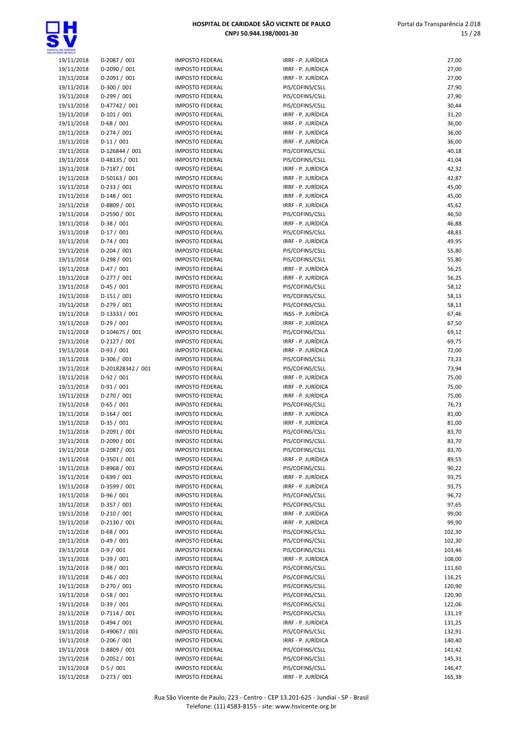

| 19/11/2018               |                            |
|--------------------------|----------------------------|
|                          | D-2087 / 001               |
| 19/11/2018               | D-2090 / 001               |
| 19/11/2018               | D-2091 / 001               |
| 19/11/2018               | D-300 / 001                |
| 19/11/2018               | D-299 / 001                |
| 19/11/2018               | D-47742 / 001              |
| 19/11/2018               | D-101 / 001                |
| 19/11/2018               | D-68 / 001                 |
| 19/11/2018               | D-274 / 001                |
| 19/11/2018               | $D-11/001$                 |
| 19/11/2018               | D-126844 / 001             |
| 19/11/2018               | D-48135 / 001              |
| 19/11/2018               | D-7187 / 001               |
| 19/11/2018               | D-50163 / 001              |
| 19/11/2018               | D-233 / 001                |
| 19/11/2018               | D-148 / 001                |
|                          | D-8809 / 001               |
| 19/11/2018               |                            |
| 19/11/2018               | D-2590 / 001<br>D-38 / 001 |
| 19/11/2018               |                            |
| 19/11/2018               | D-17 / 001                 |
| 19/11/2018               | $D-74/001$                 |
| 19/11/2018               | D-204 / 001                |
| 19/11/2018               | D-298 / 001                |
| 19/11/2018               | D-47 / 001                 |
| 19/11/2018               | D-277 / 001                |
| 19/11/2018               | D-45 / 001                 |
| 19/11/2018               | $D-151/001$                |
| 19/11/2018               | D-279 / 001                |
| 19/11/2018               | D-13333 / 001              |
| 19/11/2018               | $D-29/001$                 |
| 19/11/2018               | D-104675 / 001             |
| 19/11/2018               | D-2127 / 001               |
| 19/11/2018               | D-93 / 001                 |
| 19/11/2018               | D-306 / 001                |
| 19/11/2018               | D-201828342 / 001          |
| 19/11/2018               | $D-92/001$                 |
| 19/11/2018               | $D-91/001$                 |
| 19/11/2018               | D-270 / 001                |
| 19/11/2018               | $D-65/001$                 |
| 19/11/2018               | $D-164/001$                |
|                          |                            |
| 19/11/2018               | D-35 / 001                 |
| 19/11/2018               | D-2091 / 001               |
| 19/11/2018               | D-2090 / 001               |
| 19/11/2018               | D-2087 / 001               |
| 19/11/2018               | D-3501 / 001               |
| 19/11/2018               | D-8968 / 001               |
| 19/11/2018               | D-699 / 001                |
| 19/11/2018               | D-3599 / 001               |
| 19/11/2018               | D-96 / 001                 |
| 19/11/2018               | D-357 / 001                |
| 19/11/2018               | D-210 / 001                |
| 19/11/2018               | D-2130 / 001               |
| 19/11/2018               | $D-68/001$                 |
| 19/11/2018               | $D-49/001$                 |
| 19/11/2018               | $D-9/001$                  |
| 19/11/2018               | $D-39/001$                 |
| 19/11/2018               | D-98 / 001                 |
| 19/11/2018               | D-46 / 001                 |
| 19/11/2018               | D-270 / 001                |
| 19/11/2018               | $D-58/001$                 |
| 19/11/2018               | $D-39/001$                 |
| 19/11/2018               | D-7114 / 001               |
| 19/11/2018               | D-494 / 001                |
| 19/11/2018               | D-49067 / 001              |
| 19/11/2018               | D-206 / 001                |
| 19/11/2018               | D-8809 / 001               |
| 19/11/2018<br>19/11/2018 | D-2052 / 001<br>$D-5/001$  |

| A, DE GARDADE            |                              |                                                  |                                       |                |
|--------------------------|------------------------------|--------------------------------------------------|---------------------------------------|----------------|
| 19/11/2018               | D-2087 / 001                 | <b>IMPOSTO FEDERAL</b>                           | IRRF - P. JURÍDICA                    | 27,00          |
| 19/11/2018               | D-2090 / 001                 | <b>IMPOSTO FEDERAL</b>                           | IRRF - P. JURÍDICA                    | 27,00          |
| 19/11/2018               | D-2091 / 001                 | <b>IMPOSTO FEDERAL</b>                           | IRRF - P. JURÍDICA                    | 27,00          |
| 19/11/2018               | $D-300/001$                  | <b>IMPOSTO FEDERAL</b>                           | PIS/COFINS/CSLL                       | 27,90          |
| 19/11/2018               | $D-299/001$                  | <b>IMPOSTO FEDERAL</b>                           | PIS/COFINS/CSLL                       | 27,90          |
| 19/11/2018               | D-47742 / 001                | <b>IMPOSTO FEDERAL</b>                           | PIS/COFINS/CSLL                       | 30,44          |
| 19/11/2018               | $D-101/001$                  | <b>IMPOSTO FEDERAL</b>                           | IRRF - P. JURÍDICA                    | 31,20          |
| 19/11/2018               | $D-68/001$                   | <b>IMPOSTO FEDERAL</b>                           | IRRF - P. JURÍDICA                    | 36,00          |
| 19/11/2018               | $D-274/001$                  | <b>IMPOSTO FEDERAL</b>                           | IRRF - P. JURÍDICA                    | 36,00          |
| 19/11/2018               | $D-11/001$                   | <b>IMPOSTO FEDERAL</b>                           | IRRF - P. JURÍDICA                    | 36,00          |
| 19/11/2018               | D-126844 / 001               | <b>IMPOSTO FEDERAL</b>                           | PIS/COFINS/CSLL                       | 40,18          |
| 19/11/2018               | D-48135 / 001                | <b>IMPOSTO FEDERAL</b>                           | PIS/COFINS/CSLL                       | 41,04          |
| 19/11/2018               | D-7187 / 001                 | <b>IMPOSTO FEDERAL</b>                           | IRRF - P. JURÍDICA                    | 42,32          |
| 19/11/2018               | D-50163 / 001                | <b>IMPOSTO FEDERAL</b>                           | IRRF - P. JURÍDICA                    | 42,87          |
| 19/11/2018               | $D-233 / 001$                | <b>IMPOSTO FEDERAL</b>                           | IRRF - P. JURÍDICA                    | 45,00          |
| 19/11/2018               | $D-148/001$                  | <b>IMPOSTO FEDERAL</b>                           | IRRF - P. JURÍDICA                    | 45,00          |
| 19/11/2018               | D-8809 / 001                 | <b>IMPOSTO FEDERAL</b>                           | IRRF - P. JURÍDICA                    | 45,62          |
| 19/11/2018               | D-2590 / 001                 | <b>IMPOSTO FEDERAL</b>                           | PIS/COFINS/CSLL                       | 46,50          |
| 19/11/2018               | $D-38/001$                   | <b>IMPOSTO FEDERAL</b>                           | IRRF - P. JURÍDICA                    | 46,88          |
| 19/11/2018               | $D-17/001$                   | <b>IMPOSTO FEDERAL</b>                           | PIS/COFINS/CSLL                       | 48,83          |
| 19/11/2018               | $D-74/001$                   | <b>IMPOSTO FEDERAL</b>                           | IRRF - P. JURÍDICA                    | 49,95          |
| 19/11/2018               | $D-204/001$                  | <b>IMPOSTO FEDERAL</b>                           | PIS/COFINS/CSLL                       | 55,80          |
| 19/11/2018               | $D-298/001$                  | <b>IMPOSTO FEDERAL</b>                           | PIS/COFINS/CSLL                       | 55,80          |
| 19/11/2018               | $D-47/001$                   | <b>IMPOSTO FEDERAL</b>                           | IRRF - P. JURÍDICA                    | 56,25          |
| 19/11/2018               | $D-277/001$                  | <b>IMPOSTO FEDERAL</b>                           | IRRF - P. JURÍDICA                    | 56,25          |
| 19/11/2018               | $D-45/001$                   | <b>IMPOSTO FEDERAL</b>                           | PIS/COFINS/CSLL                       | 58,12          |
| 19/11/2018               | $D-151/001$                  | <b>IMPOSTO FEDERAL</b>                           | PIS/COFINS/CSLL                       | 58,13          |
| 19/11/2018               | D-279 / 001                  | <b>IMPOSTO FEDERAL</b>                           | PIS/COFINS/CSLL                       | 58,13          |
| 19/11/2018               | D-13333 / 001                | <b>IMPOSTO FEDERAL</b>                           | INSS - P. JURÍDICA                    | 67,46          |
| 19/11/2018               | $D-29/001$                   | <b>IMPOSTO FEDERAL</b>                           | IRRF - P. JURÍDICA                    | 67,50          |
| 19/11/2018               | D-104675 / 001               | <b>IMPOSTO FEDERAL</b>                           | PIS/COFINS/CSLL                       | 69,12          |
| 19/11/2018               | D-2127 / 001                 | <b>IMPOSTO FEDERAL</b>                           | IRRF - P. JURÍDICA                    | 69,75          |
| 19/11/2018               | $D-93/001$                   | <b>IMPOSTO FEDERAL</b>                           | IRRF - P. JURÍDICA                    | 72,00          |
| 19/11/2018               | D-306 / 001                  | <b>IMPOSTO FEDERAL</b>                           | PIS/COFINS/CSLL                       | 73,23          |
| 19/11/2018               | D-201828342 / 001            | <b>IMPOSTO FEDERAL</b>                           | PIS/COFINS/CSLL                       | 73,94          |
| 19/11/2018               | $D-92/001$                   | <b>IMPOSTO FEDERAL</b>                           | IRRF - P. JURÍDICA                    | 75,00          |
| 19/11/2018               | $D-91/001$                   | <b>IMPOSTO FEDERAL</b>                           | IRRF - P. JURÍDICA                    | 75,00          |
| 19/11/2018               | D-270 / 001                  | <b>IMPOSTO FEDERAL</b>                           | IRRF - P. JURÍDICA                    | 75,00          |
| 19/11/2018               | D-65 / 001                   | <b>IMPOSTO FEDERAL</b>                           | PIS/COFINS/CSLL                       | 76,73          |
| 19/11/2018               | $D-164/001$                  | <b>IMPOSTO FEDERAL</b>                           | IRRF - P. JURÍDICA                    | 81,00          |
| 19/11/2018               | $D-35/001$                   | <b>IMPOSTO FEDERAL</b>                           | IRRF - P. JURÍDICA<br>PIS/COFINS/CSLL | 81,00          |
| 19/11/2018<br>19/11/2018 | D-2091 / 001                 | <b>IMPOSTO FEDERAL</b><br><b>IMPOSTO FEDERAL</b> |                                       | 83,70          |
|                          | D-2090 / 001                 |                                                  | PIS/COFINS/CSLL<br>PIS/COFINS/CSLL    | 83,70          |
| 19/11/2018<br>19/11/2018 | D-2087 / 001<br>D-3501 / 001 | <b>IMPOSTO FEDERAL</b><br><b>IMPOSTO FEDERAL</b> | IRRF - P. JURÍDICA                    | 83,70<br>89,55 |
| 19/11/2018               | D-8968 / 001                 | <b>IMPOSTO FEDERAL</b>                           | PIS/COFINS/CSLL                       | 90,22          |
| 19/11/2018               | $D-699/001$                  | <b>IMPOSTO FEDERAL</b>                           | IRRF - P. JURÍDICA                    | 93,75          |
| 19/11/2018               | D-3599 / 001                 | <b>IMPOSTO FEDERAL</b>                           | IRRF - P. JURÍDICA                    | 93,75          |
| 19/11/2018               | $D-96/001$                   | <b>IMPOSTO FEDERAL</b>                           | PIS/COFINS/CSLL                       | 96,72          |
| 19/11/2018               | $D-357/001$                  | <b>IMPOSTO FEDERAL</b>                           | PIS/COFINS/CSLL                       | 97,65          |
| 19/11/2018               | $D-210/001$                  | <b>IMPOSTO FEDERAL</b>                           | IRRF - P. JURÍDICA                    | 99,00          |
| 19/11/2018               | D-2130 / 001                 | <b>IMPOSTO FEDERAL</b>                           | IRRF - P. JURÍDICA                    | 99,90          |
| 19/11/2018               | $D-68/001$                   | <b>IMPOSTO FEDERAL</b>                           | PIS/COFINS/CSLL                       | 102,30         |
| 19/11/2018               | $D-49/001$                   | <b>IMPOSTO FEDERAL</b>                           | PIS/COFINS/CSLL                       | 102,30         |
| 19/11/2018               | $D-9/001$                    | <b>IMPOSTO FEDERAL</b>                           | PIS/COFINS/CSLL                       | 103,46         |
| 19/11/2018               | $D-39/001$                   | <b>IMPOSTO FEDERAL</b>                           | IRRF - P. JURÍDICA                    | 108,00         |
| 19/11/2018               | $D-98/001$                   | <b>IMPOSTO FEDERAL</b>                           | PIS/COFINS/CSLL                       | 111,60         |
| 19/11/2018               | $D-46/001$                   | <b>IMPOSTO FEDERAL</b>                           | PIS/COFINS/CSLL                       | 116,25         |
| 19/11/2018               | D-270 / 001                  | <b>IMPOSTO FEDERAL</b>                           | PIS/COFINS/CSLL                       | 120,90         |
| 19/11/2018               | $D-58/001$                   | <b>IMPOSTO FEDERAL</b>                           | PIS/COFINS/CSLL                       | 120,90         |
| 19/11/2018               | $D-39/001$                   | <b>IMPOSTO FEDERAL</b>                           | PIS/COFINS/CSLL                       | 122,06         |
| 19/11/2018               | $D-7114 / 001$               | <b>IMPOSTO FEDERAL</b>                           | PIS/COFINS/CSLL                       | 131,19         |
| 19/11/2018               | $D-494/001$                  | <b>IMPOSTO FEDERAL</b>                           | IRRF - P. JURÍDICA                    | 131,25         |
| 19/11/2018               | D-49067 / 001                | <b>IMPOSTO FEDERAL</b>                           | PIS/COFINS/CSLL                       | 132,91         |
| 19/11/2018               | $D-206/001$                  | <b>IMPOSTO FEDERAL</b>                           | IRRF - P. JURÍDICA                    | 140,40         |
| 19/11/2018               | D-8809 / 001                 | <b>IMPOSTO FEDERAL</b>                           | PIS/COFINS/CSLL                       | 141,42         |
| 19/11/2018               | D-2052 / 001                 | <b>IMPOSTO FEDERAL</b>                           | PIS/COFINS/CSLL                       | 145,31         |
|                          | $D-5/001$                    | <b>IMPOSTO FEDERAL</b>                           | PIS/COFINS/CSLL                       | 146,47         |
| 19/11/2018               |                              |                                                  |                                       |                |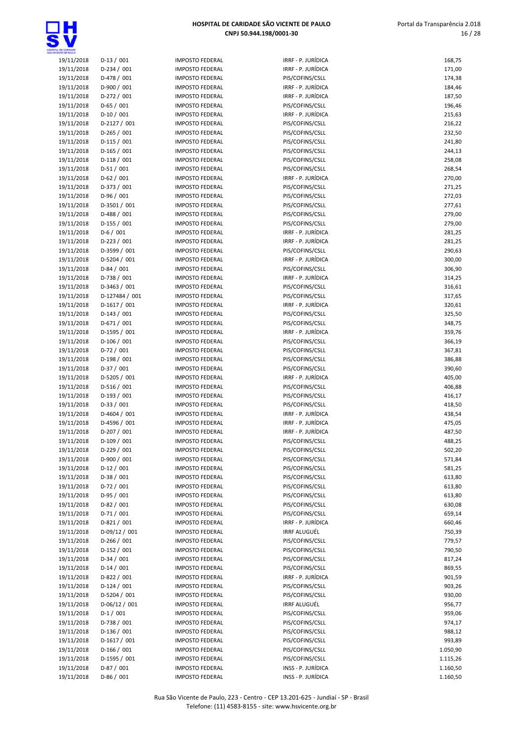

| HOSPITAL DE CARIDADE SÃO VICENTE DE PAULO |
|-------------------------------------------|
| CNPJ 50.944.198/0001-30                   |

| <b>INTE CE PAILLO</b> |                |
|-----------------------|----------------|
| 19/11/2018            | $D-13/001$     |
| 19/11/2018            | D-234 / 001    |
| 19/11/2018            | D-478 / 001    |
| 19/11/2018            | D-900 / 001    |
| 19/11/2018            | D-272 / 001    |
|                       |                |
| 19/11/2018            | $D-65/001$     |
| 19/11/2018            | D-10 / 001     |
| 19/11/2018            | D-2127 / 001   |
| 19/11/2018            | $D-265/001$    |
| 19/11/2018            | $D-115/001$    |
| 19/11/2018            | $D-165/001$    |
| 19/11/2018            | $D-118/001$    |
| 19/11/2018            | $D-51/001$     |
| 19/11/2018            | $D-62 / 001$   |
| 19/11/2018            | D-373 / 001    |
| 19/11/2018            | D-96 / 001     |
| 19/11/2018            | D-3501 / 001   |
| 19/11/2018            | D-488 / 001    |
| 19/11/2018            | D-155 / 001    |
| 19/11/2018            | $D-6/001$      |
| 19/11/2018            | $D-223 / 001$  |
| 19/11/2018            | D-3599 / 001   |
| 19/11/2018            | D-5204 / 001   |
|                       | $D-84/001$     |
| 19/11/2018            |                |
| 19/11/2018            | D-738 / 001    |
| 19/11/2018            | D-3463 / 001   |
| 19/11/2018            | D-127484 / 001 |
| 19/11/2018            | D-1617 / 001   |
| 19/11/2018            | $D-143 / 001$  |
| 19/11/2018            | D-671 / 001    |
| 19/11/2018            | D-1595 / 001   |
| 19/11/2018            | $D-106/001$    |
| 19/11/2018            | $D-72/001$     |
| 19/11/2018            | D-198 / 001    |
| 19/11/2018            | D-37 / 001     |
| 19/11/2018            | D-5205 / 001   |
| 19/11/2018            | D-516 / 001    |
| 19/11/2018            | D-193 / 001    |
| 19/11/2018            | $D-33 / 001$   |
| 19/11/2018            | D-4604 / 001   |
| 19/11/2018            | D-4596 / 001   |
| 19/11/2018            | D-207 / 001    |
| 19/11/2018            | D-109 / 001    |
| 19/11/2018            | D-229 / 001    |
| 19/11/2018            | D-900 / 001    |
| 19/11/2018            | D-12 / 001     |
| 19/11/2018            | D-38 / 001     |
| 19/11/2018            | $D-72/001$     |
| 19/11/2018            | D-95 / 001     |
| 19/11/2018            | $D-82 / 001$   |
| 19/11/2018            | $D-71/001$     |
| 19/11/2018            |                |
|                       | D-821 / 001    |
| 19/11/2018            | D-09/12 / 001  |
| 19/11/2018            | $D-266/001$    |
| 19/11/2018            | $D-152 / 001$  |
| 19/11/2018            | D-34 / 001     |
| 19/11/2018            | $D-14/001$     |
| 19/11/2018            | D-822 / 001    |
| 19/11/2018            | $D-124/001$    |
| 19/11/2018            | D-5204 / 001   |
| 19/11/2018            | D-06/12 / 001  |
| 19/11/2018            | $D-1/001$      |
| 19/11/2018            | D-738 / 001    |
| 19/11/2018            | D-136 / 001    |
| 19/11/2018            | D-1617 / 001   |
| 19/11/2018            | $D-166/001$    |
| 19/11/2018            | D-1595 / 001   |
|                       | $D-87/001$     |

| A, DE CARDADE            |                            |                                                  |                                        |                  |
|--------------------------|----------------------------|--------------------------------------------------|----------------------------------------|------------------|
| 19/11/2018               | $D-13/001$                 | <b>IMPOSTO FEDERAL</b>                           | IRRF - P. JURÍDICA                     | 168,75           |
| 19/11/2018               | $D-234/001$                | <b>IMPOSTO FEDERAL</b>                           | IRRF - P. JURÍDICA                     | 171,00           |
| 19/11/2018               | D-478 / 001                | <b>IMPOSTO FEDERAL</b>                           | PIS/COFINS/CSLL                        | 174,38           |
| 19/11/2018               | D-900 / 001                | <b>IMPOSTO FEDERAL</b>                           | IRRF - P. JURÍDICA                     | 184,46           |
| 19/11/2018               | D-272 / 001<br>$D-65/001$  | <b>IMPOSTO FEDERAL</b>                           | IRRF - P. JURÍDICA                     | 187,50           |
| 19/11/2018<br>19/11/2018 | $D-10/001$                 | <b>IMPOSTO FEDERAL</b><br><b>IMPOSTO FEDERAL</b> | PIS/COFINS/CSLL<br>IRRF - P. JURÍDICA  | 196,46<br>215,63 |
| 19/11/2018               | $D-2127/001$               | <b>IMPOSTO FEDERAL</b>                           | PIS/COFINS/CSLL                        | 216,22           |
| 19/11/2018               | $D-265/001$                | <b>IMPOSTO FEDERAL</b>                           | PIS/COFINS/CSLL                        | 232,50           |
| 19/11/2018               | $D-115/001$                | <b>IMPOSTO FEDERAL</b>                           | PIS/COFINS/CSLL                        | 241,80           |
| 19/11/2018               | $D-165/001$                | <b>IMPOSTO FEDERAL</b>                           | PIS/COFINS/CSLL                        | 244,13           |
| 19/11/2018               | $D-118/001$                | <b>IMPOSTO FEDERAL</b>                           | PIS/COFINS/CSLL                        | 258,08           |
| 19/11/2018               | $D-51/001$                 | <b>IMPOSTO FEDERAL</b>                           | PIS/COFINS/CSLL                        | 268,54           |
| 19/11/2018               | $D-62/001$                 | <b>IMPOSTO FEDERAL</b>                           | IRRF - P. JURÍDICA                     | 270,00           |
| 19/11/2018               | D-373 / 001                | <b>IMPOSTO FEDERAL</b>                           | PIS/COFINS/CSLL                        | 271,25           |
| 19/11/2018               | $D-96/001$                 | <b>IMPOSTO FEDERAL</b>                           | PIS/COFINS/CSLL                        | 272,03           |
| 19/11/2018               | D-3501 / 001               | <b>IMPOSTO FEDERAL</b>                           | PIS/COFINS/CSLL                        | 277,61           |
| 19/11/2018               | $D-488 / 001$              | <b>IMPOSTO FEDERAL</b>                           | PIS/COFINS/CSLL                        | 279,00           |
| 19/11/2018               | $D-155/001$                | <b>IMPOSTO FEDERAL</b>                           | PIS/COFINS/CSLL                        | 279,00           |
| 19/11/2018               | $D-6/001$                  | <b>IMPOSTO FEDERAL</b>                           | IRRF - P. JURÍDICA                     | 281,25           |
| 19/11/2018               | $D-223 / 001$              | <b>IMPOSTO FEDERAL</b>                           | IRRF - P. JURÍDICA                     | 281,25           |
| 19/11/2018               | D-3599 / 001               | <b>IMPOSTO FEDERAL</b>                           | PIS/COFINS/CSLL                        | 290,63           |
| 19/11/2018               | D-5204 / 001               | <b>IMPOSTO FEDERAL</b>                           | IRRF - P. JURÍDICA                     | 300,00           |
| 19/11/2018               | $D-84/001$                 | <b>IMPOSTO FEDERAL</b>                           | PIS/COFINS/CSLL                        | 306,90           |
| 19/11/2018               | D-738 / 001                | <b>IMPOSTO FEDERAL</b>                           | IRRF - P. JURÍDICA                     | 314,25           |
| 19/11/2018               | D-3463 / 001               | <b>IMPOSTO FEDERAL</b>                           | PIS/COFINS/CSLL                        | 316,61           |
| 19/11/2018               | D-127484 / 001             | <b>IMPOSTO FEDERAL</b>                           | PIS/COFINS/CSLL                        | 317,65           |
| 19/11/2018               | D-1617 / 001               | <b>IMPOSTO FEDERAL</b>                           | IRRF - P. JURÍDICA                     | 320,61           |
| 19/11/2018               | $D-143/001$                | <b>IMPOSTO FEDERAL</b>                           | PIS/COFINS/CSLL                        | 325,50           |
| 19/11/2018               | $D-671/001$                | <b>IMPOSTO FEDERAL</b>                           | PIS/COFINS/CSLL                        | 348,75           |
| 19/11/2018               | D-1595 / 001               | <b>IMPOSTO FEDERAL</b>                           | IRRF - P. JURÍDICA                     | 359,76           |
| 19/11/2018               | $D-106/001$                | <b>IMPOSTO FEDERAL</b>                           | PIS/COFINS/CSLL                        | 366,19           |
| 19/11/2018               | $D-72/001$<br>$D-198/001$  | <b>IMPOSTO FEDERAL</b><br><b>IMPOSTO FEDERAL</b> | PIS/COFINS/CSLL                        | 367,81           |
| 19/11/2018<br>19/11/2018 | $D-37/001$                 | <b>IMPOSTO FEDERAL</b>                           | PIS/COFINS/CSLL<br>PIS/COFINS/CSLL     | 386,88<br>390,60 |
| 19/11/2018               | D-5205 / 001               | <b>IMPOSTO FEDERAL</b>                           | IRRF - P. JURÍDICA                     | 405,00           |
| 19/11/2018               | $D-516/001$                | <b>IMPOSTO FEDERAL</b>                           | PIS/COFINS/CSLL                        | 406,88           |
| 19/11/2018               | $D-193/001$                | <b>IMPOSTO FEDERAL</b>                           | PIS/COFINS/CSLL                        | 416,17           |
| 19/11/2018               | $D-33 / 001$               | <b>IMPOSTO FEDERAL</b>                           | PIS/COFINS/CSLL                        | 418,50           |
| 19/11/2018               | D-4604 / 001               | <b>IMPOSTO FEDERAL</b>                           | IRRF - P. JURÍDICA                     | 438,54           |
| 19/11/2018               | D-4596 / 001               | <b>IMPOSTO FEDERAL</b>                           | IRRF - P. JURÍDICA                     | 475,05           |
| 19/11/2018               | $D-207/001$                | <b>IMPOSTO FEDERAL</b>                           | IRRF - P. JURÍDICA                     | 487,50           |
| 19/11/2018               | $D-109/001$                | <b>IMPOSTO FEDERAL</b>                           | PIS/COFINS/CSLL                        | 488,25           |
| 19/11/2018               | $D-229/001$                | <b>IMPOSTO FEDERAL</b>                           | PIS/COFINS/CSLL                        | 502,20           |
| 19/11/2018               | D-900 / 001                | <b>IMPOSTO FEDERAL</b>                           | PIS/COFINS/CSLL                        | 571,84           |
| 19/11/2018               | $D-12/001$                 | <b>IMPOSTO FEDERAL</b>                           | PIS/COFINS/CSLL                        | 581,25           |
| 19/11/2018               | $D-38/001$                 | <b>IMPOSTO FEDERAL</b>                           | PIS/COFINS/CSLL                        | 613,80           |
| 19/11/2018               | $D-72/001$                 | <b>IMPOSTO FEDERAL</b>                           | PIS/COFINS/CSLL                        | 613,80           |
| 19/11/2018               | $D-95/001$                 | <b>IMPOSTO FEDERAL</b>                           | PIS/COFINS/CSLL                        | 613,80           |
| 19/11/2018               | $D-82/001$                 | <b>IMPOSTO FEDERAL</b>                           | PIS/COFINS/CSLL                        | 630,08           |
| 19/11/2018               | $D-71/001$                 | <b>IMPOSTO FEDERAL</b>                           | PIS/COFINS/CSLL                        | 659,14           |
| 19/11/2018               | $D-821/001$                | <b>IMPOSTO FEDERAL</b>                           | IRRF - P. JURÍDICA                     | 660,46           |
| 19/11/2018               | $D-09/12 / 001$            | <b>IMPOSTO FEDERAL</b>                           | <b>IRRF ALUGUÉL</b>                    | 750,39           |
| 19/11/2018               | $D-266/001$                | <b>IMPOSTO FEDERAL</b>                           | PIS/COFINS/CSLL                        | 779,57           |
| 19/11/2018               | $D-152/001$                | <b>IMPOSTO FEDERAL</b>                           | PIS/COFINS/CSLL                        | 790,50           |
| 19/11/2018               | $D-34/001$                 | <b>IMPOSTO FEDERAL</b>                           | PIS/COFINS/CSLL                        | 817,24           |
| 19/11/2018               | $D-14/001$                 | <b>IMPOSTO FEDERAL</b>                           | PIS/COFINS/CSLL                        | 869,55           |
| 19/11/2018               | D-822 / 001                | <b>IMPOSTO FEDERAL</b>                           | IRRF - P. JURÍDICA                     | 901,59           |
| 19/11/2018               | $D-124/001$                | <b>IMPOSTO FEDERAL</b>                           | PIS/COFINS/CSLL                        | 903,26           |
| 19/11/2018               | D-5204 / 001               | <b>IMPOSTO FEDERAL</b>                           | PIS/COFINS/CSLL                        | 930,00           |
| 19/11/2018               | $D-06/12/001$<br>$D-1/001$ | <b>IMPOSTO FEDERAL</b>                           | <b>IRRF ALUGUÉL</b><br>PIS/COFINS/CSLL | 956,77<br>959,06 |
| 19/11/2018               | D-738 / 001                | <b>IMPOSTO FEDERAL</b><br><b>IMPOSTO FEDERAL</b> | PIS/COFINS/CSLL                        |                  |
| 19/11/2018<br>19/11/2018 | $D-136/001$                | <b>IMPOSTO FEDERAL</b>                           | PIS/COFINS/CSLL                        | 974,17<br>988,12 |
| 19/11/2018               | $D-1617/001$               | <b>IMPOSTO FEDERAL</b>                           | PIS/COFINS/CSLL                        | 993,89           |
| 19/11/2018               | $D-166/001$                | <b>IMPOSTO FEDERAL</b>                           | PIS/COFINS/CSLL                        | 1.050,90         |
| 19/11/2018               | D-1595 / 001               | <b>IMPOSTO FEDERAL</b>                           | PIS/COFINS/CSLL                        | 1.115,26         |
| 19/11/2018               | $D-87/001$                 | <b>IMPOSTO FEDERAL</b>                           | INSS - P. JURÍDICA                     | 1.160,50         |
| 19/11/2018               | $D-86/001$                 | <b>IMPOSTO FEDERAL</b>                           | INSS - P. JURÍDICA                     | 1.160,50         |
|                          |                            |                                                  |                                        |                  |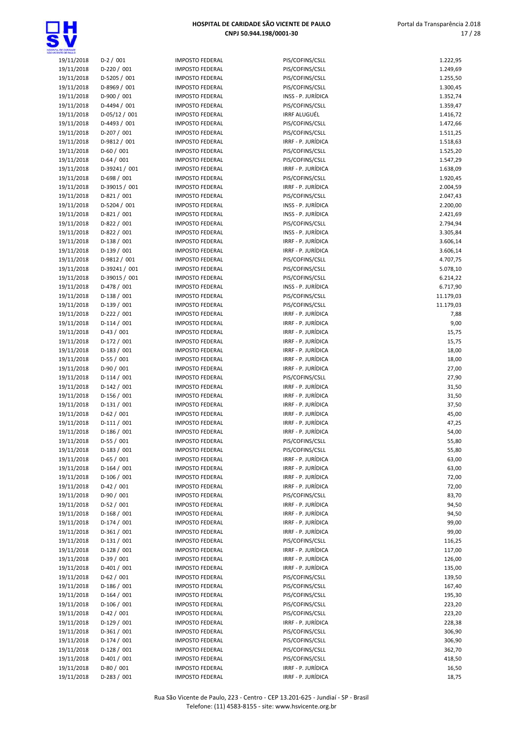

| ta, de candade<br>Cente de failló |               |
|-----------------------------------|---------------|
| 19/11/2018                        | $D-2/001$     |
| 19/11/2018                        | D-220 / 001   |
| 19/11/2018                        | D-5205 / 001  |
| 19/11/2018                        | D-8969 / 001  |
|                                   |               |
| 19/11/2018                        | D-900 / 001   |
| 19/11/2018                        | D-4494 / 001  |
| 19/11/2018                        | D-05/12 / 001 |
| 19/11/2018                        | D-4493 / 001  |
| 19/11/2018                        | D-207 / 001   |
| 19/11/2018                        | D-9812 / 001  |
| 19/11/2018                        | D-60 / 001    |
| 19/11/2018                        | $D-64/001$    |
|                                   |               |
| 19/11/2018                        | D-39241 / 001 |
| 19/11/2018                        | D-698 / 001   |
| 19/11/2018                        | D-39015 / 001 |
| 19/11/2018                        | D-821 / 001   |
| 19/11/2018                        | D-5204 / 001  |
| 19/11/2018                        | D-821 / 001   |
| 19/11/2018                        | D-822 / 001   |
| 19/11/2018                        | D-822 / 001   |
| 19/11/2018                        | $D-138/001$   |
|                                   |               |
| 19/11/2018                        | D-139 / 001   |
| 19/11/2018                        | D-9812 / 001  |
| 19/11/2018                        | D-39241 / 001 |
| 19/11/2018                        | D-39015 / 001 |
| 19/11/2018                        | D-478 / 001   |
| 19/11/2018                        | $D-138/001$   |
| 19/11/2018                        | D-139 / 001   |
| 19/11/2018                        | D-222 / 001   |
| 19/11/2018                        | $D-114 / 001$ |
| 19/11/2018                        | D-43 / 001    |
|                                   |               |
| 19/11/2018                        | D-172 / 001   |
| 19/11/2018                        | D-183 / 001   |
| 19/11/2018                        | $D-55/001$    |
| 19/11/2018                        | D-90 / 001    |
| 19/11/2018                        | $D-114/001$   |
| 19/11/2018                        | $D-142 / 001$ |
| 19/11/2018                        | D-156 / 001   |
| 19/11/2018                        | $D-131/001$   |
| 19/11/2018                        | $D-62 / 001$  |
| 19/11/2018                        |               |
|                                   | D-111 / 001   |
| 19/11/2018                        | D-186 / 001   |
| 19/11/2018                        | D-55 / 001    |
| 19/11/2018                        | D-183 / 001   |
| 19/11/2018                        | D-65 / 001    |
| 19/11/2018                        | $D-164/001$   |
| 19/11/2018                        | D-106 / 001   |
| 19/11/2018                        | D-42 / 001    |
| 19/11/2018                        | D-90 / 001    |
| 19/11/2018                        | $D-52/001$    |
| 19/11/2018                        | D-168 / 001   |
|                                   |               |
| 19/11/2018                        | $D-174/001$   |
| 19/11/2018                        | D-361 / 001   |
| 19/11/2018                        | D-131 / 001   |
| 19/11/2018                        | D-128 / 001   |
| 19/11/2018                        | D-39 / 001    |
| 19/11/2018                        | D-401 / 001   |
| 19/11/2018                        | $D-62 / 001$  |
| 19/11/2018                        | D-186 / 001   |
| 19/11/2018                        | $D-164/001$   |
|                                   | D-106 / 001   |
| 19/11/2018                        |               |
| 19/11/2018                        | $D-42 / 001$  |
| 19/11/2018                        | D-129 / 001   |
| 19/11/2018                        | D-361/001     |
| 19/11/2018                        | D-174 / 001   |
| 19/11/2018                        | D-128 / 001   |
| 19/11/2018                        | D-401 / 001   |
| 19/11/2018                        | D-80 / 001    |
|                                   |               |

| 19/11/2018<br>$D-2/001$<br>PIS/COFINS/CSLL<br><b>IMPOSTO FEDERAL</b><br>19/11/2018<br>$D-220/001$<br>PIS/COFINS/CSLL<br><b>IMPOSTO FEDERAL</b><br>19/11/2018<br>D-5205 / 001<br>PIS/COFINS/CSLL<br><b>IMPOSTO FEDERAL</b><br>D-8969 / 001<br>PIS/COFINS/CSLL<br>19/11/2018<br><b>IMPOSTO FEDERAL</b><br>D-900 / 001<br>INSS - P. JURÍDICA<br>19/11/2018<br><b>IMPOSTO FEDERAL</b><br>D-4494 / 001<br>PIS/COFINS/CSLL<br>19/11/2018<br><b>IMPOSTO FEDERAL</b><br>19/11/2018<br>$D-05/12/001$<br><b>IRRF ALUGUÉL</b><br><b>IMPOSTO FEDERAL</b><br>19/11/2018<br>D-4493 / 001<br>PIS/COFINS/CSLL<br><b>IMPOSTO FEDERAL</b><br>$D-207/001$<br>PIS/COFINS/CSLL<br>19/11/2018<br><b>IMPOSTO FEDERAL</b><br>19/11/2018<br>D-9812 / 001<br>IRRF - P. JURÍDICA<br><b>IMPOSTO FEDERAL</b><br>19/11/2018<br>$D-60/001$<br>PIS/COFINS/CSLL<br><b>IMPOSTO FEDERAL</b><br>19/11/2018<br>$D-64/001$<br>PIS/COFINS/CSLL<br><b>IMPOSTO FEDERAL</b><br>D-39241 / 001<br>IRRF - P. JURÍDICA<br>19/11/2018<br><b>IMPOSTO FEDERAL</b><br>$D-698/001$<br>PIS/COFINS/CSLL<br>19/11/2018<br><b>IMPOSTO FEDERAL</b><br>19/11/2018<br>D-39015 / 001<br>IRRF - P. JURÍDICA<br><b>IMPOSTO FEDERAL</b><br>19/11/2018<br>$D-821/001$<br>PIS/COFINS/CSLL<br><b>IMPOSTO FEDERAL</b><br>19/11/2018<br>D-5204 / 001<br>INSS - P. JURÍDICA<br><b>IMPOSTO FEDERAL</b><br>19/11/2018<br>$D-821/001$<br>INSS - P. JURÍDICA<br><b>IMPOSTO FEDERAL</b><br>19/11/2018<br>D-822 / 001<br>PIS/COFINS/CSLL<br><b>IMPOSTO FEDERAL</b><br>19/11/2018<br>$D-822 / 001$<br>INSS - P. JURÍDICA<br><b>IMPOSTO FEDERAL</b><br>$D-138/001$<br>IRRF - P. JURÍDICA<br>19/11/2018<br><b>IMPOSTO FEDERAL</b><br>19/11/2018<br>$D-139/001$<br>IRRF - P. JURÍDICA<br><b>IMPOSTO FEDERAL</b><br>D-9812 / 001<br>PIS/COFINS/CSLL<br>19/11/2018<br><b>IMPOSTO FEDERAL</b><br>19/11/2018<br>D-39241 / 001<br>PIS/COFINS/CSLL<br><b>IMPOSTO FEDERAL</b><br>19/11/2018<br>D-39015 / 001<br>PIS/COFINS/CSLL<br><b>IMPOSTO FEDERAL</b><br>19/11/2018<br>D-478 / 001<br>INSS - P. JURÍDICA<br><b>IMPOSTO FEDERAL</b><br>19/11/2018<br>$D-138/001$<br>PIS/COFINS/CSLL<br><b>IMPOSTO FEDERAL</b><br>19/11/2018<br>$D-139/001$<br>PIS/COFINS/CSLL<br><b>IMPOSTO FEDERAL</b><br>19/11/2018<br>$D-222 / 001$<br>IRRF - P. JURÍDICA<br><b>IMPOSTO FEDERAL</b><br>$D-114/001$<br>IRRF - P. JURÍDICA<br>19/11/2018<br><b>IMPOSTO FEDERAL</b><br>$D-43 / 001$<br>IRRF - P. JURÍDICA<br>19/11/2018<br><b>IMPOSTO FEDERAL</b><br>19/11/2018<br>$D-172/001$<br>IRRF - P. JURÍDICA<br><b>IMPOSTO FEDERAL</b><br>19/11/2018<br>$D-183 / 001$<br>IRRF - P. JURÍDICA<br><b>IMPOSTO FEDERAL</b><br>19/11/2018<br>$D-55/001$<br>IRRF - P. JURÍDICA<br><b>IMPOSTO FEDERAL</b><br>19/11/2018<br>$D-90/001$<br>IRRF - P. JURÍDICA<br><b>IMPOSTO FEDERAL</b><br>19/11/2018<br>$D-114/001$<br>PIS/COFINS/CSLL<br><b>IMPOSTO FEDERAL</b><br>$D-142 / 001$<br>IRRF - P. JURÍDICA<br>19/11/2018<br><b>IMPOSTO FEDERAL</b><br>$D-156/001$<br>19/11/2018<br>IRRF - P. JURÍDICA<br><b>IMPOSTO FEDERAL</b><br>$D-131/001$<br>IRRF - P. JURÍDICA<br>19/11/2018<br><b>IMPOSTO FEDERAL</b><br>19/11/2018<br>$D-62/001$<br>IRRF - P. JURÍDICA<br><b>IMPOSTO FEDERAL</b><br>$D-111/001$<br>IRRF - P. JURÍDICA<br>19/11/2018<br><b>IMPOSTO FEDERAL</b><br>IRRF - P. JURÍDICA<br>$D-186/001$<br>19/11/2018<br><b>IMPOSTO FEDERAL</b><br>19/11/2018<br>$D-55/001$<br><b>IMPOSTO FEDERAL</b><br>PIS/COFINS/CSLL<br>19/11/2018<br>$D-183/001$<br><b>IMPOSTO FEDERAL</b><br>PIS/COFINS/CSLL<br>$D-65/001$<br>IRRF - P. JURÍDICA<br>19/11/2018<br><b>IMPOSTO FEDERAL</b><br>19/11/2018<br>$D-164/001$<br>IRRF - P. JURÍDICA<br><b>IMPOSTO FEDERAL</b><br>$D-106/001$<br>IRRF - P. JURÍDICA<br>19/11/2018<br><b>IMPOSTO FEDERAL</b><br>$D-42/001$<br>IRRF - P. JURÍDICA<br>19/11/2018<br><b>IMPOSTO FEDERAL</b><br>19/11/2018<br>$D-90/001$<br><b>IMPOSTO FEDERAL</b><br>PIS/COFINS/CSLL<br>19/11/2018<br>$D-52/001$<br>IRRF - P. JURÍDICA<br><b>IMPOSTO FEDERAL</b><br>$D-168/001$<br>IRRF - P. JURÍDICA<br>19/11/2018<br><b>IMPOSTO FEDERAL</b><br>$D-174/001$<br>IRRF - P. JURÍDICA<br>19/11/2018<br><b>IMPOSTO FEDERAL</b><br>$D-361/001$<br>IRRF - P. JURÍDICA<br>19/11/2018<br><b>IMPOSTO FEDERAL</b><br>19/11/2018<br>$D-131/001$<br>PIS/COFINS/CSLL<br><b>IMPOSTO FEDERAL</b><br>$D-128/001$<br>IRRF - P. JURÍDICA<br>19/11/2018<br><b>IMPOSTO FEDERAL</b><br>D-39 / 001<br>IRRF - P. JURÍDICA<br>19/11/2018<br><b>IMPOSTO FEDERAL</b><br>$D-401/001$<br>IRRF - P. JURÍDICA<br>19/11/2018<br><b>IMPOSTO FEDERAL</b><br>$D-62 / 001$<br>19/11/2018<br><b>IMPOSTO FEDERAL</b><br>PIS/COFINS/CSLL<br>$D-186/001$<br>PIS/COFINS/CSLL<br>19/11/2018<br><b>IMPOSTO FEDERAL</b><br>$D-164/001$<br>PIS/COFINS/CSLL<br>19/11/2018<br><b>IMPOSTO FEDERAL</b><br>19/11/2018<br>$D-106/001$<br>PIS/COFINS/CSLL<br><b>IMPOSTO FEDERAL</b><br>$D-42 / 001$<br>19/11/2018<br><b>IMPOSTO FEDERAL</b><br>PIS/COFINS/CSLL<br>19/11/2018<br>$D-129/001$<br>IRRF - P. JURÍDICA<br><b>IMPOSTO FEDERAL</b><br>19/11/2018<br>$D-361/001$<br><b>IMPOSTO FEDERAL</b><br>PIS/COFINS/CSLL<br>19/11/2018<br>$D-174/001$<br>PIS/COFINS/CSLL<br><b>IMPOSTO FEDERAL</b><br>$D-128/001$<br>PIS/COFINS/CSLL<br>19/11/2018<br><b>IMPOSTO FEDERAL</b><br>$D-401/001$<br>PIS/COFINS/CSLL<br>19/11/2018<br><b>IMPOSTO FEDERAL</b><br>19/11/2018<br>$D-80/001$<br>IRRF - P. JURÍDICA<br><b>IMPOSTO FEDERAL</b><br>19/11/2018<br>$D-283 / 001$<br>IRRF - P. JURÍDICA<br><b>IMPOSTO FEDERAL</b> |  |  |                |
|---------------------------------------------------------------------------------------------------------------------------------------------------------------------------------------------------------------------------------------------------------------------------------------------------------------------------------------------------------------------------------------------------------------------------------------------------------------------------------------------------------------------------------------------------------------------------------------------------------------------------------------------------------------------------------------------------------------------------------------------------------------------------------------------------------------------------------------------------------------------------------------------------------------------------------------------------------------------------------------------------------------------------------------------------------------------------------------------------------------------------------------------------------------------------------------------------------------------------------------------------------------------------------------------------------------------------------------------------------------------------------------------------------------------------------------------------------------------------------------------------------------------------------------------------------------------------------------------------------------------------------------------------------------------------------------------------------------------------------------------------------------------------------------------------------------------------------------------------------------------------------------------------------------------------------------------------------------------------------------------------------------------------------------------------------------------------------------------------------------------------------------------------------------------------------------------------------------------------------------------------------------------------------------------------------------------------------------------------------------------------------------------------------------------------------------------------------------------------------------------------------------------------------------------------------------------------------------------------------------------------------------------------------------------------------------------------------------------------------------------------------------------------------------------------------------------------------------------------------------------------------------------------------------------------------------------------------------------------------------------------------------------------------------------------------------------------------------------------------------------------------------------------------------------------------------------------------------------------------------------------------------------------------------------------------------------------------------------------------------------------------------------------------------------------------------------------------------------------------------------------------------------------------------------------------------------------------------------------------------------------------------------------------------------------------------------------------------------------------------------------------------------------------------------------------------------------------------------------------------------------------------------------------------------------------------------------------------------------------------------------------------------------------------------------------------------------------------------------------------------------------------------------------------------------------------------------------------------------------------------------------------------------------------------------------------------------------------------------------------------------------------------------------------------------------------------------------------------------------------------------------------------------------------------------------------------------------------------------------------------------------------------------------------------------------------------------------------------------------------------------------------------------------------------------------------------------------------------------------------------------------------------------------------------------------------------------------------------------------------------------------------------------------------------------------------------------------------------------------------------------------------------------------------------------------------------------------------------------------------------------------------------------------------------------------------------------------------------------------------------------------------------------------------------------------------------------|--|--|----------------|
|                                                                                                                                                                                                                                                                                                                                                                                                                                                                                                                                                                                                                                                                                                                                                                                                                                                                                                                                                                                                                                                                                                                                                                                                                                                                                                                                                                                                                                                                                                                                                                                                                                                                                                                                                                                                                                                                                                                                                                                                                                                                                                                                                                                                                                                                                                                                                                                                                                                                                                                                                                                                                                                                                                                                                                                                                                                                                                                                                                                                                                                                                                                                                                                                                                                                                                                                                                                                                                                                                                                                                                                                                                                                                                                                                                                                                                                                                                                                                                                                                                                                                                                                                                                                                                                                                                                                                                                                                                                                                                                                                                                                                                                                                                                                                                                                                                                                                                                                                                                                                                                                                                                                                                                                                                                                                                                                                                                                                                                   |  |  | 1.222,95       |
|                                                                                                                                                                                                                                                                                                                                                                                                                                                                                                                                                                                                                                                                                                                                                                                                                                                                                                                                                                                                                                                                                                                                                                                                                                                                                                                                                                                                                                                                                                                                                                                                                                                                                                                                                                                                                                                                                                                                                                                                                                                                                                                                                                                                                                                                                                                                                                                                                                                                                                                                                                                                                                                                                                                                                                                                                                                                                                                                                                                                                                                                                                                                                                                                                                                                                                                                                                                                                                                                                                                                                                                                                                                                                                                                                                                                                                                                                                                                                                                                                                                                                                                                                                                                                                                                                                                                                                                                                                                                                                                                                                                                                                                                                                                                                                                                                                                                                                                                                                                                                                                                                                                                                                                                                                                                                                                                                                                                                                                   |  |  | 1.249,69       |
|                                                                                                                                                                                                                                                                                                                                                                                                                                                                                                                                                                                                                                                                                                                                                                                                                                                                                                                                                                                                                                                                                                                                                                                                                                                                                                                                                                                                                                                                                                                                                                                                                                                                                                                                                                                                                                                                                                                                                                                                                                                                                                                                                                                                                                                                                                                                                                                                                                                                                                                                                                                                                                                                                                                                                                                                                                                                                                                                                                                                                                                                                                                                                                                                                                                                                                                                                                                                                                                                                                                                                                                                                                                                                                                                                                                                                                                                                                                                                                                                                                                                                                                                                                                                                                                                                                                                                                                                                                                                                                                                                                                                                                                                                                                                                                                                                                                                                                                                                                                                                                                                                                                                                                                                                                                                                                                                                                                                                                                   |  |  | 1.255,50       |
|                                                                                                                                                                                                                                                                                                                                                                                                                                                                                                                                                                                                                                                                                                                                                                                                                                                                                                                                                                                                                                                                                                                                                                                                                                                                                                                                                                                                                                                                                                                                                                                                                                                                                                                                                                                                                                                                                                                                                                                                                                                                                                                                                                                                                                                                                                                                                                                                                                                                                                                                                                                                                                                                                                                                                                                                                                                                                                                                                                                                                                                                                                                                                                                                                                                                                                                                                                                                                                                                                                                                                                                                                                                                                                                                                                                                                                                                                                                                                                                                                                                                                                                                                                                                                                                                                                                                                                                                                                                                                                                                                                                                                                                                                                                                                                                                                                                                                                                                                                                                                                                                                                                                                                                                                                                                                                                                                                                                                                                   |  |  | 1.300,45       |
|                                                                                                                                                                                                                                                                                                                                                                                                                                                                                                                                                                                                                                                                                                                                                                                                                                                                                                                                                                                                                                                                                                                                                                                                                                                                                                                                                                                                                                                                                                                                                                                                                                                                                                                                                                                                                                                                                                                                                                                                                                                                                                                                                                                                                                                                                                                                                                                                                                                                                                                                                                                                                                                                                                                                                                                                                                                                                                                                                                                                                                                                                                                                                                                                                                                                                                                                                                                                                                                                                                                                                                                                                                                                                                                                                                                                                                                                                                                                                                                                                                                                                                                                                                                                                                                                                                                                                                                                                                                                                                                                                                                                                                                                                                                                                                                                                                                                                                                                                                                                                                                                                                                                                                                                                                                                                                                                                                                                                                                   |  |  | 1.352,74       |
|                                                                                                                                                                                                                                                                                                                                                                                                                                                                                                                                                                                                                                                                                                                                                                                                                                                                                                                                                                                                                                                                                                                                                                                                                                                                                                                                                                                                                                                                                                                                                                                                                                                                                                                                                                                                                                                                                                                                                                                                                                                                                                                                                                                                                                                                                                                                                                                                                                                                                                                                                                                                                                                                                                                                                                                                                                                                                                                                                                                                                                                                                                                                                                                                                                                                                                                                                                                                                                                                                                                                                                                                                                                                                                                                                                                                                                                                                                                                                                                                                                                                                                                                                                                                                                                                                                                                                                                                                                                                                                                                                                                                                                                                                                                                                                                                                                                                                                                                                                                                                                                                                                                                                                                                                                                                                                                                                                                                                                                   |  |  | 1.359,47       |
|                                                                                                                                                                                                                                                                                                                                                                                                                                                                                                                                                                                                                                                                                                                                                                                                                                                                                                                                                                                                                                                                                                                                                                                                                                                                                                                                                                                                                                                                                                                                                                                                                                                                                                                                                                                                                                                                                                                                                                                                                                                                                                                                                                                                                                                                                                                                                                                                                                                                                                                                                                                                                                                                                                                                                                                                                                                                                                                                                                                                                                                                                                                                                                                                                                                                                                                                                                                                                                                                                                                                                                                                                                                                                                                                                                                                                                                                                                                                                                                                                                                                                                                                                                                                                                                                                                                                                                                                                                                                                                                                                                                                                                                                                                                                                                                                                                                                                                                                                                                                                                                                                                                                                                                                                                                                                                                                                                                                                                                   |  |  | 1.416,72       |
|                                                                                                                                                                                                                                                                                                                                                                                                                                                                                                                                                                                                                                                                                                                                                                                                                                                                                                                                                                                                                                                                                                                                                                                                                                                                                                                                                                                                                                                                                                                                                                                                                                                                                                                                                                                                                                                                                                                                                                                                                                                                                                                                                                                                                                                                                                                                                                                                                                                                                                                                                                                                                                                                                                                                                                                                                                                                                                                                                                                                                                                                                                                                                                                                                                                                                                                                                                                                                                                                                                                                                                                                                                                                                                                                                                                                                                                                                                                                                                                                                                                                                                                                                                                                                                                                                                                                                                                                                                                                                                                                                                                                                                                                                                                                                                                                                                                                                                                                                                                                                                                                                                                                                                                                                                                                                                                                                                                                                                                   |  |  | 1.472,66       |
|                                                                                                                                                                                                                                                                                                                                                                                                                                                                                                                                                                                                                                                                                                                                                                                                                                                                                                                                                                                                                                                                                                                                                                                                                                                                                                                                                                                                                                                                                                                                                                                                                                                                                                                                                                                                                                                                                                                                                                                                                                                                                                                                                                                                                                                                                                                                                                                                                                                                                                                                                                                                                                                                                                                                                                                                                                                                                                                                                                                                                                                                                                                                                                                                                                                                                                                                                                                                                                                                                                                                                                                                                                                                                                                                                                                                                                                                                                                                                                                                                                                                                                                                                                                                                                                                                                                                                                                                                                                                                                                                                                                                                                                                                                                                                                                                                                                                                                                                                                                                                                                                                                                                                                                                                                                                                                                                                                                                                                                   |  |  | 1.511,25       |
|                                                                                                                                                                                                                                                                                                                                                                                                                                                                                                                                                                                                                                                                                                                                                                                                                                                                                                                                                                                                                                                                                                                                                                                                                                                                                                                                                                                                                                                                                                                                                                                                                                                                                                                                                                                                                                                                                                                                                                                                                                                                                                                                                                                                                                                                                                                                                                                                                                                                                                                                                                                                                                                                                                                                                                                                                                                                                                                                                                                                                                                                                                                                                                                                                                                                                                                                                                                                                                                                                                                                                                                                                                                                                                                                                                                                                                                                                                                                                                                                                                                                                                                                                                                                                                                                                                                                                                                                                                                                                                                                                                                                                                                                                                                                                                                                                                                                                                                                                                                                                                                                                                                                                                                                                                                                                                                                                                                                                                                   |  |  | 1.518,63       |
|                                                                                                                                                                                                                                                                                                                                                                                                                                                                                                                                                                                                                                                                                                                                                                                                                                                                                                                                                                                                                                                                                                                                                                                                                                                                                                                                                                                                                                                                                                                                                                                                                                                                                                                                                                                                                                                                                                                                                                                                                                                                                                                                                                                                                                                                                                                                                                                                                                                                                                                                                                                                                                                                                                                                                                                                                                                                                                                                                                                                                                                                                                                                                                                                                                                                                                                                                                                                                                                                                                                                                                                                                                                                                                                                                                                                                                                                                                                                                                                                                                                                                                                                                                                                                                                                                                                                                                                                                                                                                                                                                                                                                                                                                                                                                                                                                                                                                                                                                                                                                                                                                                                                                                                                                                                                                                                                                                                                                                                   |  |  | 1.525,20       |
|                                                                                                                                                                                                                                                                                                                                                                                                                                                                                                                                                                                                                                                                                                                                                                                                                                                                                                                                                                                                                                                                                                                                                                                                                                                                                                                                                                                                                                                                                                                                                                                                                                                                                                                                                                                                                                                                                                                                                                                                                                                                                                                                                                                                                                                                                                                                                                                                                                                                                                                                                                                                                                                                                                                                                                                                                                                                                                                                                                                                                                                                                                                                                                                                                                                                                                                                                                                                                                                                                                                                                                                                                                                                                                                                                                                                                                                                                                                                                                                                                                                                                                                                                                                                                                                                                                                                                                                                                                                                                                                                                                                                                                                                                                                                                                                                                                                                                                                                                                                                                                                                                                                                                                                                                                                                                                                                                                                                                                                   |  |  | 1.547,29       |
|                                                                                                                                                                                                                                                                                                                                                                                                                                                                                                                                                                                                                                                                                                                                                                                                                                                                                                                                                                                                                                                                                                                                                                                                                                                                                                                                                                                                                                                                                                                                                                                                                                                                                                                                                                                                                                                                                                                                                                                                                                                                                                                                                                                                                                                                                                                                                                                                                                                                                                                                                                                                                                                                                                                                                                                                                                                                                                                                                                                                                                                                                                                                                                                                                                                                                                                                                                                                                                                                                                                                                                                                                                                                                                                                                                                                                                                                                                                                                                                                                                                                                                                                                                                                                                                                                                                                                                                                                                                                                                                                                                                                                                                                                                                                                                                                                                                                                                                                                                                                                                                                                                                                                                                                                                                                                                                                                                                                                                                   |  |  | 1.638,09       |
|                                                                                                                                                                                                                                                                                                                                                                                                                                                                                                                                                                                                                                                                                                                                                                                                                                                                                                                                                                                                                                                                                                                                                                                                                                                                                                                                                                                                                                                                                                                                                                                                                                                                                                                                                                                                                                                                                                                                                                                                                                                                                                                                                                                                                                                                                                                                                                                                                                                                                                                                                                                                                                                                                                                                                                                                                                                                                                                                                                                                                                                                                                                                                                                                                                                                                                                                                                                                                                                                                                                                                                                                                                                                                                                                                                                                                                                                                                                                                                                                                                                                                                                                                                                                                                                                                                                                                                                                                                                                                                                                                                                                                                                                                                                                                                                                                                                                                                                                                                                                                                                                                                                                                                                                                                                                                                                                                                                                                                                   |  |  | 1.920,45       |
|                                                                                                                                                                                                                                                                                                                                                                                                                                                                                                                                                                                                                                                                                                                                                                                                                                                                                                                                                                                                                                                                                                                                                                                                                                                                                                                                                                                                                                                                                                                                                                                                                                                                                                                                                                                                                                                                                                                                                                                                                                                                                                                                                                                                                                                                                                                                                                                                                                                                                                                                                                                                                                                                                                                                                                                                                                                                                                                                                                                                                                                                                                                                                                                                                                                                                                                                                                                                                                                                                                                                                                                                                                                                                                                                                                                                                                                                                                                                                                                                                                                                                                                                                                                                                                                                                                                                                                                                                                                                                                                                                                                                                                                                                                                                                                                                                                                                                                                                                                                                                                                                                                                                                                                                                                                                                                                                                                                                                                                   |  |  | 2.004,59       |
|                                                                                                                                                                                                                                                                                                                                                                                                                                                                                                                                                                                                                                                                                                                                                                                                                                                                                                                                                                                                                                                                                                                                                                                                                                                                                                                                                                                                                                                                                                                                                                                                                                                                                                                                                                                                                                                                                                                                                                                                                                                                                                                                                                                                                                                                                                                                                                                                                                                                                                                                                                                                                                                                                                                                                                                                                                                                                                                                                                                                                                                                                                                                                                                                                                                                                                                                                                                                                                                                                                                                                                                                                                                                                                                                                                                                                                                                                                                                                                                                                                                                                                                                                                                                                                                                                                                                                                                                                                                                                                                                                                                                                                                                                                                                                                                                                                                                                                                                                                                                                                                                                                                                                                                                                                                                                                                                                                                                                                                   |  |  | 2.047,43       |
|                                                                                                                                                                                                                                                                                                                                                                                                                                                                                                                                                                                                                                                                                                                                                                                                                                                                                                                                                                                                                                                                                                                                                                                                                                                                                                                                                                                                                                                                                                                                                                                                                                                                                                                                                                                                                                                                                                                                                                                                                                                                                                                                                                                                                                                                                                                                                                                                                                                                                                                                                                                                                                                                                                                                                                                                                                                                                                                                                                                                                                                                                                                                                                                                                                                                                                                                                                                                                                                                                                                                                                                                                                                                                                                                                                                                                                                                                                                                                                                                                                                                                                                                                                                                                                                                                                                                                                                                                                                                                                                                                                                                                                                                                                                                                                                                                                                                                                                                                                                                                                                                                                                                                                                                                                                                                                                                                                                                                                                   |  |  | 2.200,00       |
|                                                                                                                                                                                                                                                                                                                                                                                                                                                                                                                                                                                                                                                                                                                                                                                                                                                                                                                                                                                                                                                                                                                                                                                                                                                                                                                                                                                                                                                                                                                                                                                                                                                                                                                                                                                                                                                                                                                                                                                                                                                                                                                                                                                                                                                                                                                                                                                                                                                                                                                                                                                                                                                                                                                                                                                                                                                                                                                                                                                                                                                                                                                                                                                                                                                                                                                                                                                                                                                                                                                                                                                                                                                                                                                                                                                                                                                                                                                                                                                                                                                                                                                                                                                                                                                                                                                                                                                                                                                                                                                                                                                                                                                                                                                                                                                                                                                                                                                                                                                                                                                                                                                                                                                                                                                                                                                                                                                                                                                   |  |  | 2.421,69       |
|                                                                                                                                                                                                                                                                                                                                                                                                                                                                                                                                                                                                                                                                                                                                                                                                                                                                                                                                                                                                                                                                                                                                                                                                                                                                                                                                                                                                                                                                                                                                                                                                                                                                                                                                                                                                                                                                                                                                                                                                                                                                                                                                                                                                                                                                                                                                                                                                                                                                                                                                                                                                                                                                                                                                                                                                                                                                                                                                                                                                                                                                                                                                                                                                                                                                                                                                                                                                                                                                                                                                                                                                                                                                                                                                                                                                                                                                                                                                                                                                                                                                                                                                                                                                                                                                                                                                                                                                                                                                                                                                                                                                                                                                                                                                                                                                                                                                                                                                                                                                                                                                                                                                                                                                                                                                                                                                                                                                                                                   |  |  | 2.794,94       |
|                                                                                                                                                                                                                                                                                                                                                                                                                                                                                                                                                                                                                                                                                                                                                                                                                                                                                                                                                                                                                                                                                                                                                                                                                                                                                                                                                                                                                                                                                                                                                                                                                                                                                                                                                                                                                                                                                                                                                                                                                                                                                                                                                                                                                                                                                                                                                                                                                                                                                                                                                                                                                                                                                                                                                                                                                                                                                                                                                                                                                                                                                                                                                                                                                                                                                                                                                                                                                                                                                                                                                                                                                                                                                                                                                                                                                                                                                                                                                                                                                                                                                                                                                                                                                                                                                                                                                                                                                                                                                                                                                                                                                                                                                                                                                                                                                                                                                                                                                                                                                                                                                                                                                                                                                                                                                                                                                                                                                                                   |  |  | 3.305,84       |
|                                                                                                                                                                                                                                                                                                                                                                                                                                                                                                                                                                                                                                                                                                                                                                                                                                                                                                                                                                                                                                                                                                                                                                                                                                                                                                                                                                                                                                                                                                                                                                                                                                                                                                                                                                                                                                                                                                                                                                                                                                                                                                                                                                                                                                                                                                                                                                                                                                                                                                                                                                                                                                                                                                                                                                                                                                                                                                                                                                                                                                                                                                                                                                                                                                                                                                                                                                                                                                                                                                                                                                                                                                                                                                                                                                                                                                                                                                                                                                                                                                                                                                                                                                                                                                                                                                                                                                                                                                                                                                                                                                                                                                                                                                                                                                                                                                                                                                                                                                                                                                                                                                                                                                                                                                                                                                                                                                                                                                                   |  |  | 3.606,14       |
|                                                                                                                                                                                                                                                                                                                                                                                                                                                                                                                                                                                                                                                                                                                                                                                                                                                                                                                                                                                                                                                                                                                                                                                                                                                                                                                                                                                                                                                                                                                                                                                                                                                                                                                                                                                                                                                                                                                                                                                                                                                                                                                                                                                                                                                                                                                                                                                                                                                                                                                                                                                                                                                                                                                                                                                                                                                                                                                                                                                                                                                                                                                                                                                                                                                                                                                                                                                                                                                                                                                                                                                                                                                                                                                                                                                                                                                                                                                                                                                                                                                                                                                                                                                                                                                                                                                                                                                                                                                                                                                                                                                                                                                                                                                                                                                                                                                                                                                                                                                                                                                                                                                                                                                                                                                                                                                                                                                                                                                   |  |  | 3.606,14       |
|                                                                                                                                                                                                                                                                                                                                                                                                                                                                                                                                                                                                                                                                                                                                                                                                                                                                                                                                                                                                                                                                                                                                                                                                                                                                                                                                                                                                                                                                                                                                                                                                                                                                                                                                                                                                                                                                                                                                                                                                                                                                                                                                                                                                                                                                                                                                                                                                                                                                                                                                                                                                                                                                                                                                                                                                                                                                                                                                                                                                                                                                                                                                                                                                                                                                                                                                                                                                                                                                                                                                                                                                                                                                                                                                                                                                                                                                                                                                                                                                                                                                                                                                                                                                                                                                                                                                                                                                                                                                                                                                                                                                                                                                                                                                                                                                                                                                                                                                                                                                                                                                                                                                                                                                                                                                                                                                                                                                                                                   |  |  | 4.707,75       |
|                                                                                                                                                                                                                                                                                                                                                                                                                                                                                                                                                                                                                                                                                                                                                                                                                                                                                                                                                                                                                                                                                                                                                                                                                                                                                                                                                                                                                                                                                                                                                                                                                                                                                                                                                                                                                                                                                                                                                                                                                                                                                                                                                                                                                                                                                                                                                                                                                                                                                                                                                                                                                                                                                                                                                                                                                                                                                                                                                                                                                                                                                                                                                                                                                                                                                                                                                                                                                                                                                                                                                                                                                                                                                                                                                                                                                                                                                                                                                                                                                                                                                                                                                                                                                                                                                                                                                                                                                                                                                                                                                                                                                                                                                                                                                                                                                                                                                                                                                                                                                                                                                                                                                                                                                                                                                                                                                                                                                                                   |  |  | 5.078,10       |
|                                                                                                                                                                                                                                                                                                                                                                                                                                                                                                                                                                                                                                                                                                                                                                                                                                                                                                                                                                                                                                                                                                                                                                                                                                                                                                                                                                                                                                                                                                                                                                                                                                                                                                                                                                                                                                                                                                                                                                                                                                                                                                                                                                                                                                                                                                                                                                                                                                                                                                                                                                                                                                                                                                                                                                                                                                                                                                                                                                                                                                                                                                                                                                                                                                                                                                                                                                                                                                                                                                                                                                                                                                                                                                                                                                                                                                                                                                                                                                                                                                                                                                                                                                                                                                                                                                                                                                                                                                                                                                                                                                                                                                                                                                                                                                                                                                                                                                                                                                                                                                                                                                                                                                                                                                                                                                                                                                                                                                                   |  |  | 6.214,22       |
|                                                                                                                                                                                                                                                                                                                                                                                                                                                                                                                                                                                                                                                                                                                                                                                                                                                                                                                                                                                                                                                                                                                                                                                                                                                                                                                                                                                                                                                                                                                                                                                                                                                                                                                                                                                                                                                                                                                                                                                                                                                                                                                                                                                                                                                                                                                                                                                                                                                                                                                                                                                                                                                                                                                                                                                                                                                                                                                                                                                                                                                                                                                                                                                                                                                                                                                                                                                                                                                                                                                                                                                                                                                                                                                                                                                                                                                                                                                                                                                                                                                                                                                                                                                                                                                                                                                                                                                                                                                                                                                                                                                                                                                                                                                                                                                                                                                                                                                                                                                                                                                                                                                                                                                                                                                                                                                                                                                                                                                   |  |  | 6.717,90       |
|                                                                                                                                                                                                                                                                                                                                                                                                                                                                                                                                                                                                                                                                                                                                                                                                                                                                                                                                                                                                                                                                                                                                                                                                                                                                                                                                                                                                                                                                                                                                                                                                                                                                                                                                                                                                                                                                                                                                                                                                                                                                                                                                                                                                                                                                                                                                                                                                                                                                                                                                                                                                                                                                                                                                                                                                                                                                                                                                                                                                                                                                                                                                                                                                                                                                                                                                                                                                                                                                                                                                                                                                                                                                                                                                                                                                                                                                                                                                                                                                                                                                                                                                                                                                                                                                                                                                                                                                                                                                                                                                                                                                                                                                                                                                                                                                                                                                                                                                                                                                                                                                                                                                                                                                                                                                                                                                                                                                                                                   |  |  | 11.179,03      |
|                                                                                                                                                                                                                                                                                                                                                                                                                                                                                                                                                                                                                                                                                                                                                                                                                                                                                                                                                                                                                                                                                                                                                                                                                                                                                                                                                                                                                                                                                                                                                                                                                                                                                                                                                                                                                                                                                                                                                                                                                                                                                                                                                                                                                                                                                                                                                                                                                                                                                                                                                                                                                                                                                                                                                                                                                                                                                                                                                                                                                                                                                                                                                                                                                                                                                                                                                                                                                                                                                                                                                                                                                                                                                                                                                                                                                                                                                                                                                                                                                                                                                                                                                                                                                                                                                                                                                                                                                                                                                                                                                                                                                                                                                                                                                                                                                                                                                                                                                                                                                                                                                                                                                                                                                                                                                                                                                                                                                                                   |  |  | 11.179,03      |
|                                                                                                                                                                                                                                                                                                                                                                                                                                                                                                                                                                                                                                                                                                                                                                                                                                                                                                                                                                                                                                                                                                                                                                                                                                                                                                                                                                                                                                                                                                                                                                                                                                                                                                                                                                                                                                                                                                                                                                                                                                                                                                                                                                                                                                                                                                                                                                                                                                                                                                                                                                                                                                                                                                                                                                                                                                                                                                                                                                                                                                                                                                                                                                                                                                                                                                                                                                                                                                                                                                                                                                                                                                                                                                                                                                                                                                                                                                                                                                                                                                                                                                                                                                                                                                                                                                                                                                                                                                                                                                                                                                                                                                                                                                                                                                                                                                                                                                                                                                                                                                                                                                                                                                                                                                                                                                                                                                                                                                                   |  |  | 7,88           |
|                                                                                                                                                                                                                                                                                                                                                                                                                                                                                                                                                                                                                                                                                                                                                                                                                                                                                                                                                                                                                                                                                                                                                                                                                                                                                                                                                                                                                                                                                                                                                                                                                                                                                                                                                                                                                                                                                                                                                                                                                                                                                                                                                                                                                                                                                                                                                                                                                                                                                                                                                                                                                                                                                                                                                                                                                                                                                                                                                                                                                                                                                                                                                                                                                                                                                                                                                                                                                                                                                                                                                                                                                                                                                                                                                                                                                                                                                                                                                                                                                                                                                                                                                                                                                                                                                                                                                                                                                                                                                                                                                                                                                                                                                                                                                                                                                                                                                                                                                                                                                                                                                                                                                                                                                                                                                                                                                                                                                                                   |  |  | 9,00           |
|                                                                                                                                                                                                                                                                                                                                                                                                                                                                                                                                                                                                                                                                                                                                                                                                                                                                                                                                                                                                                                                                                                                                                                                                                                                                                                                                                                                                                                                                                                                                                                                                                                                                                                                                                                                                                                                                                                                                                                                                                                                                                                                                                                                                                                                                                                                                                                                                                                                                                                                                                                                                                                                                                                                                                                                                                                                                                                                                                                                                                                                                                                                                                                                                                                                                                                                                                                                                                                                                                                                                                                                                                                                                                                                                                                                                                                                                                                                                                                                                                                                                                                                                                                                                                                                                                                                                                                                                                                                                                                                                                                                                                                                                                                                                                                                                                                                                                                                                                                                                                                                                                                                                                                                                                                                                                                                                                                                                                                                   |  |  | 15,75          |
|                                                                                                                                                                                                                                                                                                                                                                                                                                                                                                                                                                                                                                                                                                                                                                                                                                                                                                                                                                                                                                                                                                                                                                                                                                                                                                                                                                                                                                                                                                                                                                                                                                                                                                                                                                                                                                                                                                                                                                                                                                                                                                                                                                                                                                                                                                                                                                                                                                                                                                                                                                                                                                                                                                                                                                                                                                                                                                                                                                                                                                                                                                                                                                                                                                                                                                                                                                                                                                                                                                                                                                                                                                                                                                                                                                                                                                                                                                                                                                                                                                                                                                                                                                                                                                                                                                                                                                                                                                                                                                                                                                                                                                                                                                                                                                                                                                                                                                                                                                                                                                                                                                                                                                                                                                                                                                                                                                                                                                                   |  |  | 15,75          |
|                                                                                                                                                                                                                                                                                                                                                                                                                                                                                                                                                                                                                                                                                                                                                                                                                                                                                                                                                                                                                                                                                                                                                                                                                                                                                                                                                                                                                                                                                                                                                                                                                                                                                                                                                                                                                                                                                                                                                                                                                                                                                                                                                                                                                                                                                                                                                                                                                                                                                                                                                                                                                                                                                                                                                                                                                                                                                                                                                                                                                                                                                                                                                                                                                                                                                                                                                                                                                                                                                                                                                                                                                                                                                                                                                                                                                                                                                                                                                                                                                                                                                                                                                                                                                                                                                                                                                                                                                                                                                                                                                                                                                                                                                                                                                                                                                                                                                                                                                                                                                                                                                                                                                                                                                                                                                                                                                                                                                                                   |  |  | 18,00<br>18,00 |
|                                                                                                                                                                                                                                                                                                                                                                                                                                                                                                                                                                                                                                                                                                                                                                                                                                                                                                                                                                                                                                                                                                                                                                                                                                                                                                                                                                                                                                                                                                                                                                                                                                                                                                                                                                                                                                                                                                                                                                                                                                                                                                                                                                                                                                                                                                                                                                                                                                                                                                                                                                                                                                                                                                                                                                                                                                                                                                                                                                                                                                                                                                                                                                                                                                                                                                                                                                                                                                                                                                                                                                                                                                                                                                                                                                                                                                                                                                                                                                                                                                                                                                                                                                                                                                                                                                                                                                                                                                                                                                                                                                                                                                                                                                                                                                                                                                                                                                                                                                                                                                                                                                                                                                                                                                                                                                                                                                                                                                                   |  |  | 27,00          |
|                                                                                                                                                                                                                                                                                                                                                                                                                                                                                                                                                                                                                                                                                                                                                                                                                                                                                                                                                                                                                                                                                                                                                                                                                                                                                                                                                                                                                                                                                                                                                                                                                                                                                                                                                                                                                                                                                                                                                                                                                                                                                                                                                                                                                                                                                                                                                                                                                                                                                                                                                                                                                                                                                                                                                                                                                                                                                                                                                                                                                                                                                                                                                                                                                                                                                                                                                                                                                                                                                                                                                                                                                                                                                                                                                                                                                                                                                                                                                                                                                                                                                                                                                                                                                                                                                                                                                                                                                                                                                                                                                                                                                                                                                                                                                                                                                                                                                                                                                                                                                                                                                                                                                                                                                                                                                                                                                                                                                                                   |  |  | 27,90          |
|                                                                                                                                                                                                                                                                                                                                                                                                                                                                                                                                                                                                                                                                                                                                                                                                                                                                                                                                                                                                                                                                                                                                                                                                                                                                                                                                                                                                                                                                                                                                                                                                                                                                                                                                                                                                                                                                                                                                                                                                                                                                                                                                                                                                                                                                                                                                                                                                                                                                                                                                                                                                                                                                                                                                                                                                                                                                                                                                                                                                                                                                                                                                                                                                                                                                                                                                                                                                                                                                                                                                                                                                                                                                                                                                                                                                                                                                                                                                                                                                                                                                                                                                                                                                                                                                                                                                                                                                                                                                                                                                                                                                                                                                                                                                                                                                                                                                                                                                                                                                                                                                                                                                                                                                                                                                                                                                                                                                                                                   |  |  | 31,50          |
|                                                                                                                                                                                                                                                                                                                                                                                                                                                                                                                                                                                                                                                                                                                                                                                                                                                                                                                                                                                                                                                                                                                                                                                                                                                                                                                                                                                                                                                                                                                                                                                                                                                                                                                                                                                                                                                                                                                                                                                                                                                                                                                                                                                                                                                                                                                                                                                                                                                                                                                                                                                                                                                                                                                                                                                                                                                                                                                                                                                                                                                                                                                                                                                                                                                                                                                                                                                                                                                                                                                                                                                                                                                                                                                                                                                                                                                                                                                                                                                                                                                                                                                                                                                                                                                                                                                                                                                                                                                                                                                                                                                                                                                                                                                                                                                                                                                                                                                                                                                                                                                                                                                                                                                                                                                                                                                                                                                                                                                   |  |  | 31,50          |
|                                                                                                                                                                                                                                                                                                                                                                                                                                                                                                                                                                                                                                                                                                                                                                                                                                                                                                                                                                                                                                                                                                                                                                                                                                                                                                                                                                                                                                                                                                                                                                                                                                                                                                                                                                                                                                                                                                                                                                                                                                                                                                                                                                                                                                                                                                                                                                                                                                                                                                                                                                                                                                                                                                                                                                                                                                                                                                                                                                                                                                                                                                                                                                                                                                                                                                                                                                                                                                                                                                                                                                                                                                                                                                                                                                                                                                                                                                                                                                                                                                                                                                                                                                                                                                                                                                                                                                                                                                                                                                                                                                                                                                                                                                                                                                                                                                                                                                                                                                                                                                                                                                                                                                                                                                                                                                                                                                                                                                                   |  |  | 37,50          |
|                                                                                                                                                                                                                                                                                                                                                                                                                                                                                                                                                                                                                                                                                                                                                                                                                                                                                                                                                                                                                                                                                                                                                                                                                                                                                                                                                                                                                                                                                                                                                                                                                                                                                                                                                                                                                                                                                                                                                                                                                                                                                                                                                                                                                                                                                                                                                                                                                                                                                                                                                                                                                                                                                                                                                                                                                                                                                                                                                                                                                                                                                                                                                                                                                                                                                                                                                                                                                                                                                                                                                                                                                                                                                                                                                                                                                                                                                                                                                                                                                                                                                                                                                                                                                                                                                                                                                                                                                                                                                                                                                                                                                                                                                                                                                                                                                                                                                                                                                                                                                                                                                                                                                                                                                                                                                                                                                                                                                                                   |  |  | 45,00          |
|                                                                                                                                                                                                                                                                                                                                                                                                                                                                                                                                                                                                                                                                                                                                                                                                                                                                                                                                                                                                                                                                                                                                                                                                                                                                                                                                                                                                                                                                                                                                                                                                                                                                                                                                                                                                                                                                                                                                                                                                                                                                                                                                                                                                                                                                                                                                                                                                                                                                                                                                                                                                                                                                                                                                                                                                                                                                                                                                                                                                                                                                                                                                                                                                                                                                                                                                                                                                                                                                                                                                                                                                                                                                                                                                                                                                                                                                                                                                                                                                                                                                                                                                                                                                                                                                                                                                                                                                                                                                                                                                                                                                                                                                                                                                                                                                                                                                                                                                                                                                                                                                                                                                                                                                                                                                                                                                                                                                                                                   |  |  | 47,25          |
|                                                                                                                                                                                                                                                                                                                                                                                                                                                                                                                                                                                                                                                                                                                                                                                                                                                                                                                                                                                                                                                                                                                                                                                                                                                                                                                                                                                                                                                                                                                                                                                                                                                                                                                                                                                                                                                                                                                                                                                                                                                                                                                                                                                                                                                                                                                                                                                                                                                                                                                                                                                                                                                                                                                                                                                                                                                                                                                                                                                                                                                                                                                                                                                                                                                                                                                                                                                                                                                                                                                                                                                                                                                                                                                                                                                                                                                                                                                                                                                                                                                                                                                                                                                                                                                                                                                                                                                                                                                                                                                                                                                                                                                                                                                                                                                                                                                                                                                                                                                                                                                                                                                                                                                                                                                                                                                                                                                                                                                   |  |  | 54,00          |
|                                                                                                                                                                                                                                                                                                                                                                                                                                                                                                                                                                                                                                                                                                                                                                                                                                                                                                                                                                                                                                                                                                                                                                                                                                                                                                                                                                                                                                                                                                                                                                                                                                                                                                                                                                                                                                                                                                                                                                                                                                                                                                                                                                                                                                                                                                                                                                                                                                                                                                                                                                                                                                                                                                                                                                                                                                                                                                                                                                                                                                                                                                                                                                                                                                                                                                                                                                                                                                                                                                                                                                                                                                                                                                                                                                                                                                                                                                                                                                                                                                                                                                                                                                                                                                                                                                                                                                                                                                                                                                                                                                                                                                                                                                                                                                                                                                                                                                                                                                                                                                                                                                                                                                                                                                                                                                                                                                                                                                                   |  |  | 55,80          |
|                                                                                                                                                                                                                                                                                                                                                                                                                                                                                                                                                                                                                                                                                                                                                                                                                                                                                                                                                                                                                                                                                                                                                                                                                                                                                                                                                                                                                                                                                                                                                                                                                                                                                                                                                                                                                                                                                                                                                                                                                                                                                                                                                                                                                                                                                                                                                                                                                                                                                                                                                                                                                                                                                                                                                                                                                                                                                                                                                                                                                                                                                                                                                                                                                                                                                                                                                                                                                                                                                                                                                                                                                                                                                                                                                                                                                                                                                                                                                                                                                                                                                                                                                                                                                                                                                                                                                                                                                                                                                                                                                                                                                                                                                                                                                                                                                                                                                                                                                                                                                                                                                                                                                                                                                                                                                                                                                                                                                                                   |  |  | 55,80          |
|                                                                                                                                                                                                                                                                                                                                                                                                                                                                                                                                                                                                                                                                                                                                                                                                                                                                                                                                                                                                                                                                                                                                                                                                                                                                                                                                                                                                                                                                                                                                                                                                                                                                                                                                                                                                                                                                                                                                                                                                                                                                                                                                                                                                                                                                                                                                                                                                                                                                                                                                                                                                                                                                                                                                                                                                                                                                                                                                                                                                                                                                                                                                                                                                                                                                                                                                                                                                                                                                                                                                                                                                                                                                                                                                                                                                                                                                                                                                                                                                                                                                                                                                                                                                                                                                                                                                                                                                                                                                                                                                                                                                                                                                                                                                                                                                                                                                                                                                                                                                                                                                                                                                                                                                                                                                                                                                                                                                                                                   |  |  | 63,00          |
|                                                                                                                                                                                                                                                                                                                                                                                                                                                                                                                                                                                                                                                                                                                                                                                                                                                                                                                                                                                                                                                                                                                                                                                                                                                                                                                                                                                                                                                                                                                                                                                                                                                                                                                                                                                                                                                                                                                                                                                                                                                                                                                                                                                                                                                                                                                                                                                                                                                                                                                                                                                                                                                                                                                                                                                                                                                                                                                                                                                                                                                                                                                                                                                                                                                                                                                                                                                                                                                                                                                                                                                                                                                                                                                                                                                                                                                                                                                                                                                                                                                                                                                                                                                                                                                                                                                                                                                                                                                                                                                                                                                                                                                                                                                                                                                                                                                                                                                                                                                                                                                                                                                                                                                                                                                                                                                                                                                                                                                   |  |  | 63,00          |
|                                                                                                                                                                                                                                                                                                                                                                                                                                                                                                                                                                                                                                                                                                                                                                                                                                                                                                                                                                                                                                                                                                                                                                                                                                                                                                                                                                                                                                                                                                                                                                                                                                                                                                                                                                                                                                                                                                                                                                                                                                                                                                                                                                                                                                                                                                                                                                                                                                                                                                                                                                                                                                                                                                                                                                                                                                                                                                                                                                                                                                                                                                                                                                                                                                                                                                                                                                                                                                                                                                                                                                                                                                                                                                                                                                                                                                                                                                                                                                                                                                                                                                                                                                                                                                                                                                                                                                                                                                                                                                                                                                                                                                                                                                                                                                                                                                                                                                                                                                                                                                                                                                                                                                                                                                                                                                                                                                                                                                                   |  |  | 72,00          |
|                                                                                                                                                                                                                                                                                                                                                                                                                                                                                                                                                                                                                                                                                                                                                                                                                                                                                                                                                                                                                                                                                                                                                                                                                                                                                                                                                                                                                                                                                                                                                                                                                                                                                                                                                                                                                                                                                                                                                                                                                                                                                                                                                                                                                                                                                                                                                                                                                                                                                                                                                                                                                                                                                                                                                                                                                                                                                                                                                                                                                                                                                                                                                                                                                                                                                                                                                                                                                                                                                                                                                                                                                                                                                                                                                                                                                                                                                                                                                                                                                                                                                                                                                                                                                                                                                                                                                                                                                                                                                                                                                                                                                                                                                                                                                                                                                                                                                                                                                                                                                                                                                                                                                                                                                                                                                                                                                                                                                                                   |  |  | 72,00          |
|                                                                                                                                                                                                                                                                                                                                                                                                                                                                                                                                                                                                                                                                                                                                                                                                                                                                                                                                                                                                                                                                                                                                                                                                                                                                                                                                                                                                                                                                                                                                                                                                                                                                                                                                                                                                                                                                                                                                                                                                                                                                                                                                                                                                                                                                                                                                                                                                                                                                                                                                                                                                                                                                                                                                                                                                                                                                                                                                                                                                                                                                                                                                                                                                                                                                                                                                                                                                                                                                                                                                                                                                                                                                                                                                                                                                                                                                                                                                                                                                                                                                                                                                                                                                                                                                                                                                                                                                                                                                                                                                                                                                                                                                                                                                                                                                                                                                                                                                                                                                                                                                                                                                                                                                                                                                                                                                                                                                                                                   |  |  | 83,70          |
|                                                                                                                                                                                                                                                                                                                                                                                                                                                                                                                                                                                                                                                                                                                                                                                                                                                                                                                                                                                                                                                                                                                                                                                                                                                                                                                                                                                                                                                                                                                                                                                                                                                                                                                                                                                                                                                                                                                                                                                                                                                                                                                                                                                                                                                                                                                                                                                                                                                                                                                                                                                                                                                                                                                                                                                                                                                                                                                                                                                                                                                                                                                                                                                                                                                                                                                                                                                                                                                                                                                                                                                                                                                                                                                                                                                                                                                                                                                                                                                                                                                                                                                                                                                                                                                                                                                                                                                                                                                                                                                                                                                                                                                                                                                                                                                                                                                                                                                                                                                                                                                                                                                                                                                                                                                                                                                                                                                                                                                   |  |  | 94,50          |
|                                                                                                                                                                                                                                                                                                                                                                                                                                                                                                                                                                                                                                                                                                                                                                                                                                                                                                                                                                                                                                                                                                                                                                                                                                                                                                                                                                                                                                                                                                                                                                                                                                                                                                                                                                                                                                                                                                                                                                                                                                                                                                                                                                                                                                                                                                                                                                                                                                                                                                                                                                                                                                                                                                                                                                                                                                                                                                                                                                                                                                                                                                                                                                                                                                                                                                                                                                                                                                                                                                                                                                                                                                                                                                                                                                                                                                                                                                                                                                                                                                                                                                                                                                                                                                                                                                                                                                                                                                                                                                                                                                                                                                                                                                                                                                                                                                                                                                                                                                                                                                                                                                                                                                                                                                                                                                                                                                                                                                                   |  |  | 94,50          |
|                                                                                                                                                                                                                                                                                                                                                                                                                                                                                                                                                                                                                                                                                                                                                                                                                                                                                                                                                                                                                                                                                                                                                                                                                                                                                                                                                                                                                                                                                                                                                                                                                                                                                                                                                                                                                                                                                                                                                                                                                                                                                                                                                                                                                                                                                                                                                                                                                                                                                                                                                                                                                                                                                                                                                                                                                                                                                                                                                                                                                                                                                                                                                                                                                                                                                                                                                                                                                                                                                                                                                                                                                                                                                                                                                                                                                                                                                                                                                                                                                                                                                                                                                                                                                                                                                                                                                                                                                                                                                                                                                                                                                                                                                                                                                                                                                                                                                                                                                                                                                                                                                                                                                                                                                                                                                                                                                                                                                                                   |  |  | 99,00          |
|                                                                                                                                                                                                                                                                                                                                                                                                                                                                                                                                                                                                                                                                                                                                                                                                                                                                                                                                                                                                                                                                                                                                                                                                                                                                                                                                                                                                                                                                                                                                                                                                                                                                                                                                                                                                                                                                                                                                                                                                                                                                                                                                                                                                                                                                                                                                                                                                                                                                                                                                                                                                                                                                                                                                                                                                                                                                                                                                                                                                                                                                                                                                                                                                                                                                                                                                                                                                                                                                                                                                                                                                                                                                                                                                                                                                                                                                                                                                                                                                                                                                                                                                                                                                                                                                                                                                                                                                                                                                                                                                                                                                                                                                                                                                                                                                                                                                                                                                                                                                                                                                                                                                                                                                                                                                                                                                                                                                                                                   |  |  | 99,00          |
|                                                                                                                                                                                                                                                                                                                                                                                                                                                                                                                                                                                                                                                                                                                                                                                                                                                                                                                                                                                                                                                                                                                                                                                                                                                                                                                                                                                                                                                                                                                                                                                                                                                                                                                                                                                                                                                                                                                                                                                                                                                                                                                                                                                                                                                                                                                                                                                                                                                                                                                                                                                                                                                                                                                                                                                                                                                                                                                                                                                                                                                                                                                                                                                                                                                                                                                                                                                                                                                                                                                                                                                                                                                                                                                                                                                                                                                                                                                                                                                                                                                                                                                                                                                                                                                                                                                                                                                                                                                                                                                                                                                                                                                                                                                                                                                                                                                                                                                                                                                                                                                                                                                                                                                                                                                                                                                                                                                                                                                   |  |  | 116,25         |
|                                                                                                                                                                                                                                                                                                                                                                                                                                                                                                                                                                                                                                                                                                                                                                                                                                                                                                                                                                                                                                                                                                                                                                                                                                                                                                                                                                                                                                                                                                                                                                                                                                                                                                                                                                                                                                                                                                                                                                                                                                                                                                                                                                                                                                                                                                                                                                                                                                                                                                                                                                                                                                                                                                                                                                                                                                                                                                                                                                                                                                                                                                                                                                                                                                                                                                                                                                                                                                                                                                                                                                                                                                                                                                                                                                                                                                                                                                                                                                                                                                                                                                                                                                                                                                                                                                                                                                                                                                                                                                                                                                                                                                                                                                                                                                                                                                                                                                                                                                                                                                                                                                                                                                                                                                                                                                                                                                                                                                                   |  |  | 117,00         |
|                                                                                                                                                                                                                                                                                                                                                                                                                                                                                                                                                                                                                                                                                                                                                                                                                                                                                                                                                                                                                                                                                                                                                                                                                                                                                                                                                                                                                                                                                                                                                                                                                                                                                                                                                                                                                                                                                                                                                                                                                                                                                                                                                                                                                                                                                                                                                                                                                                                                                                                                                                                                                                                                                                                                                                                                                                                                                                                                                                                                                                                                                                                                                                                                                                                                                                                                                                                                                                                                                                                                                                                                                                                                                                                                                                                                                                                                                                                                                                                                                                                                                                                                                                                                                                                                                                                                                                                                                                                                                                                                                                                                                                                                                                                                                                                                                                                                                                                                                                                                                                                                                                                                                                                                                                                                                                                                                                                                                                                   |  |  | 126,00         |
|                                                                                                                                                                                                                                                                                                                                                                                                                                                                                                                                                                                                                                                                                                                                                                                                                                                                                                                                                                                                                                                                                                                                                                                                                                                                                                                                                                                                                                                                                                                                                                                                                                                                                                                                                                                                                                                                                                                                                                                                                                                                                                                                                                                                                                                                                                                                                                                                                                                                                                                                                                                                                                                                                                                                                                                                                                                                                                                                                                                                                                                                                                                                                                                                                                                                                                                                                                                                                                                                                                                                                                                                                                                                                                                                                                                                                                                                                                                                                                                                                                                                                                                                                                                                                                                                                                                                                                                                                                                                                                                                                                                                                                                                                                                                                                                                                                                                                                                                                                                                                                                                                                                                                                                                                                                                                                                                                                                                                                                   |  |  | 135,00         |
|                                                                                                                                                                                                                                                                                                                                                                                                                                                                                                                                                                                                                                                                                                                                                                                                                                                                                                                                                                                                                                                                                                                                                                                                                                                                                                                                                                                                                                                                                                                                                                                                                                                                                                                                                                                                                                                                                                                                                                                                                                                                                                                                                                                                                                                                                                                                                                                                                                                                                                                                                                                                                                                                                                                                                                                                                                                                                                                                                                                                                                                                                                                                                                                                                                                                                                                                                                                                                                                                                                                                                                                                                                                                                                                                                                                                                                                                                                                                                                                                                                                                                                                                                                                                                                                                                                                                                                                                                                                                                                                                                                                                                                                                                                                                                                                                                                                                                                                                                                                                                                                                                                                                                                                                                                                                                                                                                                                                                                                   |  |  | 139,50         |
|                                                                                                                                                                                                                                                                                                                                                                                                                                                                                                                                                                                                                                                                                                                                                                                                                                                                                                                                                                                                                                                                                                                                                                                                                                                                                                                                                                                                                                                                                                                                                                                                                                                                                                                                                                                                                                                                                                                                                                                                                                                                                                                                                                                                                                                                                                                                                                                                                                                                                                                                                                                                                                                                                                                                                                                                                                                                                                                                                                                                                                                                                                                                                                                                                                                                                                                                                                                                                                                                                                                                                                                                                                                                                                                                                                                                                                                                                                                                                                                                                                                                                                                                                                                                                                                                                                                                                                                                                                                                                                                                                                                                                                                                                                                                                                                                                                                                                                                                                                                                                                                                                                                                                                                                                                                                                                                                                                                                                                                   |  |  | 167,40         |
|                                                                                                                                                                                                                                                                                                                                                                                                                                                                                                                                                                                                                                                                                                                                                                                                                                                                                                                                                                                                                                                                                                                                                                                                                                                                                                                                                                                                                                                                                                                                                                                                                                                                                                                                                                                                                                                                                                                                                                                                                                                                                                                                                                                                                                                                                                                                                                                                                                                                                                                                                                                                                                                                                                                                                                                                                                                                                                                                                                                                                                                                                                                                                                                                                                                                                                                                                                                                                                                                                                                                                                                                                                                                                                                                                                                                                                                                                                                                                                                                                                                                                                                                                                                                                                                                                                                                                                                                                                                                                                                                                                                                                                                                                                                                                                                                                                                                                                                                                                                                                                                                                                                                                                                                                                                                                                                                                                                                                                                   |  |  | 195,30         |
|                                                                                                                                                                                                                                                                                                                                                                                                                                                                                                                                                                                                                                                                                                                                                                                                                                                                                                                                                                                                                                                                                                                                                                                                                                                                                                                                                                                                                                                                                                                                                                                                                                                                                                                                                                                                                                                                                                                                                                                                                                                                                                                                                                                                                                                                                                                                                                                                                                                                                                                                                                                                                                                                                                                                                                                                                                                                                                                                                                                                                                                                                                                                                                                                                                                                                                                                                                                                                                                                                                                                                                                                                                                                                                                                                                                                                                                                                                                                                                                                                                                                                                                                                                                                                                                                                                                                                                                                                                                                                                                                                                                                                                                                                                                                                                                                                                                                                                                                                                                                                                                                                                                                                                                                                                                                                                                                                                                                                                                   |  |  | 223,20         |
|                                                                                                                                                                                                                                                                                                                                                                                                                                                                                                                                                                                                                                                                                                                                                                                                                                                                                                                                                                                                                                                                                                                                                                                                                                                                                                                                                                                                                                                                                                                                                                                                                                                                                                                                                                                                                                                                                                                                                                                                                                                                                                                                                                                                                                                                                                                                                                                                                                                                                                                                                                                                                                                                                                                                                                                                                                                                                                                                                                                                                                                                                                                                                                                                                                                                                                                                                                                                                                                                                                                                                                                                                                                                                                                                                                                                                                                                                                                                                                                                                                                                                                                                                                                                                                                                                                                                                                                                                                                                                                                                                                                                                                                                                                                                                                                                                                                                                                                                                                                                                                                                                                                                                                                                                                                                                                                                                                                                                                                   |  |  | 223,20         |
|                                                                                                                                                                                                                                                                                                                                                                                                                                                                                                                                                                                                                                                                                                                                                                                                                                                                                                                                                                                                                                                                                                                                                                                                                                                                                                                                                                                                                                                                                                                                                                                                                                                                                                                                                                                                                                                                                                                                                                                                                                                                                                                                                                                                                                                                                                                                                                                                                                                                                                                                                                                                                                                                                                                                                                                                                                                                                                                                                                                                                                                                                                                                                                                                                                                                                                                                                                                                                                                                                                                                                                                                                                                                                                                                                                                                                                                                                                                                                                                                                                                                                                                                                                                                                                                                                                                                                                                                                                                                                                                                                                                                                                                                                                                                                                                                                                                                                                                                                                                                                                                                                                                                                                                                                                                                                                                                                                                                                                                   |  |  | 228,38         |
|                                                                                                                                                                                                                                                                                                                                                                                                                                                                                                                                                                                                                                                                                                                                                                                                                                                                                                                                                                                                                                                                                                                                                                                                                                                                                                                                                                                                                                                                                                                                                                                                                                                                                                                                                                                                                                                                                                                                                                                                                                                                                                                                                                                                                                                                                                                                                                                                                                                                                                                                                                                                                                                                                                                                                                                                                                                                                                                                                                                                                                                                                                                                                                                                                                                                                                                                                                                                                                                                                                                                                                                                                                                                                                                                                                                                                                                                                                                                                                                                                                                                                                                                                                                                                                                                                                                                                                                                                                                                                                                                                                                                                                                                                                                                                                                                                                                                                                                                                                                                                                                                                                                                                                                                                                                                                                                                                                                                                                                   |  |  | 306,90         |
|                                                                                                                                                                                                                                                                                                                                                                                                                                                                                                                                                                                                                                                                                                                                                                                                                                                                                                                                                                                                                                                                                                                                                                                                                                                                                                                                                                                                                                                                                                                                                                                                                                                                                                                                                                                                                                                                                                                                                                                                                                                                                                                                                                                                                                                                                                                                                                                                                                                                                                                                                                                                                                                                                                                                                                                                                                                                                                                                                                                                                                                                                                                                                                                                                                                                                                                                                                                                                                                                                                                                                                                                                                                                                                                                                                                                                                                                                                                                                                                                                                                                                                                                                                                                                                                                                                                                                                                                                                                                                                                                                                                                                                                                                                                                                                                                                                                                                                                                                                                                                                                                                                                                                                                                                                                                                                                                                                                                                                                   |  |  | 306,90         |
|                                                                                                                                                                                                                                                                                                                                                                                                                                                                                                                                                                                                                                                                                                                                                                                                                                                                                                                                                                                                                                                                                                                                                                                                                                                                                                                                                                                                                                                                                                                                                                                                                                                                                                                                                                                                                                                                                                                                                                                                                                                                                                                                                                                                                                                                                                                                                                                                                                                                                                                                                                                                                                                                                                                                                                                                                                                                                                                                                                                                                                                                                                                                                                                                                                                                                                                                                                                                                                                                                                                                                                                                                                                                                                                                                                                                                                                                                                                                                                                                                                                                                                                                                                                                                                                                                                                                                                                                                                                                                                                                                                                                                                                                                                                                                                                                                                                                                                                                                                                                                                                                                                                                                                                                                                                                                                                                                                                                                                                   |  |  | 362,70         |
|                                                                                                                                                                                                                                                                                                                                                                                                                                                                                                                                                                                                                                                                                                                                                                                                                                                                                                                                                                                                                                                                                                                                                                                                                                                                                                                                                                                                                                                                                                                                                                                                                                                                                                                                                                                                                                                                                                                                                                                                                                                                                                                                                                                                                                                                                                                                                                                                                                                                                                                                                                                                                                                                                                                                                                                                                                                                                                                                                                                                                                                                                                                                                                                                                                                                                                                                                                                                                                                                                                                                                                                                                                                                                                                                                                                                                                                                                                                                                                                                                                                                                                                                                                                                                                                                                                                                                                                                                                                                                                                                                                                                                                                                                                                                                                                                                                                                                                                                                                                                                                                                                                                                                                                                                                                                                                                                                                                                                                                   |  |  | 418,50         |
|                                                                                                                                                                                                                                                                                                                                                                                                                                                                                                                                                                                                                                                                                                                                                                                                                                                                                                                                                                                                                                                                                                                                                                                                                                                                                                                                                                                                                                                                                                                                                                                                                                                                                                                                                                                                                                                                                                                                                                                                                                                                                                                                                                                                                                                                                                                                                                                                                                                                                                                                                                                                                                                                                                                                                                                                                                                                                                                                                                                                                                                                                                                                                                                                                                                                                                                                                                                                                                                                                                                                                                                                                                                                                                                                                                                                                                                                                                                                                                                                                                                                                                                                                                                                                                                                                                                                                                                                                                                                                                                                                                                                                                                                                                                                                                                                                                                                                                                                                                                                                                                                                                                                                                                                                                                                                                                                                                                                                                                   |  |  | 16,50          |
|                                                                                                                                                                                                                                                                                                                                                                                                                                                                                                                                                                                                                                                                                                                                                                                                                                                                                                                                                                                                                                                                                                                                                                                                                                                                                                                                                                                                                                                                                                                                                                                                                                                                                                                                                                                                                                                                                                                                                                                                                                                                                                                                                                                                                                                                                                                                                                                                                                                                                                                                                                                                                                                                                                                                                                                                                                                                                                                                                                                                                                                                                                                                                                                                                                                                                                                                                                                                                                                                                                                                                                                                                                                                                                                                                                                                                                                                                                                                                                                                                                                                                                                                                                                                                                                                                                                                                                                                                                                                                                                                                                                                                                                                                                                                                                                                                                                                                                                                                                                                                                                                                                                                                                                                                                                                                                                                                                                                                                                   |  |  | 18,75          |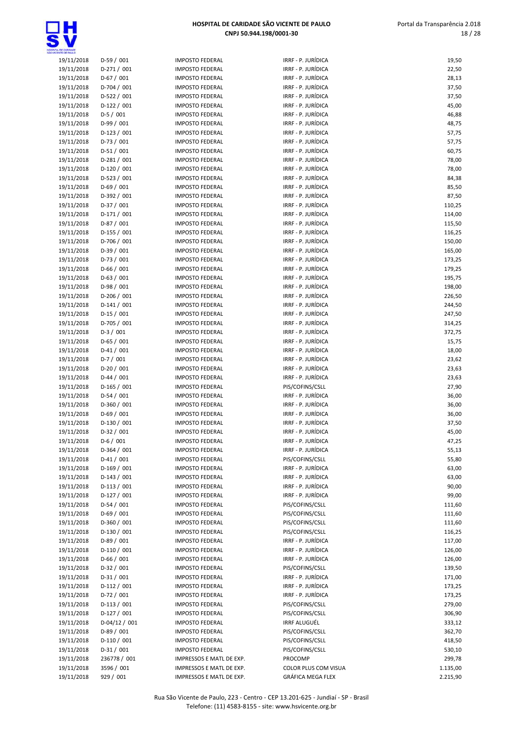

| 19/11/2018               | $D-59/001$                | <b>IMPOSTO FEDERAL</b>                           | IRRF - P. JURÍDICA                       | 19,50            |
|--------------------------|---------------------------|--------------------------------------------------|------------------------------------------|------------------|
| 19/11/2018               | $D-271/001$               | <b>IMPOSTO FEDERAL</b>                           | IRRF - P. JURÍDICA                       | 22,50            |
| 19/11/2018               | $D-67/001$                | <b>IMPOSTO FEDERAL</b>                           | IRRF - P. JURÍDICA                       | 28,13            |
| 19/11/2018               | D-704 / 001               | <b>IMPOSTO FEDERAL</b>                           | IRRF - P. JURÍDICA                       | 37,50            |
| 19/11/2018               | $D-522 / 001$             | <b>IMPOSTO FEDERAL</b>                           | IRRF - P. JURÍDICA                       | 37,50            |
| 19/11/2018               | $D-122 / 001$             | <b>IMPOSTO FEDERAL</b>                           | IRRF - P. JURÍDICA                       | 45,00            |
| 19/11/2018               | $D-5/001$                 | <b>IMPOSTO FEDERAL</b>                           | IRRF - P. JURÍDICA                       | 46,88            |
| 19/11/2018               | $D-99/001$                | <b>IMPOSTO FEDERAL</b>                           | IRRF - P. JURÍDICA                       | 48,75            |
| 19/11/2018               | $D-123 / 001$             | <b>IMPOSTO FEDERAL</b>                           | IRRF - P. JURÍDICA                       | 57,75            |
| 19/11/2018               | $D-73/001$                | <b>IMPOSTO FEDERAL</b>                           | IRRF - P. JURÍDICA                       | 57,75            |
| 19/11/2018               | $D-51/001$                | <b>IMPOSTO FEDERAL</b>                           | IRRF - P. JURÍDICA                       | 60,75            |
| 19/11/2018               | $D-281/001$               | <b>IMPOSTO FEDERAL</b>                           | IRRF - P. JURÍDICA                       | 78,00            |
| 19/11/2018               | D-120 / 001               | <b>IMPOSTO FEDERAL</b>                           | IRRF - P. JURÍDICA                       | 78,00            |
| 19/11/2018               | $D-523 / 001$             | <b>IMPOSTO FEDERAL</b>                           | IRRF - P. JURÍDICA                       | 84,38            |
| 19/11/2018               | $D-69/001$                | <b>IMPOSTO FEDERAL</b>                           | IRRF - P. JURÍDICA                       | 85,50            |
| 19/11/2018               | D-392 / 001               | <b>IMPOSTO FEDERAL</b>                           | IRRF - P. JURÍDICA                       | 87,50            |
| 19/11/2018               | D-37 / 001                | <b>IMPOSTO FEDERAL</b>                           | IRRF - P. JURÍDICA                       | 110,25           |
| 19/11/2018               | $D-171/001$               | <b>IMPOSTO FEDERAL</b>                           | IRRF - P. JURÍDICA                       | 114,00           |
| 19/11/2018               | $D-87/001$                | <b>IMPOSTO FEDERAL</b>                           | IRRF - P. JURÍDICA                       | 115,50           |
| 19/11/2018               | $D-155 / 001$             | <b>IMPOSTO FEDERAL</b>                           | IRRF - P. JURÍDICA                       | 116,25           |
| 19/11/2018               | D-706 / 001               | <b>IMPOSTO FEDERAL</b>                           | IRRF - P. JURÍDICA                       | 150,00           |
| 19/11/2018               | $D-39/001$                | <b>IMPOSTO FEDERAL</b>                           | IRRF - P. JURÍDICA                       | 165,00           |
| 19/11/2018               | $D-73/001$                | <b>IMPOSTO FEDERAL</b>                           | IRRF - P. JURÍDICA                       | 173,25           |
| 19/11/2018               | $D-66/001$                | <b>IMPOSTO FEDERAL</b>                           | IRRF - P. JURÍDICA                       | 179,25           |
| 19/11/2018               | $D-63 / 001$              | <b>IMPOSTO FEDERAL</b>                           | IRRF - P. JURÍDICA                       | 195,75           |
| 19/11/2018               | $D-98/001$                | <b>IMPOSTO FEDERAL</b>                           | IRRF - P. JURÍDICA                       | 198,00           |
| 19/11/2018               | $D-206/001$               | <b>IMPOSTO FEDERAL</b>                           | IRRF - P. JURÍDICA<br>IRRF - P. JURÍDICA | 226,50           |
| 19/11/2018               | $D-141/001$               | <b>IMPOSTO FEDERAL</b>                           |                                          | 244,50           |
| 19/11/2018               | $D-15/001$<br>D-705 / 001 | <b>IMPOSTO FEDERAL</b><br><b>IMPOSTO FEDERAL</b> | IRRF - P. JURÍDICA<br>IRRF - P. JURÍDICA | 247,50           |
| 19/11/2018               | $D-3/001$                 | <b>IMPOSTO FEDERAL</b>                           | IRRF - P. JURÍDICA                       | 314,25<br>372,75 |
| 19/11/2018<br>19/11/2018 | $D-65/001$                | <b>IMPOSTO FEDERAL</b>                           | IRRF - P. JURÍDICA                       | 15,75            |
| 19/11/2018               | $D-41/001$                | <b>IMPOSTO FEDERAL</b>                           | IRRF - P. JURÍDICA                       | 18,00            |
| 19/11/2018               | $D-7/001$                 | <b>IMPOSTO FEDERAL</b>                           | IRRF - P. JURÍDICA                       | 23,62            |
| 19/11/2018               | $D-20/001$                | <b>IMPOSTO FEDERAL</b>                           | IRRF - P. JURÍDICA                       | 23,63            |
| 19/11/2018               | $D-44 / 001$              | <b>IMPOSTO FEDERAL</b>                           | IRRF - P. JURÍDICA                       | 23,63            |
| 19/11/2018               | $D-165/001$               | <b>IMPOSTO FEDERAL</b>                           | PIS/COFINS/CSLL                          | 27,90            |
| 19/11/2018               | $D-54/001$                | <b>IMPOSTO FEDERAL</b>                           | IRRF - P. JURÍDICA                       | 36,00            |
| 19/11/2018               | D-360 / 001               | <b>IMPOSTO FEDERAL</b>                           | IRRF - P. JURÍDICA                       | 36,00            |
| 19/11/2018               | $D-69/001$                | <b>IMPOSTO FEDERAL</b>                           | IRRF - P. JURÍDICA                       | 36,00            |
| 19/11/2018               | $D-130/001$               | <b>IMPOSTO FEDERAL</b>                           | IRRF - P. JURÍDICA                       | 37,50            |
| 19/11/2018               | $D-32/001$                | <b>IMPOSTO FEDERAL</b>                           | IRRF - P. JURÍDICA                       | 45,00            |
| 19/11/2018               | $D-6/001$                 | <b>IMPOSTO FEDERAL</b>                           | IRRF - P. JURÍDICA                       | 47,25            |
| 19/11/2018               | $D-364/001$               | <b>IMPOSTO FEDERAL</b>                           | IRRF - P. JURÍDICA                       | 55,13            |
| 19/11/2018               | $D-41/001$                | <b>IMPOSTO FEDERAL</b>                           | PIS/COFINS/CSLL                          | 55,80            |
| 19/11/2018               | $D-169/001$               | <b>IMPOSTO FEDERAL</b>                           | IRRF - P. JURÍDICA                       | 63,00            |
| 19/11/2018               | $D-143 / 001$             | <b>IMPOSTO FEDERAL</b>                           | IRRF - P. JURÍDICA                       | 63,00            |
| 19/11/2018               | $D-113/001$               | <b>IMPOSTO FEDERAL</b>                           | IRRF - P. JURÍDICA                       | 90,00            |
| 19/11/2018               | D-127 / 001               | <b>IMPOSTO FEDERAL</b>                           | IRRF - P. JURÍDICA                       | 99,00            |
| 19/11/2018               | $D-54/001$                | <b>IMPOSTO FEDERAL</b>                           | PIS/COFINS/CSLL                          | 111,60           |
| 19/11/2018               | $D-69/001$                | <b>IMPOSTO FEDERAL</b>                           | PIS/COFINS/CSLL                          | 111,60           |
| 19/11/2018               | D-360 / 001               | <b>IMPOSTO FEDERAL</b>                           | PIS/COFINS/CSLL                          | 111,60           |
| 19/11/2018               | $D-130/001$               | <b>IMPOSTO FEDERAL</b>                           | PIS/COFINS/CSLL                          | 116,25           |
| 19/11/2018               | $D-89/001$                | <b>IMPOSTO FEDERAL</b>                           | IRRF - P. JURÍDICA                       | 117,00           |
| 19/11/2018               | $D-110/001$               | <b>IMPOSTO FEDERAL</b>                           | IRRF - P. JURÍDICA                       | 126,00           |
| 19/11/2018               | $D-66/001$                | <b>IMPOSTO FEDERAL</b>                           | IRRF - P. JURÍDICA                       | 126,00           |
| 19/11/2018               | $D-32 / 001$              | <b>IMPOSTO FEDERAL</b>                           | PIS/COFINS/CSLL                          | 139,50           |
| 19/11/2018               | $D-31/001$                | <b>IMPOSTO FEDERAL</b>                           | IRRF - P. JURÍDICA                       | 171,00           |
| 19/11/2018               | $D-112/001$               | <b>IMPOSTO FEDERAL</b>                           | IRRF - P. JURÍDICA                       | 173,25           |
| 19/11/2018               | $D-72/001$                | <b>IMPOSTO FEDERAL</b>                           | IRRF - P. JURÍDICA                       | 173,25           |
| 19/11/2018               | $D-113/001$               | <b>IMPOSTO FEDERAL</b>                           | PIS/COFINS/CSLL                          | 279,00           |
| 19/11/2018               | $D-127/001$               | <b>IMPOSTO FEDERAL</b>                           | PIS/COFINS/CSLL                          | 306,90           |
| 19/11/2018               | $D-04/12/001$             | <b>IMPOSTO FEDERAL</b>                           | <b>IRRF ALUGUÉL</b>                      | 333,12           |
| 19/11/2018               | $D-89/001$                | <b>IMPOSTO FEDERAL</b>                           | PIS/COFINS/CSLL                          | 362,70           |
| 19/11/2018               | $D-110/001$               | <b>IMPOSTO FEDERAL</b>                           | PIS/COFINS/CSLL                          | 418,50           |
| 19/11/2018               | $D-31/001$                | <b>IMPOSTO FEDERAL</b>                           | PIS/COFINS/CSLL                          | 530,10           |
| 19/11/2018               | 236778 / 001              | IMPRESSOS E MATL DE EXP.                         | PROCOMP                                  | 299,78           |
| 19/11/2018               | 3596 / 001                | IMPRESSOS E MATL DE EXP.                         | COLOR PLUS COM VISUA                     | 1.135,00         |
| 19/11/2018               | 929 / 001                 | IMPRESSOS E MATL DE EXP.                         | GRÁFICA MEGA FLEX                        | 2.215,90         |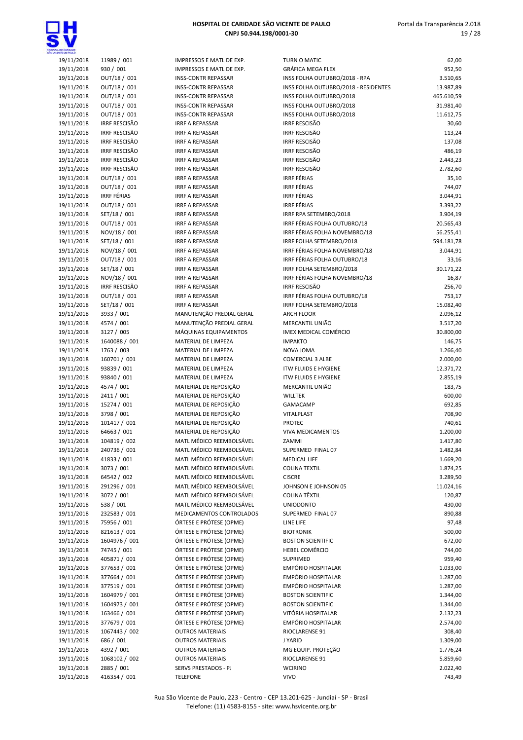

| <b>ITE CE PAULO</b>      |                                    |          |
|--------------------------|------------------------------------|----------|
| 19/11/2018               | 11989 / 001                        | I٨       |
| 19/11/2018               | 930 / 001                          | I٨       |
| 19/11/2018               | OUT/18 / 001                       | I٨       |
| 19/11/2018               | OUT/18 / 001                       | I٨       |
| 19/11/2018               | OUT/18 / 001                       | IN       |
| 19/11/2018               | OUT/18 / 001                       | IN       |
| 19/11/2018               | OUT/18 / 001                       | I٨       |
| 19/11/2018               | <b>IRRF RESCISÃO</b>               | IR       |
| 19/11/2018               | <b>IRRF RESCISÃO</b>               | IR       |
| 19/11/2018               | <b>IRRF RESCISÃO</b>               | IR       |
| 19/11/2018               | <b>IRRF RESCISÃO</b>               | IR       |
| 19/11/2018               | <b>IRRF RESCISÃO</b>               | IR       |
| 19/11/2018               | <b>IRRF RESCISÃO</b>               | IR       |
| 19/11/2018               | OUT/18 / 001                       | IR       |
| 19/11/2018               | OUT/18 / 001<br><b>IRRF FÉRIAS</b> | IR       |
| 19/11/2018<br>19/11/2018 | OUT/18 / 001                       | IR<br>IR |
| 19/11/2018               | SET/18 / 001                       | IR       |
| 19/11/2018               | OUT/18 / 001                       | IR       |
| 19/11/2018               | NOV/18 / 001                       | IR       |
| 19/11/2018               | SET/18 / 001                       | IR       |
| 19/11/2018               | NOV/18 / 001                       | IR       |
| 19/11/2018               | OUT/18 / 001                       | IR       |
| 19/11/2018               | SET/18 / 001                       | IR       |
| 19/11/2018               | NOV/18 / 001                       | IR       |
| 19/11/2018               | IRRF RESCISÃO                      | IR       |
| 19/11/2018               | OUT/18 / 001                       | IR       |
| 19/11/2018               | SET/18 / 001                       | IR       |
| 19/11/2018               | 3933 / 001                         | M        |
| 19/11/2018               | 4574 / 001                         | M        |
| 19/11/2018               | 3127 / 005                         | M        |
| 19/11/2018               | 1640088 / 001                      | M        |
| 19/11/2018               | 1763 / 003                         | M        |
| 19/11/2018               | 160701 / 001                       | M        |
| 19/11/2018               | 93839 / 001                        | M        |
| 19/11/2018               | 93840 / 001                        | M        |
| 19/11/2018               | 4574 / 001                         | M        |
| 19/11/2018               | 2411 / 001                         | M        |
| 19/11/2018               | 15274 / 001                        | M        |
| 19/11/2018               | 3798 / 001                         | M        |
| 19/11/2018               | 101417 / 001                       | M        |
| 19/11/2018               | 64663 / 001                        | M        |
| 19/11/2018               | 104819 / 002                       | M        |
| 19/11/2018               | 240736 / 001                       | M        |
| 19/11/2018               | 41833 / 001                        | M        |
| 19/11/2018<br>19/11/2018 | 3073 / 001                         | M<br>M   |
| 19/11/2018               | 64542 / 002<br>291296 / 001        | M        |
| 19/11/2018               | 3072 / 001                         | M        |
| 19/11/2018               | 538 / 001                          | M        |
| 19/11/2018               | 232583 / 001                       | M        |
| 19/11/2018               | 75956 / 001                        | Ó        |
| 19/11/2018               | 821613 / 001                       | Ó        |
| 19/11/2018               | 1604976 / 001                      | Ó        |
| 19/11/2018               | 74745 / 001                        | Ó        |
| 19/11/2018               | 405871 / 001                       | Ó        |
| 19/11/2018               | 377653 / 001                       | Ó        |
| 19/11/2018               | 377664 / 001                       | Ó        |
| 19/11/2018               | 377519 / 001                       | Ó        |
| 19/11/2018               | 1604979 / 001                      | Ó        |
| 19/11/2018               | 1604973 / 001                      | Ó        |
| 19/11/2018               | 163466 / 001                       | Ó        |
| 19/11/2018               | 377679 / 001                       | Ó        |
| 19/11/2018               | 1067443 / 002                      | O        |
| 19/11/2018               | 686 / 001                          | 0        |
| 19/11/2018               | 4392 / 001                         | 0        |
| 19/11/2018               | 1068102 / 002                      | 0        |
| 19/11/2018               | 2885 / 001                         | SI       |
|                          |                                    |          |

| <b>NTE CE BALLO</b> |                      |                                                      |                                      |                 |
|---------------------|----------------------|------------------------------------------------------|--------------------------------------|-----------------|
| 19/11/2018          | 11989 / 001          | IMPRESSOS E MATL DE EXP.                             | TURN O MATIC                         | 62,00           |
| 19/11/2018          | 930 / 001            | IMPRESSOS E MATL DE EXP.                             | <b>GRÁFICA MEGA FLEX</b>             | 952,50          |
| 19/11/2018          | OUT/18 / 001         | <b>INSS-CONTR REPASSAR</b>                           | INSS FOLHA OUTUBRO/2018 - RPA        | 3.510,65        |
| 19/11/2018          | OUT/18 / 001         | <b>INSS-CONTR REPASSAR</b>                           | INSS FOLHA OUTUBRO/2018 - RESIDENTES | 13.987,89       |
| 19/11/2018          | OUT/18 / 001         | <b>INSS-CONTR REPASSAR</b>                           | INSS FOLHA OUTUBRO/2018              | 465.610,59      |
| 19/11/2018          | OUT/18 / 001         | <b>INSS-CONTR REPASSAR</b>                           | INSS FOLHA OUTUBRO/2018              | 31.981,40       |
| 19/11/2018          | OUT/18 / 001         | <b>INSS-CONTR REPASSAR</b>                           | INSS FOLHA OUTUBRO/2018              | 11.612,75       |
| 19/11/2018          | <b>IRRF RESCISÃO</b> | <b>IRRF A REPASSAR</b>                               | <b>IRRF RESCISÃO</b>                 | 30,60           |
| 19/11/2018          | <b>IRRF RESCISÃO</b> | <b>IRRF A REPASSAR</b>                               | <b>IRRF RESCISÃO</b>                 | 113,24          |
| 19/11/2018          | <b>IRRF RESCISÃO</b> | <b>IRRF A REPASSAR</b>                               | <b>IRRF RESCISÃO</b>                 | 137,08          |
| 19/11/2018          | <b>IRRF RESCISÃO</b> | <b>IRRF A REPASSAR</b>                               | <b>IRRF RESCISÃO</b>                 | 486,19          |
| 19/11/2018          | <b>IRRF RESCISÃO</b> | <b>IRRF A REPASSAR</b>                               | <b>IRRF RESCISÃO</b>                 | 2.443,23        |
| 19/11/2018          | <b>IRRF RESCISÃO</b> | <b>IRRF A REPASSAR</b>                               | <b>IRRF RESCISÃO</b>                 | 2.782,60        |
| 19/11/2018          | OUT/18 / 001         | <b>IRRF A REPASSAR</b>                               | <b>IRRF FÉRIAS</b>                   |                 |
| 19/11/2018          | OUT/18 / 001         | <b>IRRF A REPASSAR</b>                               | <b>IRRF FÉRIAS</b>                   | 35,10<br>744,07 |
|                     |                      |                                                      | <b>IRRF FÉRIAS</b>                   |                 |
| 19/11/2018          | <b>IRRF FÉRIAS</b>   | <b>IRRF A REPASSAR</b>                               |                                      | 3.044,91        |
| 19/11/2018          | OUT/18 / 001         | <b>IRRF A REPASSAR</b>                               | <b>IRRF FÉRIAS</b>                   | 3.393,22        |
| 19/11/2018          | SET/18 / 001         | <b>IRRF A REPASSAR</b>                               | IRRF RPA SETEMBRO/2018               | 3.904,19        |
| 19/11/2018          | OUT/18 / 001         | <b>IRRF A REPASSAR</b>                               | IRRF FÉRIAS FOLHA OUTUBRO/18         | 20.565,43       |
| 19/11/2018          | NOV/18 / 001         | <b>IRRF A REPASSAR</b>                               | IRRF FÉRIAS FOLHA NOVEMBRO/18        | 56.255,41       |
| 19/11/2018          | SET/18 / 001         | <b>IRRF A REPASSAR</b>                               | IRRF FOLHA SETEMBRO/2018             | 594.181,78      |
| 19/11/2018          | NOV/18 / 001         | <b>IRRF A REPASSAR</b>                               | IRRF FÉRIAS FOLHA NOVEMBRO/18        | 3.044,91        |
| 19/11/2018          | OUT/18 / 001         | <b>IRRF A REPASSAR</b>                               | IRRF FÉRIAS FOLHA OUTUBRO/18         | 33,16           |
| 19/11/2018          | SET/18 / 001         | <b>IRRF A REPASSAR</b>                               | IRRF FOLHA SETEMBRO/2018             | 30.171,22       |
| 19/11/2018          | NOV/18 / 001         | <b>IRRF A REPASSAR</b>                               | IRRF FÉRIAS FOLHA NOVEMBRO/18        | 16,87           |
| 19/11/2018          | <b>IRRF RESCISÃO</b> | <b>IRRF A REPASSAR</b>                               | <b>IRRF RESCISÃO</b>                 | 256,70          |
| 19/11/2018          | OUT/18 / 001         | <b>IRRF A REPASSAR</b>                               | IRRF FÉRIAS FOLHA OUTUBRO/18         | 753,17          |
| 19/11/2018          | SET/18 / 001         | <b>IRRF A REPASSAR</b>                               | IRRF FOLHA SETEMBRO/2018             | 15.082,40       |
| 19/11/2018          | 3933 / 001           | MANUTENÇÃO PREDIAL GERAL                             | <b>ARCH FLOOR</b>                    | 2.096,12        |
| 19/11/2018          | 4574 / 001           | MANUTENÇÃO PREDIAL GERAL                             | MERCANTIL UNIÃO                      | 3.517,20        |
| 19/11/2018          | 3127 / 005           | MÁQUINAS EQUIPAMENTOS                                | IMEX MEDICAL COMÉRCIO                | 30.800,00       |
| 19/11/2018          | 1640088 / 001        | MATERIAL DE LIMPEZA                                  | <b>IMPAKTO</b>                       | 146,75          |
| 19/11/2018          | 1763 / 003           | MATERIAL DE LIMPEZA                                  | NOVA JOMA                            | 1.266,40        |
| 19/11/2018          | 160701 / 001         | MATERIAL DE LIMPEZA                                  | <b>COMERCIAL 3 ALBE</b>              | 2.000,00        |
| 19/11/2018          | 93839 / 001          | MATERIAL DE LIMPEZA                                  | <b>ITW FLUIDS E HYGIENE</b>          | 12.371,72       |
| 19/11/2018          | 93840 / 001          | MATERIAL DE LIMPEZA                                  | <b>ITW FLUIDS E HYGIENE</b>          | 2.855,19        |
| 19/11/2018          | 4574 / 001           | MATERIAL DE REPOSIÇÃO                                | MERCANTIL UNIÃO                      | 183,75          |
| 19/11/2018          | 2411 / 001           | MATERIAL DE REPOSIÇÃO                                | <b>WILLTEK</b>                       | 600,00          |
| 19/11/2018          | 15274 / 001          | MATERIAL DE REPOSIÇÃO                                | <b>GAMACAMP</b>                      | 692,85          |
| 19/11/2018          | 3798 / 001           | MATERIAL DE REPOSIÇÃO                                | VITALPLAST                           | 708,90          |
| 19/11/2018          | 101417 / 001         | MATERIAL DE REPOSIÇÃO                                | <b>PROTEC</b>                        | 740,61          |
| 19/11/2018          | 64663 / 001          | MATERIAL DE REPOSIÇÃO                                | <b>VIVA MEDICAMENTOS</b>             | 1.200,00        |
| 19/11/2018          | 104819 / 002         | MATL MÉDICO REEMBOLSÁVEL                             | ZAMMI                                | 1.417,80        |
|                     |                      |                                                      | SUPERMED FINAL 07                    |                 |
| 19/11/2018          | 240736 / 001         | MATL MÉDICO REEMBOLSÁVEL<br>MATL MÉDICO REEMBOLSÁVEL |                                      | 1.482,84        |
| 19/11/2018          | 41833 / 001          |                                                      | <b>MEDICAL LIFE</b>                  | 1.669,20        |
| 19/11/2018          | 3073 / 001           | MATL MÉDICO REEMBOLSÁVEL                             | <b>COLINA TEXTIL</b>                 | 1.874,25        |
| 19/11/2018          | 64542 / 002          | MATL MÉDICO REEMBOLSÁVEL                             | <b>CISCRE</b>                        | 3.289,50        |
| 19/11/2018          | 291296 / 001         | MATL MÉDICO REEMBOLSÁVEL                             | JOHNSON E JOHNSON 05                 | 11.024,16       |
| 19/11/2018          | 3072 / 001           | MATL MÉDICO REEMBOLSÁVEL                             | COLINA TÊXTIL                        | 120,87          |
| 19/11/2018          | 538 / 001            | MATL MÉDICO REEMBOLSÁVEL                             | <b>UNIODONTO</b>                     | 430,00          |
| 19/11/2018          | 232583 / 001         | MEDICAMENTOS CONTROLADOS                             | SUPERMED FINAL 07                    | 890,88          |
| 19/11/2018          | 75956 / 001          | ÓRTESE E PRÓTESE (OPME)                              | LINE LIFE                            | 97,48           |
| 19/11/2018          | 821613 / 001         | ÓRTESE E PRÓTESE (OPME)                              | <b>BIOTRONIK</b>                     | 500,00          |
| 19/11/2018          | 1604976 / 001        | ÓRTESE E PRÓTESE (OPME)                              | <b>BOSTON SCIENTIFIC</b>             | 672,00          |
| 19/11/2018          | 74745 / 001          | ÓRTESE E PRÓTESE (OPME)                              | <b>HEBEL COMÉRCIO</b>                | 744,00          |
| 19/11/2018          | 405871 / 001         | ÓRTESE E PRÓTESE (OPME)                              | SUPRIMED                             | 959,40          |
| 19/11/2018          | 377653 / 001         | ÓRTESE E PRÓTESE (OPME)                              | EMPÓRIO HOSPITALAR                   | 1.033,00        |
| 19/11/2018          | 377664 / 001         | ÓRTESE E PRÓTESE (OPME)                              | EMPÓRIO HOSPITALAR                   | 1.287,00        |
| 19/11/2018          | 377519 / 001         | ÓRTESE E PRÓTESE (OPME)                              | EMPÓRIO HOSPITALAR                   | 1.287,00        |
| 19/11/2018          | 1604979 / 001        | ÓRTESE E PRÓTESE (OPME)                              | <b>BOSTON SCIENTIFIC</b>             | 1.344,00        |
| 19/11/2018          | 1604973 / 001        | ÓRTESE E PRÓTESE (OPME)                              | <b>BOSTON SCIENTIFIC</b>             | 1.344,00        |
| 19/11/2018          | 163466 / 001         | ÓRTESE E PRÓTESE (OPME)                              | VITÓRIA HOSPITALAR                   | 2.132,23        |
| 19/11/2018          | 377679 / 001         | ÓRTESE E PRÓTESE (OPME)                              | <b>EMPÓRIO HOSPITALAR</b>            | 2.574,00        |
| 19/11/2018          | 1067443 / 002        | <b>OUTROS MATERIAIS</b>                              | RIOCLARENSE 91                       | 308,40          |
| 19/11/2018          | 686 / 001            | <b>OUTROS MATERIAIS</b>                              | <b>JYARID</b>                        | 1.309,00        |
| 19/11/2018          | 4392 / 001           | <b>OUTROS MATERIAIS</b>                              | MG EQUIP. PROTEÇÃO                   | 1.776,24        |
| 19/11/2018          | 1068102 / 002        | <b>OUTROS MATERIAIS</b>                              | RIOCLARENSE 91                       | 5.859,60        |
| 19/11/2018          | 2885 / 001           | SERVS PRESTADOS - PJ                                 | <b>WCIRINO</b>                       | 2.022,40        |
| 19/11/2018          | 416354 / 001         | <b>TELEFONE</b>                                      | <b>VIVO</b>                          | 743,49          |
|                     |                      |                                                      |                                      |                 |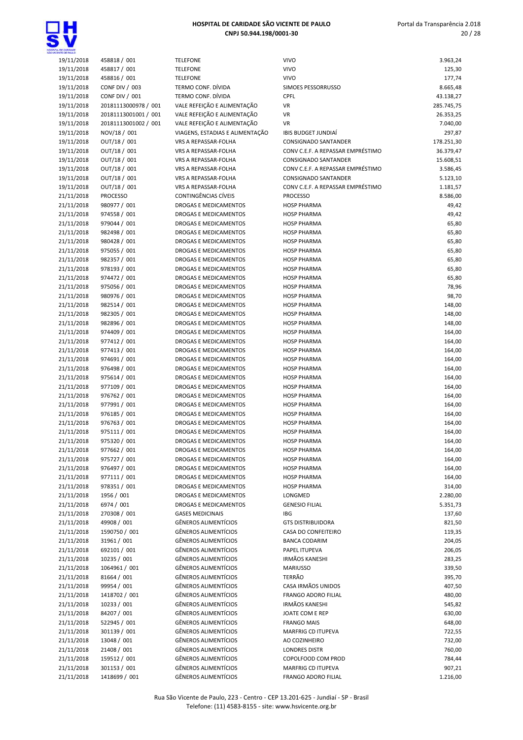

| OWLENDE OF BAILLO        |                              |                                                       |                                          |                |
|--------------------------|------------------------------|-------------------------------------------------------|------------------------------------------|----------------|
| 19/11/2018               | 458818 / 001                 | <b>TELEFONE</b>                                       | <b>VIVO</b>                              | 3.963,24       |
| 19/11/2018               | 458817 / 001                 | <b>TELEFONE</b>                                       | <b>VIVO</b>                              | 125,30         |
| 19/11/2018               | 458816 / 001                 | <b>TELEFONE</b>                                       | <b>VIVO</b>                              | 177,74         |
| 19/11/2018               | CONF DIV / 003               | TERMO CONF. DÍVIDA                                    | SIMOES PESSORRUSSO                       | 8.665,48       |
| 19/11/2018               | CONF DIV / 001               | TERMO CONF. DÍVIDA                                    | CPFL                                     | 43.138,27      |
| 19/11/2018               | 20181113000978 / 001         | VALE REFEIÇÃO E ALIMENTAÇÃO                           | VR                                       | 285.745,75     |
| 19/11/2018               | 20181113001001 / 001         | VALE REFEIÇÃO E ALIMENTAÇÃO                           | <b>VR</b>                                | 26.353,25      |
| 19/11/2018               | 20181113001002 / 001         | VALE REFEIÇÃO E ALIMENTAÇÃO                           | <b>VR</b>                                | 7.040,00       |
| 19/11/2018               | NOV/18 / 001                 | VIAGENS, ESTADIAS E ALIMENTAÇÃO                       | <b>IBIS BUDGET JUNDIAI</b>               | 297,87         |
| 19/11/2018               | OUT/18 / 001                 | VRS A REPASSAR-FOLHA                                  | CONSIGNADO SANTANDER                     | 178.251,30     |
| 19/11/2018               | OUT/18 / 001                 | VRS A REPASSAR-FOLHA                                  | CONV C.E.F. A REPASSAR EMPRÉSTIMO        | 36.379,47      |
| 19/11/2018               | OUT/18 / 001                 | VRS A REPASSAR-FOLHA                                  | CONSIGNADO SANTANDER                     | 15.608,51      |
| 19/11/2018               | OUT/18 / 001                 | VRS A REPASSAR-FOLHA                                  | CONV C.E.F. A REPASSAR EMPRÉSTIMO        | 3.586,45       |
| 19/11/2018               | OUT/18 / 001                 | VRS A REPASSAR-FOLHA                                  | CONSIGNADO SANTANDER                     | 5.123,10       |
| 19/11/2018               | OUT/18 / 001                 | VRS A REPASSAR-FOLHA                                  | CONV C.E.F. A REPASSAR EMPRÉSTIMO        | 1.181,57       |
| 21/11/2018               | <b>PROCESSO</b>              | CONTINGÊNCIAS CÍVEIS                                  | <b>PROCESSO</b>                          | 8.586,00       |
| 21/11/2018               | 980977 / 001                 | DROGAS E MEDICAMENTOS                                 | <b>HOSP PHARMA</b>                       | 49,42          |
| 21/11/2018               | 974558 / 001                 | DROGAS E MEDICAMENTOS                                 | <b>HOSP PHARMA</b>                       | 49,42          |
| 21/11/2018               | 979044 / 001                 | DROGAS E MEDICAMENTOS                                 | <b>HOSP PHARMA</b>                       | 65,80          |
| 21/11/2018               | 982498 / 001                 | DROGAS E MEDICAMENTOS                                 | <b>HOSP PHARMA</b>                       | 65,80          |
| 21/11/2018               | 980428 / 001                 | DROGAS E MEDICAMENTOS                                 | <b>HOSP PHARMA</b>                       | 65,80          |
| 21/11/2018               | 975055 / 001                 | DROGAS E MEDICAMENTOS                                 | <b>HOSP PHARMA</b>                       | 65,80          |
| 21/11/2018               | 982357 / 001                 | <b>DROGAS E MEDICAMENTOS</b>                          | <b>HOSP PHARMA</b>                       | 65,80          |
| 21/11/2018               | 978193 / 001                 | DROGAS E MEDICAMENTOS<br><b>DROGAS E MEDICAMENTOS</b> | <b>HOSP PHARMA</b>                       | 65,80          |
| 21/11/2018<br>21/11/2018 | 974472 / 001<br>975056 / 001 | DROGAS E MEDICAMENTOS                                 | <b>HOSP PHARMA</b><br><b>HOSP PHARMA</b> | 65,80<br>78,96 |
| 21/11/2018               | 980976 / 001                 | DROGAS E MEDICAMENTOS                                 | <b>HOSP PHARMA</b>                       | 98,70          |
| 21/11/2018               | 982514 / 001                 | DROGAS E MEDICAMENTOS                                 | <b>HOSP PHARMA</b>                       | 148,00         |
| 21/11/2018               | 982305 / 001                 | DROGAS E MEDICAMENTOS                                 | <b>HOSP PHARMA</b>                       | 148,00         |
| 21/11/2018               | 982896 / 001                 | DROGAS E MEDICAMENTOS                                 | <b>HOSP PHARMA</b>                       | 148,00         |
| 21/11/2018               | 974409 / 001                 | DROGAS E MEDICAMENTOS                                 | <b>HOSP PHARMA</b>                       | 164,00         |
| 21/11/2018               | 977412 / 001                 | DROGAS E MEDICAMENTOS                                 | <b>HOSP PHARMA</b>                       | 164,00         |
| 21/11/2018               | 977413 / 001                 | DROGAS E MEDICAMENTOS                                 | <b>HOSP PHARMA</b>                       | 164,00         |
| 21/11/2018               | 974691 / 001                 | DROGAS E MEDICAMENTOS                                 | <b>HOSP PHARMA</b>                       | 164,00         |
| 21/11/2018               | 976498 / 001                 | DROGAS E MEDICAMENTOS                                 | <b>HOSP PHARMA</b>                       | 164,00         |
| 21/11/2018               | 975614 / 001                 | DROGAS E MEDICAMENTOS                                 | <b>HOSP PHARMA</b>                       | 164,00         |
| 21/11/2018               | 977109 / 001                 | DROGAS E MEDICAMENTOS                                 | <b>HOSP PHARMA</b>                       | 164,00         |
| 21/11/2018               | 976762 / 001                 | DROGAS E MEDICAMENTOS                                 | <b>HOSP PHARMA</b>                       | 164,00         |
| 21/11/2018               | 977991 / 001                 | <b>DROGAS E MEDICAMENTOS</b>                          | <b>HOSP PHARMA</b>                       | 164,00         |
| 21/11/2018               | 976185 / 001                 | DROGAS E MEDICAMENTOS                                 | <b>HOSP PHARMA</b>                       | 164,00         |
| 21/11/2018               | 976763 / 001                 | DROGAS E MEDICAMENTOS                                 | <b>HOSP PHARMA</b>                       | 164,00         |
| 21/11/2018               | 975111 / 001                 | <b>DROGAS E MEDICAMENTOS</b>                          | <b>HOSP PHARMA</b>                       | 164,00         |
| 21/11/2018               | 975320 / 001                 | DROGAS E MEDICAMENTOS                                 | <b>HOSP PHARMA</b>                       | 164,00         |
| 21/11/2018               | 977662 / 001                 | <b>DROGAS E MEDICAMENTOS</b>                          | <b>HOSP PHARMA</b>                       | 164,00         |
| 21/11/2018               | 975727 / 001                 | DROGAS E MEDICAMENTOS                                 | <b>HOSP PHARMA</b>                       | 164,00         |
| 21/11/2018               | 976497 / 001                 | DROGAS E MEDICAMENTOS                                 | <b>HOSP PHARMA</b>                       | 164,00         |
| 21/11/2018               | 977111 / 001                 | DROGAS E MEDICAMENTOS                                 | <b>HOSP PHARMA</b>                       | 164,00         |
| 21/11/2018               | 978351 / 001                 | DROGAS E MEDICAMENTOS                                 | <b>HOSP PHARMA</b>                       | 314,00         |
| 21/11/2018               | 1956 / 001                   | DROGAS E MEDICAMENTOS                                 | LONGMED                                  | 2.280,00       |
| 21/11/2018               | 6974 / 001                   | DROGAS E MEDICAMENTOS                                 | <b>GENESIO FILIAL</b>                    | 5.351,73       |
| 21/11/2018               | 270308 / 001                 | <b>GASES MEDICINAIS</b>                               | <b>IBG</b>                               | 137,60         |
| 21/11/2018               | 49908 / 001                  | <b>GÊNEROS ALIMENTÍCIOS</b>                           | <b>GTS DISTRIBUIDORA</b>                 | 821,50         |
| 21/11/2018               | 1590750 / 001                | <b>GÊNEROS ALIMENTÍCIOS</b>                           | CASA DO CONFEITEIRO                      | 119,35         |
| 21/11/2018               | 31961 / 001                  | GÊNEROS ALIMENTÍCIOS                                  | <b>BANCA CODARIM</b>                     | 204,05         |
| 21/11/2018               | 692101 / 001                 | GÊNEROS ALIMENTÍCIOS                                  | PAPEL ITUPEVA                            | 206,05         |
| 21/11/2018               | 10235 / 001                  | GÊNEROS ALIMENTÍCIOS                                  | <b>IRMÃOS KANESHI</b>                    | 283,25         |
| 21/11/2018               | 1064961 / 001                | GÊNEROS ALIMENTÍCIOS                                  | <b>MARIUSSO</b>                          | 339,50         |
| 21/11/2018               | 81664 / 001                  | GÊNEROS ALIMENTÍCIOS                                  | <b>TERRÃO</b>                            | 395,70         |
| 21/11/2018               | 99954 / 001                  | <b>GÊNEROS ALIMENTÍCIOS</b>                           | CASA IRMÃOS UNIDOS                       | 407,50         |
| 21/11/2018               | 1418702 / 001                | GÊNEROS ALIMENTÍCIOS                                  | FRANGO ADORO FILIAL                      | 480,00         |
| 21/11/2018               | 10233 / 001                  | GÊNEROS ALIMENTÍCIOS                                  | <b>IRMÃOS KANESHI</b>                    | 545,82         |
| 21/11/2018               | 84207 / 001                  | GÊNEROS ALIMENTÍCIOS                                  | JOATE COM E REP                          | 630,00         |
| 21/11/2018               | 522945 / 001                 | GÊNEROS ALIMENTÍCIOS                                  | <b>FRANGO MAIS</b>                       | 648,00         |
| 21/11/2018               | 301139 / 001                 | GÊNEROS ALIMENTÍCIOS                                  | MARFRIG CD ITUPEVA                       | 722,55         |
| 21/11/2018               | 13048 / 001                  | GÊNEROS ALIMENTÍCIOS                                  | AO COZINHEIRO                            | 732,00         |
| 21/11/2018               | 21408 / 001                  | GÊNEROS ALIMENTÍCIOS                                  | <b>LONDRES DISTR</b>                     | 760,00         |
| 21/11/2018               | 159512 / 001                 | GÊNEROS ALIMENTÍCIOS                                  | COPOLFOOD COM PROD                       | 784,44         |
| 21/11/2018               | 301153 / 001                 | GÊNEROS ALIMENTÍCIOS                                  | MARFRIG CD ITUPEVA                       | 907,21         |
| 21/11/2018               | 1418699 / 001                | GÊNEROS ALIMENTÍCIOS                                  | <b>FRANGO ADORO FILIAL</b>               | 1.216,00       |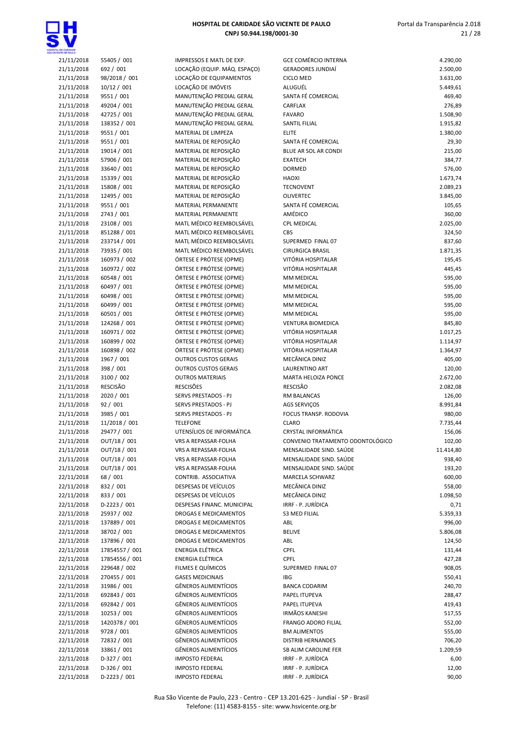



| <b>UNDENTIE DE INVALIO</b> |                 |                              |                                  |           |
|----------------------------|-----------------|------------------------------|----------------------------------|-----------|
| 21/11/2018                 | 55405 / 001     | IMPRESSOS E MATL DE EXP.     | <b>GCE COMÉRCIO INTERNA</b>      | 4.290,00  |
| 21/11/2018                 | 692 / 001       | LOCAÇÃO (EQUIP. MÁQ. ESPAÇO) | <b>GERADORES JUNDIAÍ</b>         | 2.500,00  |
| 21/11/2018                 | 98/2018 / 001   | LOCAÇÃO DE EQUIPAMENTOS      | <b>CICLO MED</b>                 | 3.631,00  |
| 21/11/2018                 | 10/12 / 001     | LOCAÇÃO DE IMÓVEIS           | ALUGUÉL                          | 5.449,61  |
|                            |                 |                              |                                  |           |
| 21/11/2018                 | 9551 / 001      | MANUTENÇÃO PREDIAL GERAL     | SANTA FÉ COMERCIAL               | 469,40    |
| 21/11/2018                 | 49204 / 001     | MANUTENÇÃO PREDIAL GERAL     | CARFLAX                          | 276,89    |
| 21/11/2018                 | 42725 / 001     | MANUTENÇÃO PREDIAL GERAL     | <b>FAVARO</b>                    | 1.508,90  |
| 21/11/2018                 | 138352 / 001    | MANUTENÇÃO PREDIAL GERAL     | SANTIL FILIAL                    | 1.915,82  |
| 21/11/2018                 | 9551 / 001      | MATERIAL DE LIMPEZA          | <b>ELITE</b>                     | 1.380,00  |
| 21/11/2018                 | 9551 / 001      | MATERIAL DE REPOSIÇÃO        | SANTA FÉ COMERCIAL               | 29,30     |
| 21/11/2018                 | 19014 / 001     | MATERIAL DE REPOSIÇÃO        | BLUE AR SOL AR CONDI             | 215,00    |
| 21/11/2018                 | 57906 / 001     | MATERIAL DE REPOSIÇÃO        | <b>EXATECH</b>                   | 384,77    |
|                            |                 |                              |                                  |           |
| 21/11/2018                 | 33640 / 001     | MATERIAL DE REPOSIÇÃO        | <b>DORMED</b>                    | 576,00    |
| 21/11/2018                 | 15339 / 001     | MATERIAL DE REPOSIÇÃO        | <b>HAOXI</b>                     | 1.673,74  |
| 21/11/2018                 | 15808 / 001     | MATERIAL DE REPOSIÇÃO        | <b>TECNOVENT</b>                 | 2.089,23  |
| 21/11/2018                 | 12495 / 001     | MATERIAL DE REPOSIÇÃO        | <b>OLIVERTEC</b>                 | 3.845,00  |
| 21/11/2018                 | 9551 / 001      | MATERIAL PERMANENTE          | SANTA FÉ COMERCIAL               | 105,65    |
| 21/11/2018                 | 2743 / 001      | MATERIAL PERMANENTE          | AMÉDICO                          | 360,00    |
| 21/11/2018                 | 23108 / 001     | MATL MÉDICO REEMBOLSÁVEL     | <b>CPL MEDICAL</b>               | 2.025,00  |
|                            | 851288 / 001    | MATL MÉDICO REEMBOLSÁVEL     | CBS                              | 324,50    |
| 21/11/2018                 |                 |                              |                                  |           |
| 21/11/2018                 | 233714 / 001    | MATL MÉDICO REEMBOLSÁVEL     | SUPERMED FINAL 07                | 837,60    |
| 21/11/2018                 | 73935 / 001     | MATL MÉDICO REEMBOLSÁVEL     | <b>CIRURGICA BRASIL</b>          | 1.871,35  |
| 21/11/2018                 | 160973 / 002    | ÓRTESE E PRÓTESE (OPME)      | VITÓRIA HOSPITALAR               | 195,45    |
| 21/11/2018                 | 160972 / 002    | ÓRTESE E PRÓTESE (OPME)      | VITÓRIA HOSPITALAR               | 445,45    |
| 21/11/2018                 | 60548 / 001     | ÓRTESE E PRÓTESE (OPME)      | MM MEDICAL                       | 595,00    |
| 21/11/2018                 | 60497 / 001     | ÓRTESE E PRÓTESE (OPME)      | MM MEDICAL                       | 595,00    |
| 21/11/2018                 | 60498 / 001     | ÓRTESE E PRÓTESE (OPME)      | <b>MM MEDICAL</b>                | 595,00    |
|                            |                 |                              | <b>MM MEDICAL</b>                |           |
| 21/11/2018                 | 60499 / 001     | ÓRTESE E PRÓTESE (OPME)      |                                  | 595,00    |
| 21/11/2018                 | 60501 / 001     | ÓRTESE E PRÓTESE (OPME)      | MM MEDICAL                       | 595,00    |
| 21/11/2018                 | 124268 / 001    | ÓRTESE E PRÓTESE (OPME)      | <b>VENTURA BIOMEDICA</b>         | 845,80    |
| 21/11/2018                 | 160971 / 002    | ÓRTESE E PRÓTESE (OPME)      | VITÓRIA HOSPITALAR               | 1.017,25  |
| 21/11/2018                 | 160899 / 002    | ÓRTESE E PRÓTESE (OPME)      | VITÓRIA HOSPITALAR               | 1.114,97  |
| 21/11/2018                 | 160898 / 002    | ÓRTESE E PRÓTESE (OPME)      | VITÓRIA HOSPITALAR               | 1.364,97  |
| 21/11/2018                 | 1967 / 001      | <b>OUTROS CUSTOS GERAIS</b>  | MECÂNICA DINIZ                   | 405,00    |
| 21/11/2018                 | 398 / 001       | <b>OUTROS CUSTOS GERAIS</b>  | LAURENTINO ART                   | 120,00    |
|                            |                 |                              |                                  |           |
| 21/11/2018                 | 3100 / 002      | <b>OUTROS MATERIAIS</b>      | <b>MARTA HELOIZA PONCE</b>       | 2.672,00  |
| 21/11/2018                 | <b>RESCISÃO</b> | <b>RESCISÕES</b>             | <b>RESCISÃO</b>                  | 2.082,08  |
| 21/11/2018                 | 2020 / 001      | SERVS PRESTADOS - PJ         | <b>RM BALANCAS</b>               | 126,00    |
| 21/11/2018                 | 92 / 001        | SERVS PRESTADOS - PJ         | AGS SERVIÇOS                     | 8.991,84  |
| 21/11/2018                 | 3985 / 001      | SERVS PRESTADOS - PJ         | FOCUS TRANSP. RODOVIA            | 980,00    |
| 21/11/2018                 | 11/2018 / 001   | <b>TELEFONE</b>              | <b>CLARO</b>                     | 7.735,44  |
| 21/11/2018                 | 29477 / 001     | UTENSÍLIOS DE INFORMÁTICA    | CRYSTAL INFORMÁTICA              | 156,06    |
| 21/11/2018                 | OUT/18 / 001    | VRS A REPASSAR-FOLHA         | CONVENIO TRATAMENTO ODONTOLÓGICO | 102,00    |
|                            |                 |                              |                                  |           |
| 21/11/2018                 | OUT/18 / 001    | VRS A REPASSAR-FOLHA         | MENSALIDADE SIND. SAÚDE          | 11.414,80 |
| 21/11/2018                 | OUT/18 / 001    | VRS A REPASSAR-FOLHA         | MENSALIDADE SIND. SAÚDE          | 938,40    |
| 21/11/2018                 | OUT/18 / 001    | VRS A REPASSAR-FOLHA         | MENSALIDADE SIND. SAÚDE          | 193,20    |
| 22/11/2018                 | 68 / 001        | CONTRIB. ASSOCIATIVA         | MARCELA SCHWARZ                  | 600,00    |
| 22/11/2018                 | 832 / 001       | DESPESAS DE VEÍCULOS         | MECÂNICA DINIZ                   | 558,00    |
| 22/11/2018                 | 833 / 001       | DESPESAS DE VEÍCULOS         | MECÂNICA DINIZ                   | 1.098,50  |
| 22/11/2018                 | D-2223 / 001    | DESPESAS FINANC. MUNICIPAL   | IRRF - P. JURÍDICA               | 0,71      |
| 22/11/2018                 | 25937 / 002     |                              | <b>S3 MED FILIAL</b>             |           |
|                            |                 | DROGAS E MEDICAMENTOS        |                                  | 5.359,33  |
| 22/11/2018                 | 137889 / 001    | DROGAS E MEDICAMENTOS        | ABL                              | 996,00    |
| 22/11/2018                 | 38702 / 001     | DROGAS E MEDICAMENTOS        | <b>BELIVE</b>                    | 5.806,08  |
| 22/11/2018                 | 137896 / 001    | DROGAS E MEDICAMENTOS        | ABL                              | 124,50    |
| 22/11/2018                 | 17854557 / 001  | <b>ENERGIA ELÉTRICA</b>      | <b>CPFL</b>                      | 131,44    |
| 22/11/2018                 | 17854556 / 001  | ENERGIA ELÉTRICA             | CPFL                             | 427,28    |
| 22/11/2018                 | 229648 / 002    | FILMES E QUÍMICOS            | SUPERMED FINAL 07                | 908,05    |
| 22/11/2018                 | 270455 / 001    | <b>GASES MEDICINAIS</b>      | <b>IBG</b>                       | 550,41    |
|                            |                 |                              |                                  |           |
| 22/11/2018                 | 31986 / 001     | <b>GÊNEROS ALIMENTÍCIOS</b>  | <b>BANCA CODARIM</b>             | 240,70    |
| 22/11/2018                 | 692843 / 001    | GÊNEROS ALIMENTÍCIOS         | PAPEL ITUPEVA                    | 288,47    |
| 22/11/2018                 | 692842 / 001    | <b>GÊNEROS ALIMENTÍCIOS</b>  | PAPEL ITUPEVA                    | 419,43    |
| 22/11/2018                 | 10253 / 001     | <b>GÊNEROS ALIMENTÍCIOS</b>  | <b>IRMÃOS KANESHI</b>            | 517,55    |
| 22/11/2018                 | 1420378 / 001   | <b>GÊNEROS ALIMENTÍCIOS</b>  | <b>FRANGO ADORO FILIAL</b>       | 552,00    |
| 22/11/2018                 | 9728 / 001      | <b>GÊNEROS ALIMENTÍCIOS</b>  | <b>BM ALIMENTOS</b>              | 555,00    |
| 22/11/2018                 | 72832 / 001     | <b>GÊNEROS ALIMENTÍCIOS</b>  | <b>DISTRIB HERNANDES</b>         | 706,20    |
|                            |                 | <b>GÊNEROS ALIMENTÍCIOS</b>  |                                  |           |
| 22/11/2018                 | 33861 / 001     |                              | SB ALIM CAROLINE FER             | 1.209,59  |
| 22/11/2018                 | D-327 / 001     | <b>IMPOSTO FEDERAL</b>       | IRRF - P. JURÍDICA               | 6,00      |
| 22/11/2018                 | $D-326/001$     | <b>IMPOSTO FEDERAL</b>       | IRRF - P. JURÍDICA               | 12,00     |
| 22/11/2018                 | $D-2223 / 001$  | <b>IMPOSTO FEDERAL</b>       | IRRF - P. JURÍDICA               | 90,00     |
|                            |                 |                              |                                  |           |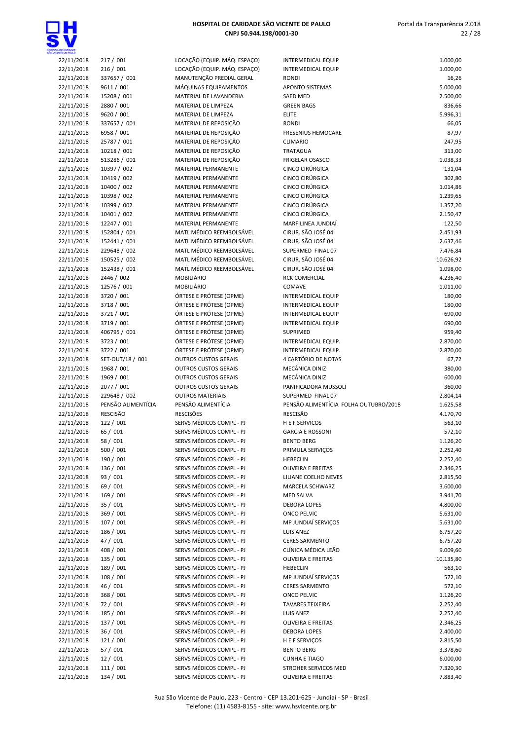

| OSPYTA, DE CARDADE<br>NO VICENTE DE FAIX D |                            |                                                      |                                            |                      |
|--------------------------------------------|----------------------------|------------------------------------------------------|--------------------------------------------|----------------------|
| 22/11/2018                                 | 217 / 001                  | LOCAÇÃO (EQUIP. MÁQ. ESPAÇO)                         | <b>INTERMEDICAL EQUIP</b>                  | 1.000,00             |
| 22/11/2018                                 | 216/001                    | LOCAÇÃO (EQUIP. MÁQ. ESPAÇO)                         | <b>INTERMEDICAL EQUIP</b>                  | 1.000,00             |
| 22/11/2018                                 | 337657 / 001               | MANUTENÇÃO PREDIAL GERAL                             | <b>RONDI</b>                               | 16,26                |
| 22/11/2018                                 | 9611 / 001                 | MÁQUINAS EQUIPAMENTOS                                | APONTO SISTEMAS                            | 5.000,00             |
| 22/11/2018                                 | 15208 / 001                | MATERIAL DE LAVANDERIA                               | <b>SAED MED</b>                            | 2.500,00             |
| 22/11/2018                                 | 2880 / 001                 | MATERIAL DE LIMPEZA                                  | <b>GREEN BAGS</b><br><b>ELITE</b>          | 836,66               |
| 22/11/2018<br>22/11/2018                   | 9620 / 001<br>337657 / 001 | MATERIAL DE LIMPEZA<br>MATERIAL DE REPOSIÇÃO         | <b>RONDI</b>                               | 5.996,31<br>66,05    |
| 22/11/2018                                 | 6958 / 001                 | MATERIAL DE REPOSIÇÃO                                | <b>FRESENIUS HEMOCARE</b>                  | 87,97                |
| 22/11/2018                                 | 25787 / 001                | MATERIAL DE REPOSIÇÃO                                | <b>CLIMARIO</b>                            | 247,95               |
| 22/11/2018                                 | 10218 / 001                | MATERIAL DE REPOSIÇÃO                                | <b>TRATAGUA</b>                            | 313,00               |
| 22/11/2018                                 | 513286 / 001               | MATERIAL DE REPOSIÇÃO                                | <b>FRIGELAR OSASCO</b>                     | 1.038,33             |
| 22/11/2018                                 | 10397 / 002                | MATERIAL PERMANENTE                                  | CINCO CIRÚRGICA                            | 131,04               |
| 22/11/2018                                 | 10419 / 002                | MATERIAL PERMANENTE                                  | CINCO CIRÚRGICA                            | 302,80               |
| 22/11/2018                                 | 10400 / 002                | MATERIAL PERMANENTE                                  | CINCO CIRÚRGICA                            | 1.014,86             |
| 22/11/2018                                 | 10398 / 002                | MATERIAL PERMANENTE                                  | CINCO CIRÚRGICA                            | 1.239,65             |
| 22/11/2018                                 | 10399 / 002                | MATERIAL PERMANENTE                                  | CINCO CIRÚRGICA                            | 1.357,20             |
| 22/11/2018                                 | 10401 / 002                | MATERIAL PERMANENTE                                  | CINCO CIRÚRGICA                            | 2.150,47             |
| 22/11/2018                                 | 12247 / 001                | <b>MATERIAL PERMANENTE</b>                           | MARFILINEA JUNDIAÍ                         | 122,50               |
| 22/11/2018                                 | 152804 / 001               | MATL MÉDICO REEMBOLSÁVEL                             | CIRUR. SÃO JOSÉ 04                         | 2.451,93             |
| 22/11/2018                                 | 152441 / 001               | MATL MÉDICO REEMBOLSÁVEL                             | CIRUR. SÃO JOSÉ 04                         | 2.637,46             |
| 22/11/2018                                 | 229648 / 002               | MATL MÉDICO REEMBOLSÁVEL                             | SUPERMED FINAL 07                          | 7.476,84             |
| 22/11/2018                                 | 150525 / 002               | MATL MÉDICO REEMBOLSÁVEL                             | CIRUR. SÃO JOSÉ 04                         | 10.626,92            |
| 22/11/2018                                 | 152438 / 001               | MATL MÉDICO REEMBOLSÁVEL                             | CIRUR. SÃO JOSÉ 04                         | 1.098,00             |
| 22/11/2018                                 | 2446 / 002                 | MOBILIÁRIO                                           | <b>RCK COMERCIAL</b>                       | 4.236,40             |
| 22/11/2018                                 | 12576 / 001                | MOBILIÁRIO                                           | <b>COMAVE</b>                              | 1.011,00             |
| 22/11/2018                                 | 3720 / 001                 | ÓRTESE E PRÓTESE (OPME)                              | <b>INTERMEDICAL EQUIP</b>                  | 180,00               |
| 22/11/2018                                 | 3718 / 001                 | ÓRTESE E PRÓTESE (OPME)                              | INTERMEDICAL EQUIP                         | 180,00               |
| 22/11/2018                                 | 3721 / 001                 | ÓRTESE E PRÓTESE (OPME)                              | <b>INTERMEDICAL EQUIP</b>                  | 690,00               |
| 22/11/2018                                 | 3719 / 001                 | ÓRTESE E PRÓTESE (OPME)                              | <b>INTERMEDICAL EQUIP</b>                  | 690,00               |
| 22/11/2018                                 | 406795 / 001               | ÓRTESE E PRÓTESE (OPME)                              | SUPRIMED                                   | 959,40               |
| 22/11/2018                                 | 3723 / 001<br>3722 / 001   | ÓRTESE E PRÓTESE (OPME)<br>ÓRTESE E PRÓTESE (OPME)   | INTERMEDICAL EQUIP.<br>INTERMEDICAL EQUIP. | 2.870,00<br>2.870,00 |
| 22/11/2018<br>22/11/2018                   | SET-OUT/18 / 001           | <b>OUTROS CUSTOS GERAIS</b>                          | 4 CARTÓRIO DE NOTAS                        | 67,72                |
| 22/11/2018                                 | 1968 / 001                 | <b>OUTROS CUSTOS GERAIS</b>                          | MECÂNICA DINIZ                             | 380,00               |
| 22/11/2018                                 | 1969 / 001                 | <b>OUTROS CUSTOS GERAIS</b>                          | MECÂNICA DINIZ                             | 600,00               |
| 22/11/2018                                 | 2077 / 001                 | <b>OUTROS CUSTOS GERAIS</b>                          | PANIFICADORA MUSSOLI                       | 360,00               |
| 22/11/2018                                 | 229648 / 002               | <b>OUTROS MATERIAIS</b>                              | SUPERMED FINAL 07                          | 2.804,14             |
| 22/11/2018                                 | PENSÃO ALIMENTÍCIA         | PENSÃO ALIMENTÍCIA                                   | PENSÃO ALIMENTÍCIA FOLHA OUTUBRO/2018      | 1.625,58             |
| 22/11/2018                                 | <b>RESCISÃO</b>            | <b>RESCISÕES</b>                                     | <b>RESCISÃO</b>                            | 4.170,70             |
| 22/11/2018                                 | 122 / 001                  | SERVS MÉDICOS COMPL - PJ                             | <b>HEFSERVICOS</b>                         | 563,10               |
| 22/11/2018                                 | 65 / 001                   | SERVS MÉDICOS COMPL - PJ                             | <b>GARCIA E ROSSONI</b>                    | 572,10               |
| 22/11/2018                                 | 58 / 001                   | SERVS MÉDICOS COMPL - PJ                             | <b>BENTO BERG</b>                          | 1.126,20             |
| 22/11/2018                                 | 500 / 001                  | SERVS MÉDICOS COMPL - PJ                             | PRIMULA SERVIÇOS                           | 2.252,40             |
| 22/11/2018                                 | 190 / 001                  | SERVS MÉDICOS COMPL - PJ                             | <b>HEBECLIN</b>                            | 2.252,40             |
| 22/11/2018                                 | 136 / 001                  | SERVS MÉDICOS COMPL - PJ                             | <b>OLIVEIRA E FREITAS</b>                  | 2.346,25             |
| 22/11/2018                                 | 93 / 001                   | SERVS MÉDICOS COMPL - PJ                             | LILIANE COELHO NEVES                       | 2.815,50             |
| 22/11/2018                                 | 69 / 001                   | SERVS MÉDICOS COMPL - PJ                             | MARCELA SCHWARZ                            | 3.600,00             |
| 22/11/2018                                 | 169 / 001                  | SERVS MÉDICOS COMPL - PJ                             | <b>MED SALVA</b>                           | 3.941,70             |
| 22/11/2018                                 | 35 / 001                   | SERVS MÉDICOS COMPL - PJ                             | <b>DEBORA LOPES</b>                        | 4.800,00             |
| 22/11/2018                                 | 369 / 001                  | SERVS MÉDICOS COMPL - PJ                             | <b>ONCO PELVIC</b>                         | 5.631,00             |
| 22/11/2018                                 | 107/001                    | SERVS MÉDICOS COMPL - PJ                             | MP JUNDIAÍ SERVIÇOS                        | 5.631,00             |
| 22/11/2018                                 | 186 / 001                  | SERVS MÉDICOS COMPL - PJ                             | <b>LUIS ANEZ</b>                           | 6.757,20             |
| 22/11/2018                                 | 47 / 001                   | SERVS MÉDICOS COMPL - PJ                             | <b>CERES SARMENTO</b>                      | 6.757,20             |
| 22/11/2018                                 | 408 / 001                  | SERVS MÉDICOS COMPL - PJ                             | CLÍNICA MÉDICA LEÃO                        | 9.009,60             |
| 22/11/2018                                 | 135 / 001                  | SERVS MÉDICOS COMPL - PJ                             | OLIVEIRA E FREITAS                         | 10.135,80            |
| 22/11/2018                                 | 189 / 001<br>108 / 001     | SERVS MÉDICOS COMPL - PJ<br>SERVS MÉDICOS COMPL - PJ | <b>HEBECLIN</b><br>MP JUNDIAÍ SERVIÇOS     | 563,10               |
| 22/11/2018                                 | 46 / 001                   | SERVS MÉDICOS COMPL - PJ                             | <b>CERES SARMENTO</b>                      | 572,10               |
| 22/11/2018<br>22/11/2018                   | 368 / 001                  | SERVS MÉDICOS COMPL - PJ                             | <b>ONCO PELVIC</b>                         | 572,10<br>1.126,20   |
| 22/11/2018                                 | 72 / 001                   | SERVS MÉDICOS COMPL - PJ                             | <b>TAVARES TEIXEIRA</b>                    | 2.252,40             |
| 22/11/2018                                 | 185 / 001                  | SERVS MÉDICOS COMPL - PJ                             | LUIS ANEZ                                  | 2.252,40             |
| 22/11/2018                                 | 137 / 001                  | SERVS MÉDICOS COMPL - PJ                             | OLIVEIRA E FREITAS                         | 2.346,25             |
| 22/11/2018                                 | 36 / 001                   | SERVS MÉDICOS COMPL - PJ                             | <b>DEBORA LOPES</b>                        | 2.400,00             |
| 22/11/2018                                 | 121 / 001                  | SERVS MÉDICOS COMPL - PJ                             | H E F SERVIÇOS                             | 2.815,50             |
| 22/11/2018                                 | 57 / 001                   | SERVS MÉDICOS COMPL - PJ                             | <b>BENTO BERG</b>                          | 3.378,60             |
| 22/11/2018                                 | 12/001                     | SERVS MÉDICOS COMPL - PJ                             | <b>CUNHA E TIAGO</b>                       | 6.000,00             |
| 22/11/2018                                 | 111 / 001                  | SERVS MÉDICOS COMPL - PJ                             | STROHER SERVICOS MED                       | 7.320,30             |
| 22/11/2018                                 | 134 / 001                  | SERVS MÉDICOS COMPL - PJ                             | OLIVEIRA E FREITAS                         | 7.883,40             |
|                                            |                            |                                                      |                                            |                      |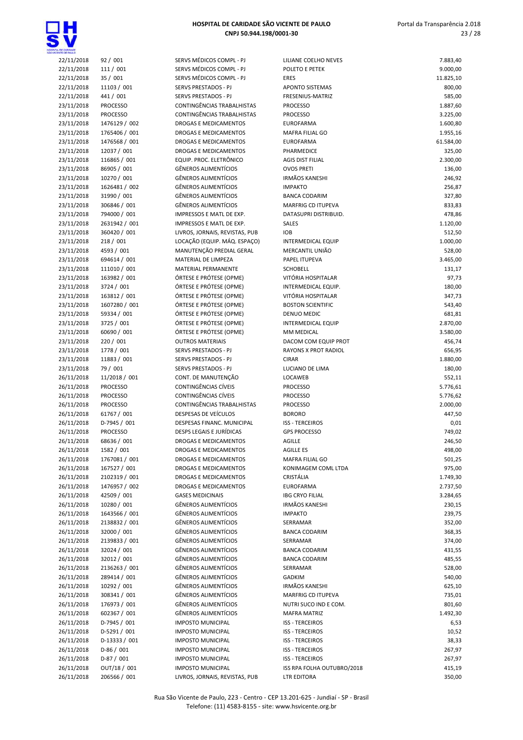

| DE GARDADE<br>VTE DE PAULO |                             |                 |
|----------------------------|-----------------------------|-----------------|
| 22/11/2018                 | 92 / 001                    | <b>SER</b>      |
| 22/11/2018                 | 111 / 001                   | <b>SER</b>      |
| 22/11/2018                 | 35 / 001                    | <b>SER</b>      |
| 22/11/2018                 | 11103 / 001                 | <b>SER</b>      |
| 22/11/2018                 | 441 / 001                   | <b>SER</b>      |
| 23/11/2018                 | <b>PROCESSO</b>             | CON             |
| 23/11/2018                 | <b>PROCESSO</b>             | CON             |
| 23/11/2018                 | 1476129 / 002               | <b>DRO</b>      |
| 23/11/2018                 | 1765406 / 001               | <b>DRO</b>      |
| 23/11/2018                 | 1476568 / 001               | <b>DRO</b>      |
| 23/11/2018                 | 12037 / 001                 | <b>DRO</b>      |
| 23/11/2018                 | 116865 / 001                | EQU             |
| 23/11/2018                 | 86905 / 001                 | GÊN             |
| 23/11/2018                 | 10270 / 001                 | GÊN             |
| 23/11/2018                 | 1626481 / 002               | GÊN             |
| 23/11/2018                 | 31990 / 001                 | GÊN             |
| 23/11/2018                 | 306846 / 001                | GÊN             |
| 23/11/2018                 | 794000 / 001                | <b>IMP</b>      |
| 23/11/2018                 | 2631942 / 001               | <b>IMP</b>      |
| 23/11/2018                 | 360420 / 001                | LIVR            |
| 23/11/2018                 | 218/001                     | LOC.            |
| 23/11/2018                 | 4593 / 001                  | MAN             |
| 23/11/2018                 | 694614 / 001                | MA <sub>1</sub> |
| 23/11/2018                 | 111010 / 001                | MA <sub>1</sub> |
| 23/11/2018                 | 163982 / 001                | ÓRT             |
| 23/11/2018                 | 3724 / 001                  | ÓRT             |
| 23/11/2018                 | 163812 / 001                | ÓRT             |
| 23/11/2018                 | 1607280 / 001               | ÓRT             |
| 23/11/2018                 | 59334 / 001                 | ÓRT             |
| 23/11/2018                 | 3725 / 001                  | ÓRT             |
| 23/11/2018                 | 60690 / 001                 | ÓRT             |
| 23/11/2018                 | 220 / 001                   | OUT             |
| 23/11/2018                 | 1778 / 001                  | <b>SER</b>      |
| 23/11/2018                 | 11883 / 001                 | <b>SER</b>      |
| 23/11/2018                 | 79 / 001                    | <b>SER</b>      |
| 26/11/2018                 | 11/2018 / 001               | CON             |
| 26/11/2018                 | <b>PROCESSO</b>             | CON             |
| 26/11/2018                 | <b>PROCESSO</b>             | CON             |
| 26/11/2018                 | <b>PROCESSO</b>             | CON             |
| 26/11/2018 61767 / 001     |                             | <b>DES</b>      |
| 26/11/2018                 | D-7945 / 001                | <b>DESI</b>     |
| 26/11/2018                 | <b>PROCESSO</b>             | <b>DESI</b>     |
|                            | 26/11/2018 68636 / 001      | DRO             |
| 26/11/2018<br>26/11/2018   | 1582 / 001<br>1767081 / 001 | DRO<br>DRO      |
| 26/11/2018                 | 167527 / 001                | <b>DRO</b>      |
| 26/11/2018                 | 2102319 / 001               | DRO             |
| 26/11/2018                 | 1476957 / 002               | <b>DRO</b>      |
| 26/11/2018                 | 42509 / 001                 | GAS             |
| 26/11/2018                 | 10280 / 001                 | GÊN             |
| 26/11/2018                 | 1643566 / 001               | GÊN             |
| 26/11/2018                 | 2138832 / 001               | GÊN             |
| 26/11/2018                 | 32000 / 001                 | GÊN             |
| 26/11/2018                 | 2139833 / 001               | GÊN             |
| 26/11/2018                 | 32024 / 001                 | GÊN             |
| 26/11/2018                 | 32012 / 001                 | GÊN             |
| 26/11/2018                 | 2136263 / 001               | GÊN             |
| 26/11/2018                 | 289414 / 001                | GÊN             |
| 26/11/2018                 | 10292 / 001                 | GÊN             |
| 26/11/2018                 | 308341 / 001                | GÊN             |
| 26/11/2018                 | 176973 / 001                | GÊN             |
| 26/11/2018                 | 602367 / 001                | GÊN             |
| 26/11/2018                 | D-7945 / 001                | <b>IMP</b>      |
| 26/11/2018                 | D-5291 / 001                | <b>IMP</b>      |
| 26/11/2018                 | D-13333 / 001               | <b>IMP</b>      |
| 26/11/2018                 | $D-86/001$                  | <b>IMP</b>      |
| 26/11/2018                 | $D-87/001$                  | <b>IMP</b>      |
|                            |                             |                 |

| OE CANDADE               |                                    |                                                            |                                              |                      |
|--------------------------|------------------------------------|------------------------------------------------------------|----------------------------------------------|----------------------|
| 22/11/2018               | 92 / 001                           | SERVS MÉDICOS COMPL - PJ                                   | LILIANE COELHO NEVES                         | 7.883,40             |
| 22/11/2018               | 111 / 001                          | SERVS MÉDICOS COMPL - PJ                                   | POLETO E PETEK                               | 9.000,00             |
| 22/11/2018               | 35 / 001                           | SERVS MÉDICOS COMPL - PJ                                   | <b>ERES</b>                                  | 11.825,10            |
| 22/11/2018               | 11103 / 001                        | SERVS PRESTADOS - PJ                                       | <b>APONTO SISTEMAS</b>                       | 800,00               |
| 22/11/2018               | 441 / 001<br><b>PROCESSO</b>       | SERVS PRESTADOS - PJ<br><b>CONTINGÊNCIAS TRABALHISTAS</b>  | FRESENIUS-MATRIZ                             | 585,00               |
| 23/11/2018<br>23/11/2018 | <b>PROCESSO</b>                    | CONTINGÊNCIAS TRABALHISTAS                                 | <b>PROCESSO</b><br><b>PROCESSO</b>           | 1.887,60<br>3.225,00 |
| 23/11/2018               | 1476129 / 002                      | <b>DROGAS E MEDICAMENTOS</b>                               | <b>EUROFARMA</b>                             | 1.600,80             |
| 23/11/2018               | 1765406 / 001                      | DROGAS E MEDICAMENTOS                                      | <b>MAFRA FILIAL GO</b>                       | 1.955,16             |
| 23/11/2018               | 1476568 / 001                      | DROGAS E MEDICAMENTOS                                      | <b>EUROFARMA</b>                             | 61.584,00            |
| 23/11/2018               | 12037 / 001                        | DROGAS E MEDICAMENTOS                                      | PHARMEDICE                                   | 325,00               |
| 23/11/2018               | 116865 / 001                       | EQUIP. PROC. ELETRÔNICO                                    | <b>AGIS DIST FILIAL</b>                      | 2.300,00             |
| 23/11/2018               | 86905 / 001                        | <b>GÊNEROS ALIMENTÍCIOS</b>                                | <b>OVOS PRETI</b>                            | 136,00               |
| 23/11/2018               | 10270 / 001                        | <b>GÊNEROS ALIMENTÍCIOS</b>                                | <b>IRMÃOS KANESHI</b>                        | 246,92               |
| 23/11/2018               | 1626481 / 002                      | <b>GÊNEROS ALIMENTÍCIOS</b>                                | <b>IMPAKTO</b>                               | 256,87               |
| 23/11/2018               | 31990 / 001                        | <b>GÊNEROS ALIMENTÍCIOS</b>                                | <b>BANCA CODARIM</b>                         | 327,80               |
| 23/11/2018               | 306846 / 001                       | <b>GÊNEROS ALIMENTÍCIOS</b>                                | <b>MARFRIG CD ITUPEVA</b>                    | 833,83               |
| 23/11/2018               | 794000 / 001                       | IMPRESSOS E MATL DE EXP.                                   | DATASUPRI DISTRIBUID.                        | 478,86               |
| 23/11/2018               | 2631942 / 001                      | IMPRESSOS E MATL DE EXP.                                   | SALES                                        | 1.120,00             |
| 23/11/2018               | 360420 / 001                       | LIVROS, JORNAIS, REVISTAS, PUB                             | <b>IOB</b>                                   | 512,50               |
| 23/11/2018<br>23/11/2018 | 218 / 001<br>4593 / 001            | LOCAÇÃO (EQUIP. MÁQ. ESPAÇO)<br>MANUTENÇÃO PREDIAL GERAL   | <b>INTERMEDICAL EQUIP</b><br>MERCANTIL UNIÃO | 1.000,00<br>528,00   |
| 23/11/2018               | 694614 / 001                       | MATERIAL DE LIMPEZA                                        | PAPEL ITUPEVA                                | 3.465,00             |
| 23/11/2018               | 111010 / 001                       | MATERIAL PERMANENTE                                        | <b>SCHOBELL</b>                              | 131,17               |
| 23/11/2018               | 163982 / 001                       | ÓRTESE E PRÓTESE (OPME)                                    | VITÓRIA HOSPITALAR                           | 97,73                |
| 23/11/2018               | 3724 / 001                         | ÓRTESE E PRÓTESE (OPME)                                    | INTERMEDICAL EQUIP.                          | 180,00               |
| 23/11/2018               | 163812 / 001                       | ÓRTESE E PRÓTESE (OPME)                                    | VITÓRIA HOSPITALAR                           | 347,73               |
| 23/11/2018               | 1607280 / 001                      | ÓRTESE E PRÓTESE (OPME)                                    | <b>BOSTON SCIENTIFIC</b>                     | 543,40               |
| 23/11/2018               | 59334 / 001                        | ÓRTESE E PRÓTESE (OPME)                                    | <b>DENUO MEDIC</b>                           | 681,81               |
| 23/11/2018               | 3725 / 001                         | ÓRTESE E PRÓTESE (OPME)                                    | <b>INTERMEDICAL EQUIP</b>                    | 2.870,00             |
| 23/11/2018               | 60690 / 001                        | ÓRTESE E PRÓTESE (OPME)                                    | MM MEDICAL                                   | 3.580,00             |
| 23/11/2018               | 220 / 001                          | <b>OUTROS MATERIAIS</b>                                    | DACOM COM EQUIP PROT                         | 456,74               |
| 23/11/2018               | 1778 / 001                         | <b>SERVS PRESTADOS - PJ</b>                                | RAYONS X PROT RADIOL                         | 656,95               |
| 23/11/2018               | 11883 / 001                        | <b>SERVS PRESTADOS - PJ</b>                                | <b>CIRAR</b>                                 | 1.880,00             |
| 23/11/2018               | 79 / 001                           | <b>SERVS PRESTADOS - PJ</b>                                | LUCIANO DE LIMA                              | 180,00               |
| 26/11/2018               | 11/2018 / 001                      | CONT. DE MANUTENÇÃO                                        | LOCAWEB                                      | 552,11               |
| 26/11/2018               | <b>PROCESSO</b><br><b>PROCESSO</b> | CONTINGÊNCIAS CÍVEIS<br>CONTINGÊNCIAS CÍVEIS               | <b>PROCESSO</b><br><b>PROCESSO</b>           | 5.776,61             |
| 26/11/2018<br>26/11/2018 | <b>PROCESSO</b>                    | CONTINGÊNCIAS TRABALHISTAS                                 | <b>PROCESSO</b>                              | 5.776,62<br>2.000,00 |
| 26/11/2018               | 61767 / 001                        | DESPESAS DE VEÍCULOS                                       | <b>BORORO</b>                                | 447,50               |
| 26/11/2018               | D-7945 / 001                       | <b>DESPESAS FINANC, MUNICIPAL</b>                          | <b>ISS - TERCEIROS</b>                       | 0,01                 |
| 26/11/2018               | <b>PROCESSO</b>                    | <b>DESPS LEGAIS E JURÍDICAS</b>                            | <b>GPS PROCESSO</b>                          | 749,02               |
| 26/11/2018               | 68636 / 001                        | DROGAS E MEDICAMENTOS                                      | AGILLE                                       | 246,50               |
| 26/11/2018               | 1582 / 001                         | DROGAS E MEDICAMENTOS                                      | <b>AGILLE ES</b>                             | 498,00               |
| 26/11/2018               | 1767081 / 001                      | DROGAS E MEDICAMENTOS                                      | MAFRA FILIAL GO                              | 501,25               |
| 26/11/2018               | 167527 / 001                       | DROGAS E MEDICAMENTOS                                      | KONIMAGEM COML LTDA                          | 975,00               |
| 26/11/2018               | 2102319 / 001                      | DROGAS E MEDICAMENTOS                                      | CRISTÁLIA                                    | 1.749,30             |
| 26/11/2018               | 1476957 / 002                      | DROGAS E MEDICAMENTOS                                      | <b>EUROFARMA</b>                             | 2.737,50             |
| 26/11/2018               | 42509 / 001                        | <b>GASES MEDICINAIS</b>                                    | <b>IBG CRYO FILIAL</b>                       | 3.284,65             |
| 26/11/2018               | 10280 / 001                        | <b>GËNEROS ALIMENTÍCIOS</b>                                | <b>IRMÃOS KANESHI</b>                        | 230,15               |
| 26/11/2018               | 1643566 / 001                      | <b>GÊNEROS ALIMENTÍCIOS</b>                                | <b>IMPAKTO</b>                               | 239,75               |
| 26/11/2018<br>26/11/2018 | 2138832 / 001                      | <b>GÊNEROS ALIMENTÍCIOS</b>                                | SERRAMAR                                     | 352,00               |
| 26/11/2018               | 32000 / 001<br>2139833 / 001       | GÊNEROS ALIMENTÍCIOS<br>GÊNEROS ALIMENTÍCIOS               | <b>BANCA CODARIM</b><br>SERRAMAR             | 368,35<br>374,00     |
| 26/11/2018               | 32024 / 001                        | <b>GÊNEROS ALIMENTÍCIOS</b>                                | <b>BANCA CODARIM</b>                         | 431,55               |
| 26/11/2018               | 32012 / 001                        | GÊNEROS ALIMENTÍCIOS                                       | <b>BANCA CODARIM</b>                         | 485,55               |
| 26/11/2018               | 2136263 / 001                      | GÊNEROS ALIMENTÍCIOS                                       | SERRAMAR                                     | 528,00               |
| 26/11/2018               | 289414 / 001                       | GÊNEROS ALIMENTÍCIOS                                       | <b>GADKIM</b>                                | 540,00               |
| 26/11/2018               | 10292 / 001                        | <b>GÊNEROS ALIMENTÍCIOS</b>                                | <b>IRMÃOS KANESHI</b>                        | 625,10               |
| 26/11/2018               | 308341 / 001                       | GÊNEROS ALIMENTÍCIOS                                       | MARFRIG CD ITUPEVA                           | 735,01               |
| 26/11/2018               | 176973 / 001                       | <b>GÊNEROS ALIMENTÍCIOS</b>                                | NUTRI SUCO IND E COM.                        | 801,60               |
| 26/11/2018               | 602367 / 001                       | <b>GÊNEROS ALIMENTÍCIOS</b>                                | <b>MAFRA MATRIZ</b>                          | 1.492,30             |
| 26/11/2018               | D-7945 / 001                       | <b>IMPOSTO MUNICIPAL</b>                                   | <b>ISS - TERCEIROS</b>                       | 6,53                 |
| 26/11/2018               | D-5291 / 001                       | <b>IMPOSTO MUNICIPAL</b>                                   | <b>ISS - TERCEIROS</b>                       | 10,52                |
| 26/11/2018               | D-13333 / 001                      | <b>IMPOSTO MUNICIPAL</b>                                   | <b>ISS - TERCEIROS</b>                       | 38,33                |
| 26/11/2018               | $D-86/001$                         | <b>IMPOSTO MUNICIPAL</b>                                   | <b>ISS - TERCEIROS</b>                       | 267,97               |
| 26/11/2018               | $D-87/001$                         | <b>IMPOSTO MUNICIPAL</b>                                   | <b>ISS - TERCEIROS</b>                       | 267,97               |
| 26/11/2018<br>26/11/2018 | OUT/18 / 001<br>206566 / 001       | <b>IMPOSTO MUNICIPAL</b><br>LIVROS, JORNAIS, REVISTAS, PUB | ISS RPA FOLHA OUTUBRO/2018<br>LTR EDITORA    | 415,19<br>350,00     |
|                          |                                    |                                                            |                                              |                      |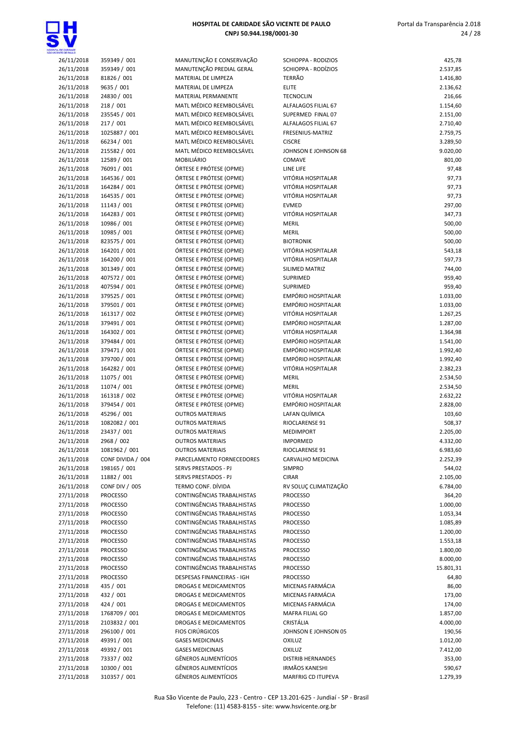

| 26/11/2018 | 359349 / 001      | MANUTENÇÃO E CONSERVAÇÃO          | SCHIOPPA - RODIZIOS       | 425,78    |
|------------|-------------------|-----------------------------------|---------------------------|-----------|
| 26/11/2018 | 359349 / 001      | MANUTENÇÃO PREDIAL GERAL          | SCHIOPPA - RODÍZIOS       | 2.537,85  |
|            |                   |                                   |                           |           |
| 26/11/2018 | 81826 / 001       | MATERIAL DE LIMPEZA               | <b>TERRÃO</b>             | 1.416,80  |
| 26/11/2018 | 9635 / 001        | MATERIAL DE LIMPEZA               | <b>ELITE</b>              | 2.136,62  |
| 26/11/2018 | 24830 / 001       | <b>MATERIAL PERMANENTE</b>        | <b>TECNOCLIN</b>          | 216,66    |
| 26/11/2018 | 218 / 001         | MATL MÉDICO REEMBOLSÁVEL          | ALFALAGOS FILIAL 67       | 1.154,60  |
| 26/11/2018 | 235545 / 001      | MATL MÉDICO REEMBOLSÁVEL          | SUPERMED FINAL 07         | 2.151,00  |
| 26/11/2018 | 217/001           | MATL MÉDICO REEMBOLSÁVEL          | ALFALAGOS FILIAL 67       | 2.710,40  |
| 26/11/2018 | 1025887 / 001     | MATL MÉDICO REEMBOLSÁVEL          | FRESENIUS-MATRIZ          | 2.759,75  |
|            |                   | MATL MÉDICO REEMBOLSÁVEL          |                           |           |
| 26/11/2018 | 66234 / 001       |                                   | <b>CISCRE</b>             | 3.289,50  |
| 26/11/2018 | 215582 / 001      | MATL MÉDICO REEMBOLSÁVEL          | JOHNSON E JOHNSON 68      | 9.020,00  |
| 26/11/2018 | 12589 / 001       | <b>MOBILIÁRIO</b>                 | COMAVE                    | 801,00    |
| 26/11/2018 | 76091 / 001       | ÓRTESE E PRÓTESE (OPME)           | LINE LIFE                 | 97,48     |
| 26/11/2018 | 164536 / 001      | ÓRTESE E PRÓTESE (OPME)           | VITÓRIA HOSPITALAR        | 97,73     |
| 26/11/2018 | 164284 / 001      | ÓRTESE E PRÓTESE (OPME)           | VITÓRIA HOSPITALAR        | 97,73     |
| 26/11/2018 | 164535 / 001      | ÓRTESE E PRÓTESE (OPME)           | VITÓRIA HOSPITALAR        | 97,73     |
| 26/11/2018 | 11143 / 001       | ÓRTESE E PRÓTESE (OPME)           | <b>EVMED</b>              | 297,00    |
|            |                   |                                   |                           |           |
| 26/11/2018 | 164283 / 001      | ÓRTESE E PRÓTESE (OPME)           | VITÓRIA HOSPITALAR        | 347,73    |
| 26/11/2018 | 10986 / 001       | ÓRTESE E PRÓTESE (OPME)           | <b>MERIL</b>              | 500,00    |
| 26/11/2018 | 10985 / 001       | ÓRTESE E PRÓTESE (OPME)           | <b>MERIL</b>              | 500,00    |
| 26/11/2018 | 823575 / 001      | ÓRTESE E PRÓTESE (OPME)           | <b>BIOTRONIK</b>          | 500,00    |
| 26/11/2018 | 164201 / 001      | ÓRTESE E PRÓTESE (OPME)           | VITÓRIA HOSPITALAR        | 543,18    |
| 26/11/2018 | 164200 / 001      | ÓRTESE E PRÓTESE (OPME)           | VITÓRIA HOSPITALAR        | 597,73    |
|            |                   |                                   |                           |           |
| 26/11/2018 | 301349 / 001      | ÓRTESE E PRÓTESE (OPME)           | SILIMED MATRIZ            | 744,00    |
| 26/11/2018 | 407572 / 001      | ÓRTESE E PRÓTESE (OPME)           | SUPRIMED                  | 959,40    |
| 26/11/2018 | 407594 / 001      | ÓRTESE E PRÓTESE (OPME)           | SUPRIMED                  | 959,40    |
| 26/11/2018 | 379525 / 001      | ÓRTESE E PRÓTESE (OPME)           | <b>EMPÓRIO HOSPITALAR</b> | 1.033,00  |
| 26/11/2018 | 379501 / 001      | ÓRTESE E PRÓTESE (OPME)           | EMPÓRIO HOSPITALAR        | 1.033,00  |
| 26/11/2018 | 161317 / 002      | ÓRTESE E PRÓTESE (OPME)           | VITÓRIA HOSPITALAR        | 1.267,25  |
| 26/11/2018 | 379491 / 001      | ÓRTESE E PRÓTESE (OPME)           | EMPÓRIO HOSPITALAR        | 1.287,00  |
| 26/11/2018 | 164302 / 001      | ÓRTESE E PRÓTESE (OPME)           | VITÓRIA HOSPITALAR        | 1.364,98  |
|            |                   |                                   |                           |           |
| 26/11/2018 | 379484 / 001      | ÓRTESE E PRÓTESE (OPME)           | EMPÓRIO HOSPITALAR        | 1.541,00  |
| 26/11/2018 | 379471 / 001      | ÓRTESE E PRÓTESE (OPME)           | EMPÓRIO HOSPITALAR        | 1.992,40  |
| 26/11/2018 | 379700 / 001      | ÓRTESE E PRÓTESE (OPME)           | EMPÓRIO HOSPITALAR        | 1.992,40  |
| 26/11/2018 | 164282 / 001      | ÓRTESE E PRÓTESE (OPME)           | VITÓRIA HOSPITALAR        | 2.382,23  |
| 26/11/2018 | 11075 / 001       | ÓRTESE E PRÓTESE (OPME)           | <b>MERIL</b>              | 2.534,50  |
| 26/11/2018 | 11074 / 001       | ÓRTESE E PRÓTESE (OPME)           | <b>MERIL</b>              | 2.534,50  |
| 26/11/2018 | 161318 / 002      | ÓRTESE E PRÓTESE (OPME)           | VITÓRIA HOSPITALAR        | 2.632,22  |
|            |                   |                                   |                           |           |
| 26/11/2018 | 379454 / 001      | ÓRTESE E PRÓTESE (OPME)           | EMPÓRIO HOSPITALAR        | 2.828,00  |
| 26/11/2018 | 45296 / 001       | <b>OUTROS MATERIAIS</b>           | LAFAN QUÍMICA             | 103,60    |
| 26/11/2018 | 1082082 / 001     | <b>OUTROS MATERIAIS</b>           | RIOCLARENSE 91            | 508,37    |
| 26/11/2018 | 23437 / 001       | <b>OUTROS MATERIAIS</b>           | <b>MEDIMPORT</b>          | 2.205,00  |
| 26/11/2018 | 2968 / 002        | <b>OUTROS MATERIAIS</b>           | <b>IMPORMED</b>           | 4.332,00  |
| 26/11/2018 | 1081962 / 001     | <b>OUTROS MATERIAIS</b>           | RIOCLARENSE 91            | 6.983,60  |
| 26/11/2018 | CONF DIVIDA / 004 | PARCELAMENTO FORNECEDORES         | CARVALHO MEDICINA         | 2.252,39  |
| 26/11/2018 |                   |                                   |                           |           |
|            | 198165 / 001      | SERVS PRESTADOS - PJ              | <b>SIMPRO</b>             | 544,02    |
| 26/11/2018 | 11882 / 001       | SERVS PRESTADOS - PJ              | <b>CIRAR</b>              | 2.105,00  |
| 26/11/2018 | CONF DIV / 005    | TERMO CONF. DÍVIDA                | RV SOLUÇ CLIMATIZAÇÃO     | 6.784,00  |
| 27/11/2018 | <b>PROCESSO</b>   | CONTINGÊNCIAS TRABALHISTAS        | <b>PROCESSO</b>           | 364,20    |
| 27/11/2018 | <b>PROCESSO</b>   | CONTINGÊNCIAS TRABALHISTAS        | <b>PROCESSO</b>           | 1.000,00  |
| 27/11/2018 | <b>PROCESSO</b>   | CONTINGÊNCIAS TRABALHISTAS        | <b>PROCESSO</b>           | 1.053,34  |
| 27/11/2018 | <b>PROCESSO</b>   | CONTINGÊNCIAS TRABALHISTAS        | <b>PROCESSO</b>           | 1.085,89  |
|            | <b>PROCESSO</b>   | CONTINGÊNCIAS TRABALHISTAS        |                           | 1.200,00  |
| 27/11/2018 |                   |                                   | <b>PROCESSO</b>           |           |
| 27/11/2018 | <b>PROCESSO</b>   | CONTINGÊNCIAS TRABALHISTAS        | <b>PROCESSO</b>           | 1.553,18  |
| 27/11/2018 | <b>PROCESSO</b>   | <b>CONTINGÊNCIAS TRABALHISTAS</b> | <b>PROCESSO</b>           | 1.800,00  |
| 27/11/2018 | <b>PROCESSO</b>   | CONTINGÊNCIAS TRABALHISTAS        | <b>PROCESSO</b>           | 8.000,00  |
| 27/11/2018 | <b>PROCESSO</b>   | CONTINGÊNCIAS TRABALHISTAS        | <b>PROCESSO</b>           | 15.801,31 |
| 27/11/2018 | <b>PROCESSO</b>   | DESPESAS FINANCEIRAS - IGH        | <b>PROCESSO</b>           | 64,80     |
| 27/11/2018 | 435 / 001         | DROGAS E MEDICAMENTOS             | MICENAS FARMÁCIA          | 86,00     |
|            | 432 / 001         |                                   | MICENAS FARMÁCIA          |           |
| 27/11/2018 |                   | DROGAS E MEDICAMENTOS             |                           | 173,00    |
| 27/11/2018 | 424 / 001         | DROGAS E MEDICAMENTOS             | MICENAS FARMÁCIA          | 174,00    |
| 27/11/2018 | 1768709 / 001     | DROGAS E MEDICAMENTOS             | MAFRA FILIAL GO           | 1.857,00  |
| 27/11/2018 | 2103832 / 001     | DROGAS E MEDICAMENTOS             | CRISTÁLIA                 | 4.000,00  |
| 27/11/2018 | 296100 / 001      | <b>FIOS CIRÚRGICOS</b>            | JOHNSON E JOHNSON 05      | 190,56    |
| 27/11/2018 | 49391 / 001       | <b>GASES MEDICINAIS</b>           | <b>OXILUZ</b>             | 1.012,00  |
| 27/11/2018 | 49392 / 001       | <b>GASES MEDICINAIS</b>           | <b>OXILUZ</b>             | 7.412,00  |
|            |                   |                                   |                           |           |
| 27/11/2018 | 73337 / 002       | GÊNEROS ALIMENTÍCIOS              | <b>DISTRIB HERNANDES</b>  | 353,00    |
| 27/11/2018 | 10300 / 001       | GÊNEROS ALIMENTÍCIOS              | <b>IRMÃOS KANESHI</b>     | 590,67    |
| 27/11/2018 | 310357 / 001      | <b>GÊNEROS ALIMENTÍCIOS</b>       | MARFRIG CD ITUPEVA        | 1.279,39  |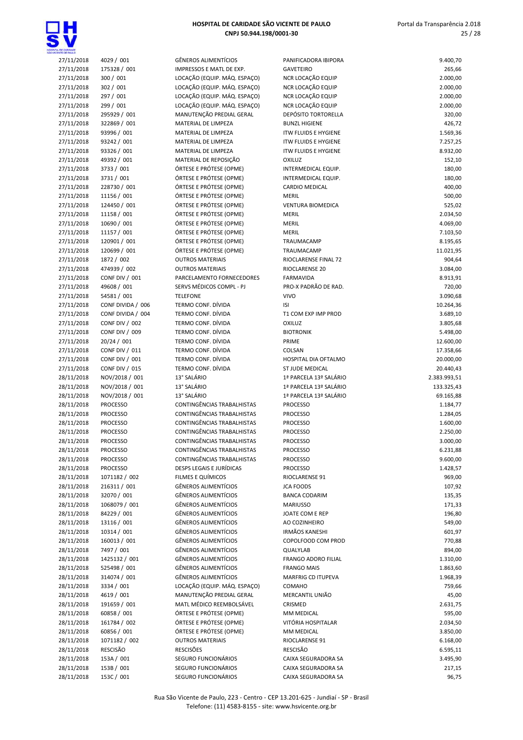

| <b>VTE CE PAIL O</b> |                       |                              |                             |              |
|----------------------|-----------------------|------------------------------|-----------------------------|--------------|
| 27/11/2018           | 4029 / 001            | GÊNEROS ALIMENTÍCIOS         | PANIFICADORA IBIPORA        | 9.400,70     |
| 27/11/2018           | 175328 / 001          | IMPRESSOS E MATL DE EXP.     | <b>GAVETEIRO</b>            | 265,66       |
| 27/11/2018           | 300 / 001             | LOCAÇÃO (EQUIP. MÁQ. ESPAÇO) | NCR LOCAÇÃO EQUIP           | 2.000,00     |
| 27/11/2018           | 302 / 001             | LOCAÇÃO (EQUIP. MÁQ. ESPAÇO) | NCR LOCAÇÃO EQUIP           | 2.000,00     |
| 27/11/2018           | 297 / 001             | LOCAÇÃO (EQUIP. MÁQ. ESPAÇO) | NCR LOCAÇÃO EQUIP           | 2.000,00     |
| 27/11/2018           | 299 / 001             | LOCAÇÃO (EQUIP. MÁQ. ESPAÇO) | NCR LOCAÇÃO EQUIP           | 2.000,00     |
| 27/11/2018           | 295929 / 001          | MANUTENÇÃO PREDIAL GERAL     | <b>DEPÓSITO TORTORELLA</b>  | 320,00       |
| 27/11/2018           | 322869 / 001          | MATERIAL DE LIMPEZA          | <b>BUNZL HIGIENE</b>        | 426,72       |
| 27/11/2018           | 93996 / 001           | MATERIAL DE LIMPEZA          | <b>ITW FLUIDS E HYGIENE</b> | 1.569,36     |
| 27/11/2018           | 93242 / 001           | MATERIAL DE LIMPEZA          | <b>ITW FLUIDS E HYGIENE</b> | 7.257,25     |
| 27/11/2018           | 93326 / 001           | MATERIAL DE LIMPEZA          | <b>ITW FLUIDS E HYGIENE</b> | 8.932,00     |
| 27/11/2018           | 49392 / 001           | MATERIAL DE REPOSIÇÃO        | <b>OXILUZ</b>               | 152,10       |
| 27/11/2018           | 3733 / 001            | ÓRTESE E PRÓTESE (OPME)      | INTERMEDICAL EQUIP.         | 180,00       |
| 27/11/2018           | 3731 / 001            | ÓRTESE E PRÓTESE (OPME)      | INTERMEDICAL EQUIP.         | 180,00       |
| 27/11/2018           | 228730 / 001          | ÓRTESE E PRÓTESE (OPME)      | <b>CARDIO MEDICAL</b>       | 400,00       |
| 27/11/2018           | 11156 / 001           | ÓRTESE E PRÓTESE (OPME)      | <b>MERIL</b>                | 500,00       |
| 27/11/2018           | 124450 / 001          | ÓRTESE E PRÓTESE (OPME)      | <b>VENTURA BIOMEDICA</b>    | 525,02       |
| 27/11/2018           | 11158 / 001           | ÓRTESE E PRÓTESE (OPME)      | MERIL                       | 2.034,50     |
| 27/11/2018           | 10690 / 001           | ÓRTESE E PRÓTESE (OPME)      | <b>MERIL</b>                | 4.069,00     |
| 27/11/2018           | 11157 / 001           | ÓRTESE E PRÓTESE (OPME)      | MERIL                       | 7.103,50     |
| 27/11/2018           | 120901 / 001          | ÓRTESE E PRÓTESE (OPME)      | TRAUMACAMP                  | 8.195,65     |
| 27/11/2018           | 120699 / 001          | ÓRTESE E PRÓTESE (OPME)      | TRAUMACAMP                  | 11.021,95    |
| 27/11/2018           | 1872 / 002            | <b>OUTROS MATERIAIS</b>      | <b>RIOCLARENSE FINAL 72</b> | 904,64       |
| 27/11/2018           | 474939 / 002          | <b>OUTROS MATERIAIS</b>      | RIOCLARENSE 20              | 3.084,00     |
| 27/11/2018           | CONF DIV / 001        | PARCELAMENTO FORNECEDORES    | <b>FARMAVIDA</b>            | 8.913,91     |
| 27/11/2018           | 49608 / 001           | SERVS MÉDICOS COMPL - PJ     | PRO-X PADRÃO DE RAD.        | 720,00       |
| 27/11/2018           | 54581 / 001           | <b>TELEFONE</b>              | <b>VIVO</b>                 | 3.090,68     |
| 27/11/2018           | CONF DIVIDA / 006     | TERMO CONF. DÍVIDA           | ISI                         | 10.264,36    |
| 27/11/2018           | CONF DIVIDA / 004     | TERMO CONF. DÍVIDA           | T1 COM EXP IMP PROD         | 3.689,10     |
| 27/11/2018           | CONF DIV / 002        | TERMO CONF. DÍVIDA           | <b>OXILUZ</b>               | 3.805,68     |
| 27/11/2018           | CONF DIV / 009        | TERMO CONF. DÍVIDA           | <b>BIOTRONIK</b>            | 5.498,00     |
| 27/11/2018           | 20/24 / 001           | TERMO CONF. DÍVIDA           | PRIME                       | 12.600,00    |
| 27/11/2018           | <b>CONF DIV / 011</b> | TERMO CONF. DÍVIDA           | COLSAN                      | 17.358,66    |
| 27/11/2018           | CONF DIV / 001        | TERMO CONF. DÍVIDA           | HOSPITAL DIA OFTALMO        | 20.000,00    |
| 27/11/2018           | <b>CONF DIV / 015</b> | TERMO CONF. DÍVIDA           | ST JUDE MEDICAL             | 20.440,43    |
| 28/11/2018           | NOV/2018 / 001        | 13° SALÁRIO                  | 1ª PARCELA 13º SALÁRIO      | 2.383.993,51 |
| 28/11/2018           | NOV/2018 / 001        | 13° SALÁRIO                  | 1ª PARCELA 13º SALÁRIO      | 133.325,43   |
| 28/11/2018           | NOV/2018 / 001        | 13° SALÁRIO                  | 1ª PARCELA 13º SALÁRIO      | 69.165,88    |
| 28/11/2018           | <b>PROCESSO</b>       | CONTINGÊNCIAS TRABALHISTAS   | <b>PROCESSO</b>             | 1.184,77     |
| 28/11/2018           | <b>PROCESSO</b>       | CONTINGÊNCIAS TRABALHISTAS   | <b>PROCESSO</b>             | 1.284,05     |
| 28/11/2018           | <b>PROCESSO</b>       | CONTINGÊNCIAS TRABALHISTAS   | <b>PROCESSO</b>             | 1.600,00     |
| 28/11/2018           | <b>PROCESSO</b>       | CONTINGÊNCIAS TRABALHISTAS   | <b>PROCESSO</b>             | 2.250,00     |
| 28/11/2018           | <b>PROCESSO</b>       | CONTINGÊNCIAS TRABALHISTAS   | <b>PROCESSO</b>             | 3.000,00     |
| 28/11/2018           | <b>PROCESSO</b>       | CONTINGÊNCIAS TRABALHISTAS   | <b>PROCESSO</b>             | 6.231,88     |
| 28/11/2018           | <b>PROCESSO</b>       | CONTINGÊNCIAS TRABALHISTAS   | <b>PROCESSO</b>             | 9.600,00     |
| 28/11/2018           | <b>PROCESSO</b>       | DESPS LEGAIS E JURÍDICAS     | <b>PROCESSO</b>             | 1.428,57     |
| 28/11/2018           | 1071182 / 002         | FILMES E QUÍMICOS            | RIOCLARENSE 91              | 969,00       |
| 28/11/2018           | 216311 / 001          | GÊNEROS ALIMENTÍCIOS         | <b>JCA FOODS</b>            | 107,92       |
| 28/11/2018           | 32070 / 001           | GÊNEROS ALIMENTÍCIOS         | <b>BANCA CODARIM</b>        | 135,35       |
| 28/11/2018           | 1068079 / 001         | <b>GÊNEROS ALIMENTÍCIOS</b>  | <b>MARIUSSO</b>             | 171,33       |
| 28/11/2018           | 84229 / 001           | GÊNEROS ALIMENTÍCIOS         | JOATE COM E REP             | 196,80       |
| 28/11/2018           | 13116 / 001           | <b>GÊNEROS ALIMENTÍCIOS</b>  | AO COZINHEIRO               | 549,00       |
| 28/11/2018           | 10314 / 001           | GÊNEROS ALIMENTÍCIOS         | <b>IRMÃOS KANESHI</b>       | 601,97       |
| 28/11/2018           | 160013 / 001          | GÊNEROS ALIMENTÍCIOS         | COPOLFOOD COM PROD          | 770,88       |
| 28/11/2018           | 7497 / 001            | <b>GÊNEROS ALIMENTÍCIOS</b>  | QUALYLAB                    | 894,00       |
| 28/11/2018           | 1425132 / 001         | GÊNEROS ALIMENTÍCIOS         | FRANGO ADORO FILIAL         | 1.310,00     |
| 28/11/2018           | 525498 / 001          | GÊNEROS ALIMENTÍCIOS         | <b>FRANGO MAIS</b>          | 1.863,60     |
| 28/11/2018           | 314074 / 001          | GÊNEROS ALIMENTÍCIOS         | MARFRIG CD ITUPEVA          | 1.968,39     |
| 28/11/2018           | 3334 / 001            | LOCAÇÃO (EQUIP. MÁQ. ESPAÇO) | <b>COMAHO</b>               | 759,66       |
| 28/11/2018           | 4619 / 001            | MANUTENÇÃO PREDIAL GERAL     | MERCANTIL UNIÃO             | 45,00        |
| 28/11/2018           | 191659 / 001          | MATL MÉDICO REEMBOLSÁVEL     | CRISMED                     | 2.631,75     |
| 28/11/2018           | 60858 / 001           | ÓRTESE E PRÓTESE (OPME)      | MM MEDICAL                  | 595,00       |
| 28/11/2018           | 161784 / 002          | ÓRTESE E PRÓTESE (OPME)      | VITÓRIA HOSPITALAR          | 2.034,50     |
| 28/11/2018           | 60856 / 001           | ÓRTESE E PRÓTESE (OPME)      | MM MEDICAL                  | 3.850,00     |
| 28/11/2018           | 1071182 / 002         | <b>OUTROS MATERIAIS</b>      | RIOCLARENSE 91              | 6.168,00     |
| 28/11/2018           | <b>RESCISÃO</b>       | <b>RESCISÕES</b>             | <b>RESCISÃO</b>             | 6.595,11     |
| 28/11/2018           | 153A / 001            | SEGURO FUNCIONÁRIOS          | CAIXA SEGURADORA SA         | 3.495,90     |
| 28/11/2018           | 153B / 001            | SEGURO FUNCIONÁRIOS          | CAIXA SEGURADORA SA         | 217,15       |
| 20/11                |                       |                              |                             |              |

| 27/11/2018               | 4029 / 001               | GÊNEROS ALIMENTÍCIOS                       | PANIFICADORA IBIPORA                       | 9.400,70        |
|--------------------------|--------------------------|--------------------------------------------|--------------------------------------------|-----------------|
| 27/11/2018               | 175328 / 001             | IMPRESSOS E MATL DE EXP.                   | <b>GAVETEIRO</b>                           | 265,66          |
|                          |                          |                                            |                                            |                 |
| 27/11/2018               | 300 / 001                | LOCAÇÃO (EQUIP. MÁQ. ESPAÇO)               | NCR LOCAÇÃO EQUIP                          | 2.000,00        |
| 27/11/2018               | 302 / 001                | LOCAÇÃO (EQUIP. MÁQ. ESPAÇO)               | NCR LOCAÇÃO EQUIP                          | 2.000,00        |
| 27/11/2018               | 297 / 001                | LOCAÇÃO (EQUIP. MÁQ. ESPAÇO)               | NCR LOCAÇÃO EQUIP                          | 2.000,00        |
|                          | 299 / 001                | LOCAÇÃO (EQUIP. MÁQ. ESPAÇO)               | NCR LOCAÇÃO EQUIP                          | 2.000,00        |
| 27/11/2018               |                          |                                            |                                            |                 |
| 27/11/2018               | 295929 / 001             | MANUTENÇÃO PREDIAL GERAL                   | DEPÓSITO TORTORELLA                        | 320,00          |
| 27/11/2018               | 322869 / 001             | MATERIAL DE LIMPEZA                        | <b>BUNZL HIGIENE</b>                       | 426,72          |
| 27/11/2018               | 93996 / 001              | MATERIAL DE LIMPEZA                        | <b>ITW FLUIDS E HYGIENE</b>                | 1.569,36        |
|                          |                          |                                            |                                            |                 |
| 27/11/2018               | 93242 / 001              | MATERIAL DE LIMPEZA                        | <b>ITW FLUIDS E HYGIENE</b>                | 7.257,25        |
| 27/11/2018               | 93326 / 001              | MATERIAL DE LIMPEZA                        | <b>ITW FLUIDS E HYGIENE</b>                | 8.932,00        |
| 27/11/2018               | 49392 / 001              | MATERIAL DE REPOSIÇÃO                      | OXILUZ                                     | 152,10          |
|                          |                          | ÓRTESE E PRÓTESE (OPME)                    |                                            |                 |
| 27/11/2018               | 3733 / 001               |                                            | INTERMEDICAL EQUIP.                        | 180,00          |
| 27/11/2018               | 3731 / 001               | ÓRTESE E PRÓTESE (OPME)                    | INTERMEDICAL EQUIP.                        | 180,00          |
| 27/11/2018               | 228730 / 001             | ÓRTESE E PRÓTESE (OPME)                    | <b>CARDIO MEDICAL</b>                      | 400,00          |
| 27/11/2018               | 11156 / 001              | ÓRTESE E PRÓTESE (OPME)                    | <b>MERIL</b>                               | 500,00          |
|                          |                          |                                            |                                            |                 |
| 27/11/2018               | 124450 / 001             | ÓRTESE E PRÓTESE (OPME)                    | <b>VENTURA BIOMEDICA</b>                   | 525,02          |
| 27/11/2018               | 11158 / 001              | ÓRTESE E PRÓTESE (OPME)                    | <b>MERIL</b>                               | 2.034,50        |
| 27/11/2018               | 10690 / 001              | ÓRTESE E PRÓTESE (OPME)                    | <b>MERIL</b>                               | 4.069,00        |
|                          |                          |                                            |                                            |                 |
| 27/11/2018               | 11157 / 001              | ÓRTESE E PRÓTESE (OPME)                    | <b>MERIL</b>                               | 7.103,50        |
| 27/11/2018               | 120901 / 001             | ÓRTESE E PRÓTESE (OPME)                    | TRAUMACAMP                                 | 8.195,65        |
| 27/11/2018               | 120699 / 001             | ÓRTESE E PRÓTESE (OPME)                    | TRAUMACAMP                                 | 11.021,95       |
|                          | 1872 / 002               | <b>OUTROS MATERIAIS</b>                    | RIOCLARENSE FINAL 72                       | 904,64          |
| 27/11/2018               |                          |                                            |                                            |                 |
| 27/11/2018               | 474939 / 002             | <b>OUTROS MATERIAIS</b>                    | RIOCLARENSE 20                             | 3.084,00        |
| 27/11/2018               | CONF DIV / 001           | PARCELAMENTO FORNECEDORES                  | <b>FARMAVIDA</b>                           | 8.913,91        |
| 27/11/2018               | 49608 / 001              | SERVS MÉDICOS COMPL - PJ                   | PRO-X PADRÃO DE RAD.                       | 720,00          |
|                          |                          |                                            |                                            |                 |
| 27/11/2018               | 54581 / 001              | <b>TELEFONE</b>                            | <b>VIVO</b>                                | 3.090,68        |
| 27/11/2018               | CONF DIVIDA / 006        | TERMO CONF. DÍVIDA                         | ISI                                        | 10.264,36       |
| 27/11/2018               | CONF DIVIDA / 004        | TERMO CONF. DÍVIDA                         | T1 COM EXP IMP PROD                        | 3.689,10        |
|                          |                          |                                            |                                            |                 |
| 27/11/2018               | <b>CONF DIV / 002</b>    | TERMO CONF. DÍVIDA                         | OXILUZ                                     | 3.805,68        |
| 27/11/2018               | CONF DIV / 009           | TERMO CONF. DÍVIDA                         | <b>BIOTRONIK</b>                           | 5.498,00        |
| 27/11/2018               | 20/24 / 001              | TERMO CONF. DÍVIDA                         | PRIME                                      | 12.600,00       |
|                          | <b>CONF DIV / 011</b>    | TERMO CONF. DÍVIDA                         | COLSAN                                     | 17.358,66       |
| 27/11/2018               |                          |                                            |                                            |                 |
| 27/11/2018               | <b>CONF DIV / 001</b>    | TERMO CONF. DÍVIDA                         | HOSPITAL DIA OFTALMO                       | 20.000,00       |
| 27/11/2018               | <b>CONF DIV / 015</b>    | TERMO CONF. DÍVIDA                         | ST JUDE MEDICAL                            | 20.440,43       |
| 28/11/2018               | NOV/2018 / 001           | 13° SALÁRIO                                | 1ª PARCELA 13º SALÁRIO                     | 2.383.993,51    |
|                          |                          |                                            |                                            |                 |
|                          |                          |                                            |                                            |                 |
| 28/11/2018               | NOV/2018 / 001           | 13° SALÁRIO                                | 1ª PARCELA 13º SALÁRIO                     | 133.325,43      |
| 28/11/2018               | NOV/2018 / 001           | 13° SALÁRIO                                | 1ª PARCELA 13º SALÁRIO                     | 69.165,88       |
|                          |                          |                                            |                                            |                 |
| 28/11/2018               | <b>PROCESSO</b>          | CONTINGÊNCIAS TRABALHISTAS                 | <b>PROCESSO</b>                            | 1.184,77        |
| 28/11/2018               | <b>PROCESSO</b>          | CONTINGÊNCIAS TRABALHISTAS                 | <b>PROCESSO</b>                            | 1.284,05        |
| 28/11/2018               | <b>PROCESSO</b>          | <b>CONTINGÊNCIAS TRABALHISTAS</b>          | <b>PROCESSO</b>                            | 1.600,00        |
|                          | <b>PROCESSO</b>          | <b>CONTINGÊNCIAS TRABALHISTAS</b>          | <b>PROCESSO</b>                            | 2.250,00        |
| 28/11/2018               |                          |                                            |                                            |                 |
| 28/11/2018               | <b>PROCESSO</b>          | CONTINGÊNCIAS TRABALHISTAS                 | <b>PROCESSO</b>                            | 3.000,00        |
| 28/11/2018               | PROCESSO                 | CONTINGÊNCIAS TRABALHISTAS                 | <b>PROCESSO</b>                            | 6.231,88        |
| 28/11/2018               | PROCESSO                 | CONTINGÊNCIAS TRABALHISTAS                 | <b>PROCESSO</b>                            | 9.600,00        |
|                          |                          |                                            |                                            |                 |
| 28/11/2018               | <b>PROCESSO</b>          | DESPS LEGAIS E JURÍDICAS                   | <b>PROCESSO</b>                            | 1.428,57        |
| 28/11/2018               | 1071182 / 002            | FILMES E QUÍMICOS                          | RIOCLARENSE 91                             | 969,00          |
| 28/11/2018               | 216311 / 001             | GÊNEROS ALIMENTÍCIOS                       | <b>JCA FOODS</b>                           | 107,92          |
|                          |                          | GÊNEROS ALIMENTÍCIOS                       | <b>BANCA CODARIM</b>                       |                 |
| 28/11/2018               | 32070 / 001              |                                            |                                            | 135,35          |
| 28/11/2018               | 1068079 / 001            | GÊNEROS ALIMENTÍCIOS                       | <b>MARIUSSO</b>                            | 171,33          |
| 28/11/2018               | 84229 / 001              | GÊNEROS ALIMENTÍCIOS                       | JOATE COM E REP                            | 196,80          |
| 28/11/2018               | 13116 / 001              | GÊNEROS ALIMENTÍCIOS                       | AO COZINHEIRO                              | 549,00          |
|                          |                          |                                            |                                            |                 |
| 28/11/2018               | 10314 / 001              | GÊNEROS ALIMENTÍCIOS                       | <b>IRMÃOS KANESHI</b>                      | 601,97          |
| 28/11/2018               | 160013 / 001             | GÊNEROS ALIMENTÍCIOS                       | COPOLFOOD COM PROD                         | 770,88          |
| 28/11/2018               | 7497 / 001               | GÊNEROS ALIMENTÍCIOS                       | QUALYLAB                                   | 894,00          |
|                          |                          | GÊNEROS ALIMENTÍCIOS                       |                                            |                 |
| 28/11/2018               | 1425132 / 001            |                                            | FRANGO ADORO FILIAL                        | 1.310,00        |
| 28/11/2018               | 525498 / 001             | GÊNEROS ALIMENTÍCIOS                       | <b>FRANGO MAIS</b>                         | 1.863,60        |
| 28/11/2018               | 314074 / 001             | GÊNEROS ALIMENTÍCIOS                       | MARFRIG CD ITUPEVA                         | 1.968,39        |
| 28/11/2018               | 3334 / 001               | LOCAÇÃO (EQUIP. MÁQ. ESPAÇO)               | COMAHO                                     | 759,66          |
|                          |                          |                                            |                                            |                 |
| 28/11/2018               | 4619 / 001               | MANUTENÇÃO PREDIAL GERAL                   | MERCANTIL UNIÃO                            | 45,00           |
| 28/11/2018               | 191659 / 001             | MATL MÉDICO REEMBOLSÁVEL                   | CRISMED                                    | 2.631,75        |
| 28/11/2018               | 60858 / 001              | ÓRTESE E PRÓTESE (OPME)                    | MM MEDICAL                                 | 595,00          |
| 28/11/2018               | 161784 / 002             | ÓRTESE E PRÓTESE (OPME)                    | VITÓRIA HOSPITALAR                         | 2.034,50        |
|                          |                          |                                            |                                            |                 |
| 28/11/2018               | 60856 / 001              | ÓRTESE E PRÓTESE (OPME)                    | MM MEDICAL                                 | 3.850,00        |
| 28/11/2018               | 1071182 / 002            | <b>OUTROS MATERIAIS</b>                    | RIOCLARENSE 91                             | 6.168,00        |
| 28/11/2018               | RESCISÃO                 | <b>RESCISÕES</b>                           | <b>RESCISÃO</b>                            | 6.595,11        |
|                          |                          |                                            |                                            |                 |
| 28/11/2018               | 153A / 001               | SEGURO FUNCIONÁRIOS                        | CAIXA SEGURADORA SA                        | 3.495,90        |
| 28/11/2018<br>28/11/2018 | 153B / 001<br>153C / 001 | SEGURO FUNCIONÁRIOS<br>SEGURO FUNCIONÁRIOS | CAIXA SEGURADORA SA<br>CAIXA SEGURADORA SA | 217,15<br>96,75 |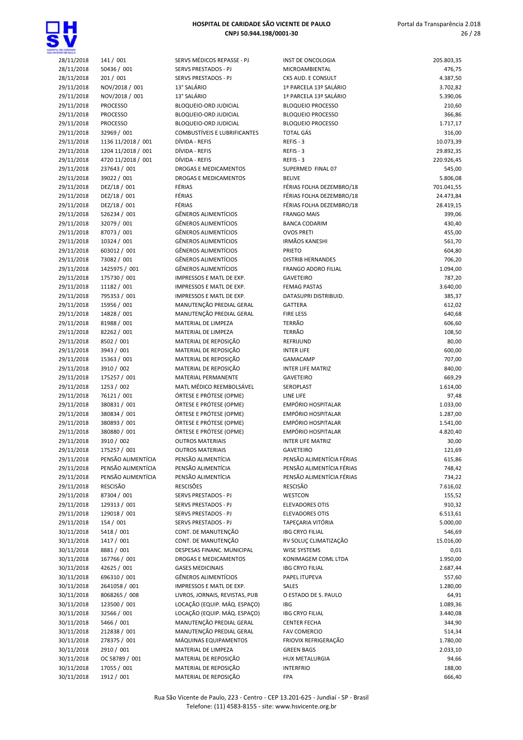

| <b>VITE CE PALLO</b>     |                             |                                     |                                           |                  |
|--------------------------|-----------------------------|-------------------------------------|-------------------------------------------|------------------|
| 28/11/2018               | 141 / 001                   | SERVS MÉDICOS REPASSE - PJ          | INST DE ONCOLOGIA                         | 205.803,35       |
| 28/11/2018               | 50436 / 001                 | SERVS PRESTADOS - PJ                | MICROAMBIENTAL                            | 476,75           |
| 28/11/2018               | 201/001                     | SERVS PRESTADOS - PJ                | CKS AUD. E CONSULT                        | 4.387,50         |
| 29/11/2018               | NOV/2018 / 001              | 13° SALÁRIO                         | 1ª PARCELA 13º SALÁRIO                    | 3.702,82         |
| 29/11/2018               | NOV/2018 / 001              | 13° SALÁRIO                         | 1ª PARCELA 13º SALÁRIO                    | 5.390,06         |
| 29/11/2018               | <b>PROCESSO</b>             | BLOQUEIO-ORD JUDICIAL               | <b>BLOQUEIO PROCESSO</b>                  | 210,60           |
| 29/11/2018               | <b>PROCESSO</b>             | BLOQUEIO-ORD JUDICIAL               | <b>BLOQUEIO PROCESSO</b>                  | 366,86           |
| 29/11/2018               | <b>PROCESSO</b>             | BLOQUEIO-ORD JUDICIAL               | <b>BLOQUEIO PROCESSO</b>                  | 1.717,17         |
| 29/11/2018               | 32969 / 001                 | <b>COMBUSTÍVEIS E LUBRIFICANTES</b> | <b>TOTAL GÁS</b>                          | 316,00           |
| 29/11/2018               | 1136 11/2018 / 001          | DÍVIDA - REFIS                      | REFIS - 3                                 | 10.073,39        |
| 29/11/2018               | 1204 11/2018 / 001          | DÍVIDA - REFIS                      | REFIS-3                                   | 29.892,35        |
| 29/11/2018               | 4720 11/2018 / 001          | DÍVIDA - REFIS                      | REFIS - 3                                 | 220.926,45       |
| 29/11/2018               | 237643 / 001                | DROGAS E MEDICAMENTOS               | SUPERMED FINAL 07                         | 545,00           |
| 29/11/2018               | 39022 / 001                 | DROGAS E MEDICAMENTOS               | <b>BELIVE</b>                             | 5.806,08         |
| 29/11/2018               | DEZ/18 / 001                | FÉRIAS                              | FÉRIAS FOLHA DEZEMBRO/18                  | 701.041,55       |
| 29/11/2018               | DEZ/18 / 001                | FÉRIAS<br>FÉRIAS                    | FÉRIAS FOLHA DEZEMBRO/18                  | 24.473,84        |
| 29/11/2018               | DEZ/18 / 001                | <b>GÊNEROS ALIMENTÍCIOS</b>         | FÉRIAS FOLHA DEZEMBRO/18                  | 28.419,15        |
| 29/11/2018               | 526234 / 001<br>32079 / 001 | <b>GÊNEROS ALIMENTÍCIOS</b>         | <b>FRANGO MAIS</b>                        | 399,06           |
| 29/11/2018               | 87073 / 001                 | <b>GÊNEROS ALIMENTÍCIOS</b>         | <b>BANCA CODARIM</b><br><b>OVOS PRETI</b> | 430,40           |
| 29/11/2018<br>29/11/2018 | 10324 / 001                 | <b>GÊNEROS ALIMENTÍCIOS</b>         | <b>IRMÃOS KANESHI</b>                     | 455,00<br>561,70 |
| 29/11/2018               | 603012 / 001                | <b>GÊNEROS ALIMENTÍCIOS</b>         | <b>PRIETO</b>                             | 604,80           |
| 29/11/2018               | 73082 / 001                 | <b>GÊNEROS ALIMENTÍCIOS</b>         | <b>DISTRIB HERNANDES</b>                  | 706,20           |
| 29/11/2018               | 1425975 / 001               | <b>GÊNEROS ALIMENTÍCIOS</b>         | <b>FRANGO ADORO FILIAL</b>                | 1.094,00         |
| 29/11/2018               | 175730 / 001                | IMPRESSOS E MATL DE EXP.            | <b>GAVETEIRO</b>                          | 787,20           |
| 29/11/2018               | 11182 / 001                 | IMPRESSOS E MATL DE EXP.            | <b>FEMAG PASTAS</b>                       | 3.640,00         |
| 29/11/2018               | 795353 / 001                | IMPRESSOS E MATL DE EXP.            | DATASUPRI DISTRIBUID.                     | 385,37           |
| 29/11/2018               | 15956 / 001                 | MANUTENÇÃO PREDIAL GERAL            | <b>GATTERA</b>                            | 612,02           |
| 29/11/2018               | 14828 / 001                 | MANUTENÇÃO PREDIAL GERAL            | <b>FIRE LESS</b>                          | 640,68           |
| 29/11/2018               | 81988 / 001                 | MATERIAL DE LIMPEZA                 | TERRÃO                                    | 606,60           |
| 29/11/2018               | 82262 / 001                 | MATERIAL DE LIMPEZA                 | <b>TERRÃO</b>                             | 108,50           |
| 29/11/2018               | 8502 / 001                  | MATERIAL DE REPOSIÇÃO               | REFRIJUND                                 | 80,00            |
| 29/11/2018               | 3943 / 001                  | MATERIAL DE REPOSIÇÃO               | <b>INTER LIFE</b>                         | 600,00           |
| 29/11/2018               | 15363 / 001                 | MATERIAL DE REPOSIÇÃO               | <b>GAMACAMP</b>                           | 707,00           |
| 29/11/2018               | 3910 / 002                  | MATERIAL DE REPOSIÇÃO               | <b>INTER LIFE MATRIZ</b>                  | 840,00           |
| 29/11/2018               | 175257 / 001                | MATERIAL PERMANENTE                 | <b>GAVETEIRO</b>                          | 669,29           |
| 29/11/2018               | 1253 / 002                  | MATL MÉDICO REEMBOLSÁVEL            | SEROPLAST                                 | 1.614,00         |
| 29/11/2018               | 76121 / 001                 | ÓRTESE E PRÓTESE (OPME)             | LINE LIFE                                 | 97,48            |
| 29/11/2018               | 380831 / 001                | ÓRTESE E PRÓTESE (OPME)             | EMPÓRIO HOSPITALAR                        | 1.033,00         |
| 29/11/2018               | 380834 / 001                | ÓRTESE E PRÓTESE (OPME)             | EMPÓRIO HOSPITALAR                        | 1.287,00         |
| 29/11/2018               | 380893 / 001                | ÓRTESE E PRÓTESE (OPME)             | <b>EMPÓRIO HOSPITALAR</b>                 | 1.541,00         |
| 29/11/2018               | 380880 / 001                | ÓRTESE E PRÓTESE (OPME)             | EMPÓRIO HOSPITALAR                        | 4.820,40         |
| 29/11/2018               | 3910 / 002                  | <b>OUTROS MATERIAIS</b>             | <b>INTER LIFE MATRIZ</b>                  | 30,00            |
| 29/11/2018               | 175257 / 001                | <b>OUTROS MATERIAIS</b>             | <b>GAVETEIRO</b>                          | 121,69           |
| 29/11/2018               | PENSÃO ALIMENTÍCIA          | PENSÃO ALIMENTÍCIA                  | PENSÃO ALIMENTÍCIA FÉRIAS                 | 615,86           |
| 29/11/2018               | PENSÃO ALIMENTÍCIA          | PENSÃO ALIMENTÍCIA                  | PENSÃO ALIMENTÍCIA FÉRIAS                 | 748,42           |
| 29/11/2018               | PENSÃO ALIMENTÍCIA          | PENSÃO ALIMENTÍCIA                  | PENSÃO ALIMENTÍCIA FÉRIAS                 | 734,22           |
| 29/11/2018               | RESCISÃO                    | <b>RESCISÕES</b>                    | <b>RESCISÃO</b>                           | 7.616,02         |
| 29/11/2018               | 87304 / 001                 | SERVS PRESTADOS - PJ                | WESTCON                                   | 155,52           |
| 29/11/2018               | 129313 / 001                | SERVS PRESTADOS - PJ                | <b>ELEVADORES OTIS</b>                    | 910,32           |
| 29/11/2018               | 129018 / 001                | <b>SERVS PRESTADOS - PJ</b>         | <b>ELEVADORES OTIS</b>                    | 6.513,61         |
| 29/11/2018               | 154 / 001                   | SERVS PRESTADOS - PJ                | TAPECARIA VITÓRIA                         | 5.000,00         |
| 30/11/2018               | 5418 / 001                  | CONT. DE MANUTENÇÃO                 | <b>IBG CRYO FILIAL</b>                    | 546,69           |
| 30/11/2018               | 1417 / 001                  | CONT. DE MANUTENÇÃO                 | RV SOLUÇ CLIMATIZAÇÃO                     | 15.016,00        |
| 30/11/2018               | 8881 / 001                  | DESPESAS FINANC. MUNICIPAL          | <b>WISE SYSTEMS</b>                       | 0,01             |
| 30/11/2018               | 167766 / 001                | DROGAS E MEDICAMENTOS               | KONIMAGEM COML LTDA                       | 1.950,00         |
| 30/11/2018               | 42625 / 001                 | <b>GASES MEDICINAIS</b>             | <b>IBG CRYO FILIAL</b>                    | 2.687,44         |
| 30/11/2018               | 696310 / 001                | <b>GÊNEROS ALIMENTÍCIOS</b>         | PAPEL ITUPEVA                             | 557,60           |
| 30/11/2018               | 2641058 / 001               | IMPRESSOS E MATL DE EXP.            | <b>SALES</b>                              | 1.280,00         |
| 30/11/2018               | 8068265 / 008               | LIVROS, JORNAIS, REVISTAS, PUB      | O ESTADO DE S. PAULO                      | 64,91            |
| 30/11/2018               | 123500 / 001                | LOCAÇÃO (EQUIP. MÁQ. ESPAÇO)        | IBG                                       | 1.089,36         |
| 30/11/2018               | 32566 / 001                 | LOCAÇÃO (EQUIP. MÁQ. ESPAÇO)        | <b>IBG CRYO FILIAL</b>                    | 3.440,08         |
| 30/11/2018               | 5466 / 001                  | MANUTENÇÃO PREDIAL GERAL            | <b>CENTER FECHA</b>                       | 344,90           |
| 30/11/2018               | 212838 / 001                | MANUTENÇÃO PREDIAL GERAL            | <b>FAV COMERCIO</b>                       | 514,34           |
| 30/11/2018               | 278375 / 001                | MÁQUINAS EQUIPAMENTOS               | FRIOVIX REFRIGERAÇÃO                      | 1.780,00         |
| 30/11/2018               | 2910 / 001                  | MATERIAL DE LIMPEZA                 | <b>GREEN BAGS</b>                         | 2.033,10         |
| 30/11/2018               | OC 58789 / 001              | MATERIAL DE REPOSIÇÃO               | <b>HUX METALURGIA</b>                     | 94,66            |
| 30/11/2018               | 17055 / 001                 | MATERIAL DE REPOSIÇÃO               | <b>INTERFRIO</b>                          | 188,00           |
| 30/11/2018               | 1912 / 001                  | MATERIAL DE REPOSIÇÃO               | FPA                                       | 666,40           |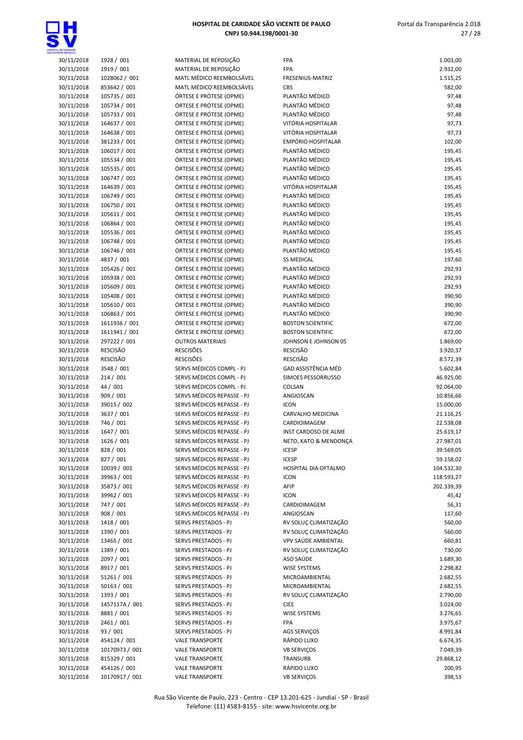

| ENTE CE PAIL O           |                               |                                                    |                                                  |                    |
|--------------------------|-------------------------------|----------------------------------------------------|--------------------------------------------------|--------------------|
| 30/11/2018               | 1928 / 001                    | MATERIAL DE REPOSIÇÃO                              | <b>FPA</b>                                       | 1.003,00           |
| 30/11/2018               | 1919 / 001                    | MATERIAL DE REPOSIÇÃO                              | FPA                                              | 2.932,00           |
| 30/11/2018               | 1028062 / 001                 | MATL MÉDICO REEMBOLSÁVEL                           | FRESENIUS-MATRIZ                                 | 1.515,25           |
| 30/11/2018               | 853642 / 001                  | MATL MÉDICO REEMBOLSÁVEL                           | <b>CBS</b>                                       | 582,00             |
| 30/11/2018               | 105735 / 001                  | ÓRTESE E PRÓTESE (OPME)<br>ÓRTESE E PRÓTESE (OPME) | PLANTÃO MÉDICO<br>PLANTÃO MÉDICO                 | 97,48              |
| 30/11/2018<br>30/11/2018 | 105734 / 001<br>105733 / 001  | ÓRTESE E PRÓTESE (OPME)                            | PLANTÃO MÉDICO                                   | 97,48<br>97,48     |
| 30/11/2018               | 164637 / 001                  | ÓRTESE E PRÓTESE (OPME)                            | VITÓRIA HOSPITALAR                               | 97,73              |
| 30/11/2018               | 164638 / 001                  | ÓRTESE E PRÓTESE (OPME)                            | VITÓRIA HOSPITALAR                               | 97,73              |
| 30/11/2018               | 381233 / 001                  | ÓRTESE E PRÓTESE (OPME)                            | <b>EMPÓRIO HOSPITALAR</b>                        | 102,00             |
| 30/11/2018               | 106017 / 001                  | ÓRTESE E PRÓTESE (OPME)                            | PLANTÃO MÉDICO                                   | 195,45             |
| 30/11/2018               | 105534 / 001                  | ÓRTESE E PRÓTESE (OPME)                            | PLANTÃO MÉDICO                                   | 195,45             |
| 30/11/2018               | 105535 / 001                  | ÓRTESE E PRÓTESE (OPME)                            | PLANTÃO MÉDICO                                   | 195,45             |
| 30/11/2018               | 106747 / 001                  | ÓRTESE E PRÓTESE (OPME)                            | PLANTÃO MÉDICO                                   | 195,45             |
| 30/11/2018               | 164639 / 001                  | ÓRTESE E PRÓTESE (OPME)                            | VITÓRIA HOSPITALAR                               | 195,45             |
| 30/11/2018               | 106749 / 001                  | ÓRTESE E PRÓTESE (OPME)                            | PLANTÃO MÉDICO                                   | 195,45             |
| 30/11/2018               | 106750 / 001                  | ÓRTESE E PRÓTESE (OPME)                            | PLANTÃO MÉDICO                                   | 195,45             |
| 30/11/2018               | 105611 / 001                  | ÓRTESE E PRÓTESE (OPME)                            | PLANTÃO MÉDICO                                   | 195,45             |
| 30/11/2018               | 106864 / 001                  | ÓRTESE E PRÓTESE (OPME)                            | PLANTÃO MÉDICO                                   | 195,45             |
| 30/11/2018               | 105536 / 001                  | ÓRTESE E PRÓTESE (OPME)                            | PLANTÃO MÉDICO                                   | 195,45             |
| 30/11/2018               | 106748 / 001                  | ÓRTESE E PRÓTESE (OPME)                            | PLANTÃO MÉDICO                                   | 195,45             |
| 30/11/2018               | 106746 / 001                  | ÓRTESE E PRÓTESE (OPME)                            | PLANTÃO MÉDICO                                   | 195,45             |
| 30/11/2018               | 4837 / 001                    | ÓRTESE E PRÓTESE (OPME)                            | <b>SS MEDICAL</b>                                | 197,60             |
| 30/11/2018               | 105426 / 001                  | ÓRTESE E PRÓTESE (OPME)                            | PLANTÃO MÉDICO                                   | 292,93             |
| 30/11/2018               | 105938 / 001                  | ÓRTESE E PRÓTESE (OPME)                            | PLANTÃO MÉDICO                                   | 292,93             |
| 30/11/2018               | 105609 / 001                  | ÓRTESE E PRÓTESE (OPME)                            | PLANTÃO MÉDICO                                   | 292,93             |
| 30/11/2018               | 105408 / 001                  | ÓRTESE E PRÓTESE (OPME)                            | PLANTÃO MÉDICO                                   | 390,90             |
| 30/11/2018               | 105610 / 001                  | ÓRTESE E PRÓTESE (OPME)                            | PLANTÃO MÉDICO                                   | 390,90             |
| 30/11/2018               | 106863 / 001                  | ÓRTESE E PRÓTESE (OPME)                            | PLANTÃO MÉDICO                                   | 390,90             |
| 30/11/2018               | 1611936 / 001                 | ÓRTESE E PRÓTESE (OPME)                            | <b>BOSTON SCIENTIFIC</b>                         | 672,00             |
| 30/11/2018<br>30/11/2018 | 1611941 / 001<br>297222 / 001 | ÓRTESE E PRÓTESE (OPME)<br><b>OUTROS MATERIAIS</b> | <b>BOSTON SCIENTIFIC</b><br>JOHNSON E JOHNSON 05 | 672,00<br>1.869,00 |
| 30/11/2018               | <b>RESCISÃO</b>               | <b>RESCISÕES</b>                                   | <b>RESCISÃO</b>                                  | 3.920,37           |
| 30/11/2018               | RESCISÃO                      | <b>RESCISÕES</b>                                   | <b>RESCISÃO</b>                                  | 8.572,39           |
| 30/11/2018               | 3548 / 001                    | SERVS MÉDICOS COMPL - PJ                           | GAD ASSISTÊNCIA MÉD                              | 5.602,84           |
| 30/11/2018               | 214/001                       | SERVS MÉDICOS COMPL - PJ                           | SIMOES PESSORRUSSO                               | 46.925,00          |
| 30/11/2018               | 44 / 001                      | SERVS MÉDICOS COMPL - PJ                           | COLSAN                                           | 92.064,00          |
| 30/11/2018               | 909 / 001                     | SERVS MÉDICOS REPASSE - PJ                         | ANGIOSCAN                                        | 10.856,66          |
| 30/11/2018               | 39015 / 002                   | SERVS MÉDICOS REPASSE - PJ                         | <b>ICON</b>                                      | 15.000,00          |
| 30/11/2018               | 3637 / 001                    | SERVS MÉDICOS REPASSE - PJ                         | <b>CARVALHO MEDICINA</b>                         | 21.116,25          |
| 30/11/2018               | 746 / 001                     | SERVS MÉDICOS REPASSE - PJ                         | CARDIOIMAGEM                                     | 22.538,08          |
| 30/11/2018               | 1647 / 001                    | SERVS MÉDICOS REPASSE - PJ                         | INST CARDOSO DE ALME                             | 25.619,17          |
| 30/11/2018               | 1626 / 001                    | SERVS MÉDICOS REPASSE - PJ                         | NETO, KATO & MENDONÇA                            | 27.987,01          |
| 30/11/2018               | 828 / 001                     | SERVS MÉDICOS REPASSE - PJ                         | <b>ICESP</b>                                     | 39.569,05          |
| 30/11/2018               | 827 / 001                     | SERVS MÉDICOS REPASSE - PJ                         | <b>ICESP</b>                                     | 59.158,02          |
| 30/11/2018               | 10039 / 001                   | SERVS MÉDICOS REPASSE - PJ                         | HOSPITAL DIA OFTALMO                             | 104.532,30         |
| 30/11/2018               | 39963 / 001                   | SERVS MÉDICOS REPASSE - PJ                         | <b>ICON</b>                                      | 118.593,27         |
| 30/11/2018               | 35873 / 001                   | SERVS MÉDICOS REPASSE - PJ                         | AFIP                                             | 202.339,39         |
| 30/11/2018               | 39962 / 001                   | SERVS MÉDICOS REPASSE - PJ                         | <b>ICON</b>                                      | 45,42              |
| 30/11/2018               | 747 / 001                     | SERVS MÉDICOS REPASSE - PJ                         | CARDIOIMAGEM                                     | 56,31              |
| 30/11/2018               | 908 / 001                     | SERVS MÉDICOS REPASSE - PJ                         | ANGIOSCAN                                        | 117,60             |
| 30/11/2018               | 1418 / 001                    | SERVS PRESTADOS - PJ                               | RV SOLUÇ CLIMATIZAÇÃO                            | 560,00             |
| 30/11/2018               | 1390 / 001                    | SERVS PRESTADOS - PJ                               | RV SOLUÇ CLIMATIZAÇÃO                            | 560,00             |
| 30/11/2018               | 13465 / 001                   | SERVS PRESTADOS - PJ                               | VPV SAÚDE AMBIENTAL                              | 660,81             |
| 30/11/2018<br>30/11/2018 | 1389 / 001<br>2097 / 001      | SERVS PRESTADOS - PJ<br>SERVS PRESTADOS - PJ       | RV SOLUÇ CLIMATIZAÇÃO<br>ASO SAÚDE               | 730,00<br>1.689,30 |
| 30/11/2018               | 8917 / 001                    | SERVS PRESTADOS - PJ                               | <b>WISE SYSTEMS</b>                              | 2.298,82           |
| 30/11/2018               | 51261 / 001                   | SERVS PRESTADOS - PJ                               | MICROAMBIENTAL                                   | 2.682,55           |
| 30/11/2018               | 50163 / 001                   | SERVS PRESTADOS - PJ                               | MICROAMBIENTAL                                   | 2.682,55           |
| 30/11/2018               | 1393 / 001                    | SERVS PRESTADOS - PJ                               | RV SOLUÇ CLIMATIZAÇÃO                            | 2.790,00           |
| 30/11/2018               | 1457117A / 001                | SERVS PRESTADOS - PJ                               | <b>CIEE</b>                                      | 3.024,00           |
| 30/11/2018               | 8881 / 001                    | SERVS PRESTADOS - PJ                               | WISE SYSTEMS                                     | 3.276,65           |
| 30/11/2018               | 2461 / 001                    | SERVS PRESTADOS - PJ                               | FPA                                              | 3.975,67           |
| 30/11/2018               | 93 / 001                      | SERVS PRESTADOS - PJ                               | AGS SERVIÇOS                                     | 8.991,84           |
| 30/11/2018               | 454124 / 001                  | <b>VALE TRANSPORTE</b>                             | RÁPIDO LUXO                                      | 6.674,35           |
| 30/11/2018               | 10170973 / 001                | <b>VALE TRANSPORTE</b>                             | <b>VB SERVIÇOS</b>                               | 7.049,39           |
| 30/11/2018               | 815329 / 001                  | <b>VALE TRANSPORTE</b>                             | TRANSURB                                         | 29.868,12          |
| 30/11/2018               | 454126 / 001                  | <b>VALE TRANSPORTE</b>                             | RÁPIDO LUXO                                      | 200,95             |
| 30/11/2018               | 10170917 / 001                | <b>VALE TRANSPORTE</b>                             | <b>VB SERVIÇOS</b>                               | 398,53             |